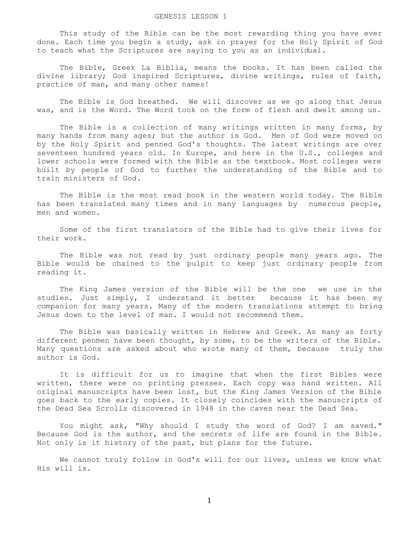## GENESIS LESSON 1

 This study of the Bible can be the most rewarding thing you have ever done. Each time you begin a study, ask in prayer for the Holy Spirit of God to teach what the Scriptures are saying to you as an individual.

 The Bible, Greek La Biblia, means the books. It has been called the divine library; God inspired Scriptures, divine writings, rules of faith, practice of man, and many other names!

 The Bible is God breathed. We will discover as we go along that Jesus was, and is the Word. The Word took on the form of flesh and dwelt among us.

 The Bible is a collection of many writings written in many forms, by many hands from many ages; but the author is God. Men of God were moved on by the Holy Spirit and penned God's thoughts. The latest writings are over seventeen hundred years old. In Europe, and here in the U.S., colleges and lower schools were formed with the Bible as the textbook. Most colleges were built by people of God to further the understanding of the Bible and to train ministers of God.

 The Bible is the most read book in the western world today. The Bible has been translated many times and in many languages by numerous people, men and women.

 Some of the first translators of the Bible had to give their lives for their work.

 The Bible was not read by just ordinary people many years ago. The Bible would be chained to the pulpit to keep just ordinary people from reading it.

 The King James version of the Bible will be the one we use in the studies. Just simply, I understand it better because it has been my companion for many years. Many of the modern translations attempt to bring Jesus down to the level of man. I would not recommend them.

 The Bible was basically written in Hebrew and Greek. As many as forty different penmen have been thought, by some, to be the writers of the Bible. Many questions are asked about who wrote many of them, because truly the author is God.

 It is difficult for us to imagine that when the first Bibles were written, there were no printing presses. Each copy was hand written. All original manuscripts have been lost, but the King James Version of the Bible goes back to the early copies. It closely coincides with the manuscripts of the Dead Sea Scrolls discovered in 1948 in the caves near the Dead Sea.

You might ask, "Why should I study the word of God? I am saved." Because God is the author, and the secrets of life are found in the Bible. Not only is it history of the past, but plans for the future.

 We cannot truly follow in God's will for our lives, unless we know what His will is.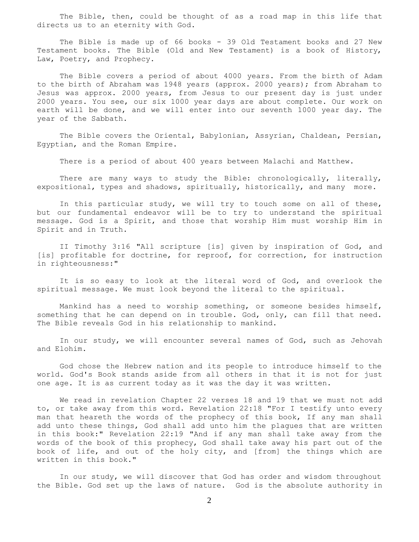The Bible, then, could be thought of as a road map in this life that directs us to an eternity with God.

The Bible is made up of 66 books - 39 Old Testament books and 27 New Testament books. The Bible (Old and New Testament) is a book of History, Law, Poetry, and Prophecy.

 The Bible covers a period of about 4000 years. From the birth of Adam to the birth of Abraham was 1948 years (approx. 2000 years); from Abraham to Jesus was approx. 2000 years, from Jesus to our present day is just under 2000 years. You see, our six 1000 year days are about complete. Our work on earth will be done, and we will enter into our seventh 1000 year day. The year of the Sabbath.

 The Bible covers the Oriental, Babylonian, Assyrian, Chaldean, Persian, Egyptian, and the Roman Empire.

There is a period of about 400 years between Malachi and Matthew.

There are many ways to study the Bible: chronologically, literally, expositional, types and shadows, spiritually, historically, and many more.

 In this particular study, we will try to touch some on all of these, but our fundamental endeavor will be to try to understand the spiritual message. God is a Spirit, and those that worship Him must worship Him in Spirit and in Truth.

 II Timothy 3:16 "All scripture [is] given by inspiration of God, and [is] profitable for doctrine, for reproof, for correction, for instruction in righteousness:"

 It is so easy to look at the literal word of God, and overlook the spiritual message. We must look beyond the literal to the spiritual.

 Mankind has a need to worship something, or someone besides himself, something that he can depend on in trouble. God, only, can fill that need. The Bible reveals God in his relationship to mankind.

 In our study, we will encounter several names of God, such as Jehovah and Elohim.

 God chose the Hebrew nation and its people to introduce himself to the world. God's Book stands aside from all others in that it is not for just one age. It is as current today as it was the day it was written.

 We read in revelation Chapter 22 verses 18 and 19 that we must not add to, or take away from this word. Revelation 22:18 "For I testify unto every man that heareth the words of the prophecy of this book, If any man shall add unto these things, God shall add unto him the plagues that are written in this book:" Revelation 22:19 "And if any man shall take away from the words of the book of this prophecy, God shall take away his part out of the book of life, and out of the holy city, and [from] the things which are written in this book."

 In our study, we will discover that God has order and wisdom throughout the Bible. God set up the laws of nature. God is the absolute authority in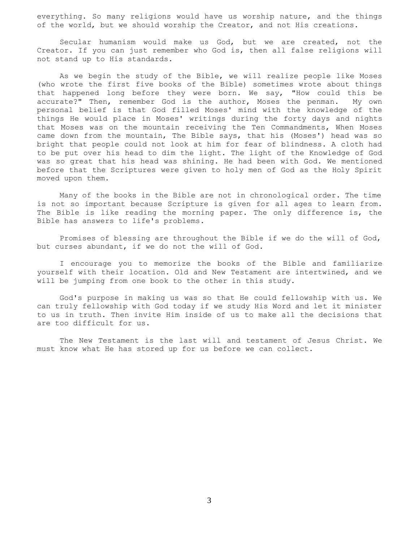everything. So many religions would have us worship nature, and the things of the world, but we should worship the Creator, and not His creations.

 Secular humanism would make us God, but we are created, not the Creator. If you can just remember who God is, then all false religions will not stand up to His standards.

 As we begin the study of the Bible, we will realize people like Moses (who wrote the first five books of the Bible) sometimes wrote about things that happened long before they were born. We say, "How could this be accurate?" Then, remember God is the author, Moses the penman. My own personal belief is that God filled Moses' mind with the knowledge of the things He would place in Moses' writings during the forty days and nights that Moses was on the mountain receiving the Ten Commandments, When Moses came down from the mountain, The Bible says, that his (Moses') head was so bright that people could not look at him for fear of blindness. A cloth had to be put over his head to dim the light. The light of the Knowledge of God was so great that his head was shining. He had been with God. We mentioned before that the Scriptures were given to holy men of God as the Holy Spirit moved upon them.

 Many of the books in the Bible are not in chronological order. The time is not so important because Scripture is given for all ages to learn from. The Bible is like reading the morning paper. The only difference is, the Bible has answers to life's problems.

 Promises of blessing are throughout the Bible if we do the will of God, but curses abundant, if we do not the will of God.

 I encourage you to memorize the books of the Bible and familiarize yourself with their location. Old and New Testament are intertwined, and we will be jumping from one book to the other in this study.

 God's purpose in making us was so that He could fellowship with us. We can truly fellowship with God today if we study His Word and let it minister to us in truth. Then invite Him inside of us to make all the decisions that are too difficult for us.

 The New Testament is the last will and testament of Jesus Christ. We must know what He has stored up for us before we can collect.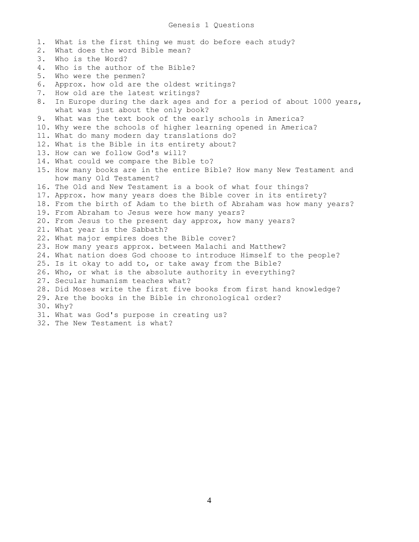1. What is the first thing we must do before each study? 2. What does the word Bible mean? 3. Who is the Word? 4. Who is the author of the Bible? 5. Who were the penmen? 6. Approx. how old are the oldest writings? 7. How old are the latest writings? 8. In Europe during the dark ages and for a period of about 1000 years, what was just about the only book? 9. What was the text book of the early schools in America? 10. Why were the schools of higher learning opened in America? 11. What do many modern day translations do? 12. What is the Bible in its entirety about? 13. How can we follow God's will? 14. What could we compare the Bible to? 15. How many books are in the entire Bible? How many New Testament and how many Old Testament? 16. The Old and New Testament is a book of what four things? 17. Approx. how many years does the Bible cover in its entirety? 18. From the birth of Adam to the birth of Abraham was how many years? 19. From Abraham to Jesus were how many years? 20. From Jesus to the present day approx, how many years? 21. What year is the Sabbath? 22. What major empires does the Bible cover? 23. How many years approx. between Malachi and Matthew? 24. What nation does God choose to introduce Himself to the people? 25. Is it okay to add to, or take away from the Bible? 26. Who, or what is the absolute authority in everything? 27. Secular humanism teaches what? 28. Did Moses write the first five books from first hand knowledge? 29. Are the books in the Bible in chronological order? 30. Why? 31. What was God's purpose in creating us? 32. The New Testament is what?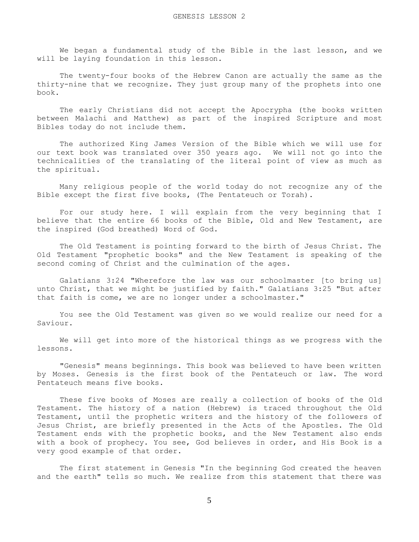We began a fundamental study of the Bible in the last lesson, and we will be laying foundation in this lesson.

 The twenty-four books of the Hebrew Canon are actually the same as the thirty-nine that we recognize. They just group many of the prophets into one book.

 The early Christians did not accept the Apocrypha (the books written between Malachi and Matthew) as part of the inspired Scripture and most Bibles today do not include them.

 The authorized King James Version of the Bible which we will use for our text book was translated over 350 years ago. We will not go into the technicalities of the translating of the literal point of view as much as the spiritual.

 Many religious people of the world today do not recognize any of the Bible except the first five books, (The Pentateuch or Torah).

 For our study here. I will explain from the very beginning that I believe that the entire 66 books of the Bible, Old and New Testament, are the inspired (God breathed) Word of God.

 The Old Testament is pointing forward to the birth of Jesus Christ. The Old Testament "prophetic books" and the New Testament is speaking of the second coming of Christ and the culmination of the ages.

 Galatians 3:24 "Wherefore the law was our schoolmaster [to bring us] unto Christ, that we might be justified by faith." Galatians 3:25 "But after that faith is come, we are no longer under a schoolmaster."

 You see the Old Testament was given so we would realize our need for a Saviour.

 We will get into more of the historical things as we progress with the lessons.

 "Genesis" means beginnings. This book was believed to have been written by Moses. Genesis is the first book of the Pentateuch or law. The word Pentateuch means five books.

 These five books of Moses are really a collection of books of the Old Testament. The history of a nation (Hebrew) is traced throughout the Old Testament, until the prophetic writers and the history of the followers of Jesus Christ, are briefly presented in the Acts of the Apostles. The Old Testament ends with the prophetic books, and the New Testament also ends with a book of prophecy. You see, God believes in order, and His Book is a very good example of that order.

 The first statement in Genesis "In the beginning God created the heaven and the earth" tells so much. We realize from this statement that there was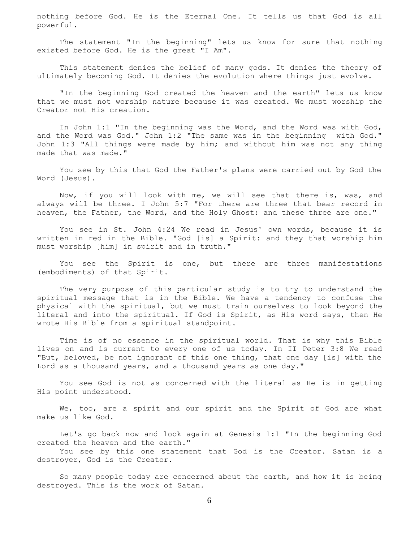nothing before God. He is the Eternal One. It tells us that God is all powerful.

 The statement "In the beginning" lets us know for sure that nothing existed before God. He is the great "I Am".

 This statement denies the belief of many gods. It denies the theory of ultimately becoming God. It denies the evolution where things just evolve.

 "In the beginning God created the heaven and the earth" lets us know that we must not worship nature because it was created. We must worship the Creator not His creation.

 In John 1:1 "In the beginning was the Word, and the Word was with God, and the Word was God." John 1:2 "The same was in the beginning with God." John 1:3 "All things were made by him; and without him was not any thing made that was made."

 You see by this that God the Father's plans were carried out by God the Word (Jesus).

 Now, if you will look with me, we will see that there is, was, and always will be three. I John 5:7 "For there are three that bear record in heaven, the Father, the Word, and the Holy Ghost: and these three are one."

 You see in St. John 4:24 We read in Jesus' own words, because it is written in red in the Bible. "God [is] a Spirit: and they that worship him must worship [him] in spirit and in truth."

 You see the Spirit is one, but there are three manifestations (embodiments) of that Spirit.

 The very purpose of this particular study is to try to understand the spiritual message that is in the Bible. We have a tendency to confuse the physical with the spiritual, but we must train ourselves to look beyond the literal and into the spiritual. If God is Spirit, as His word says, then He wrote His Bible from a spiritual standpoint.

 Time is of no essence in the spiritual world. That is why this Bible lives on and is current to every one of us today. In II Peter 3:8 We read "But, beloved, be not ignorant of this one thing, that one day [is] with the Lord as a thousand years, and a thousand years as one day."

 You see God is not as concerned with the literal as He is in getting His point understood.

We, too, are a spirit and our spirit and the Spirit of God are what make us like God.

 Let's go back now and look again at Genesis 1:1 "In the beginning God created the heaven and the earth."

 You see by this one statement that God is the Creator. Satan is a destroyer, God is the Creator.

 So many people today are concerned about the earth, and how it is being destroyed. This is the work of Satan.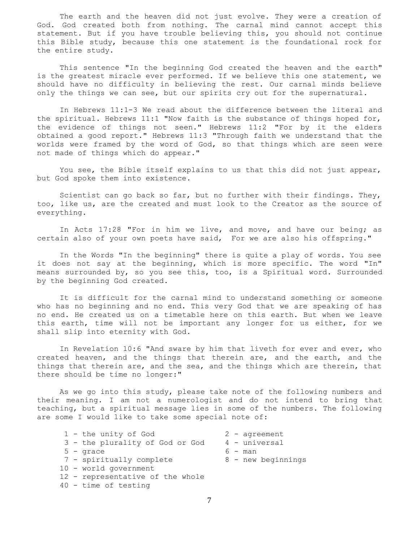The earth and the heaven did not just evolve. They were a creation of God. God created both from nothing. The carnal mind cannot accept this statement. But if you have trouble believing this, you should not continue this Bible study, because this one statement is the foundational rock for the entire study.

 This sentence "In the beginning God created the heaven and the earth" is the greatest miracle ever performed. If we believe this one statement, we should have no difficulty in believing the rest. Our carnal minds believe only the things we can see, but our spirits cry out for the supernatural.

 In Hebrews 11:1-3 We read about the difference between the literal and the spiritual. Hebrews 11:1 "Now faith is the substance of things hoped for, the evidence of things not seen." Hebrews 11:2 "For by it the elders obtained a good report." Hebrews 11:3 "Through faith we understand that the worlds were framed by the word of God, so that things which are seen were not made of things which do appear."

 You see, the Bible itself explains to us that this did not just appear, but God spoke them into existence.

 Scientist can go back so far, but no further with their findings. They, too, like us, are the created and must look to the Creator as the source of everything.

 In Acts 17:28 "For in him we live, and move, and have our being; as certain also of your own poets have said, For we are also his offspring."

 In the Words "In the beginning" there is quite a play of words. You see it does not say at the beginning, which is more specific. The word "In" means surrounded by, so you see this, too, is a Spiritual word. Surrounded by the beginning God created.

 It is difficult for the carnal mind to understand something or someone who has no beginning and no end. This very God that we are speaking of has no end. He created us on a timetable here on this earth. But when we leave this earth, time will not be important any longer for us either, for we shall slip into eternity with God.

 In Revelation 10:6 "And sware by him that liveth for ever and ever, who created heaven, and the things that therein are, and the earth, and the things that therein are, and the sea, and the things which are therein, that there should be time no longer:"

 As we go into this study, please take note of the following numbers and their meaning. I am not a numerologist and do not intend to bring that teaching, but a spiritual message lies in some of the numbers. The following are some I would like to take some special note of:

| 1 - the unity of God             | $2$ - agreement    |
|----------------------------------|--------------------|
| 3 - the plurality of God or God  | 4 - universal      |
| $5 -$ qrace                      | $6 - man$          |
| 7 - spiritually complete         | 8 - new beginnings |
| 10 - world government            |                    |
| 12 - representative of the whole |                    |
| $40$ - time of testing           |                    |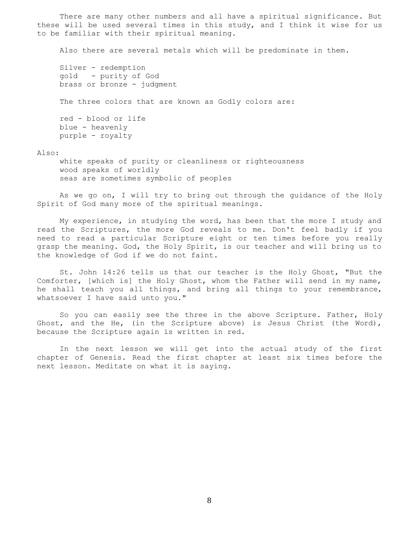There are many other numbers and all have a spiritual significance. But these will be used several times in this study, and I think it wise for us to be familiar with their spiritual meaning.

Also there are several metals which will be predominate in them.

 Silver - redemption gold - purity of God brass or bronze - judgment The three colors that are known as Godly colors are: red - blood or life blue - heavenly purple - royalty

## Also:

 white speaks of purity or cleanliness or righteousness wood speaks of worldly seas are sometimes symbolic of peoples

 As we go on, I will try to bring out through the guidance of the Holy Spirit of God many more of the spiritual meanings.

 My experience, in studying the word, has been that the more I study and read the Scriptures, the more God reveals to me. Don't feel badly if you need to read a particular Scripture eight or ten times before you really grasp the meaning. God, the Holy Spirit, is our teacher and will bring us to the knowledge of God if we do not faint.

 St. John 14:26 tells us that our teacher is the Holy Ghost, "But the Comforter, [which is] the Holy Ghost, whom the Father will send in my name, he shall teach you all things, and bring all things to your remembrance, whatsoever I have said unto you."

 So you can easily see the three in the above Scripture. Father, Holy Ghost, and the He, (in the Scripture above) is Jesus Christ (the Word), because the Scripture again is written in red.

 In the next lesson we will get into the actual study of the first chapter of Genesis. Read the first chapter at least six times before the next lesson. Meditate on what it is saying.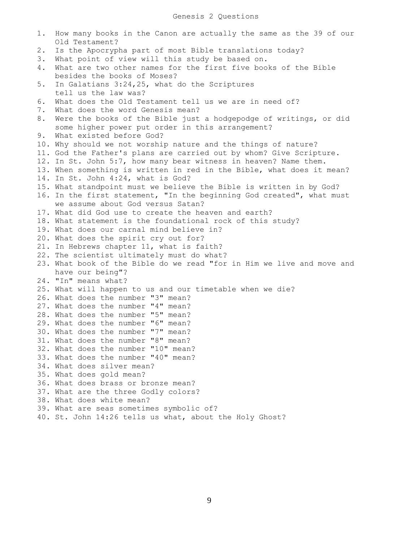```
1. How many books in the Canon are actually the same as the 39 of our
     Old Testament?
2. Is the Apocrypha part of most Bible translations today?
3. What point of view will this study be based on.
4. What are two other names for the first five books of the Bible
    besides the books of Moses?
5. In Galatians 3:24,25, what do the Scriptures
    tell us the law was?
6. What does the Old Testament tell us we are in need of?
7. What does the word Genesis mean?
8. Were the books of the Bible just a hodgepodge of writings, or did
    some higher power put order in this arrangement?
9. What existed before God?
10. Why should we not worship nature and the things of nature?
11. God the Father's plans are carried out by whom? Give Scripture.
12. In St. John 5:7, how many bear witness in heaven? Name them.
13. When something is written in red in the Bible, what does it mean?
14. In St. John 4:24, what is God?
15. What standpoint must we believe the Bible is written in by God?
16. In the first statement, "In the beginning God created", what must
     we assume about God versus Satan?
17. What did God use to create the heaven and earth?
18. What statement is the foundational rock of this study?
19. What does our carnal mind believe in?
20. What does the spirit cry out for?
21. In Hebrews chapter 11, what is faith?
22. The scientist ultimately must do what?
23. What book of the Bible do we read "for in Him we live and move and
    have our being"?
24. "In" means what?
25. What will happen to us and our timetable when we die?
26. What does the number "3" mean?
27. What does the number "4" mean?
28. What does the number "5" mean?
29. What does the number "6" mean?
30. What does the number "7" mean?
31. What does the number "8" mean?
32. What does the number "10" mean?
33. What does the number "40" mean?
34. What does silver mean?
35. What does gold mean?
36. What does brass or bronze mean?
37. What are the three Godly colors?
38. What does white mean?
39. What are seas sometimes symbolic of?
40. St. John 14:26 tells us what, about the Holy Ghost?
```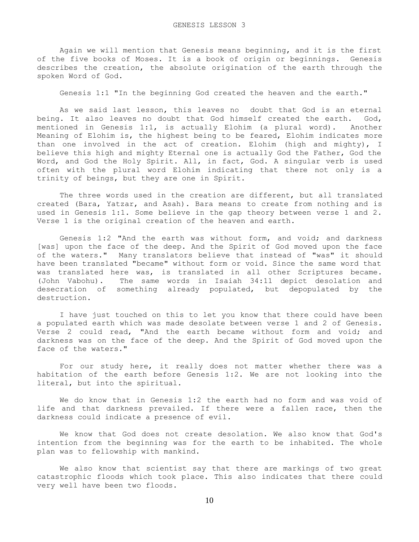Again we will mention that Genesis means beginning, and it is the first of the five books of Moses. It is a book of origin or beginnings. Genesis describes the creation, the absolute origination of the earth through the spoken Word of God.

Genesis 1:1 "In the beginning God created the heaven and the earth."

 As we said last lesson, this leaves no doubt that God is an eternal being. It also leaves no doubt that God himself created the earth. God, mentioned in Genesis 1:1, is actually Elohim (a plural word). Another Meaning of Elohim is, the highest being to be feared, Elohim indicates more than one involved in the act of creation. Elohim (high and mighty), I believe this high and mighty Eternal one is actually God the Father, God the Word, and God the Holy Spirit. All, in fact, God. A singular verb is used often with the plural word Elohim indicating that there not only is a trinity of beings, but they are one in Spirit.

 The three words used in the creation are different, but all translated created (Bara, Yatzar, and Asah). Bara means to create from nothing and is used in Genesis 1:1. Some believe in the gap theory between verse 1 and 2. Verse 1 is the original creation of the heaven and earth.

 Genesis 1:2 "And the earth was without form, and void; and darkness [was] upon the face of the deep. And the Spirit of God moved upon the face of the waters." Many translators believe that instead of "was" it should have been translated "became" without form or void. Since the same word that was translated here was, is translated in all other Scriptures became. (John Vabohu). The same words in Isaiah 34:11 depict desolation and desecration of something already populated, but depopulated by the destruction.

 I have just touched on this to let you know that there could have been a populated earth which was made desolate between verse 1 and 2 of Genesis. Verse 2 could read, "And the earth became without form and void; and darkness was on the face of the deep. And the Spirit of God moved upon the face of the waters."

 For our study here, it really does not matter whether there was a habitation of the earth before Genesis 1:2. We are not looking into the literal, but into the spiritual.

 We do know that in Genesis 1:2 the earth had no form and was void of life and that darkness prevailed. If there were a fallen race, then the darkness could indicate a presence of evil.

 We know that God does not create desolation. We also know that God's intention from the beginning was for the earth to be inhabited. The whole plan was to fellowship with mankind.

 We also know that scientist say that there are markings of two great catastrophic floods which took place. This also indicates that there could very well have been two floods.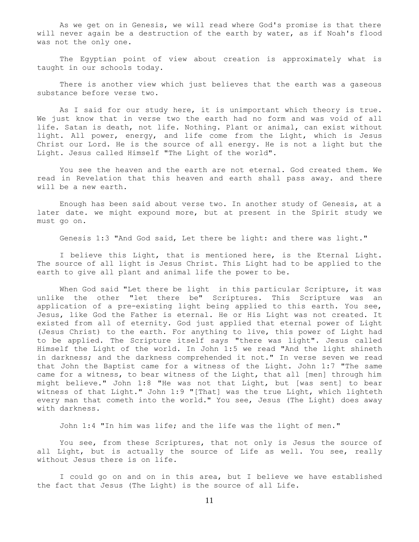As we get on in Genesis, we will read where God's promise is that there will never again be a destruction of the earth by water, as if Noah's flood was not the only one.

 The Egyptian point of view about creation is approximately what is taught in our schools today.

 There is another view which just believes that the earth was a gaseous substance before verse two.

 As I said for our study here, it is unimportant which theory is true. We just know that in verse two the earth had no form and was void of all life. Satan is death, not life. Nothing. Plant or animal, can exist without light. All power, energy, and life come from the Light, which is Jesus Christ our Lord. He is the source of all energy. He is not a light but the Light. Jesus called Himself "The Light of the world".

 You see the heaven and the earth are not eternal. God created them. We read in Revelation that this heaven and earth shall pass away. and there will be a new earth.

 Enough has been said about verse two. In another study of Genesis, at a later date. we might expound more, but at present in the Spirit study we must go on.

Genesis 1:3 "And God said, Let there be light: and there was light."

 I believe this Light, that is mentioned here, is the Eternal Light. The source of all light is Jesus Christ. This Light had to be applied to the earth to give all plant and animal life the power to be.

When God said "Let there be light in this particular Scripture, it was unlike the other "let there be" Scriptures. This Scripture was an application of a pre-existing light being applied to this earth. You see, Jesus, like God the Father is eternal. He or His Light was not created. It existed from all of eternity. God just applied that eternal power of Light (Jesus Christ) to the earth. For anything to live, this power of Light had to be applied. The Scripture itself says "there was light". Jesus called Himself the Light of the world. In John 1:5 we read "And the light shineth in darkness; and the darkness comprehended it not." In verse seven we read that John the Baptist came for a witness of the Light. John 1:7 "The same came for a witness, to bear witness of the Light, that all [men] through him might believe." John 1:8 "He was not that Light, but [was sent] to bear witness of that Light." John 1:9 "[That] was the true Light, which lighteth every man that cometh into the world." You see, Jesus (The Light) does away with darkness.

John 1:4 "In him was life; and the life was the light of men."

 You see, from these Scriptures, that not only is Jesus the source of all Light, but is actually the source of Life as well. You see, really without Jesus there is on life.

 I could go on and on in this area, but I believe we have established the fact that Jesus (The Light) is the source of all Life.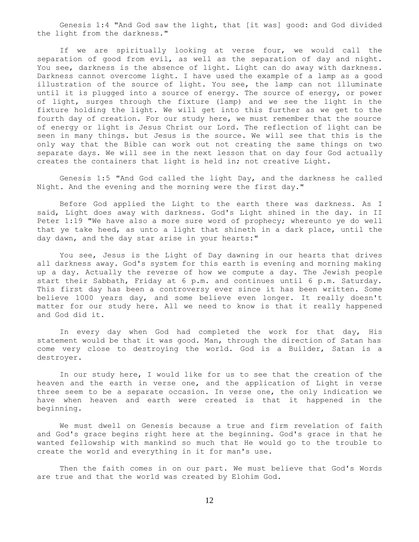Genesis 1:4 "And God saw the light, that [it was] good: and God divided the light from the darkness."

 If we are spiritually looking at verse four, we would call the separation of good from evil, as well as the separation of day and night. You see, darkness is the absence of light. Light can do away with darkness. Darkness cannot overcome light. I have used the example of a lamp as a good illustration of the source of light. You see, the lamp can not illuminate until it is plugged into a source of energy. The source of energy, or power of light, surges through the fixture (lamp) and we see the light in the fixture holding the light. We will get into this further as we get to the fourth day of creation. For our study here, we must remember that the source of energy or light is Jesus Christ our Lord. The reflection of light can be seen in many things. but Jesus is the source. We will see that this is the only way that the Bible can work out not creating the same things on two separate days. We will see in the next lesson that on day four God actually creates the containers that light is held in; not creative Light.

 Genesis 1:5 "And God called the light Day, and the darkness he called Night. And the evening and the morning were the first day."

 Before God applied the Light to the earth there was darkness. As I said, Light does away with darkness. God's Light shined in the day. in II Peter 1:19 "We have also a more sure word of prophecy; whereunto ye do well that ye take heed, as unto a light that shineth in a dark place, until the day dawn, and the day star arise in your hearts:"

 You see, Jesus is the Light of Day dawning in our hearts that drives all darkness away. God's system for this earth is evening and morning making up a day. Actually the reverse of how we compute a day. The Jewish people start their Sabbath, Friday at 6 p.m. and continues until 6 p.m. Saturday. This first day has been a controversy ever since it has been written. Some believe 1000 years day, and some believe even longer. It really doesn't matter for our study here. All we need to know is that it really happened and God did it.

 In every day when God had completed the work for that day, His statement would be that it was good. Man, through the direction of Satan has come very close to destroying the world. God is a Builder, Satan is a destroyer.

 In our study here, I would like for us to see that the creation of the heaven and the earth in verse one, and the application of Light in verse three seem to be a separate occasion. In verse one, the only indication we have when heaven and earth were created is that it happened in the beginning.

 We must dwell on Genesis because a true and firm revelation of faith and God's grace begins right here at the beginning. God's grace in that he wanted fellowship with mankind so much that He would go to the trouble to create the world and everything in it for man's use.

 Then the faith comes in on our part. We must believe that God's Words are true and that the world was created by Elohim God.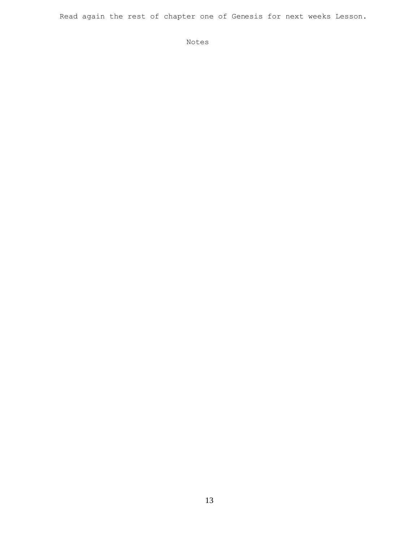Read again the rest of chapter one of Genesis for next weeks Lesson.

Notes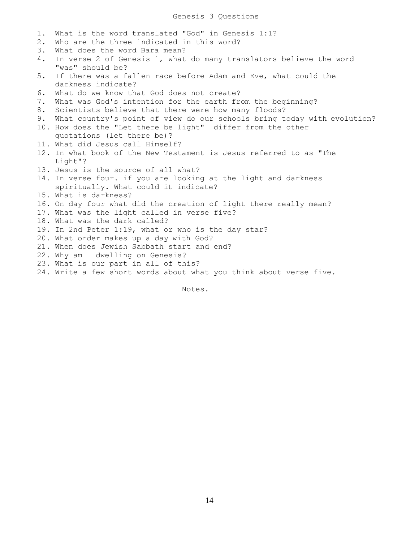| 1. | What is the word translated "God" in Genesis 1:1?                       |  |
|----|-------------------------------------------------------------------------|--|
| 2. | Who are the three indicated in this word?                               |  |
| 3. | What does the word Bara mean?                                           |  |
| 4. | In verse 2 of Genesis 1, what do many translators believe the word      |  |
|    | "was" should be?                                                        |  |
| 5. | If there was a fallen race before Adam and Eve, what could the          |  |
|    | darkness indicate?                                                      |  |
| 6. | What do we know that God does not create?                               |  |
| 7. | What was God's intention for the earth from the beginning?              |  |
| 8. | Scientists believe that there were how many floods?                     |  |
| 9. | What country's point of view do our schools bring today with evolution? |  |
|    | 10. How does the "Let there be light" differ from the other             |  |
|    | quotations (let there be)?                                              |  |
|    | 11. What did Jesus call Himself?                                        |  |
|    | 12. In what book of the New Testament is Jesus referred to as "The      |  |
|    | Light"?                                                                 |  |
|    | 13. Jesus is the source of all what?                                    |  |
|    | 14. In verse four. if you are looking at the light and darkness         |  |
|    | spiritually. What could it indicate?                                    |  |
|    | 15. What is darkness?                                                   |  |
|    | 16. On day four what did the creation of light there really mean?       |  |
|    | 17. What was the light called in verse five?                            |  |
|    | 18. What was the dark called?                                           |  |
|    | 19. In 2nd Peter 1:19, what or who is the day star?                     |  |
|    | 20. What order makes up a day with God?                                 |  |
|    | 21. When does Jewish Sabbath start and end?                             |  |
|    | 22. Why am I dwelling on Genesis?                                       |  |
|    | 23. What is our part in all of this?                                    |  |
|    | 24. Write a few short words about what you think about verse five.      |  |

Notes.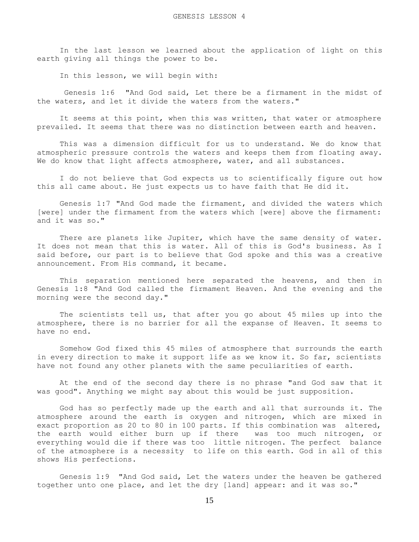In the last lesson we learned about the application of light on this earth giving all things the power to be.

In this lesson, we will begin with:

 Genesis 1:6 "And God said, Let there be a firmament in the midst of the waters, and let it divide the waters from the waters."

 It seems at this point, when this was written, that water or atmosphere prevailed. It seems that there was no distinction between earth and heaven.

 This was a dimension difficult for us to understand. We do know that atmospheric pressure controls the waters and keeps them from floating away. We do know that light affects atmosphere, water, and all substances.

 I do not believe that God expects us to scientifically figure out how this all came about. He just expects us to have faith that He did it.

 Genesis 1:7 "And God made the firmament, and divided the waters which [were] under the firmament from the waters which [were] above the firmament: and it was so."

There are planets like Jupiter, which have the same density of water. It does not mean that this is water. All of this is God's business. As I said before, our part is to believe that God spoke and this was a creative announcement. From His command, it became.

 This separation mentioned here separated the heavens, and then in Genesis 1:8 "And God called the firmament Heaven. And the evening and the morning were the second day."

 The scientists tell us, that after you go about 45 miles up into the atmosphere, there is no barrier for all the expanse of Heaven. It seems to have no end.

 Somehow God fixed this 45 miles of atmosphere that surrounds the earth in every direction to make it support life as we know it. So far, scientists have not found any other planets with the same peculiarities of earth.

 At the end of the second day there is no phrase "and God saw that it was good". Anything we might say about this would be just supposition.

 God has so perfectly made up the earth and all that surrounds it. The atmosphere around the earth is oxygen and nitrogen, which are mixed in exact proportion as 20 to 80 in 100 parts. If this combination was altered, the earth would either burn up if there was too much nitrogen, or everything would die if there was too little nitrogen. The perfect balance of the atmosphere is a necessity to life on this earth. God in all of this shows His perfections.

 Genesis 1:9 "And God said, Let the waters under the heaven be gathered together unto one place, and let the dry [land] appear: and it was so."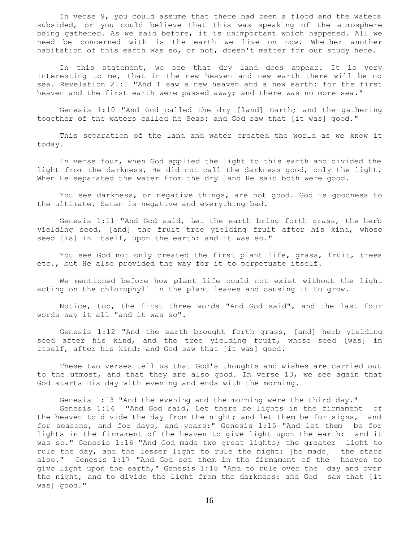In verse 9, you could assume that there had been a flood and the waters subsided, or you could believe that this was speaking of the atmosphere being gathered. As we said before, it is unimportant which happened. All we need be concerned with is the earth we live on now. Whether another habitation of this earth was so, or not, doesn't matter for our study here.

In this statement, we see that dry land does appear. It is very interesting to me, that in the new heaven and new earth there will be no sea. Revelation 21:1 "And I saw a new heaven and a new earth: for the first heaven and the first earth were passed away; and there was no more sea."

 Genesis 1:10 "And God called the dry [land] Earth; and the gathering together of the waters called he Seas: and God saw that [it was] good."

 This separation of the land and water created the world as we know it today.

 In verse four, when God applied the light to this earth and divided the light from the darkness, He did not call the darkness good, only the light. When He separated the water from the dry land He said both were good.

 You see darkness, or negative things, are not good. God is goodness to the ultimate. Satan is negative and everything bad.

 Genesis 1:11 "And God said, Let the earth bring forth grass, the herb yielding seed, [and] the fruit tree yielding fruit after his kind, whose seed [is] in itself, upon the earth: and it was so."

 You see God not only created the first plant life, grass, fruit, trees etc., but He also provided the way for it to perpetuate itself.

 We mentioned before how plant life could not exist without the light acting on the chlorophyll in the plant leaves and causing it to grow.

 Notice, too, the first three words "And God said", and the last four words say it all "and it was so".

 Genesis 1:12 "And the earth brought forth grass, [and] herb yielding seed after his kind, and the tree yielding fruit, whose seed [was] in itself, after his kind: and God saw that [it was] good.

 These two verses tell us that God's thoughts and wishes are carried out to the utmost, and that they are also good. In verse 13, we see again that God starts His day with evening and ends with the morning.

Genesis 1:13 "And the evening and the morning were the third day."

 Genesis 1:14 "And God said, Let there be lights in the firmament of the heaven to divide the day from the night; and let them be for signs, and for seasons, and for days, and years:" Genesis 1:15 "And let them be for lights in the firmament of the heaven to give light upon the earth: and it was so." Genesis 1:16 "And God made two great lights; the greater light to rule the day, and the lesser light to rule the night: [he made] the stars also." Genesis 1:17 "And God set them in the firmament of the heaven to give light upon the earth," Genesis 1:18 "And to rule over the day and over the night, and to divide the light from the darkness: and God saw that [it was] good."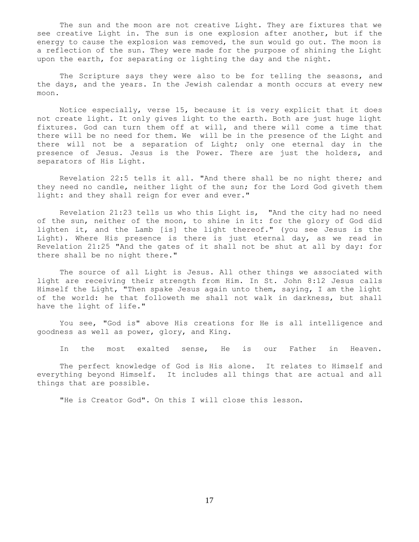The sun and the moon are not creative Light. They are fixtures that we see creative Light in. The sun is one explosion after another, but if the energy to cause the explosion was removed, the sun would go out. The moon is a reflection of the sun. They were made for the purpose of shining the Light upon the earth, for separating or lighting the day and the night.

 The Scripture says they were also to be for telling the seasons, and the days, and the years. In the Jewish calendar a month occurs at every new moon.

 Notice especially, verse 15, because it is very explicit that it does not create light. It only gives light to the earth. Both are just huge light fixtures. God can turn them off at will, and there will come a time that there will be no need for them. We will be in the presence of the Light and there will not be a separation of Light; only one eternal day in the presence of Jesus. Jesus is the Power. There are just the holders, and separators of His Light.

 Revelation 22:5 tells it all. "And there shall be no night there; and they need no candle, neither light of the sun; for the Lord God giveth them light: and they shall reign for ever and ever."

 Revelation 21:23 tells us who this Light is, "And the city had no need of the sun, neither of the moon, to shine in it: for the glory of God did lighten it, and the Lamb [is] the light thereof." (you see Jesus is the Light). Where His presence is there is just eternal day, as we read in Revelation 21:25 "And the gates of it shall not be shut at all by day: for there shall be no night there."

 The source of all Light is Jesus. All other things we associated with light are receiving their strength from Him. In St. John 8:12 Jesus calls Himself the Light, "Then spake Jesus again unto them, saying, I am the light of the world: he that followeth me shall not walk in darkness, but shall have the light of life."

 You see, "God is" above His creations for He is all intelligence and goodness as well as power, glory, and King.

In the most exalted sense, He is our Father in Heaven.

 The perfect knowledge of God is His alone. It relates to Himself and everything beyond Himself. It includes all things that are actual and all things that are possible.

"He is Creator God". On this I will close this lesson.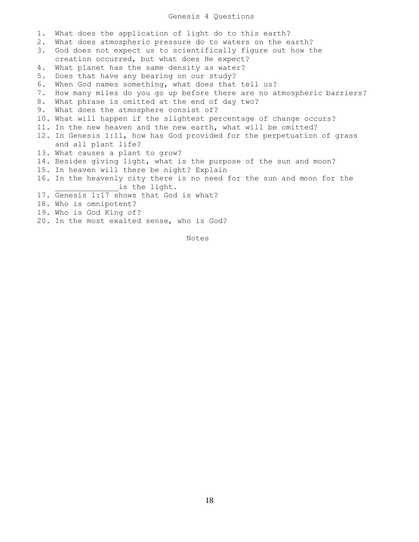## Genesis 4 Questions

1. What does the application of light do to this earth? 2. What does atmospheric pressure do to waters on the earth? 3. God does not expect us to scientifically figure out how the creation occurred, but what does He expect? 4. What planet has the same density as water? 5. Does that have any bearing on our study? 6. When God names something, what does that tell us? 7. How many miles do you go up before there are no atmospheric barriers? 8. What phrase is omitted at the end of day two? 9. What does the atmosphere consist of? 10. What will happen if the slightest percentage of change occurs? 11. In the new heaven and the new earth, what will be omitted? 12. In Genesis 1:11, how has God provided for the perpetuation of grass and all plant life? 13. What causes a plant to grow? 14. Besides giving light, what is the purpose of the sun and moon? 15. In heaven will there be night? Explain 16. In the heavenly city there is no need for the sun and moon for the is the light. 17. Genesis 1:17 shows that God is what? 18. Who is omnipotent? 19. Who is God King of? 20. In the most exalted sense, who is God?

Notes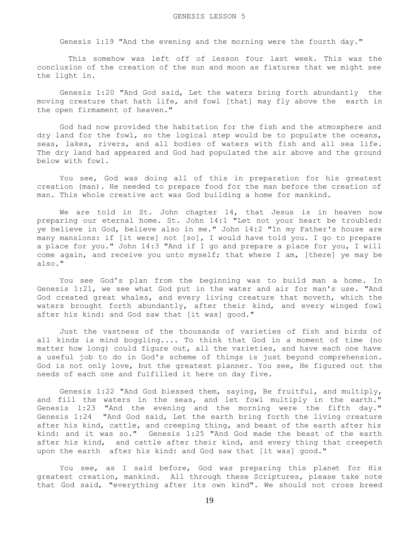Genesis 1:19 "And the evening and the morning were the fourth day."

This somehow was left off of lesson four last week. This was the conclusion of the creation of the sun and moon as fixtures that we might see the light in.

 Genesis 1:20 "And God said, Let the waters bring forth abundantly the moving creature that hath life, and fowl [that] may fly above the earth in the open firmament of heaven."

 God had now provided the habitation for the fish and the atmosphere and dry land for the fowl, so the logical step would be to populate the oceans, seas, lakes, rivers, and all bodies of waters with fish and all sea life. The dry land had appeared and God had populated the air above and the ground below with fowl.

 You see, God was doing all of this in preparation for his greatest creation (man). He needed to prepare food for the man before the creation of man. This whole creative act was God building a home for mankind.

We are told in St. John chapter 14, that Jesus is in heaven now preparing our eternal home. St. John 14:1 "Let not your heart be troubled: ye believe in God, believe also in me." John 14:2 "In my Father's house are many mansions: if [it were] not [so], I would have told you. I go to prepare a place for you." John 14:3 "And if I go and prepare a place for you, I will come again, and receive you unto myself; that where I am, [there] ye may be also."

 You see God's plan from the beginning was to build man a home. In Genesis 1:21, we see what God put in the water and air for man's use. "And God created great whales, and every living creature that moveth, which the waters brought forth abundantly, after their kind, and every winged fowl after his kind: and God saw that [it was] good."

 Just the vastness of the thousands of varieties of fish and birds of all kinds is mind boggling.... To think that God in a moment of time (no matter how long) could figure out, all the varieties, and have each one have a useful job to do in God's scheme of things is just beyond comprehension. God is not only love, but the greatest planner. You see, He figured out the needs of each one and fulfilled it here on day five.

 Genesis 1:22 "And God blessed them, saying, Be fruitful, and multiply, and fill the waters in the seas, and let fowl multiply in the earth." Genesis 1:23 "And the evening and the morning were the fifth day." Genesis 1:24 "And God said, Let the earth bring forth the living creature after his kind, cattle, and creeping thing, and beast of the earth after his kind: and it was so." Genesis 1:25 "And God made the beast of the earth after his kind, and cattle after their kind, and every thing that creepeth upon the earth after his kind: and God saw that [it was] good."

 You see, as I said before, God was preparing this planet for His greatest creation, mankind. All through these Scriptures, please take note that God said, "everything after its own kind". We should not cross breed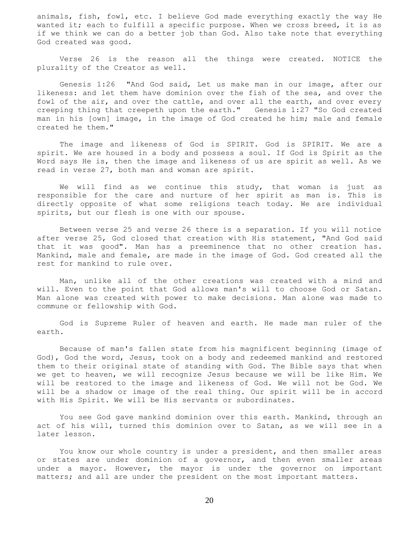animals, fish, fowl, etc. I believe God made everything exactly the way He wanted it; each to fulfill a specific purpose. When we cross breed, it is as if we think we can do a better job than God. Also take note that everything God created was good.

 Verse 26 is the reason all the things were created. NOTICE the plurality of the Creator as well.

 Genesis 1:26 "And God said, Let us make man in our image, after our likeness: and let them have dominion over the fish of the sea, and over the fowl of the air, and over the cattle, and over all the earth, and over every creeping thing that creepeth upon the earth." Genesis 1:27 "So God created man in his [own] image, in the image of God created he him; male and female created he them."

 The image and likeness of God is SPIRIT. God is SPIRIT. We are a spirit. We are housed in a body and possess a soul. If God is Spirit as the Word says He is, then the image and likeness of us are spirit as well. As we read in verse 27, both man and woman are spirit.

 We will find as we continue this study, that woman is just as responsible for the care and nurture of her spirit as man is. This is directly opposite of what some religions teach today. We are individual spirits, but our flesh is one with our spouse.

 Between verse 25 and verse 26 there is a separation. If you will notice after verse 25, God closed that creation with His statement, "And God said that it was good". Man has a preeminence that no other creation has. Mankind, male and female, are made in the image of God. God created all the rest for mankind to rule over.

 Man, unlike all of the other creations was created with a mind and will. Even to the point that God allows man's will to choose God or Satan. Man alone was created with power to make decisions. Man alone was made to commune or fellowship with God.

 God is Supreme Ruler of heaven and earth. He made man ruler of the earth.

 Because of man's fallen state from his magnificent beginning (image of God), God the word, Jesus, took on a body and redeemed mankind and restored them to their original state of standing with God. The Bible says that when we get to heaven, we will recognize Jesus because we will be like Him. We will be restored to the image and likeness of God. We will not be God. We will be a shadow or image of the real thing. Our spirit will be in accord with His Spirit. We will be His servants or subordinates.

 You see God gave mankind dominion over this earth. Mankind, through an act of his will, turned this dominion over to Satan, as we will see in a later lesson.

 You know our whole country is under a president, and then smaller areas or states are under dominion of a governor, and then even smaller areas under a mayor. However, the mayor is under the governor on important matters; and all are under the president on the most important matters.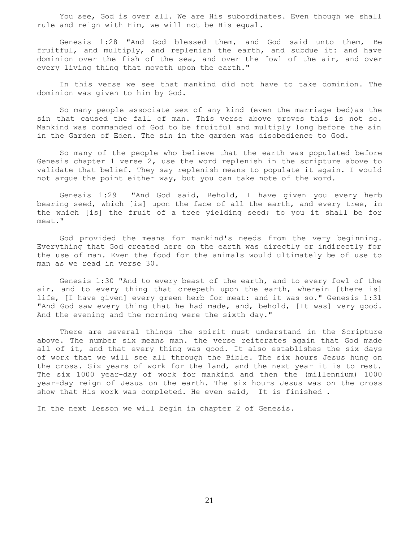You see, God is over all. We are His subordinates. Even though we shall rule and reign with Him, we will not be His equal.

 Genesis 1:28 "And God blessed them, and God said unto them, Be fruitful, and multiply, and replenish the earth, and subdue it: and have dominion over the fish of the sea, and over the fowl of the air, and over every living thing that moveth upon the earth."

 In this verse we see that mankind did not have to take dominion. The dominion was given to him by God.

 So many people associate sex of any kind (even the marriage bed)as the sin that caused the fall of man. This verse above proves this is not so. Mankind was commanded of God to be fruitful and multiply long before the sin in the Garden of Eden. The sin in the garden was disobedience to God.

 So many of the people who believe that the earth was populated before Genesis chapter 1 verse 2, use the word replenish in the scripture above to validate that belief. They say replenish means to populate it again. I would not argue the point either way, but you can take note of the word.

 Genesis 1:29 "And God said, Behold, I have given you every herb bearing seed, which [is] upon the face of all the earth, and every tree, in the which [is] the fruit of a tree yielding seed; to you it shall be for meat."

 God provided the means for mankind's needs from the very beginning. Everything that God created here on the earth was directly or indirectly for the use of man. Even the food for the animals would ultimately be of use to man as we read in verse 30.

 Genesis 1:30 "And to every beast of the earth, and to every fowl of the air, and to every thing that creepeth upon the earth, wherein [there is] life, [I have given] every green herb for meat: and it was so." Genesis 1:31 "And God saw every thing that he had made, and, behold, [It was] very good. And the evening and the morning were the sixth day."

 There are several things the spirit must understand in the Scripture above. The number six means man. the verse reiterates again that God made all of it, and that every thing was good. It also establishes the six days of work that we will see all through the Bible. The six hours Jesus hung on the cross. Six years of work for the land, and the next year it is to rest. The six 1000 year-day of work for mankind and then the (millennium) 1000 year-day reign of Jesus on the earth. The six hours Jesus was on the cross show that His work was completed. He even said, It is finished .

In the next lesson we will begin in chapter 2 of Genesis.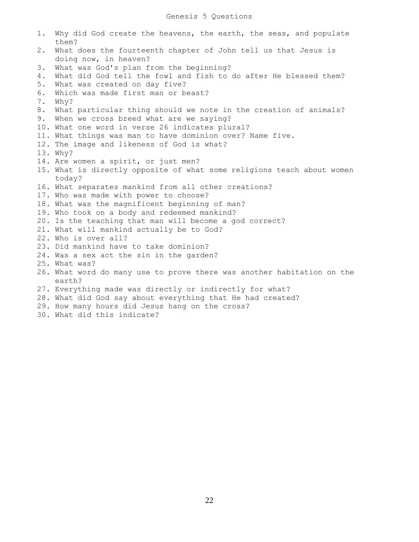1. Why did God create the heavens, the earth, the seas, and populate them? 2. What does the fourteenth chapter of John tell us that Jesus is doing now, in heaven? 3. What was God's plan from the beginning? 4. What did God tell the fowl and fish to do after He blessed them? 5. What was created on day five? 6. Which was made first man or beast? 7. Why? 8. What particular thing should we note in the creation of animals? 9. When we cross breed what are we saying? 10. What one word in verse 26 indicates plural? 11. What things was man to have dominion over? Name five. 12. The image and likeness of God is what? 13. Why? 14. Are women a spirit, or just men? 15. What is directly opposite of what some religions teach about women today? 16. What separates mankind from all other creations? 17. Who was made with power to choose? 18. What was the magnificent beginning of man? 19. Who took on a body and redeemed mankind? 20. Is the teaching that man will become a god correct? 21. What will mankind actually be to God? 22. Who is over all? 23. Did mankind have to take dominion? 24. Was a sex act the sin in the garden? 25. What was? 26. What word do many use to prove there was another habitation on the earth? 27. Everything made was directly or indirectly for what? 28. What did God say about everything that He had created? 29. How many hours did Jesus hang on the cross? 30. What did this indicate?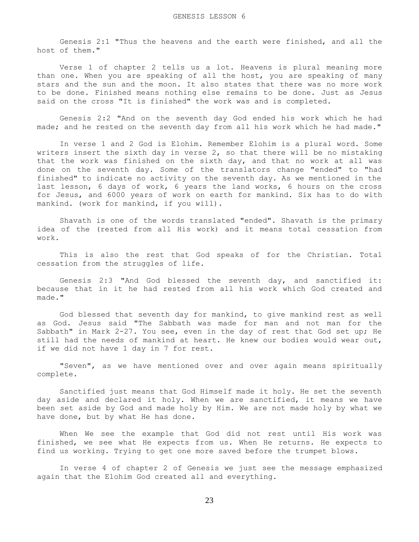Genesis 2:1 "Thus the heavens and the earth were finished, and all the host of them."

 Verse 1 of chapter 2 tells us a lot. Heavens is plural meaning more than one. When you are speaking of all the host, you are speaking of many stars and the sun and the moon. It also states that there was no more work to be done. Finished means nothing else remains to be done. Just as Jesus said on the cross "It is finished" the work was and is completed.

 Genesis 2:2 "And on the seventh day God ended his work which he had made; and he rested on the seventh day from all his work which he had made."

 In verse 1 and 2 God is Elohim. Remember Elohim is a plural word. Some writers insert the sixth day in verse 2, so that there will be no mistaking that the work was finished on the sixth day, and that no work at all was done on the seventh day. Some of the translators change "ended" to "had finished" to indicate no activity on the seventh day. As we mentioned in the last lesson, 6 days of work, 6 years the land works, 6 hours on the cross for Jesus, and 6000 years of work on earth for mankind. Six has to do with mankind. (work for mankind, if you will).

 Shavath is one of the words translated "ended". Shavath is the primary idea of the (rested from all His work) and it means total cessation from work.

 This is also the rest that God speaks of for the Christian. Total cessation from the struggles of life.

 Genesis 2:3 "And God blessed the seventh day, and sanctified it: because that in it he had rested from all his work which God created and made."

 God blessed that seventh day for mankind, to give mankind rest as well as God. Jesus said "The Sabbath was made for man and not man for the Sabbath" in Mark 2-27. You see, even in the day of rest that God set up; He still had the needs of mankind at heart. He knew our bodies would wear out, if we did not have 1 day in 7 for rest.

 "Seven", as we have mentioned over and over again means spiritually complete.

 Sanctified just means that God Himself made it holy. He set the seventh day aside and declared it holy. When we are sanctified, it means we have been set aside by God and made holy by Him. We are not made holy by what we have done, but by what He has done.

 When We see the example that God did not rest until His work was finished, we see what He expects from us. When He returns. He expects to find us working. Trying to get one more saved before the trumpet blows.

 In verse 4 of chapter 2 of Genesis we just see the message emphasized again that the Elohim God created all and everything.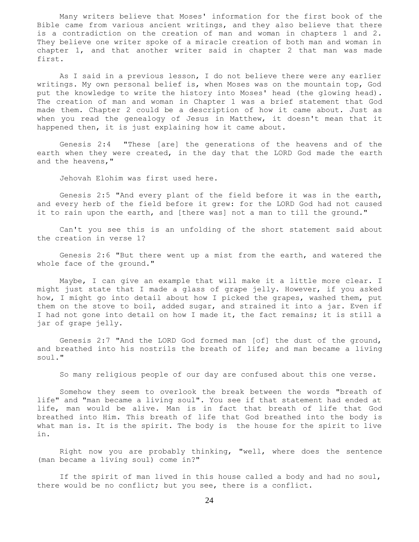Many writers believe that Moses' information for the first book of the Bible came from various ancient writings, and they also believe that there is a contradiction on the creation of man and woman in chapters 1 and 2. They believe one writer spoke of a miracle creation of both man and woman in chapter 1, and that another writer said in chapter 2 that man was made first.

 As I said in a previous lesson, I do not believe there were any earlier writings. My own personal belief is, when Moses was on the mountain top, God put the knowledge to write the history into Moses' head (the glowing head). The creation of man and woman in Chapter 1 was a brief statement that God made them. Chapter 2 could be a description of how it came about. Just as when you read the genealogy of Jesus in Matthew, it doesn't mean that it happened then, it is just explaining how it came about.

 Genesis 2:4 "These [are] the generations of the heavens and of the earth when they were created, in the day that the LORD God made the earth and the heavens,"

Jehovah Elohim was first used here.

 Genesis 2:5 "And every plant of the field before it was in the earth, and every herb of the field before it grew: for the LORD God had not caused it to rain upon the earth, and [there was] not a man to till the ground."

 Can't you see this is an unfolding of the short statement said about the creation in verse 1?

 Genesis 2:6 "But there went up a mist from the earth, and watered the whole face of the ground."

 Maybe, I can give an example that will make it a little more clear. I might just state that I made a glass of grape jelly. However, if you asked how, I might go into detail about how I picked the grapes, washed them, put them on the stove to boil, added sugar, and strained it into a jar. Even if I had not gone into detail on how I made it, the fact remains; it is still a jar of grape jelly.

 Genesis 2:7 "And the LORD God formed man [of] the dust of the ground, and breathed into his nostrils the breath of life; and man became a living soul."

So many religious people of our day are confused about this one verse.

 Somehow they seem to overlook the break between the words "breath of life" and "man became a living soul". You see if that statement had ended at life, man would be alive. Man is in fact that breath of life that God breathed into Him. This breath of life that God breathed into the body is what man is. It is the spirit. The body is the house for the spirit to live in.

 Right now you are probably thinking, "well, where does the sentence (man became a living soul) come in?"

 If the spirit of man lived in this house called a body and had no soul, there would be no conflict; but you see, there is a conflict.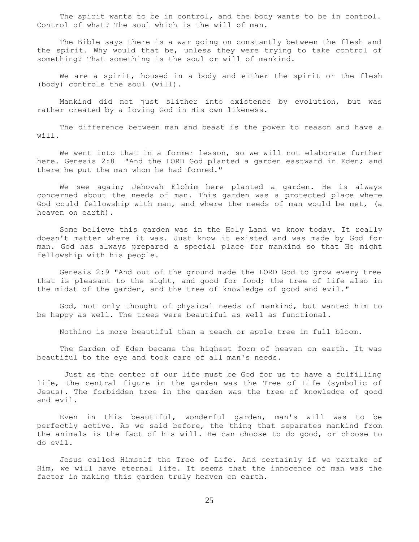The spirit wants to be in control, and the body wants to be in control. Control of what? The soul which is the will of man.

 The Bible says there is a war going on constantly between the flesh and the spirit. Why would that be, unless they were trying to take control of something? That something is the soul or will of mankind.

We are a spirit, housed in a body and either the spirit or the flesh (body) controls the soul (will).

 Mankind did not just slither into existence by evolution, but was rather created by a loving God in His own likeness.

 The difference between man and beast is the power to reason and have a will.

We went into that in a former lesson, so we will not elaborate further here. Genesis 2:8 "And the LORD God planted a garden eastward in Eden; and there he put the man whom he had formed."

 We see again; Jehovah Elohim here planted a garden. He is always concerned about the needs of man. This garden was a protected place where God could fellowship with man, and where the needs of man would be met, (a heaven on earth).

 Some believe this garden was in the Holy Land we know today. It really doesn't matter where it was. Just know it existed and was made by God for man. God has always prepared a special place for mankind so that He might fellowship with his people.

 Genesis 2:9 "And out of the ground made the LORD God to grow every tree that is pleasant to the sight, and good for food; the tree of life also in the midst of the garden, and the tree of knowledge of good and evil."

 God, not only thought of physical needs of mankind, but wanted him to be happy as well. The trees were beautiful as well as functional.

Nothing is more beautiful than a peach or apple tree in full bloom.

 The Garden of Eden became the highest form of heaven on earth. It was beautiful to the eye and took care of all man's needs.

 Just as the center of our life must be God for us to have a fulfilling life, the central figure in the garden was the Tree of Life (symbolic of Jesus). The forbidden tree in the garden was the tree of knowledge of good and evil.

 Even in this beautiful, wonderful garden, man's will was to be perfectly active. As we said before, the thing that separates mankind from the animals is the fact of his will. He can choose to do good, or choose to do evil.

 Jesus called Himself the Tree of Life. And certainly if we partake of Him, we will have eternal life. It seems that the innocence of man was the factor in making this garden truly heaven on earth.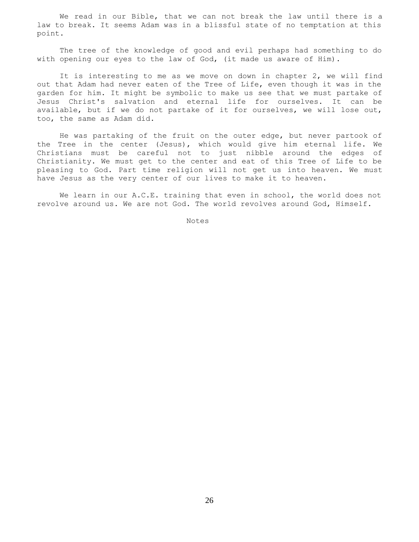We read in our Bible, that we can not break the law until there is a law to break. It seems Adam was in a blissful state of no temptation at this point.

 The tree of the knowledge of good and evil perhaps had something to do with opening our eyes to the law of God, (it made us aware of Him).

 It is interesting to me as we move on down in chapter 2, we will find out that Adam had never eaten of the Tree of Life, even though it was in the garden for him. It might be symbolic to make us see that we must partake of Jesus Christ's salvation and eternal life for ourselves. It can be available, but if we do not partake of it for ourselves, we will lose out, too, the same as Adam did.

 He was partaking of the fruit on the outer edge, but never partook of the Tree in the center (Jesus), which would give him eternal life. We Christians must be careful not to just nibble around the edges of Christianity. We must get to the center and eat of this Tree of Life to be pleasing to God. Part time religion will not get us into heaven. We must have Jesus as the very center of our lives to make it to heaven.

 We learn in our A.C.E. training that even in school, the world does not revolve around us. We are not God. The world revolves around God, Himself.

Notes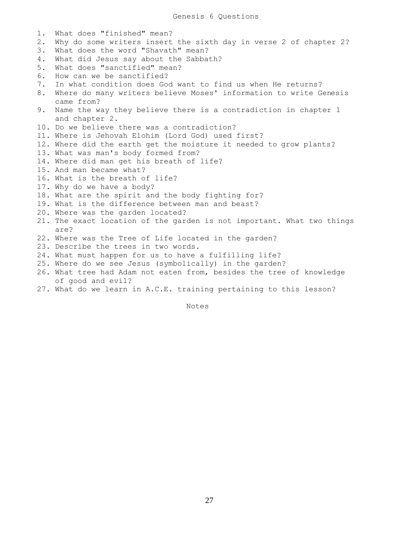1. What does "finished" mean? 2. Why do some writers insert the sixth day in verse 2 of chapter 2? 3. What does the word "Shavath" mean? 4. What did Jesus say about the Sabbath? 5. What does "sanctified" mean? 6. How can we be sanctified? 7. In what condition does God want to find us when He returns? 8. Where do many writers believe Moses' information to write Genesis came from? 9. Name the way they believe there is a contradiction in chapter 1 and chapter 2. 10. Do we believe there was a contradiction? 11. Where is Jehovah Elohim (Lord God) used first? 12. Where did the earth get the moisture it needed to grow plants? 13. What was man's body formed from? 14. Where did man get his breath of life? 15. And man became what? 16. What is the breath of life? 17. Why do we have a body? 18. What are the spirit and the body fighting for? 19. What is the difference between man and beast? 20. Where was the garden located? 21. The exact location of the garden is not important. What two things are? 22. Where was the Tree of Life located in the garden? 23. Describe the trees in two words. 24. What must happen for us to have a fulfilling life? 25. Where do we see Jesus (symbolically) in the garden? 26. What tree had Adam not eaten from, besides the tree of knowledge of good and evil?

27. What do we learn in A.C.E. training pertaining to this lesson?

Notes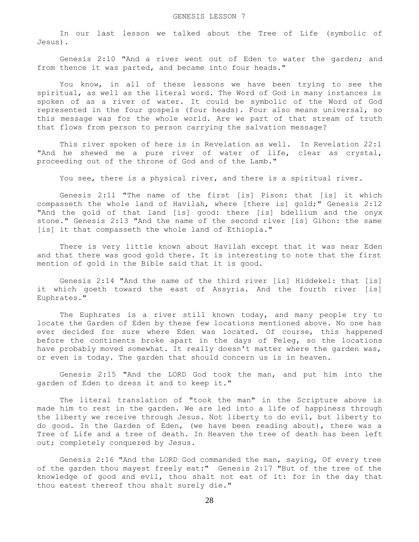In our last lesson we talked about the Tree of Life (symbolic of Jesus).

 Genesis 2:10 "And a river went out of Eden to water the garden; and from thence it was parted, and became into four heads."

 You know, in all of these lessons we have been trying to see the spiritual, as well as the literal word. The Word of God in many instances is spoken of as a river of water. It could be symbolic of the Word of God represented in the four gospels (four heads). Four also means universal, so this message was for the whole world. Are we part of that stream of truth that flows from person to person carrying the salvation message?

 This river spoken of here is in Revelation as well. In Revelation 22:1 "And he shewed me a pure river of water of life, clear as crystal, proceeding out of the throne of God and of the Lamb."

You see, there is a physical river, and there is a spiritual river.

 Genesis 2:11 "The name of the first [is] Pison: that [is] it which compasseth the whole land of Havilah, where [there is] gold;" Genesis 2:12 "And the gold of that land [is] good: there [is] bdellium and the onyx stone." Genesis 2:13 "And the name of the second river [is] Gihon: the same [is] it that compasseth the whole land of Ethiopia."

 There is very little known about Havilah except that it was near Eden and that there was good gold there. It is interesting to note that the first mention of gold in the Bible said that it is good.

 Genesis 2:14 "And the name of the third river [is] Hiddekel: that [is] it which goeth toward the east of Assyria. And the fourth river [is] Euphrates."

 The Euphrates is a river still known today, and many people try to locate the Garden of Eden by these few locations mentioned above. No one has ever decided for sure where Eden was located. Of course, this happened before the continents broke apart in the days of Peleg, so the locations have probably moved somewhat. It really doesn't matter where the garden was, or even is today. The garden that should concern us is in heaven.

 Genesis 2:15 "And the LORD God took the man, and put him into the garden of Eden to dress it and to keep it."

 The literal translation of "took the man" in the Scripture above is made him to rest in the garden. We are led into a life of happiness through the liberty we receive through Jesus. Not liberty to do evil, but liberty to do good. In the Garden of Eden, (we have been reading about), there was a Tree of Life and a tree of death. In Heaven the tree of death has been left out; completely conquered by Jesus.

 Genesis 2:16 "And the LORD God commanded the man, saying, Of every tree of the garden thou mayest freely eat:" Genesis 2:17 "But of the tree of the knowledge of good and evil, thou shalt not eat of it: for in the day that thou eatest thereof thou shalt surely die."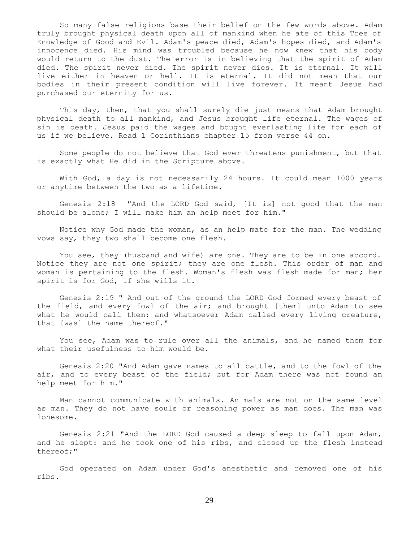So many false religions base their belief on the few words above. Adam truly brought physical death upon all of mankind when he ate of this Tree of Knowledge of Good and Evil. Adam's peace died, Adam's hopes died, and Adam's innocence died. His mind was troubled because he now knew that his body would return to the dust. The error is in believing that the spirit of Adam died. The spirit never died. The spirit never dies. It is eternal. It will live either in heaven or hell. It is eternal. It did not mean that our bodies in their present condition will live forever. It meant Jesus had purchased our eternity for us.

 This day, then, that you shall surely die just means that Adam brought physical death to all mankind, and Jesus brought life eternal. The wages of sin is death. Jesus paid the wages and bought everlasting life for each of us if we believe. Read 1 Corinthians chapter 15 from verse 44 on.

 Some people do not believe that God ever threatens punishment, but that is exactly what He did in the Scripture above.

 With God, a day is not necessarily 24 hours. It could mean 1000 years or anytime between the two as a lifetime.

 Genesis 2:18 "And the LORD God said, [It is] not good that the man should be alone; I will make him an help meet for him."

 Notice why God made the woman, as an help mate for the man. The wedding vows say, they two shall become one flesh.

 You see, they (husband and wife) are one. They are to be in one accord. Notice they are not one spirit; they are one flesh. This order of man and woman is pertaining to the flesh. Woman's flesh was flesh made for man; her spirit is for God, if she wills it.

 Genesis 2:19 " And out of the ground the LORD God formed every beast of the field, and every fowl of the air; and brought [them] unto Adam to see what he would call them: and whatsoever Adam called every living creature, that [was] the name thereof."

 You see, Adam was to rule over all the animals, and he named them for what their usefulness to him would be.

 Genesis 2:20 "And Adam gave names to all cattle, and to the fowl of the air, and to every beast of the field; but for Adam there was not found an help meet for him."

 Man cannot communicate with animals. Animals are not on the same level as man. They do not have souls or reasoning power as man does. The man was lonesome.

 Genesis 2:21 "And the LORD God caused a deep sleep to fall upon Adam, and he slept: and he took one of his ribs, and closed up the flesh instead thereof;"

 God operated on Adam under God's anesthetic and removed one of his ribs.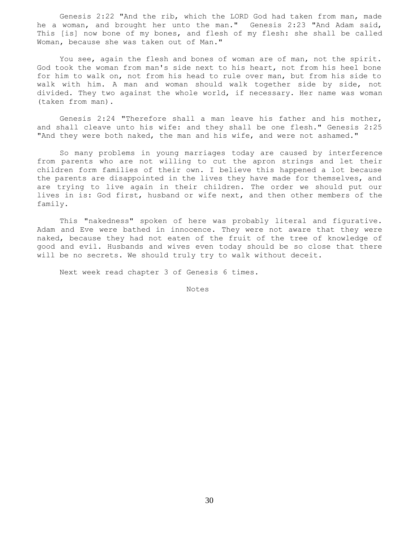Genesis 2:22 "And the rib, which the LORD God had taken from man, made he a woman, and brought her unto the man." Genesis 2:23 "And Adam said, This [is] now bone of my bones, and flesh of my flesh: she shall be called Woman, because she was taken out of Man."

 You see, again the flesh and bones of woman are of man, not the spirit. God took the woman from man's side next to his heart, not from his heel bone for him to walk on, not from his head to rule over man, but from his side to walk with him. A man and woman should walk together side by side, not divided. They two against the whole world, if necessary. Her name was woman (taken from man).

 Genesis 2:24 "Therefore shall a man leave his father and his mother, and shall cleave unto his wife: and they shall be one flesh." Genesis 2:25 "And they were both naked, the man and his wife, and were not ashamed."

 So many problems in young marriages today are caused by interference from parents who are not willing to cut the apron strings and let their children form families of their own. I believe this happened a lot because the parents are disappointed in the lives they have made for themselves, and are trying to live again in their children. The order we should put our lives in is: God first, husband or wife next, and then other members of the family.

 This "nakedness" spoken of here was probably literal and figurative. Adam and Eve were bathed in innocence. They were not aware that they were naked, because they had not eaten of the fruit of the tree of knowledge of good and evil. Husbands and wives even today should be so close that there will be no secrets. We should truly try to walk without deceit.

Next week read chapter 3 of Genesis 6 times.

Notes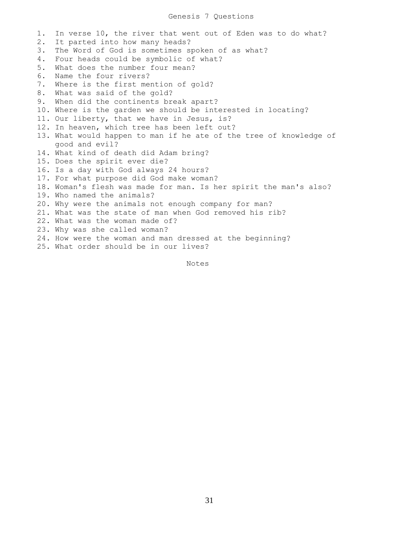## Genesis 7 Questions

1. In verse 10, the river that went out of Eden was to do what? 2. It parted into how many heads? 3. The Word of God is sometimes spoken of as what? 4. Four heads could be symbolic of what? 5. What does the number four mean? 6. Name the four rivers? 7. Where is the first mention of gold? 8. What was said of the gold? 9. When did the continents break apart? 10. Where is the garden we should be interested in locating? 11. Our liberty, that we have in Jesus, is? 12. In heaven, which tree has been left out? 13. What would happen to man if he ate of the tree of knowledge of good and evil? 14. What kind of death did Adam bring? 15. Does the spirit ever die? 16. Is a day with God always 24 hours? 17. For what purpose did God make woman? 18. Woman's flesh was made for man. Is her spirit the man's also? 19. Who named the animals? 20. Why were the animals not enough company for man? 21. What was the state of man when God removed his rib? 22. What was the woman made of? 23. Why was she called woman? 24. How were the woman and man dressed at the beginning? 25. What order should be in our lives?

Notes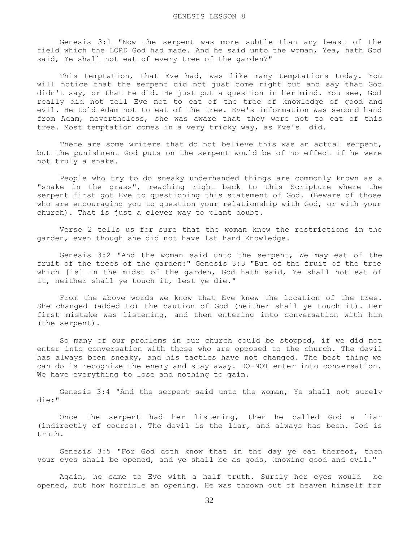Genesis 3:1 "Now the serpent was more subtle than any beast of the field which the LORD God had made. And he said unto the woman, Yea, hath God said, Ye shall not eat of every tree of the garden?"

This temptation, that Eve had, was like many temptations today. You will notice that the serpent did not just come right out and say that God didn't say, or that He did. He just put a question in her mind. You see, God really did not tell Eve not to eat of the tree of knowledge of good and evil. He told Adam not to eat of the tree. Eve's information was second hand from Adam, nevertheless, she was aware that they were not to eat of this tree. Most temptation comes in a very tricky way, as Eve's did.

There are some writers that do not believe this was an actual serpent, but the punishment God puts on the serpent would be of no effect if he were not truly a snake.

 People who try to do sneaky underhanded things are commonly known as a "snake in the grass", reaching right back to this Scripture where the serpent first got Eve to questioning this statement of God. (Beware of those who are encouraging you to question your relationship with God, or with your church). That is just a clever way to plant doubt.

 Verse 2 tells us for sure that the woman knew the restrictions in the garden, even though she did not have 1st hand Knowledge.

 Genesis 3:2 "And the woman said unto the serpent, We may eat of the fruit of the trees of the garden:" Genesis 3:3 "But of the fruit of the tree which [is] in the midst of the garden, God hath said, Ye shall not eat of it, neither shall ye touch it, lest ye die."

 From the above words we know that Eve knew the location of the tree. She changed (added to) the caution of God (neither shall ye touch it). Her first mistake was listening, and then entering into conversation with him (the serpent).

 So many of our problems in our church could be stopped, if we did not enter into conversation with those who are opposed to the church. The devil has always been sneaky, and his tactics have not changed. The best thing we can do is recognize the enemy and stay away. DO-NOT enter into conversation. We have everything to lose and nothing to gain.

 Genesis 3:4 "And the serpent said unto the woman, Ye shall not surely die:"

 Once the serpent had her listening, then he called God a liar (indirectly of course). The devil is the liar, and always has been. God is truth.

 Genesis 3:5 "For God doth know that in the day ye eat thereof, then your eyes shall be opened, and ye shall be as gods, knowing good and evil."

 Again, he came to Eve with a half truth. Surely her eyes would be opened, but how horrible an opening. He was thrown out of heaven himself for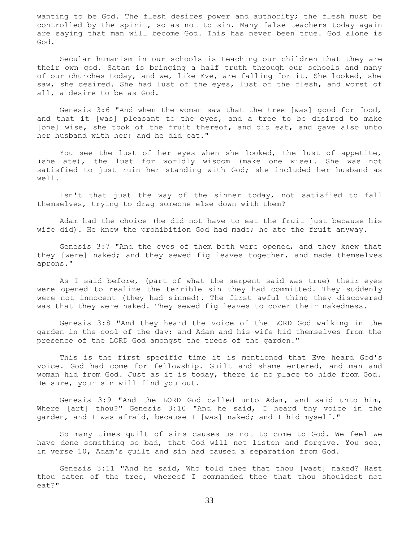wanting to be God. The flesh desires power and authority; the flesh must be controlled by the spirit, so as not to sin. Many false teachers today again are saying that man will become God. This has never been true. God alone is God.

 Secular humanism in our schools is teaching our children that they are their own god. Satan is bringing a half truth through our schools and many of our churches today, and we, like Eve, are falling for it. She looked, she saw, she desired. She had lust of the eyes, lust of the flesh, and worst of all, a desire to be as God.

 Genesis 3:6 "And when the woman saw that the tree [was] good for food, and that it [was] pleasant to the eyes, and a tree to be desired to make [one] wise, she took of the fruit thereof, and did eat, and gave also unto her husband with her; and he did eat."

 You see the lust of her eyes when she looked, the lust of appetite, (she ate), the lust for worldly wisdom (make one wise). She was not satisfied to just ruin her standing with God; she included her husband as well.

 Isn't that just the way of the sinner today, not satisfied to fall themselves, trying to drag someone else down with them?

 Adam had the choice (he did not have to eat the fruit just because his wife did). He knew the prohibition God had made; he ate the fruit anyway.

 Genesis 3:7 "And the eyes of them both were opened, and they knew that they [were] naked; and they sewed fig leaves together, and made themselves aprons."

 As I said before, (part of what the serpent said was true) their eyes were opened to realize the terrible sin they had committed. They suddenly were not innocent (they had sinned). The first awful thing they discovered was that they were naked. They sewed fig leaves to cover their nakedness.

 Genesis 3:8 "And they heard the voice of the LORD God walking in the garden in the cool of the day: and Adam and his wife hid themselves from the presence of the LORD God amongst the trees of the garden."

 This is the first specific time it is mentioned that Eve heard God's voice. God had come for fellowship. Guilt and shame entered, and man and woman hid from God. Just as it is today, there is no place to hide from God. Be sure, your sin will find you out.

 Genesis 3:9 "And the LORD God called unto Adam, and said unto him, Where [art] thou?" Genesis 3:10 "And he said, I heard thy voice in the garden, and I was afraid, because I [was] naked; and I hid myself."

 So many times quilt of sins causes us not to come to God. We feel we have done something so bad, that God will not listen and forgive. You see, in verse 10, Adam's guilt and sin had caused a separation from God.

 Genesis 3:11 "And he said, Who told thee that thou [wast] naked? Hast thou eaten of the tree, whereof I commanded thee that thou shouldest not eat?"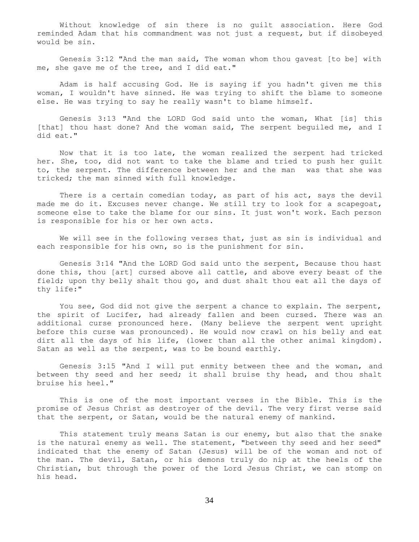Without knowledge of sin there is no guilt association. Here God reminded Adam that his commandment was not just a request, but if disobeyed would be sin.

 Genesis 3:12 "And the man said, The woman whom thou gavest [to be] with me, she gave me of the tree, and I did eat."

 Adam is half accusing God. He is saying if you hadn't given me this woman, I wouldn't have sinned. He was trying to shift the blame to someone else. He was trying to say he really wasn't to blame himself.

 Genesis 3:13 "And the LORD God said unto the woman, What [is] this [that] thou hast done? And the woman said, The serpent beguiled me, and I did eat."

 Now that it is too late, the woman realized the serpent had tricked her. She, too, did not want to take the blame and tried to push her guilt to, the serpent. The difference between her and the man was that she was tricked; the man sinned with full knowledge.

There is a certain comedian today, as part of his act, says the devil made me do it. Excuses never change. We still try to look for a scapegoat, someone else to take the blame for our sins. It just won't work. Each person is responsible for his or her own acts.

 We will see in the following verses that, just as sin is individual and each responsible for his own, so is the punishment for sin.

 Genesis 3:14 "And the LORD God said unto the serpent, Because thou hast done this, thou [art] cursed above all cattle, and above every beast of the field; upon thy belly shalt thou go, and dust shalt thou eat all the days of thy life:"

 You see, God did not give the serpent a chance to explain. The serpent, the spirit of Lucifer, had already fallen and been cursed. There was an additional curse pronounced here. (Many believe the serpent went upright before this curse was pronounced). He would now crawl on his belly and eat dirt all the days of his life, (lower than all the other animal kingdom). Satan as well as the serpent, was to be bound earthly.

 Genesis 3:15 "And I will put enmity between thee and the woman, and between thy seed and her seed; it shall bruise thy head, and thou shalt bruise his heel."

 This is one of the most important verses in the Bible. This is the promise of Jesus Christ as destroyer of the devil. The very first verse said that the serpent, or Satan, would be the natural enemy of mankind.

 This statement truly means Satan is our enemy, but also that the snake is the natural enemy as well. The statement, "between thy seed and her seed" indicated that the enemy of Satan (Jesus) will be of the woman and not of the man. The devil, Satan, or his demons truly do nip at the heels of the Christian, but through the power of the Lord Jesus Christ, we can stomp on his head.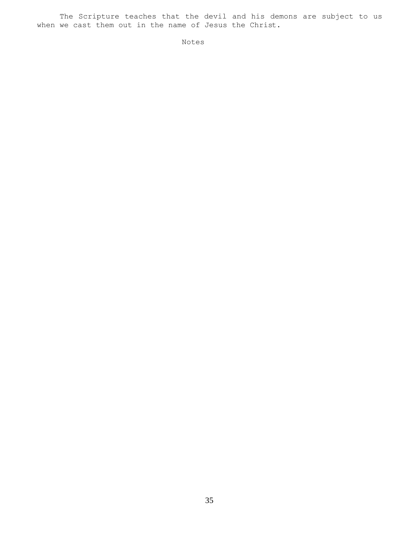The Scripture teaches that the devil and his demons are subject to us when we cast them out in the name of Jesus the Christ.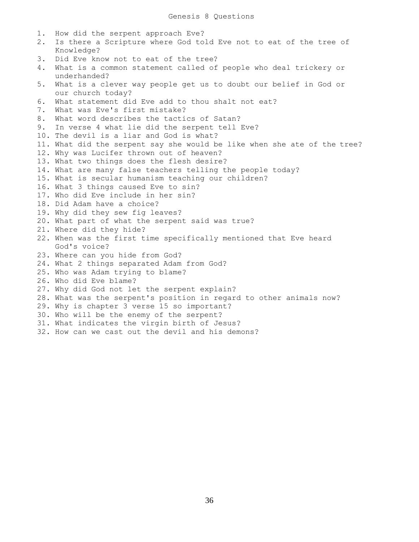1. How did the serpent approach Eve? 2. Is there a Scripture where God told Eve not to eat of the tree of Knowledge? 3. Did Eve know not to eat of the tree? 4. What is a common statement called of people who deal trickery or underhanded? 5. What is a clever way people get us to doubt our belief in God or our church today? 6. What statement did Eve add to thou shalt not eat? 7. What was Eve's first mistake? 8. What word describes the tactics of Satan? 9. In verse 4 what lie did the serpent tell Eve? 10. The devil is a liar and God is what? 11. What did the serpent say she would be like when she ate of the tree? 12. Why was Lucifer thrown out of heaven? 13. What two things does the flesh desire? 14. What are many false teachers telling the people today? 15. What is secular humanism teaching our children? 16. What 3 things caused Eve to sin? 17. Who did Eve include in her sin? 18. Did Adam have a choice? 19. Why did they sew fig leaves? 20. What part of what the serpent said was true? 21. Where did they hide? 22. When was the first time specifically mentioned that Eve heard God's voice? 23. Where can you hide from God? 24. What 2 things separated Adam from God? 25. Who was Adam trying to blame? 26. Who did Eve blame? 27. Why did God not let the serpent explain? 28. What was the serpent's position in regard to other animals now? 29. Why is chapter 3 verse 15 so important? 30. Who will be the enemy of the serpent? 31. What indicates the virgin birth of Jesus? 32. How can we cast out the devil and his demons?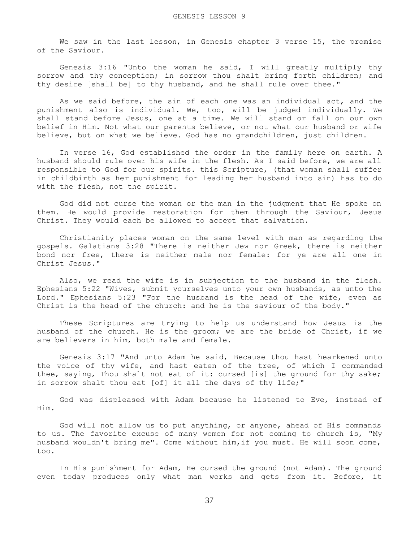We saw in the last lesson, in Genesis chapter 3 verse 15, the promise of the Saviour.

 Genesis 3:16 "Unto the woman he said, I will greatly multiply thy sorrow and thy conception; in sorrow thou shalt bring forth children; and thy desire [shall be] to thy husband, and he shall rule over thee."

 As we said before, the sin of each one was an individual act, and the punishment also is individual. We, too, will be judged individually. We shall stand before Jesus, one at a time. We will stand or fall on our own belief in Him. Not what our parents believe, or not what our husband or wife believe, but on what we believe. God has no grandchildren, just children.

 In verse 16, God established the order in the family here on earth. A husband should rule over his wife in the flesh. As I said before, we are all responsible to God for our spirits. this Scripture, (that woman shall suffer in childbirth as her punishment for leading her husband into sin) has to do with the flesh, not the spirit.

 God did not curse the woman or the man in the judgment that He spoke on them. He would provide restoration for them through the Saviour, Jesus Christ. They would each be allowed to accept that salvation.

 Christianity places woman on the same level with man as regarding the gospels. Galatians 3:28 "There is neither Jew nor Greek, there is neither bond nor free, there is neither male nor female: for ye are all one in Christ Jesus."

 Also, we read the wife is in subjection to the husband in the flesh. Ephesians 5:22 "Wives, submit yourselves unto your own husbands, as unto the Lord." Ephesians 5:23 "For the husband is the head of the wife, even as Christ is the head of the church: and he is the saviour of the body."

 These Scriptures are trying to help us understand how Jesus is the husband of the church. He is the groom; we are the bride of Christ, if we are believers in him, both male and female.

 Genesis 3:17 "And unto Adam he said, Because thou hast hearkened unto the voice of thy wife, and hast eaten of the tree, of which I commanded thee, saying, Thou shalt not eat of it: cursed [is] the ground for thy sake; in sorrow shalt thou eat [of] it all the days of thy life;"

 God was displeased with Adam because he listened to Eve, instead of Him.

 God will not allow us to put anything, or anyone, ahead of His commands to us. The favorite excuse of many women for not coming to church is, "My husband wouldn't bring me". Come without him,if you must. He will soon come, too.

 In His punishment for Adam, He cursed the ground (not Adam). The ground even today produces only what man works and gets from it. Before, it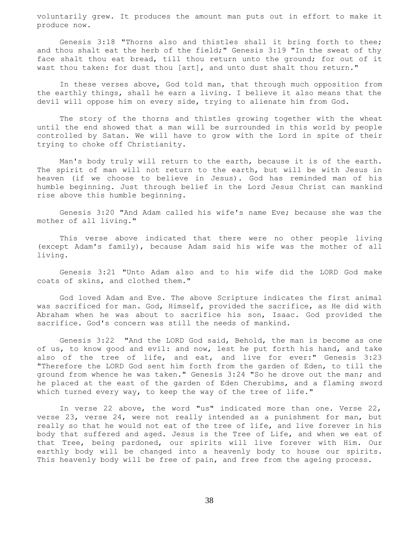voluntarily grew. It produces the amount man puts out in effort to make it produce now.

 Genesis 3:18 "Thorns also and thistles shall it bring forth to thee; and thou shalt eat the herb of the field;" Genesis 3:19 "In the sweat of thy face shalt thou eat bread, till thou return unto the ground; for out of it wast thou taken: for dust thou [art], and unto dust shalt thou return."

 In these verses above, God told man, that through much opposition from the earthly things, shall he earn a living. I believe it also means that the devil will oppose him on every side, trying to alienate him from God.

 The story of the thorns and thistles growing together with the wheat until the end showed that a man will be surrounded in this world by people controlled by Satan. We will have to grow with the Lord in spite of their trying to choke off Christianity.

 Man's body truly will return to the earth, because it is of the earth. The spirit of man will not return to the earth, but will be with Jesus in heaven (if we choose to believe in Jesus). God has reminded man of his humble beginning. Just through belief in the Lord Jesus Christ can mankind rise above this humble beginning.

 Genesis 3:20 "And Adam called his wife's name Eve; because she was the mother of all living."

 This verse above indicated that there were no other people living (except Adam's family), because Adam said his wife was the mother of all living.

 Genesis 3:21 "Unto Adam also and to his wife did the LORD God make coats of skins, and clothed them."

 God loved Adam and Eve. The above Scripture indicates the first animal was sacrificed for man. God, Himself, provided the sacrifice, as He did with Abraham when he was about to sacrifice his son, Isaac. God provided the sacrifice. God's concern was still the needs of mankind.

 Genesis 3:22 "And the LORD God said, Behold, the man is become as one of us, to know good and evil: and now, lest he put forth his hand, and take also of the tree of life, and eat, and live for ever:" Genesis 3:23 "Therefore the LORD God sent him forth from the garden of Eden, to till the ground from whence he was taken." Genesis 3:24 "So he drove out the man; and he placed at the east of the garden of Eden Cherubims, and a flaming sword which turned every way, to keep the way of the tree of life."

 In verse 22 above, the word "us" indicated more than one. Verse 22, verse 23, verse 24, were not really intended as a punishment for man, but really so that he would not eat of the tree of life, and live forever in his body that suffered and aged. Jesus is the Tree of Life, and when we eat of that Tree, being pardoned, our spirits will live forever with Him. Our earthly body will be changed into a heavenly body to house our spirits. This heavenly body will be free of pain, and free from the ageing process.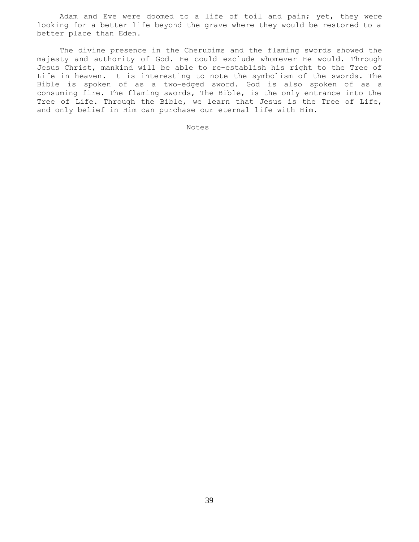Adam and Eve were doomed to a life of toil and pain; yet, they were looking for a better life beyond the grave where they would be restored to a better place than Eden.

 The divine presence in the Cherubims and the flaming swords showed the majesty and authority of God. He could exclude whomever He would. Through Jesus Christ, mankind will be able to re-establish his right to the Tree of Life in heaven. It is interesting to note the symbolism of the swords. The Bible is spoken of as a two-edged sword. God is also spoken of as a consuming fire. The flaming swords, The Bible, is the only entrance into the Tree of Life. Through the Bible, we learn that Jesus is the Tree of Life, and only belief in Him can purchase our eternal life with Him.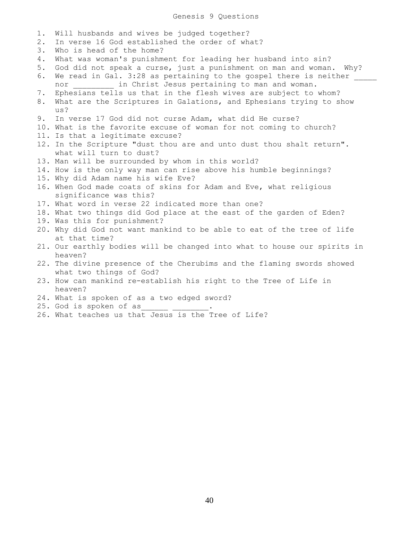- 1. Will husbands and wives be judged together? 2. In verse 16 God established the order of what? 3. Who is head of the home? 4. What was woman's punishment for leading her husband into sin? 5. God did not speak a curse, just a punishment on man and woman. Why? 6. We read in Gal. 3:28 as pertaining to the gospel there is neither nor **in Christ Jesus pertaining to man and woman.** 7. Ephesians tells us that in the flesh wives are subject to whom? 8. What are the Scriptures in Galations, and Ephesians trying to show us? 9. In verse 17 God did not curse Adam, what did He curse? 10. What is the favorite excuse of woman for not coming to church? 11. Is that a legitimate excuse? 12. In the Scripture "dust thou are and unto dust thou shalt return". what will turn to dust? 13. Man will be surrounded by whom in this world? 14. How is the only way man can rise above his humble beginnings? 15. Why did Adam name his wife Eve? 16. When God made coats of skins for Adam and Eve, what religious significance was this? 17. What word in verse 22 indicated more than one? 18. What two things did God place at the east of the garden of Eden? 19. Was this for punishment? 20. Why did God not want mankind to be able to eat of the tree of life at that time? 21. Our earthly bodies will be changed into what to house our spirits in heaven? 22. The divine presence of the Cherubims and the flaming swords showed what two things of God? 23. How can mankind re-establish his right to the Tree of Life in heaven? 24. What is spoken of as a two edged sword? 25. God is spoken of as\_\_\_\_\_\_ \_\_\_\_\_\_\_\_.
- 26. What teaches us that Jesus is the Tree of Life?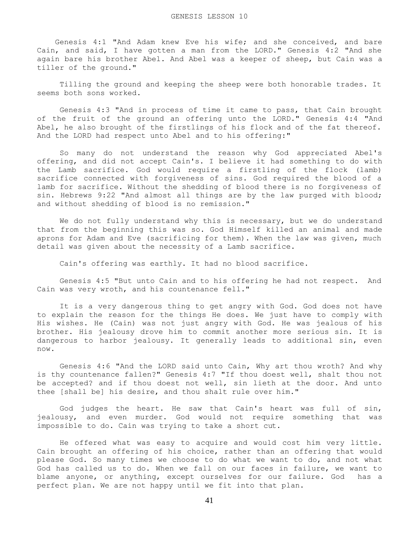Genesis 4:1 "And Adam knew Eve his wife; and she conceived, and bare Cain, and said, I have gotten a man from the LORD." Genesis 4:2 "And she again bare his brother Abel. And Abel was a keeper of sheep, but Cain was a tiller of the ground."

 Tilling the ground and keeping the sheep were both honorable trades. It seems both sons worked.

 Genesis 4:3 "And in process of time it came to pass, that Cain brought of the fruit of the ground an offering unto the LORD." Genesis 4:4 "And Abel, he also brought of the firstlings of his flock and of the fat thereof. And the LORD had respect unto Abel and to his offering:"

 So many do not understand the reason why God appreciated Abel's offering, and did not accept Cain's. I believe it had something to do with the Lamb sacrifice. God would require a firstling of the flock (lamb) sacrifice connected with forgiveness of sins. God required the blood of a lamb for sacrifice. Without the shedding of blood there is no forgiveness of sin. Hebrews 9:22 "And almost all things are by the law purged with blood; and without shedding of blood is no remission."

We do not fully understand why this is necessary, but we do understand that from the beginning this was so. God Himself killed an animal and made aprons for Adam and Eve (sacrificing for them). When the law was given, much detail was given about the necessity of a Lamb sacrifice.

Cain's offering was earthly. It had no blood sacrifice.

 Genesis 4:5 "But unto Cain and to his offering he had not respect. And Cain was very wroth, and his countenance fell."

 It is a very dangerous thing to get angry with God. God does not have to explain the reason for the things He does. We just have to comply with His wishes. He (Cain) was not just angry with God. He was jealous of his brother. His jealousy drove him to commit another more serious sin. It is dangerous to harbor jealousy. It generally leads to additional sin, even now.

 Genesis 4:6 "And the LORD said unto Cain, Why art thou wroth? And why is thy countenance fallen?" Genesis 4:7 "If thou doest well, shalt thou not be accepted? and if thou doest not well, sin lieth at the door. And unto thee [shall be] his desire, and thou shalt rule over him."

 God judges the heart. He saw that Cain's heart was full of sin, jealousy, and even murder. God would not require something that was impossible to do. Cain was trying to take a short cut.

 He offered what was easy to acquire and would cost him very little. Cain brought an offering of his choice, rather than an offering that would please God. So many times we choose to do what we want to do, and not what God has called us to do. When we fall on our faces in failure, we want to blame anyone, or anything, except ourselves for our failure. God has a perfect plan. We are not happy until we fit into that plan.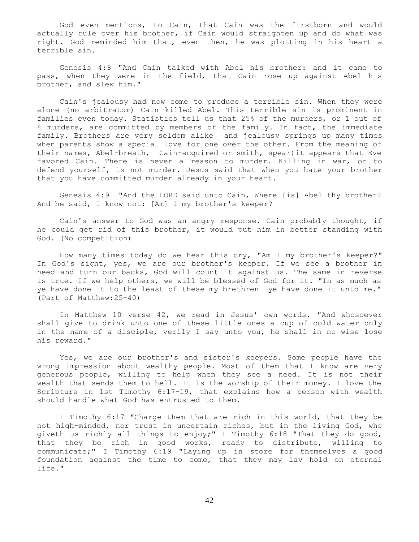God even mentions, to Cain, that Cain was the firstborn and would actually rule over his brother, if Cain would straighten up and do what was right. God reminded him that, even then, he was plotting in his heart a terrible sin.

 Genesis 4:8 "And Cain talked with Abel his brother: and it came to pass, when they were in the field, that Cain rose up against Abel his brother, and slew him."

 Cain's jealousy had now come to produce a terrible sin. When they were alone (no arbitrator) Cain killed Abel. This terrible sin is prominent in families even today. Statistics tell us that 25% of the murders, or 1 out of 4 murders, are committed by members of the family. In fact, the immediate family. Brothers are very seldom alike and jealousy springs up many times when parents show a special love for one over the other. From the meaning of their names, Abel-breath, Cain-acquired or smith, spear)it appears that Eve favored Cain. There is never a reason to murder. Killing in war, or to defend yourself, is not murder. Jesus said that when you hate your brother that you have committed murder already in your heart.

 Genesis 4:9 "And the LORD said unto Cain, Where [is] Abel thy brother? And he said, I know not: [Am] I my brother's keeper?

 Cain's answer to God was an angry response. Cain probably thought, if he could get rid of this brother, it would put him in better standing with God. (No competition)

 How many times today do we hear this cry, "Am I my brother's keeper?" In God's sight, yes, we are our brother's keeper. If we see a brother in need and turn our backs, God will count it against us. The same in reverse is true. If we help others, we will be blessed of God for it. "In as much as ye have done it to the least of these my brethren ye have done it unto me." (Part of Matthew:25-40)

 In Matthew 10 verse 42, we read in Jesus' own words. "And whosoever shall give to drink unto one of these little ones a cup of cold water only in the name of a disciple, verily I say unto you, he shall in no wise lose his reward."

 Yes, we are our brother's and sister's keepers. Some people have the wrong impression about wealthy people. Most of them that I know are very generous people, willing to help when they see a need. It is not their wealth that sends them to hell. It is the worship of their money. I love the Scripture in 1st Timothy 6:17-19, that explains how a person with wealth should handle what God has entrusted to them.

 I Timothy 6:17 "Charge them that are rich in this world, that they be not high-minded, nor trust in uncertain riches, but in the living God, who giveth us richly all things to enjoy;" I Timothy 6:18 "That they do good, that they be rich in good works, ready to distribute, willing to communicate;" I Timothy 6:19 "Laying up in store for themselves a good foundation against the time to come, that they may lay hold on eternal life."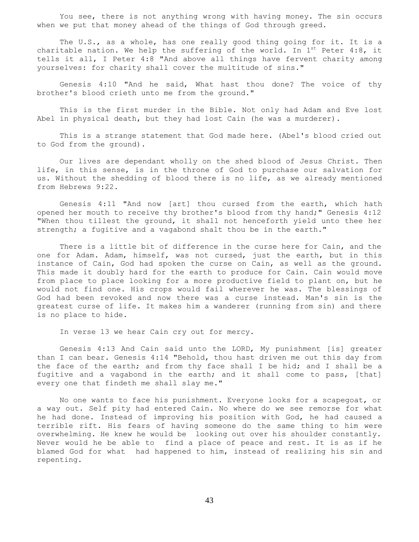You see, there is not anything wrong with having money. The sin occurs when we put that money ahead of the things of God through greed.

 The U.S., as a whole, has one really good thing going for it. It is a charitable nation. We help the suffering of the world. In  $1^{st}$  Peter 4:8, it tells it all, I Peter 4:8 "And above all things have fervent charity among yourselves: for charity shall cover the multitude of sins."

 Genesis 4:10 "And he said, What hast thou done? The voice of thy brother's blood crieth unto me from the ground."

 This is the first murder in the Bible. Not only had Adam and Eve lost Abel in physical death, but they had lost Cain (he was a murderer).

 This is a strange statement that God made here. (Abel's blood cried out to God from the ground).

 Our lives are dependant wholly on the shed blood of Jesus Christ. Then life, in this sense, is in the throne of God to purchase our salvation for us. Without the shedding of blood there is no life, as we already mentioned from Hebrews 9:22.

 Genesis 4:11 "And now [art] thou cursed from the earth, which hath opened her mouth to receive thy brother's blood from thy hand;" Genesis 4:12 "When thou tillest the ground, it shall not henceforth yield unto thee her strength; a fugitive and a vagabond shalt thou be in the earth."

 There is a little bit of difference in the curse here for Cain, and the one for Adam. Adam, himself, was not cursed, just the earth, but in this instance of Cain, God had spoken the curse on Cain, as well as the ground. This made it doubly hard for the earth to produce for Cain. Cain would move from place to place looking for a more productive field to plant on, but he would not find one. His crops would fail wherever he was. The blessings of God had been revoked and now there was a curse instead. Man's sin is the greatest curse of life. It makes him a wanderer (running from sin) and there is no place to hide.

In verse 13 we hear Cain cry out for mercy.

 Genesis 4:13 And Cain said unto the LORD, My punishment [is] greater than I can bear. Genesis 4:14 "Behold, thou hast driven me out this day from the face of the earth; and from thy face shall I be hid; and I shall be a fugitive and a vagabond in the earth; and it shall come to pass, [that] every one that findeth me shall slay me."

 No one wants to face his punishment. Everyone looks for a scapegoat, or a way out. Self pity had entered Cain. No where do we see remorse for what he had done. Instead of improving his position with God, he had caused a terrible rift. His fears of having someone do the same thing to him were overwhelming. He knew he would be looking out over his shoulder constantly. Never would he be able to find a place of peace and rest. It is as if he blamed God for what had happened to him, instead of realizing his sin and repenting.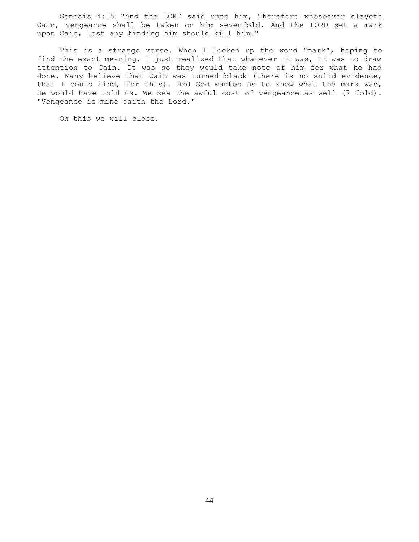Genesis 4:15 "And the LORD said unto him, Therefore whosoever slayeth Cain, vengeance shall be taken on him sevenfold. And the LORD set a mark upon Cain, lest any finding him should kill him."

 This is a strange verse. When I looked up the word "mark", hoping to find the exact meaning, I just realized that whatever it was, it was to draw attention to Cain. It was so they would take note of him for what he had done. Many believe that Cain was turned black (there is no solid evidence, that I could find, for this). Had God wanted us to know what the mark was, He would have told us. We see the awful cost of vengeance as well (7 fold). "Vengeance is mine saith the Lord."

On this we will close.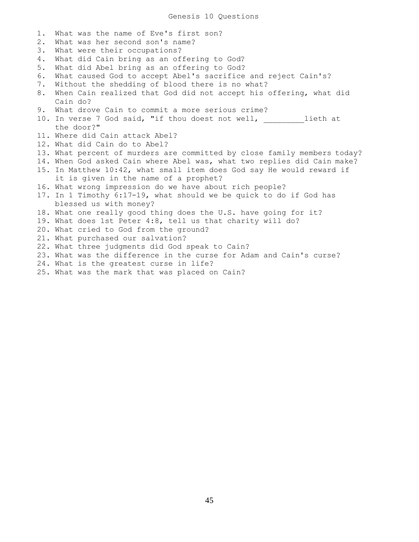1. What was the name of Eve's first son? 2. What was her second son's name? 3. What were their occupations? 4. What did Cain bring as an offering to God? 5. What did Abel bring as an offering to God? 6. What caused God to accept Abel's sacrifice and reject Cain's? 7. Without the shedding of blood there is no what? 8. When Cain realized that God did not accept his offering, what did Cain do? 9. What drove Cain to commit a more serious crime? 10. In verse 7 God said, "if thou doest not well, \_\_\_\_\_\_\_\_\_lieth at the door?" 11. Where did Cain attack Abel? 12. What did Cain do to Abel? 13. What percent of murders are committed by close family members today? 14. When God asked Cain where Abel was, what two replies did Cain make? 15. In Matthew 10:42, what small item does God say He would reward if it is given in the name of a prophet? 16. What wrong impression do we have about rich people? 17. In 1 Timothy 6:17-19, what should we be quick to do if God has blessed us with money? 18. What one really good thing does the U.S. have going for it? 19. What does 1st Peter 4:8, tell us that charity will do? 20. What cried to God from the ground? 21. What purchased our salvation? 22. What three judgments did God speak to Cain? 23. What was the difference in the curse for Adam and Cain's curse? 24. What is the greatest curse in life? 25. What was the mark that was placed on Cain?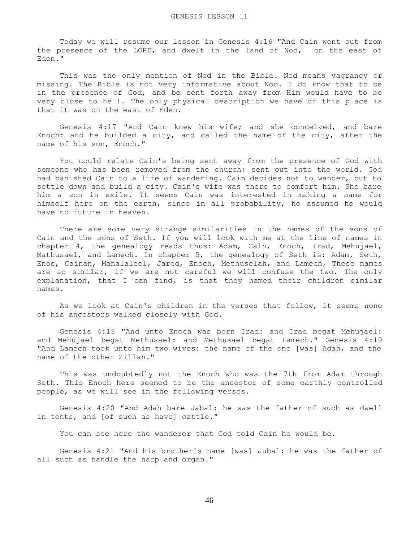Today we will resume our lesson in Genesis 4:16 "And Cain went out from the presence of the LORD, and dwelt in the land of Nod, on the east of Eden."

 This was the only mention of Nod in the Bible. Nod means vagrancy or missing. The Bible is not very informative about Nod. I do know that to be in the presence of God, and be sent forth away from Him would have to be very close to hell. The only physical description we have of this place is that it was on the east of Eden.

 Genesis 4:17 "And Cain knew his wife; and she conceived, and bare Enoch: and he builded a city, and called the name of the city, after the name of his son, Enoch."

 You could relate Cain's being sent away from the presence of God with someone who has been removed from the church; sent out into the world. God had banished Cain to a life of wandering. Cain decides not to wander, but to settle down and build a city. Cain's wife was there to comfort him. She bare him a son in exile. It seems Cain was interested in making a name for himself here on the earth, since in all probability, he assumed he would have no future in heaven.

 There are some very strange similarities in the names of the sons of Cain and the sons of Seth. If you will look with me at the line of names in chapter 4, the genealogy reads thus: Adam, Cain, Enoch, Irad, Mehujael, Mathusael, and Lamech. In chapter 5, the genealogy of Seth is: Adam, Seth, Enos, Cainan, Mahalaleel, Jared, Enoch, Methuselah, and Lamech, These names are so similar, if we are not careful we will confuse the two. The only explanation, that I can find, is that they named their children similar names.

 As we look at Cain's children in the verses that follow, it seems none of his ancestors walked closely with God.

 Genesis 4:18 "And unto Enoch was born Irad: and Irad begat Mehujael: and Mehujael begat Methusael: and Methusael begat Lamech." Genesis 4:19 "And Lamech took unto him two wives: the name of the one [was] Adah, and the name of the other Zillah."

 This was undoubtedly not the Enoch who was the 7th from Adam through Seth. This Enoch here seemed to be the ancestor of some earthly controlled people, as we will see in the following verses.

 Genesis 4:20 "And Adah bare Jabal: he was the father of such as dwell in tents, and [of such as have] cattle."

You can see here the wanderer that God told Cain he would be.

 Genesis 4:21 "And his brother's name [was] Jubal: he was the father of all such as handle the harp and organ."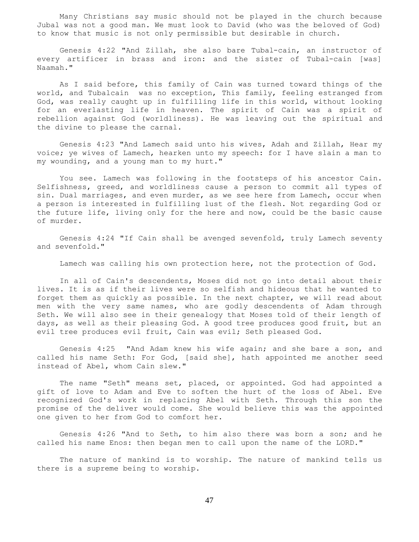Many Christians say music should not be played in the church because Jubal was not a good man. We must look to David (who was the beloved of God) to know that music is not only permissible but desirable in church.

 Genesis 4:22 "And Zillah, she also bare Tubal-cain, an instructor of every artificer in brass and iron: and the sister of Tubal-cain [was] Naamah."

 As I said before, this family of Cain was turned toward things of the world, and Tubalcain was no exception, This family, feeling estranged from God, was really caught up in fulfilling life in this world, without looking for an everlasting life in heaven. The spirit of Cain was a spirit of rebellion against God (worldliness). He was leaving out the spiritual and the divine to please the carnal.

 Genesis 4:23 "And Lamech said unto his wives, Adah and Zillah, Hear my voice; ye wives of Lamech, hearken unto my speech: for I have slain a man to my wounding, and a young man to my hurt."

 You see. Lamech was following in the footsteps of his ancestor Cain. Selfishness, greed, and worldliness cause a person to commit all types of sin. Dual marriages, and even murder, as we see here from Lamech, occur when a person is interested in fulfilling lust of the flesh. Not regarding God or the future life, living only for the here and now, could be the basic cause of murder.

 Genesis 4:24 "If Cain shall be avenged sevenfold, truly Lamech seventy and sevenfold."

Lamech was calling his own protection here, not the protection of God.

 In all of Cain's descendents, Moses did not go into detail about their lives. It is as if their lives were so selfish and hideous that he wanted to forget them as quickly as possible. In the next chapter, we will read about men with the very same names, who are godly descendents of Adam through Seth. We will also see in their genealogy that Moses told of their length of days, as well as their pleasing God. A good tree produces good fruit, but an evil tree produces evil fruit, Cain was evil; Seth pleased God.

 Genesis 4:25 "And Adam knew his wife again; and she bare a son, and called his name Seth: For God, [said she], hath appointed me another seed instead of Abel, whom Cain slew."

 The name "Seth" means set, placed, or appointed. God had appointed a gift of love to Adam and Eve to soften the hurt of the loss of Abel. Eve recognized God's work in replacing Abel with Seth. Through this son the promise of the deliver would come. She would believe this was the appointed one given to her from God to comfort her.

 Genesis 4:26 "And to Seth, to him also there was born a son; and he called his name Enos: then began men to call upon the name of the LORD."

 The nature of mankind is to worship. The nature of mankind tells us there is a supreme being to worship.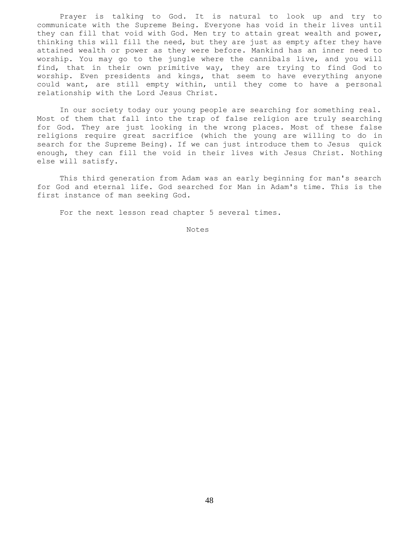Prayer is talking to God. It is natural to look up and try to communicate with the Supreme Being. Everyone has void in their lives until they can fill that void with God. Men try to attain great wealth and power, thinking this will fill the need, but they are just as empty after they have attained wealth or power as they were before. Mankind has an inner need to worship. You may go to the jungle where the cannibals live, and you will find, that in their own primitive way, they are trying to find God to worship. Even presidents and kings, that seem to have everything anyone could want, are still empty within, until they come to have a personal relationship with the Lord Jesus Christ.

 In our society today our young people are searching for something real. Most of them that fall into the trap of false religion are truly searching for God. They are just looking in the wrong places. Most of these false religions require great sacrifice (which the young are willing to do in search for the Supreme Being). If we can just introduce them to Jesus quick enough, they can fill the void in their lives with Jesus Christ. Nothing else will satisfy.

 This third generation from Adam was an early beginning for man's search for God and eternal life. God searched for Man in Adam's time. This is the first instance of man seeking God.

For the next lesson read chapter 5 several times.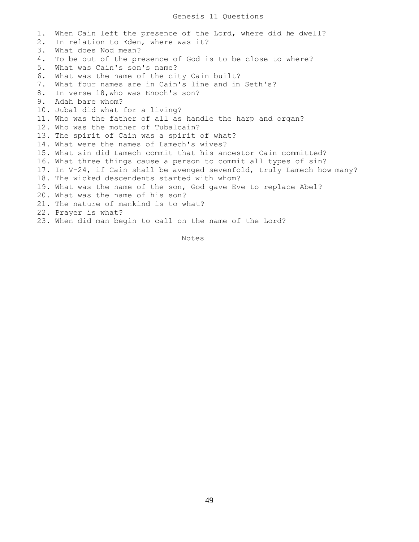1. When Cain left the presence of the Lord, where did he dwell? 2. In relation to Eden, where was it? 3. What does Nod mean? 4. To be out of the presence of God is to be close to where? 5. What was Cain's son's name? 6. What was the name of the city Cain built? 7. What four names are in Cain's line and in Seth's? 8. In verse 18,who was Enoch's son? 9. Adah bare whom? 10. Jubal did what for a living? 11. Who was the father of all as handle the harp and organ? 12. Who was the mother of Tubalcain? 13. The spirit of Cain was a spirit of what? 14. What were the names of Lamech's wives? 15. What sin did Lamech commit that his ancestor Cain committed? 16. What three things cause a person to commit all types of sin? 17. In V-24, if Cain shall be avenged sevenfold, truly Lamech how many? 18. The wicked descendents started with whom? 19. What was the name of the son, God gave Eve to replace Abel? 20. What was the name of his son? 21. The nature of mankind is to what? 22. Prayer is what? 23. When did man begin to call on the name of the Lord?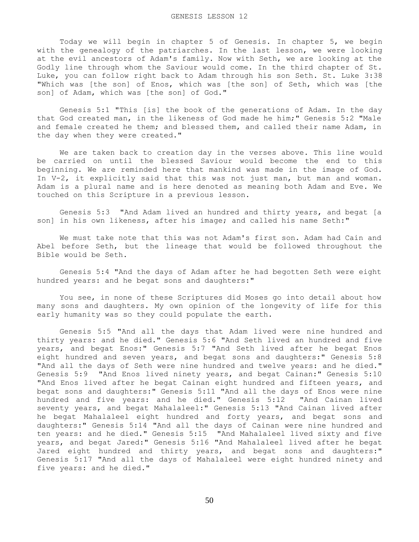Today we will begin in chapter 5 of Genesis. In chapter 5, we begin with the genealogy of the patriarches. In the last lesson, we were looking at the evil ancestors of Adam's family. Now with Seth, we are looking at the Godly line through whom the Saviour would come. In the third chapter of St. Luke, you can follow right back to Adam through his son Seth. St. Luke 3:38 "Which was [the son] of Enos, which was [the son] of Seth, which was [the son] of Adam, which was [the son] of God."

 Genesis 5:1 "This [is] the book of the generations of Adam. In the day that God created man, in the likeness of God made he him;" Genesis 5:2 "Male and female created he them; and blessed them, and called their name Adam, in the day when they were created."

 We are taken back to creation day in the verses above. This line would be carried on until the blessed Saviour would become the end to this beginning. We are reminded here that mankind was made in the image of God. In V-2, it explicitly said that this was not just man, but man and woman. Adam is a plural name and is here denoted as meaning both Adam and Eve. We touched on this Scripture in a previous lesson.

 Genesis 5:3 "And Adam lived an hundred and thirty years, and begat [a son] in his own likeness, after his image; and called his name Seth:"

 We must take note that this was not Adam's first son. Adam had Cain and Abel before Seth, but the lineage that would be followed throughout the Bible would be Seth.

 Genesis 5:4 "And the days of Adam after he had begotten Seth were eight hundred years: and he begat sons and daughters:"

 You see, in none of these Scriptures did Moses go into detail about how many sons and daughters. My own opinion of the longevity of life for this early humanity was so they could populate the earth.

 Genesis 5:5 "And all the days that Adam lived were nine hundred and thirty years: and he died." Genesis 5:6 "And Seth lived an hundred and five years, and begat Enos:" Genesis 5:7 "And Seth lived after he begat Enos eight hundred and seven years, and begat sons and daughters:" Genesis 5:8 "And all the days of Seth were nine hundred and twelve years: and he died." Genesis 5:9 "And Enos lived ninety years, and begat Cainan:" Genesis 5:10 "And Enos lived after he begat Cainan eight hundred and fifteen years, and begat sons and daughters:" Genesis 5:11 "And all the days of Enos were nine hundred and five years: and he died." Genesis 5:12 "And Cainan lived seventy years, and begat Mahalaleel:" Genesis 5:13 "And Cainan lived after he begat Mahalaleel eight hundred and forty years, and begat sons and daughters:" Genesis 5:14 "And all the days of Cainan were nine hundred and ten years: and he died." Genesis 5:15 "And Mahalaleel lived sixty and five years, and begat Jared:" Genesis 5:16 "And Mahalaleel lived after he begat Jared eight hundred and thirty years, and begat sons and daughters:" Genesis 5:17 "And all the days of Mahalaleel were eight hundred ninety and five years: and he died."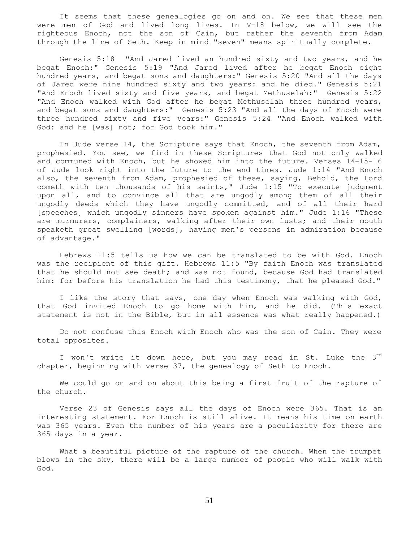It seems that these genealogies go on and on. We see that these men were men of God and lived long lives. In V-18 below, we will see the righteous Enoch, not the son of Cain, but rather the seventh from Adam through the line of Seth. Keep in mind "seven" means spiritually complete.

 Genesis 5:18 "And Jared lived an hundred sixty and two years, and he begat Enoch:" Genesis 5:19 "And Jared lived after he begat Enoch eight hundred years, and begat sons and daughters:" Genesis 5:20 "And all the days of Jared were nine hundred sixty and two years: and he died." Genesis 5:21 "And Enoch lived sixty and five years, and begat Methuselah:" Genesis 5:22 "And Enoch walked with God after he begat Methuselah three hundred years, and begat sons and daughters:" Genesis 5:23 "And all the days of Enoch were three hundred sixty and five years:" Genesis 5:24 "And Enoch walked with God: and he [was] not; for God took him."

 In Jude verse 14, the Scripture says that Enoch, the seventh from Adam, prophesied. You see, we find in these Scriptures that God not only walked and communed with Enoch, but he showed him into the future. Verses 14-15-16 of Jude look right into the future to the end times. Jude 1:14 "And Enoch also, the seventh from Adam, prophesied of these, saying, Behold, the Lord cometh with ten thousands of his saints," Jude 1:15 "To execute judgment upon all, and to convince all that are ungodly among them of all their ungodly deeds which they have ungodly committed, and of all their hard [speeches] which ungodly sinners have spoken against him." Jude 1:16 "These are murmurers, complainers, walking after their own lusts; and their mouth speaketh great swelling [words], having men's persons in admiration because of advantage."

 Hebrews 11:5 tells us how we can be translated to be with God. Enoch was the recipient of this gift. Hebrews 11:5 "By faith Enoch was translated that he should not see death; and was not found, because God had translated him: for before his translation he had this testimony, that he pleased God."

 I like the story that says, one day when Enoch was walking with God, that God invited Enoch to go home with him, and he did. (This exact statement is not in the Bible, but in all essence was what really happened.)

 Do not confuse this Enoch with Enoch who was the son of Cain. They were total opposites.

I won't write it down here, but you may read in St. Luke the 3<sup>rd</sup> chapter, beginning with verse 37, the genealogy of Seth to Enoch.

 We could go on and on about this being a first fruit of the rapture of the church.

 Verse 23 of Genesis says all the days of Enoch were 365. That is an interesting statement. For Enoch is still alive. It means his time on earth was 365 years. Even the number of his years are a peculiarity for there are 365 days in a year.

 What a beautiful picture of the rapture of the church. When the trumpet blows in the sky, there will be a large number of people who will walk with God.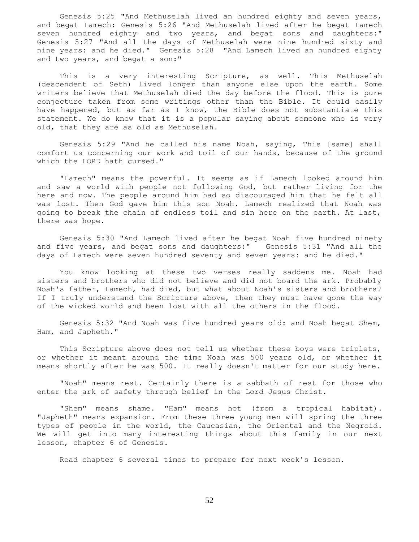Genesis 5:25 "And Methuselah lived an hundred eighty and seven years, and begat Lamech: Genesis 5:26 "And Methuselah lived after he begat Lamech seven hundred eighty and two years, and begat sons and daughters:" Genesis 5:27 "And all the days of Methuselah were nine hundred sixty and nine years: and he died." Genesis 5:28 "And Lamech lived an hundred eighty and two years, and begat a son:"

This is a very interesting Scripture, as well. This Methuselah (descendent of Seth) lived longer than anyone else upon the earth. Some writers believe that Methuselah died the day before the flood. This is pure conjecture taken from some writings other than the Bible. It could easily have happened, but as far as I know, the Bible does not substantiate this statement. We do know that it is a popular saying about someone who is very old, that they are as old as Methuselah.

 Genesis 5:29 "And he called his name Noah, saying, This [same] shall comfort us concerning our work and toil of our hands, because of the ground which the LORD hath cursed."

 "Lamech" means the powerful. It seems as if Lamech looked around him and saw a world with people not following God, but rather living for the here and now. The people around him had so discouraged him that he felt all was lost. Then God gave him this son Noah. Lamech realized that Noah was going to break the chain of endless toil and sin here on the earth. At last, there was hope.

 Genesis 5:30 "And Lamech lived after he begat Noah five hundred ninety and five years, and begat sons and daughters:" Genesis 5:31 "And all the days of Lamech were seven hundred seventy and seven years: and he died."

 You know looking at these two verses really saddens me. Noah had sisters and brothers who did not believe and did not board the ark. Probably Noah's father, Lamech, had died, but what about Noah's sisters and brothers? If I truly understand the Scripture above, then they must have gone the way of the wicked world and been lost with all the others in the flood.

 Genesis 5:32 "And Noah was five hundred years old: and Noah begat Shem, Ham, and Japheth."

 This Scripture above does not tell us whether these boys were triplets, or whether it meant around the time Noah was 500 years old, or whether it means shortly after he was 500. It really doesn't matter for our study here.

 "Noah" means rest. Certainly there is a sabbath of rest for those who enter the ark of safety through belief in the Lord Jesus Christ.

 "Shem" means shame. "Ham" means hot (from a tropical habitat). "Japheth" means expansion. From these three young men will spring the three types of people in the world, the Caucasian, the Oriental and the Negroid. We will get into many interesting things about this family in our next lesson, chapter 6 of Genesis.

Read chapter 6 several times to prepare for next week's lesson.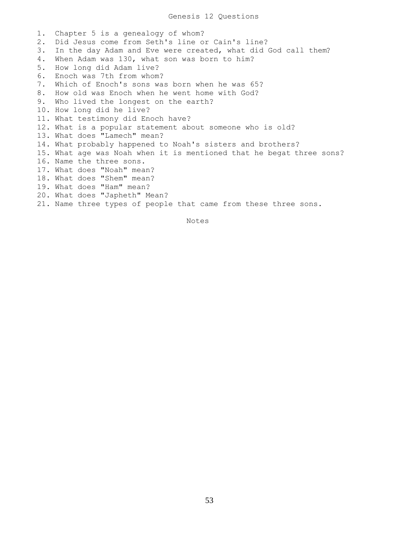1. Chapter 5 is a genealogy of whom? 2. Did Jesus come from Seth's line or Cain's line? 3. In the day Adam and Eve were created, what did God call them? 4. When Adam was 130, what son was born to him? 5. How long did Adam live? 6. Enoch was 7th from whom? 7. Which of Enoch's sons was born when he was 65? 8. How old was Enoch when he went home with God? 9. Who lived the longest on the earth? 10. How long did he live? 11. What testimony did Enoch have? 12. What is a popular statement about someone who is old? 13. What does "Lamech" mean? 14. What probably happened to Noah's sisters and brothers? 15. What age was Noah when it is mentioned that he begat three sons? 16. Name the three sons. 17. What does "Noah" mean? 18. What does "Shem" mean? 19. What does "Ham" mean? 20. What does "Japheth" Mean? 21. Name three types of people that came from these three sons.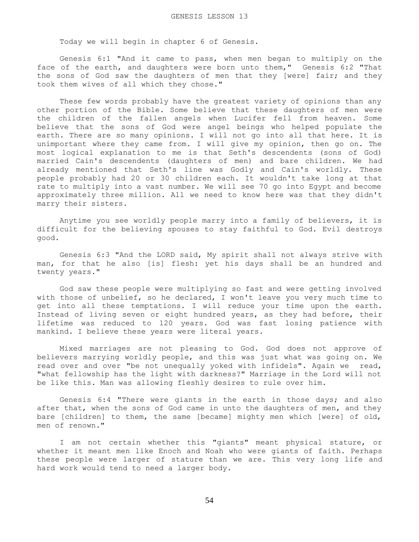Today we will begin in chapter 6 of Genesis.

 Genesis 6:1 "And it came to pass, when men began to multiply on the face of the earth, and daughters were born unto them," Genesis 6:2 "That the sons of God saw the daughters of men that they [were] fair; and they took them wives of all which they chose."

 These few words probably have the greatest variety of opinions than any other portion of the Bible. Some believe that these daughters of men were the children of the fallen angels when Lucifer fell from heaven. Some believe that the sons of God were angel beings who helped populate the earth. There are so many opinions. I will not go into all that here. It is unimportant where they came from. I will give my opinion, then go on. The most logical explanation to me is that Seth's descendents (sons of God) married Cain's descendents (daughters of men) and bare children. We had already mentioned that Seth's line was Godly and Cain's worldly. These people probably had 20 or 30 children each. It wouldn't take long at that rate to multiply into a vast number. We will see 70 go into Egypt and become approximately three million. All we need to know here was that they didn't marry their sisters.

 Anytime you see worldly people marry into a family of believers, it is difficult for the believing spouses to stay faithful to God. Evil destroys good.

 Genesis 6:3 "And the LORD said, My spirit shall not always strive with man, for that he also [is] flesh: yet his days shall be an hundred and twenty years."

 God saw these people were multiplying so fast and were getting involved with those of unbelief, so he declared, I won't leave you very much time to get into all these temptations. I will reduce your time upon the earth. Instead of living seven or eight hundred years, as they had before, their lifetime was reduced to 120 years. God was fast losing patience with mankind. I believe these years were literal years.

 Mixed marriages are not pleasing to God. God does not approve of believers marrying worldly people, and this was just what was going on. We read over and over "be not unequally yoked with infidels". Again we read, "what fellowship has the light with darkness?" Marriage in the Lord will not be like this. Man was allowing fleshly desires to rule over him.

 Genesis 6:4 "There were giants in the earth in those days; and also after that, when the sons of God came in unto the daughters of men, and they bare [children] to them, the same [became] mighty men which [were] of old, men of renown."

 I am not certain whether this "giants" meant physical stature, or whether it meant men like Enoch and Noah who were giants of faith. Perhaps these people were larger of stature than we are. This very long life and hard work would tend to need a larger body.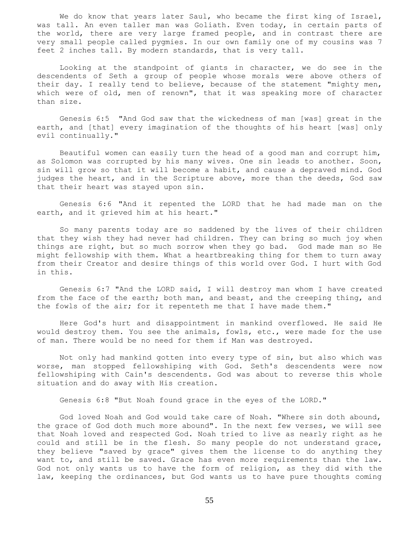We do know that years later Saul, who became the first king of Israel, was tall. An even taller man was Goliath. Even today, in certain parts of the world, there are very large framed people, and in contrast there are very small people called pygmies. In our own family one of my cousins was 7 feet 2 inches tall. By modern standards, that is very tall.

 Looking at the standpoint of giants in character, we do see in the descendents of Seth a group of people whose morals were above others of their day. I really tend to believe, because of the statement "mighty men, which were of old, men of renown", that it was speaking more of character than size.

 Genesis 6:5 "And God saw that the wickedness of man [was] great in the earth, and [that] every imagination of the thoughts of his heart [was] only evil continually."

 Beautiful women can easily turn the head of a good man and corrupt him, as Solomon was corrupted by his many wives. One sin leads to another. Soon, sin will grow so that it will become a habit, and cause a depraved mind. God judges the heart, and in the Scripture above, more than the deeds, God saw that their heart was stayed upon sin.

 Genesis 6:6 "And it repented the LORD that he had made man on the earth, and it grieved him at his heart."

 So many parents today are so saddened by the lives of their children that they wish they had never had children. They can bring so much joy when things are right, but so much sorrow when they go bad. God made man so He might fellowship with them. What a heartbreaking thing for them to turn away from their Creator and desire things of this world over God. I hurt with God in this.

 Genesis 6:7 "And the LORD said, I will destroy man whom I have created from the face of the earth; both man, and beast, and the creeping thing, and the fowls of the air; for it repenteth me that I have made them."

 Here God's hurt and disappointment in mankind overflowed. He said He would destroy them. You see the animals, fowls, etc., were made for the use of man. There would be no need for them if Man was destroyed.

 Not only had mankind gotten into every type of sin, but also which was worse, man stopped fellowshiping with God. Seth's descendents were now fellowshiping with Cain's descendents. God was about to reverse this whole situation and do away with His creation.

Genesis 6:8 "But Noah found grace in the eyes of the LORD."

 God loved Noah and God would take care of Noah. "Where sin doth abound, the grace of God doth much more abound". In the next few verses, we will see that Noah loved and respected God. Noah tried to live as nearly right as he could and still be in the flesh. So many people do not understand grace, they believe "saved by grace" gives them the license to do anything they want to, and still be saved. Grace has even more requirements than the law. God not only wants us to have the form of religion, as they did with the law, keeping the ordinances, but God wants us to have pure thoughts coming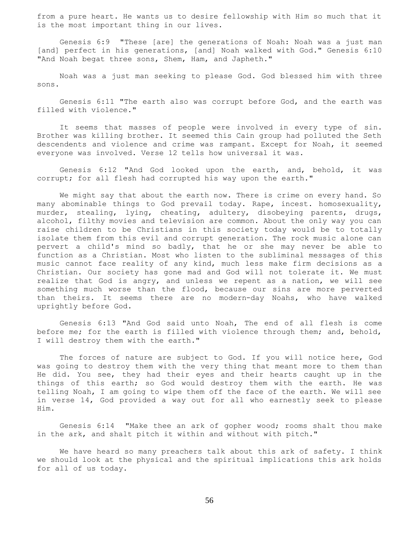from a pure heart. He wants us to desire fellowship with Him so much that it is the most important thing in our lives.

 Genesis 6:9 "These [are] the generations of Noah: Noah was a just man [and] perfect in his generations, [and] Noah walked with God." Genesis 6:10 "And Noah begat three sons, Shem, Ham, and Japheth."

 Noah was a just man seeking to please God. God blessed him with three sons.

 Genesis 6:11 "The earth also was corrupt before God, and the earth was filled with violence."

 It seems that masses of people were involved in every type of sin. Brother was killing brother. It seemed this Cain group had polluted the Seth descendents and violence and crime was rampant. Except for Noah, it seemed everyone was involved. Verse 12 tells how universal it was.

 Genesis 6:12 "And God looked upon the earth, and, behold, it was corrupt; for all flesh had corrupted his way upon the earth."

We might say that about the earth now. There is crime on every hand. So many abominable things to God prevail today. Rape, incest. homosexuality, murder, stealing, lying, cheating, adultery, disobeying parents, drugs, alcohol, filthy movies and television are common. About the only way you can raise children to be Christians in this society today would be to totally isolate them from this evil and corrupt generation. The rock music alone can pervert a child's mind so badly, that he or she may never be able to function as a Christian. Most who listen to the subliminal messages of this music cannot face reality of any kind, much less make firm decisions as a Christian. Our society has gone mad and God will not tolerate it. We must realize that God is angry, and unless we repent as a nation, we will see something much worse than the flood, because our sins are more perverted than theirs. It seems there are no modern-day Noahs, who have walked uprightly before God.

 Genesis 6:13 "And God said unto Noah, The end of all flesh is come before me; for the earth is filled with violence through them; and, behold, I will destroy them with the earth."

The forces of nature are subject to God. If you will notice here, God was going to destroy them with the very thing that meant more to them than He did. You see, they had their eyes and their hearts caught up in the things of this earth; so God would destroy them with the earth. He was telling Noah, I am going to wipe them off the face of the earth. We will see in verse 14, God provided a way out for all who earnestly seek to please Him.

 Genesis 6:14 "Make thee an ark of gopher wood; rooms shalt thou make in the ark, and shalt pitch it within and without with pitch."

 We have heard so many preachers talk about this ark of safety. I think we should look at the physical and the spiritual implications this ark holds for all of us today.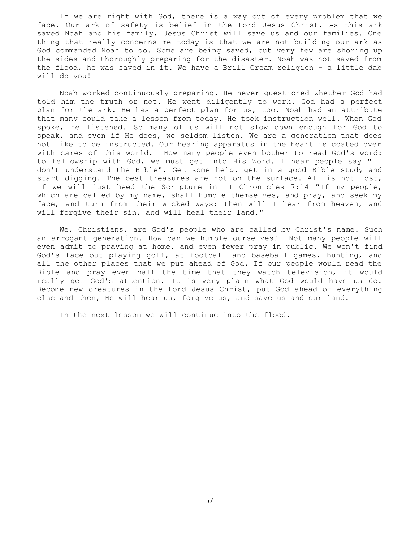If we are right with God, there is a way out of every problem that we face. Our ark of safety is belief in the Lord Jesus Christ. As this ark saved Noah and his family, Jesus Christ will save us and our families. One thing that really concerns me today is that we are not building our ark as God commanded Noah to do. Some are being saved, but very few are shoring up the sides and thoroughly preparing for the disaster. Noah was not saved from the flood, he was saved in it. We have a Brill Cream religion - a little dab will do you!

 Noah worked continuously preparing. He never questioned whether God had told him the truth or not. He went diligently to work. God had a perfect plan for the ark. He has a perfect plan for us, too. Noah had an attribute that many could take a lesson from today. He took instruction well. When God spoke, he listened. So many of us will not slow down enough for God to speak, and even if He does, we seldom listen. We are a generation that does not like to be instructed. Our hearing apparatus in the heart is coated over with cares of this world. How many people even bother to read God's word: to fellowship with God, we must get into His Word. I hear people say " I don't understand the Bible". Get some help. get in a good Bible study and start digging. The best treasures are not on the surface. All is not lost, if we will just heed the Scripture in II Chronicles 7:14 "If my people, which are called by my name, shall humble themselves, and pray, and seek my face, and turn from their wicked ways; then will I hear from heaven, and will forgive their sin, and will heal their land."

 We, Christians, are God's people who are called by Christ's name. Such an arrogant generation. How can we humble ourselves? Not many people will even admit to praying at home. and even fewer pray in public. We won't find God's face out playing golf, at football and baseball games, hunting, and all the other places that we put ahead of God. If our people would read the Bible and pray even half the time that they watch television, it would really get God's attention. It is very plain what God would have us do. Become new creatures in the Lord Jesus Christ, put God ahead of everything else and then, He will hear us, forgive us, and save us and our land.

In the next lesson we will continue into the flood.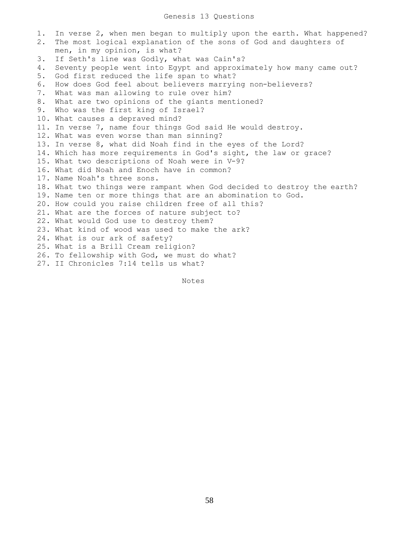1. In verse 2, when men began to multiply upon the earth. What happened? 2. The most logical explanation of the sons of God and daughters of men, in my opinion, is what? 3. If Seth's line was Godly, what was Cain's? 4. Seventy people went into Egypt and approximately how many came out? 5. God first reduced the life span to what? 6. How does God feel about believers marrying non-believers? 7. What was man allowing to rule over him? 8. What are two opinions of the giants mentioned? 9. Who was the first king of Israel? 10. What causes a depraved mind? 11. In verse 7, name four things God said He would destroy. 12. What was even worse than man sinning? 13. In verse 8, what did Noah find in the eyes of the Lord? 14. Which has more requirements in God's sight, the law or grace? 15. What two descriptions of Noah were in V-9? 16. What did Noah and Enoch have in common? 17. Name Noah's three sons. 18. What two things were rampant when God decided to destroy the earth? 19. Name ten or more things that are an abomination to God. 20. How could you raise children free of all this? 21. What are the forces of nature subject to? 22. What would God use to destroy them? 23. What kind of wood was used to make the ark? 24. What is our ark of safety? 25. What is a Brill Cream religion? 26. To fellowship with God, we must do what? 27. II Chronicles 7:14 tells us what?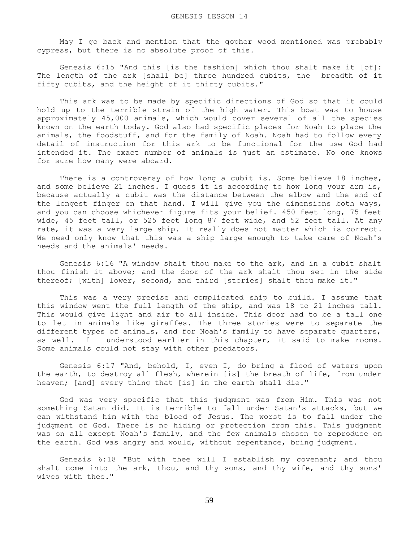May I go back and mention that the gopher wood mentioned was probably cypress, but there is no absolute proof of this.

 Genesis 6:15 "And this [is the fashion] which thou shalt make it [of]: The length of the ark [shall be] three hundred cubits, the breadth of it fifty cubits, and the height of it thirty cubits."

 This ark was to be made by specific directions of God so that it could hold up to the terrible strain of the high water. This boat was to house approximately 45,000 animals, which would cover several of all the species known on the earth today. God also had specific places for Noah to place the animals, the foodstuff, and for the family of Noah. Noah had to follow every detail of instruction for this ark to be functional for the use God had intended it. The exact number of animals is just an estimate. No one knows for sure how many were aboard.

There is a controversy of how long a cubit is. Some believe 18 inches, and some believe 21 inches. I guess it is according to how long your arm is, because actually a cubit was the distance between the elbow and the end of the longest finger on that hand. I will give you the dimensions both ways, and you can choose whichever figure fits your belief. 450 feet long, 75 feet wide, 45 feet tall, or 525 feet long 87 feet wide, and 52 feet tall. At any rate, it was a very large ship. It really does not matter which is correct. We need only know that this was a ship large enough to take care of Noah's needs and the animals' needs.

 Genesis 6:16 "A window shalt thou make to the ark, and in a cubit shalt thou finish it above; and the door of the ark shalt thou set in the side thereof; [with] lower, second, and third [stories] shalt thou make it."

 This was a very precise and complicated ship to build. I assume that this window went the full length of the ship, and was 18 to 21 inches tall. This would give light and air to all inside. This door had to be a tall one to let in animals like giraffes. The three stories were to separate the different types of animals, and for Noah's family to have separate quarters, as well. If I understood earlier in this chapter, it said to make rooms. Some animals could not stay with other predators.

 Genesis 6:17 "And, behold, I, even I, do bring a flood of waters upon the earth, to destroy all flesh, wherein [is] the breath of life, from under heaven; [and] every thing that [is] in the earth shall die."

 God was very specific that this judgment was from Him. This was not something Satan did. It is terrible to fall under Satan's attacks, but we can withstand him with the blood of Jesus. The worst is to fall under the judgment of God. There is no hiding or protection from this. This judgment was on all except Noah's family, and the few animals chosen to reproduce on the earth. God was angry and would, without repentance, bring judgment.

 Genesis 6:18 "But with thee will I establish my covenant; and thou shalt come into the ark, thou, and thy sons, and thy wife, and thy sons' wives with thee."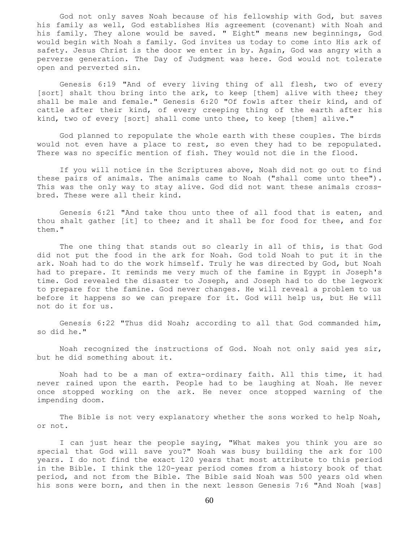God not only saves Noah because of his fellowship with God, but saves his family as well, God establishes His agreement (covenant) with Noah and his family. They alone would be saved. " Eight" means new beginnings, God would begin with Noah s family. God invites us today to come into His ark of safety. Jesus Christ is the door we enter in by. Again, God was angry with a perverse generation. The Day of Judgment was here. God would not tolerate open and perverted sin.

 Genesis 6:19 "And of every living thing of all flesh, two of every [sort] shalt thou bring into the ark, to keep [them] alive with thee; they shall be male and female." Genesis 6:20 "Of fowls after their kind, and of cattle after their kind, of every creeping thing of the earth after his kind, two of every [sort] shall come unto thee, to keep [them] alive."

 God planned to repopulate the whole earth with these couples. The birds would not even have a place to rest, so even they had to be repopulated. There was no specific mention of fish. They would not die in the flood.

 If you will notice in the Scriptures above, Noah did not go out to find these pairs of animals. The animals came to Noah ("shall come unto thee"). This was the only way to stay alive. God did not want these animals crossbred. These were all their kind.

 Genesis 6:21 "And take thou unto thee of all food that is eaten, and thou shalt gather [it] to thee; and it shall be for food for thee, and for them."

 The one thing that stands out so clearly in all of this, is that God did not put the food in the ark for Noah. God told Noah to put it in the ark. Noah had to do the work himself. Truly he was directed by God, but Noah had to prepare. It reminds me very much of the famine in Egypt in Joseph's time. God revealed the disaster to Joseph, and Joseph had to do the legwork to prepare for the famine. God never changes. He will reveal a problem to us before it happens so we can prepare for it. God will help us, but He will not do it for us.

 Genesis 6:22 "Thus did Noah; according to all that God commanded him, so did he."

 Noah recognized the instructions of God. Noah not only said yes sir, but he did something about it.

 Noah had to be a man of extra-ordinary faith. All this time, it had never rained upon the earth. People had to be laughing at Noah. He never once stopped working on the ark. He never once stopped warning of the impending doom.

The Bible is not very explanatory whether the sons worked to help Noah, or not.

 I can just hear the people saying, "What makes you think you are so special that God will save you?" Noah was busy building the ark for 100 years. I do not find the exact 120 years that most attribute to this period in the Bible. I think the 120-year period comes from a history book of that period, and not from the Bible. The Bible said Noah was 500 years old when his sons were born, and then in the next lesson Genesis 7:6 "And Noah [was]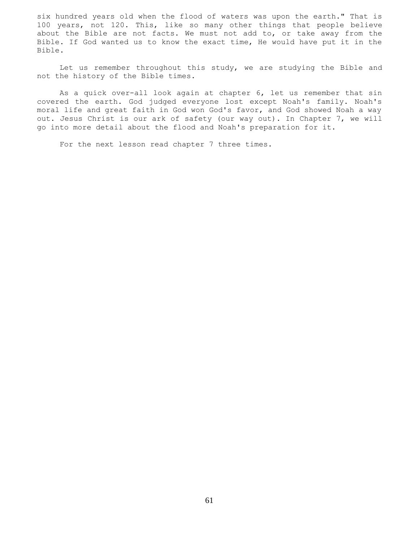six hundred years old when the flood of waters was upon the earth." That is 100 years, not 120. This, like so many other things that people believe about the Bible are not facts. We must not add to, or take away from the Bible. If God wanted us to know the exact time, He would have put it in the Bible.

 Let us remember throughout this study, we are studying the Bible and not the history of the Bible times.

 As a quick over-all look again at chapter 6, let us remember that sin covered the earth. God judged everyone lost except Noah's family. Noah's moral life and great faith in God won God's favor, and God showed Noah a way out. Jesus Christ is our ark of safety (our way out). In Chapter 7, we will go into more detail about the flood and Noah's preparation for it.

For the next lesson read chapter 7 three times.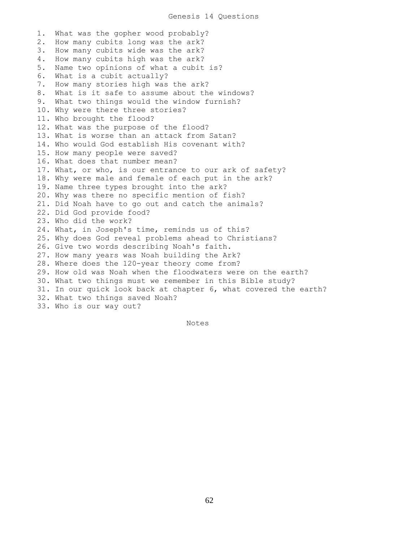1. What was the gopher wood probably? 2. How many cubits long was the ark? 3. How many cubits wide was the ark? 4. How many cubits high was the ark? 5. Name two opinions of what a cubit is? 6. What is a cubit actually? 7. How many stories high was the ark? 8. What is it safe to assume about the windows? 9. What two things would the window furnish? 10. Why were there three stories? 11. Who brought the flood? 12. What was the purpose of the flood? 13. What is worse than an attack from Satan? 14. Who would God establish His covenant with? 15. How many people were saved? 16. What does that number mean? 17. What, or who, is our entrance to our ark of safety? 18. Why were male and female of each put in the ark? 19. Name three types brought into the ark? 20. Why was there no specific mention of fish? 21. Did Noah have to go out and catch the animals? 22. Did God provide food? 23. Who did the work? 24. What, in Joseph's time, reminds us of this? 25. Why does God reveal problems ahead to Christians? 26. Give two words describing Noah's faith. 27. How many years was Noah building the Ark? 28. Where does the 120-year theory come from? 29. How old was Noah when the floodwaters were on the earth? 30. What two things must we remember in this Bible study? 31. In our quick look back at chapter 6, what covered the earth? 32. What two things saved Noah? 33. Who is our way out?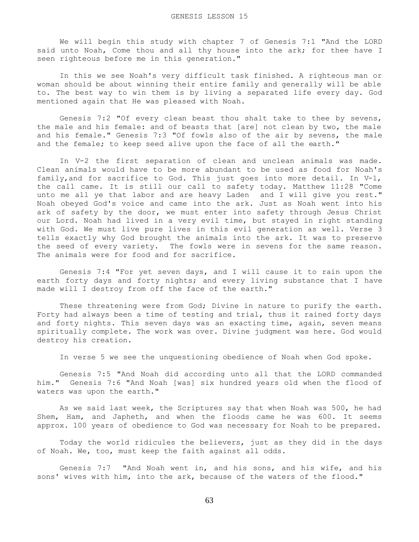We will begin this study with chapter 7 of Genesis 7:1 "And the LORD said unto Noah, Come thou and all thy house into the ark; for thee have I seen righteous before me in this generation."

 In this we see Noah's very difficult task finished. A righteous man or woman should be about winning their entire family and generally will be able to. The best way to win them is by living a separated life every day. God mentioned again that He was pleased with Noah.

 Genesis 7:2 "Of every clean beast thou shalt take to thee by sevens, the male and his female: and of beasts that [are] not clean by two, the male and his female." Genesis 7:3 "Of fowls also of the air by sevens, the male and the female; to keep seed alive upon the face of all the earth."

 In V-2 the first separation of clean and unclean animals was made. Clean animals would have to be more abundant to be used as food for Noah's family, and for sacrifice to God. This just goes into more detail. In V-1, the call came. It is still our call to safety today. Matthew 11:28 "Come unto me all ye that labor and are heavy Laden and I will give you rest." Noah obeyed God's voice and came into the ark. Just as Noah went into his ark of safety by the door, we must enter into safety through Jesus Christ our Lord. Noah had lived in a very evil time, but stayed in right standing with God. We must live pure lives in this evil generation as well. Verse 3 tells exactly why God brought the animals into the ark. It was to preserve the seed of every variety. The fowls were in sevens for the same reason. The animals were for food and for sacrifice.

 Genesis 7:4 "For yet seven days, and I will cause it to rain upon the earth forty days and forty nights; and every living substance that I have made will I destroy from off the face of the earth."

These threatening were from God; Divine in nature to purify the earth. Forty had always been a time of testing and trial, thus it rained forty days and forty nights. This seven days was an exacting time, again, seven means spiritually complete. The work was over. Divine judgment was here. God would destroy his creation.

In verse 5 we see the unquestioning obedience of Noah when God spoke.

 Genesis 7:5 "And Noah did according unto all that the LORD commanded him." Genesis 7:6 "And Noah [was] six hundred years old when the flood of waters was upon the earth."

 As we said last week, the Scriptures say that when Noah was 500, he had Shem, Ham, and Japheth, and when the floods came he was 600. It seems approx. 100 years of obedience to God was necessary for Noah to be prepared.

 Today the world ridicules the believers, just as they did in the days of Noah. We, too, must keep the faith against all odds.

 Genesis 7:7 "And Noah went in, and his sons, and his wife, and his sons' wives with him, into the ark, because of the waters of the flood."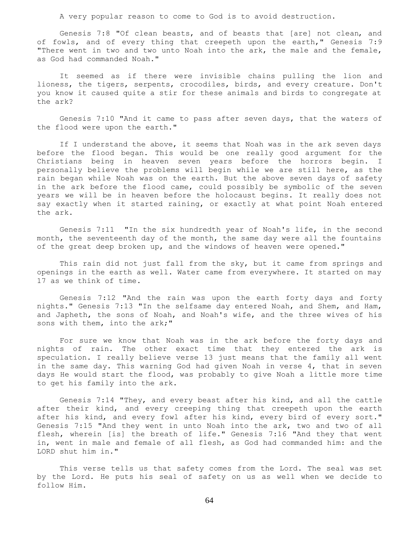A very popular reason to come to God is to avoid destruction.

 Genesis 7:8 "Of clean beasts, and of beasts that [are] not clean, and of fowls, and of every thing that creepeth upon the earth," Genesis 7:9 "There went in two and two unto Noah into the ark, the male and the female, as God had commanded Noah."

 It seemed as if there were invisible chains pulling the lion and lioness, the tigers, serpents, crocodiles, birds, and every creature. Don't you know it caused quite a stir for these animals and birds to congregate at the ark?

 Genesis 7:10 "And it came to pass after seven days, that the waters of the flood were upon the earth."

If I understand the above, it seems that Noah was in the ark seven days before the flood began. This would be one really good argument for the Christians being in heaven seven years before the horrors begin. I personally believe the problems will begin while we are still here, as the rain began while Noah was on the earth. But the above seven days of safety in the ark before the flood came, could possibly be symbolic of the seven years we will be in heaven before the holocaust begins. It really does not say exactly when it started raining, or exactly at what point Noah entered the ark.

 Genesis 7:11 "In the six hundredth year of Noah's life, in the second month, the seventeenth day of the month, the same day were all the fountains of the great deep broken up, and the windows of heaven were opened."

 This rain did not just fall from the sky, but it came from springs and openings in the earth as well. Water came from everywhere. It started on may 17 as we think of time.

 Genesis 7:12 "And the rain was upon the earth forty days and forty nights." Genesis 7:13 "In the selfsame day entered Noah, and Shem, and Ham, and Japheth, the sons of Noah, and Noah's wife, and the three wives of his sons with them, into the ark;"

 For sure we know that Noah was in the ark before the forty days and nights of rain. The other exact time that they entered the ark is speculation. I really believe verse 13 just means that the family all went in the same day. This warning God had given Noah in verse 4, that in seven days He would start the flood, was probably to give Noah a little more time to get his family into the ark.

 Genesis 7:14 "They, and every beast after his kind, and all the cattle after their kind, and every creeping thing that creepeth upon the earth after his kind, and every fowl after his kind, every bird of every sort." Genesis 7:15 "And they went in unto Noah into the ark, two and two of all flesh, wherein [is] the breath of life." Genesis 7:16 "And they that went in, went in male and female of all flesh, as God had commanded him: and the LORD shut him in."

 This verse tells us that safety comes from the Lord. The seal was set by the Lord. He puts his seal of safety on us as well when we decide to follow Him.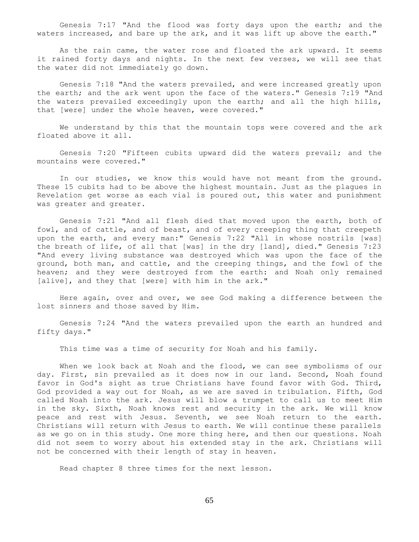Genesis 7:17 "And the flood was forty days upon the earth; and the waters increased, and bare up the ark, and it was lift up above the earth."

As the rain came, the water rose and floated the ark upward. It seems it rained forty days and nights. In the next few verses, we will see that the water did not immediately go down.

 Genesis 7:18 "And the waters prevailed, and were increased greatly upon the earth; and the ark went upon the face of the waters." Genesis 7:19 "And the waters prevailed exceedingly upon the earth; and all the high hills, that [were] under the whole heaven, were covered."

 We understand by this that the mountain tops were covered and the ark floated above it all.

 Genesis 7:20 "Fifteen cubits upward did the waters prevail; and the mountains were covered."

 In our studies, we know this would have not meant from the ground. These 15 cubits had to be above the highest mountain. Just as the plagues in Revelation get worse as each vial is poured out, this water and punishment was greater and greater.

 Genesis 7:21 "And all flesh died that moved upon the earth, both of fowl, and of cattle, and of beast, and of every creeping thing that creepeth upon the earth, and every man:" Genesis 7:22 "All in whose nostrils [was] the breath of life, of all that [was] in the dry [land], died." Genesis 7:23 "And every living substance was destroyed which was upon the face of the ground, both man, and cattle, and the creeping things, and the fowl of the heaven; and they were destroyed from the earth: and Noah only remained [alive], and they that [were] with him in the ark."

 Here again, over and over, we see God making a difference between the lost sinners and those saved by Him.

 Genesis 7:24 "And the waters prevailed upon the earth an hundred and fifty days."

This time was a time of security for Noah and his family.

When we look back at Noah and the flood, we can see symbolisms of our day. First, sin prevailed as it does now in our land. Second, Noah found favor in God's sight as true Christians have found favor with God. Third, God provided a way out for Noah, as we are saved in tribulation. Fifth, God called Noah into the ark. Jesus will blow a trumpet to call us to meet Him in the sky. Sixth, Noah knows rest and security in the ark. We will know peace and rest with Jesus. Seventh, we see Noah return to the earth. Christians will return with Jesus to earth. We will continue these parallels as we go on in this study. One more thing here, and then our questions. Noah did not seem to worry about his extended stay in the ark. Christians will not be concerned with their length of stay in heaven.

Read chapter 8 three times for the next lesson.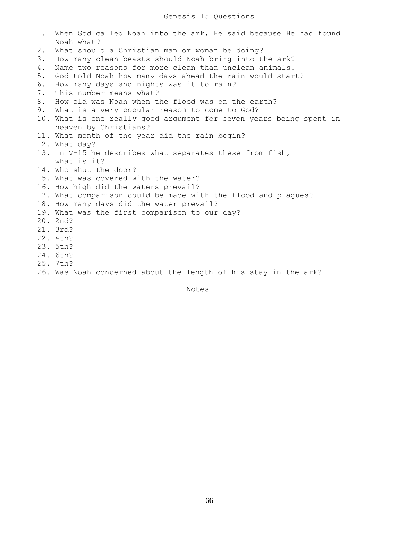## Genesis 15 Questions

1. When God called Noah into the ark, He said because He had found Noah what? 2. What should a Christian man or woman be doing? 3. How many clean beasts should Noah bring into the ark? 4. Name two reasons for more clean than unclean animals. 5. God told Noah how many days ahead the rain would start? 6. How many days and nights was it to rain? 7. This number means what? 8. How old was Noah when the flood was on the earth? 9. What is a very popular reason to come to God? 10. What is one really good argument for seven years being spent in heaven by Christians? 11. What month of the year did the rain begin? 12. What day? 13. In V-15 he describes what separates these from fish, what is it? 14. Who shut the door? 15. What was covered with the water? 16. How high did the waters prevail? 17. What comparison could be made with the flood and plagues? 18. How many days did the water prevail? 19. What was the first comparison to our day? 20. 2nd? 21. 3rd? 22. 4th? 23. 5th? 24. 6th? 25. 7th? 26. Was Noah concerned about the length of his stay in the ark?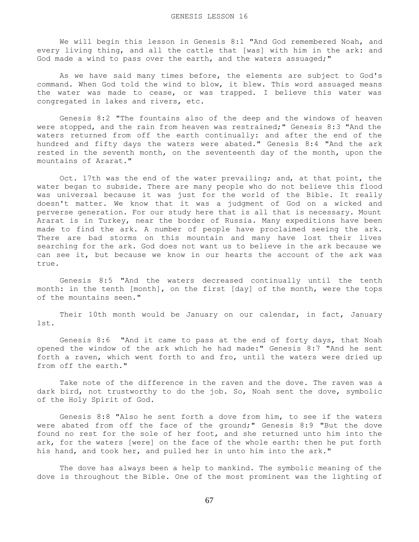We will begin this lesson in Genesis 8:1 "And God remembered Noah, and every living thing, and all the cattle that [was] with him in the ark: and God made a wind to pass over the earth, and the waters assuaged;"

 As we have said many times before, the elements are subject to God's command. When God told the wind to blow, it blew. This word assuaged means the water was made to cease, or was trapped. I believe this water was congregated in lakes and rivers, etc.

 Genesis 8:2 "The fountains also of the deep and the windows of heaven were stopped, and the rain from heaven was restrained;" Genesis 8:3 "And the waters returned from off the earth continually: and after the end of the hundred and fifty days the waters were abated." Genesis 8:4 "And the ark rested in the seventh month, on the seventeenth day of the month, upon the mountains of Ararat."

 Oct. 17th was the end of the water prevailing; and, at that point, the water began to subside. There are many people who do not believe this flood was universal because it was just for the world of the Bible. It really doesn't matter. We know that it was a judgment of God on a wicked and perverse generation. For our study here that is all that is necessary. Mount Ararat is in Turkey, near the border of Russia. Many expeditions have been made to find the ark. A number of people have proclaimed seeing the ark. There are bad storms on this mountain and many have lost their lives searching for the ark. God does not want us to believe in the ark because we can see it, but because we know in our hearts the account of the ark was true.

 Genesis 8:5 "And the waters decreased continually until the tenth month: in the tenth [month], on the first [day] of the month, were the tops of the mountains seen."

 Their 10th month would be January on our calendar, in fact, January 1st.

 Genesis 8:6 "And it came to pass at the end of forty days, that Noah opened the window of the ark which he had made:" Genesis 8:7 "And he sent forth a raven, which went forth to and fro, until the waters were dried up from off the earth."

 Take note of the difference in the raven and the dove. The raven was a dark bird, not trustworthy to do the job. So, Noah sent the dove, symbolic of the Holy Spirit of God.

 Genesis 8:8 "Also he sent forth a dove from him, to see if the waters were abated from off the face of the ground;" Genesis 8:9 "But the dove found no rest for the sole of her foot, and she returned unto him into the ark, for the waters [were] on the face of the whole earth: then he put forth his hand, and took her, and pulled her in unto him into the ark."

 The dove has always been a help to mankind. The symbolic meaning of the dove is throughout the Bible. One of the most prominent was the lighting of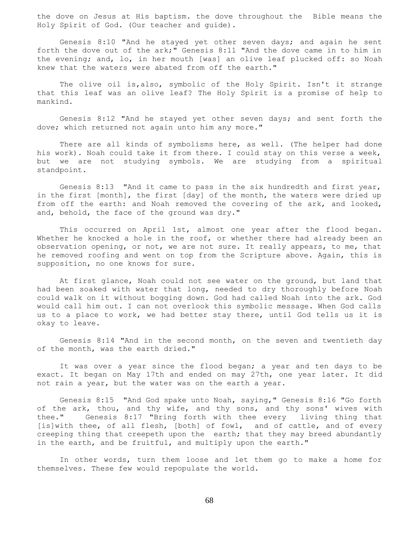the dove on Jesus at His baptism. the dove throughout the Bible means the Holy Spirit of God. (Our teacher and guide).

 Genesis 8:10 "And he stayed yet other seven days; and again he sent forth the dove out of the ark;" Genesis 8:11 "And the dove came in to him in the evening; and, lo, in her mouth [was] an olive leaf plucked off: so Noah knew that the waters were abated from off the earth."

 The olive oil is,also, symbolic of the Holy Spirit. Isn't it strange that this leaf was an olive leaf? The Holy Spirit is a promise of help to mankind.

 Genesis 8:12 "And he stayed yet other seven days; and sent forth the dove; which returned not again unto him any more."

 There are all kinds of symbolisms here, as well. (The helper had done his work). Noah could take it from there. I could stay on this verse a week, but we are not studying symbols. We are studying from a spiritual standpoint.

 Genesis 8:13 "And it came to pass in the six hundredth and first year, in the first [month], the first [day] of the month, the waters were dried up from off the earth: and Noah removed the covering of the ark, and looked, and, behold, the face of the ground was dry."

 This occurred on April 1st, almost one year after the flood began. Whether he knocked a hole in the roof, or whether there had already been an observation opening, or not, we are not sure. It really appears, to me, that he removed roofing and went on top from the Scripture above. Again, this is supposition, no one knows for sure.

 At first glance, Noah could not see water on the ground, but land that had been soaked with water that long, needed to dry thoroughly before Noah could walk on it without bogging down. God had called Noah into the ark. God would call him out. I can not overlook this symbolic message. When God calls us to a place to work, we had better stay there, until God tells us it is okay to leave.

 Genesis 8:14 "And in the second month, on the seven and twentieth day of the month, was the earth dried."

 It was over a year since the flood began; a year and ten days to be exact. It began on May 17th and ended on may 27th, one year later. It did not rain a year, but the water was on the earth a year.

 Genesis 8:15 "And God spake unto Noah, saying," Genesis 8:16 "Go forth of the ark, thou, and thy wife, and thy sons, and thy sons' wives with thee." Genesis 8:17 "Bring forth with thee every living thing that [is]with thee, of all flesh, [both] of fowl, and of cattle, and of every creeping thing that creepeth upon the earth; that they may breed abundantly in the earth, and be fruitful, and multiply upon the earth."

 In other words, turn them loose and let them go to make a home for themselves. These few would repopulate the world.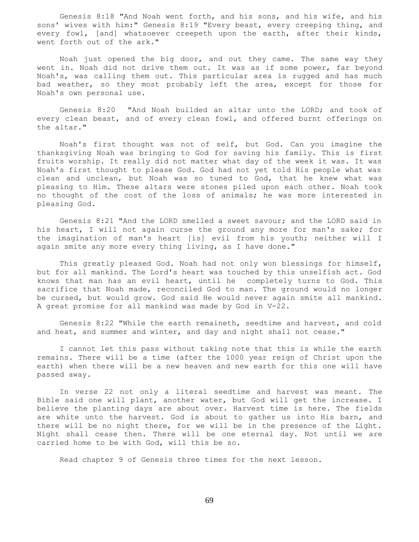Genesis 8:18 "And Noah went forth, and his sons, and his wife, and his sons' wives with him:" Genesis 8:19 "Every beast, every creeping thing, and every fowl, [and] whatsoever creepeth upon the earth, after their kinds, went forth out of the ark."

 Noah just opened the big door, and out they came. The same way they went in. Noah did not drive them out. It was as if some power, far beyond Noah's, was calling them out. This particular area is rugged and has much bad weather, so they most probably left the area, except for those for Noah's own personal use.

 Genesis 8:20 "And Noah builded an altar unto the LORD; and took of every clean beast, and of every clean fowl, and offered burnt offerings on the altar."

 Noah's first thought was not of self, but God. Can you imagine the thanksgiving Noah was bringing to God for saving his family. This is first fruits worship. It really did not matter what day of the week it was. It was Noah's first thought to please God. God had not yet told His people what was clean and unclean, but Noah was so tuned to God, that he knew what was pleasing to Him. These altars were stones piled upon each other. Noah took no thought of the cost of the loss of animals; he was more interested in pleasing God.

 Genesis 8:21 "And the LORD smelled a sweet savour; and the LORD said in his heart, I will not again curse the ground any more for man's sake; for the imagination of man's heart [is] evil from his youth; neither will I again smite any more every thing living, as I have done."

 This greatly pleased God. Noah had not only won blessings for himself, but for all mankind. The Lord's heart was touched by this unselfish act. God knows that man has an evil heart, until he completely turns to God. This sacrifice that Noah made, reconciled God to man. The ground would no longer be cursed, but would grow. God said He would never again smite all mankind. A great promise for all mankind was made by God in V-22.

 Genesis 8:22 "While the earth remaineth, seedtime and harvest, and cold and heat, and summer and winter, and day and night shall not cease."

 I cannot let this pass without taking note that this is while the earth remains. There will be a time (after the 1000 year reign of Christ upon the earth) when there will be a new heaven and new earth for this one will have passed away.

 In verse 22 not only a literal seedtime and harvest was meant. The Bible said one will plant, another water, but God will get the increase. I believe the planting days are about over. Harvest time is here. The fields are white unto the harvest. God is about to gather us into His barn, and there will be no night there, for we will be in the presence of the Light. Night shall cease then. There will be one eternal day. Not until we are carried home to be with God, will this be so.

Read chapter 9 of Genesis three times for the next lesson.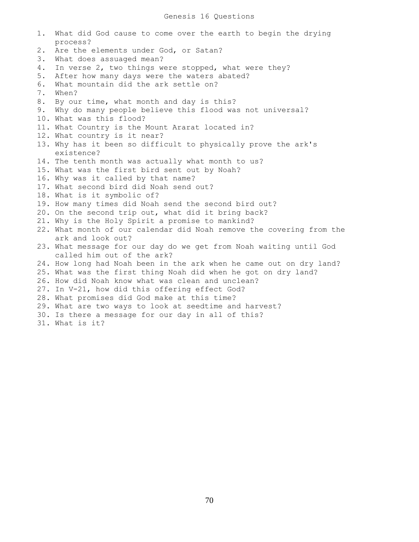1. What did God cause to come over the earth to begin the drying process? 2. Are the elements under God, or Satan? 3. What does assuaged mean? 4. In verse 2, two things were stopped, what were they? 5. After how many days were the waters abated? 6. What mountain did the ark settle on? 7. When? 8. By our time, what month and day is this? 9. Why do many people believe this flood was not universal? 10. What was this flood? 11. What Country is the Mount Ararat located in? 12. What country is it near? 13. Why has it been so difficult to physically prove the ark's existence? 14. The tenth month was actually what month to us? 15. What was the first bird sent out by Noah? 16. Why was it called by that name? 17. What second bird did Noah send out? 18. What is it symbolic of? 19. How many times did Noah send the second bird out? 20. On the second trip out, what did it bring back? 21. Why is the Holy Spirit a promise to mankind? 22. What month of our calendar did Noah remove the covering from the ark and look out? 23. What message for our day do we get from Noah waiting until God called him out of the ark? 24. How long had Noah been in the ark when he came out on dry land? 25. What was the first thing Noah did when he got on dry land? 26. How did Noah know what was clean and unclean? 27. In V-21, how did this offering effect God? 28. What promises did God make at this time? 29. What are two ways to look at seedtime and harvest? 30. Is there a message for our day in all of this? 31. What is it?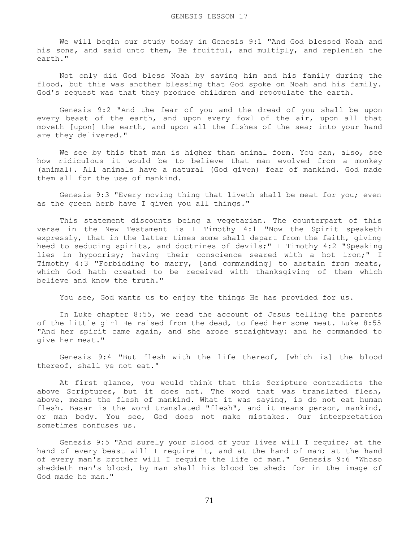We will begin our study today in Genesis 9:1 "And God blessed Noah and his sons, and said unto them, Be fruitful, and multiply, and replenish the earth."

 Not only did God bless Noah by saving him and his family during the flood, but this was another blessing that God spoke on Noah and his family. God's request was that they produce children and repopulate the earth.

 Genesis 9:2 "And the fear of you and the dread of you shall be upon every beast of the earth, and upon every fowl of the air, upon all that moveth [upon] the earth, and upon all the fishes of the sea; into your hand are they delivered."

We see by this that man is higher than animal form. You can, also, see how ridiculous it would be to believe that man evolved from a monkey (animal). All animals have a natural (God given) fear of mankind. God made them all for the use of mankind.

 Genesis 9:3 "Every moving thing that liveth shall be meat for you; even as the green herb have I given you all things."

 This statement discounts being a vegetarian. The counterpart of this verse in the New Testament is I Timothy 4:1 "Now the Spirit speaketh expressly, that in the latter times some shall depart from the faith, giving heed to seducing spirits, and doctrines of devils;" I Timothy 4:2 "Speaking lies in hypocrisy; having their conscience seared with a hot iron;" I Timothy 4:3 "Forbidding to marry, [and commanding] to abstain from meats, which God hath created to be received with thanksgiving of them which believe and know the truth."

You see, God wants us to enjoy the things He has provided for us.

 In Luke chapter 8:55, we read the account of Jesus telling the parents of the little girl He raised from the dead, to feed her some meat. Luke 8:55 "And her spirit came again, and she arose straightway: and he commanded to give her meat."

 Genesis 9:4 "But flesh with the life thereof, [which is] the blood thereof, shall ye not eat."

 At first glance, you would think that this Scripture contradicts the above Scriptures, but it does not. The word that was translated flesh, above, means the flesh of mankind. What it was saying, is do not eat human flesh. Basar is the word translated "flesh", and it means person, mankind, or man body. You see, God does not make mistakes. Our interpretation sometimes confuses us.

 Genesis 9:5 "And surely your blood of your lives will I require; at the hand of every beast will I require it, and at the hand of man; at the hand of every man's brother will I require the life of man." Genesis 9:6 "Whoso sheddeth man's blood, by man shall his blood be shed: for in the image of God made he man."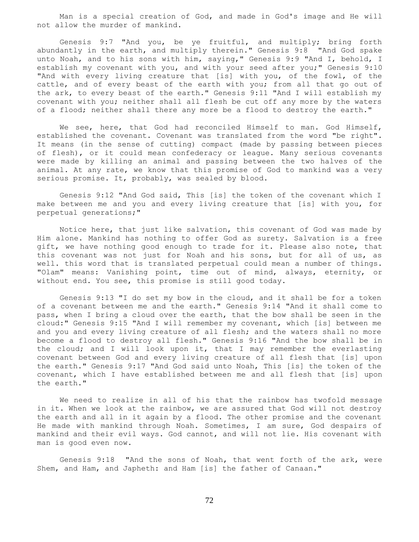Man is a special creation of God, and made in God's image and He will not allow the murder of mankind.

 Genesis 9:7 "And you, be ye fruitful, and multiply; bring forth abundantly in the earth, and multiply therein." Genesis 9:8 "And God spake unto Noah, and to his sons with him, saying," Genesis 9:9 "And I, behold, I establish my covenant with you, and with your seed after you;" Genesis 9:10 "And with every living creature that [is] with you, of the fowl, of the cattle, and of every beast of the earth with you; from all that go out of the ark, to every beast of the earth." Genesis 9:11 "And I will establish my covenant with you; neither shall all flesh be cut off any more by the waters of a flood; neither shall there any more be a flood to destroy the earth."

 We see, here, that God had reconciled Himself to man. God Himself, established the covenant. Covenant was translated from the word "be right". It means (in the sense of cutting) compact (made by passing between pieces of flesh), or it could mean confederacy or league. Many serious covenants were made by killing an animal and passing between the two halves of the animal. At any rate, we know that this promise of God to mankind was a very serious promise. It, probably, was sealed by blood.

 Genesis 9:12 "And God said, This [is] the token of the covenant which I make between me and you and every living creature that [is] with you, for perpetual generations;"

 Notice here, that just like salvation, this covenant of God was made by Him alone. Mankind has nothing to offer God as surety. Salvation is a free gift, we have nothing good enough to trade for it. Please also note, that this covenant was not just for Noah and his sons, but for all of us, as well. this word that is translated perpetual could mean a number of things. "Olam" means: Vanishing point, time out of mind, always, eternity, or without end. You see, this promise is still good today.

 Genesis 9:13 "I do set my bow in the cloud, and it shall be for a token of a covenant between me and the earth." Genesis 9:14 "And it shall come to pass, when I bring a cloud over the earth, that the bow shall be seen in the cloud:" Genesis 9:15 "And I will remember my covenant, which [is] between me and you and every living creature of all flesh; and the waters shall no more become a flood to destroy all flesh." Genesis 9:16 "And the bow shall be in the cloud; and I will look upon it, that I may remember the everlasting covenant between God and every living creature of all flesh that [is] upon the earth." Genesis 9:17 "And God said unto Noah, This [is] the token of the covenant, which I have established between me and all flesh that [is] upon the earth."

 We need to realize in all of his that the rainbow has twofold message in it. When we look at the rainbow, we are assured that God will not destroy the earth and all in it again by a flood. The other promise and the covenant He made with mankind through Noah. Sometimes, I am sure, God despairs of mankind and their evil ways. God cannot, and will not lie. His covenant with man is good even now.

 Genesis 9:18 "And the sons of Noah, that went forth of the ark, were Shem, and Ham, and Japheth: and Ham [is] the father of Canaan."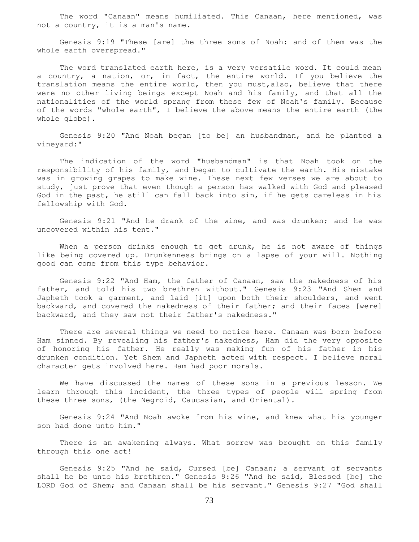The word "Canaan" means humiliated. This Canaan, here mentioned, was not a country, it is a man's name.

 Genesis 9:19 "These [are] the three sons of Noah: and of them was the whole earth overspread."

The word translated earth here, is a very versatile word. It could mean a country, a nation, or, in fact, the entire world. If you believe the translation means the entire world, then you must,also, believe that there were no other living beings except Noah and his family, and that all the nationalities of the world sprang from these few of Noah's family. Because of the words "whole earth", I believe the above means the entire earth (the whole globe).

 Genesis 9:20 "And Noah began [to be] an husbandman, and he planted a vineyard:"

 The indication of the word "husbandman" is that Noah took on the responsibility of his family, and began to cultivate the earth. His mistake was in growing grapes to make wine. These next few verses we are about to study, just prove that even though a person has walked with God and pleased God in the past, he still can fall back into sin, if he gets careless in his fellowship with God.

 Genesis 9:21 "And he drank of the wine, and was drunken; and he was uncovered within his tent."

When a person drinks enough to get drunk, he is not aware of things like being covered up. Drunkenness brings on a lapse of your will. Nothing good can come from this type behavior.

 Genesis 9:22 "And Ham, the father of Canaan, saw the nakedness of his father, and told his two brethren without." Genesis 9:23 "And Shem and Japheth took a garment, and laid [it] upon both their shoulders, and went backward, and covered the nakedness of their father; and their faces [were] backward, and they saw not their father's nakedness."

 There are several things we need to notice here. Canaan was born before Ham sinned. By revealing his father's nakedness, Ham did the very opposite of honoring his father. He really was making fun of his father in his drunken condition. Yet Shem and Japheth acted with respect. I believe moral character gets involved here. Ham had poor morals.

 We have discussed the names of these sons in a previous lesson. We learn through this incident, the three types of people will spring from these three sons, (the Negroid, Caucasian, and Oriental).

 Genesis 9:24 "And Noah awoke from his wine, and knew what his younger son had done unto him."

 There is an awakening always. What sorrow was brought on this family through this one act!

 Genesis 9:25 "And he said, Cursed [be] Canaan; a servant of servants shall he be unto his brethren." Genesis 9:26 "And he said, Blessed [be] the LORD God of Shem; and Canaan shall be his servant." Genesis 9:27 "God shall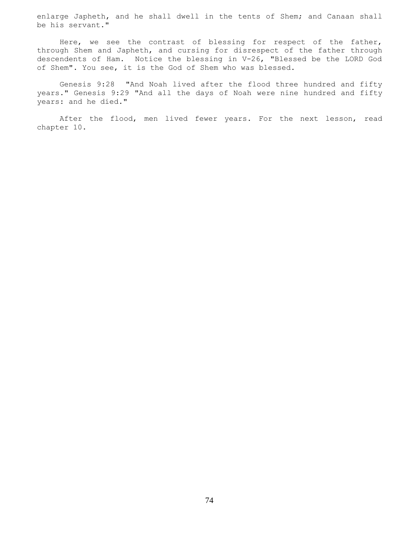enlarge Japheth, and he shall dwell in the tents of Shem; and Canaan shall be his servant."

 Here, we see the contrast of blessing for respect of the father, through Shem and Japheth, and cursing for disrespect of the father through descendents of Ham. Notice the blessing in V-26, "Blessed be the LORD God of Shem". You see, it is the God of Shem who was blessed.

 Genesis 9:28 "And Noah lived after the flood three hundred and fifty years." Genesis 9:29 "And all the days of Noah were nine hundred and fifty years: and he died."

 After the flood, men lived fewer years. For the next lesson, read chapter 10.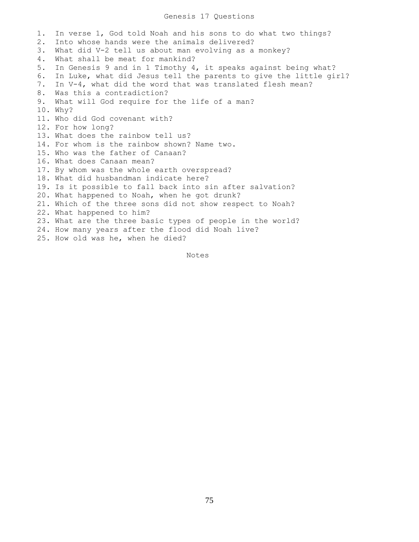### Genesis 17 Questions

1. In verse 1, God told Noah and his sons to do what two things? 2. Into whose hands were the animals delivered? 3. What did V-2 tell us about man evolving as a monkey? 4. What shall be meat for mankind? 5. In Genesis 9 and in 1 Timothy 4, it speaks against being what? 6. In Luke, what did Jesus tell the parents to give the little girl? 7. In V-4, what did the word that was translated flesh mean? 8. Was this a contradiction? 9. What will God require for the life of a man? 10. Why? 11. Who did God covenant with? 12. For how long? 13. What does the rainbow tell us? 14. For whom is the rainbow shown? Name two. 15. Who was the father of Canaan? 16. What does Canaan mean? 17. By whom was the whole earth overspread? 18. What did husbandman indicate here? 19. Is it possible to fall back into sin after salvation? 20. What happened to Noah, when he got drunk? 21. Which of the three sons did not show respect to Noah? 22. What happened to him? 23. What are the three basic types of people in the world? 24. How many years after the flood did Noah live? 25. How old was he, when he died?

Notes Notes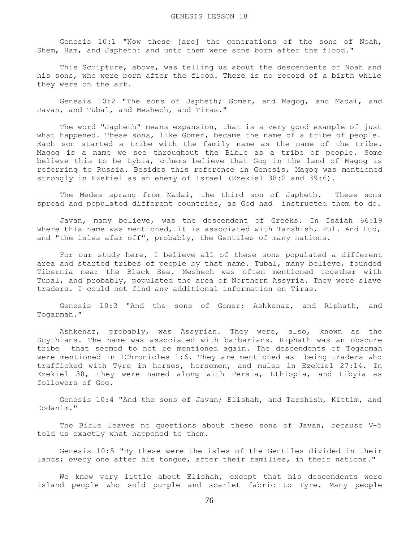Genesis 10:1 "Now these [are] the generations of the sons of Noah, Shem, Ham, and Japheth: and unto them were sons born after the flood."

 This Scripture, above, was telling us about the descendents of Noah and his sons, who were born after the flood. There is no record of a birth while they were on the ark.

 Genesis 10:2 "The sons of Japheth; Gomer, and Magog, and Madai, and Javan, and Tubal, and Meshech, and Tiras."

 The word "Japheth" means expansion, that is a very good example of just what happened. These sons, like Gomer, became the name of a tribe of people. Each son started a tribe with the family name as the name of the tribe. Magog is a name we see throughout the Bible as a tribe of people. Some believe this to be Lybia, others believe that Gog in the land of Magog is referring to Russia. Besides this reference in Genesis, Magog was mentioned strongly in Ezekiel as an enemy of Israel (Ezekiel 38:2 and 39:6).

 The Medes sprang from Madai, the third son of Japheth. These sons spread and populated different countries, as God had instructed them to do.

 Javan, many believe, was the descendent of Greeks. In Isaiah 66:19 where this name was mentioned, it is associated with Tarshish, Pul. And Lud, and "the isles afar off", probably, the Gentiles of many nations.

 For our study here, I believe all of these sons populated a different area and started tribes of people by that name. Tubal, many believe, founded Tibernia near the Black Sea. Meshech was often mentioned together with Tubal, and probably, populated the area of Northern Assyria. They were slave traders. I could not find any additional information on Tiras.

 Genesis 10:3 "And the sons of Gomer; Ashkenaz, and Riphath, and Togarmah."

 Ashkenaz, probably, was Assyrian. They were, also, known as the Scythians. The name was associated with barbarians. Riphath was an obscure tribe that seemed to not be mentioned again. The descendents of Togarmah were mentioned in 1Chronicles 1:6. They are mentioned as being traders who trafficked with Tyre in horses, horsemen, and mules in Ezekiel 27:14. In Ezekiel 38, they were named along with Persia, Ethiopia, and Libyia as followers of Gog.

 Genesis 10:4 "And the sons of Javan; Elishah, and Tarshish, Kittim, and Dodanim."

 The Bible leaves no questions about these sons of Javan, because V-5 told us exactly what happened to them.

 Genesis 10:5 "By these were the isles of the Gentiles divided in their lands; every one after his tongue, after their families, in their nations."

 We know very little about Elishah, except that his descendents were island people who sold purple and scarlet fabric to Tyre. Many people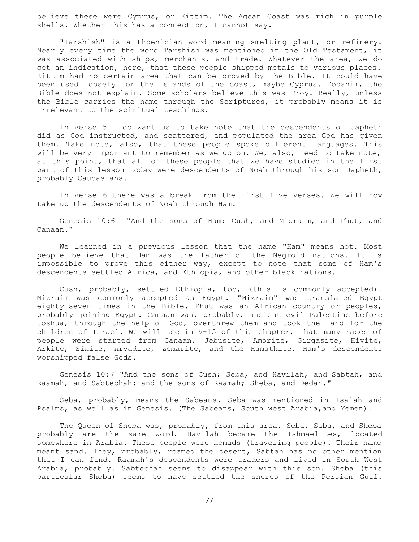believe these were Cyprus, or Kittim. The Agean Coast was rich in purple shells. Whether this has a connection, I cannot say.

 "Tarshish" is a Phoenician word meaning smelting plant, or refinery. Nearly every time the word Tarshish was mentioned in the Old Testament, it was associated with ships, merchants, and trade. Whatever the area, we do get an indication, here, that these people shipped metals to various places. Kittim had no certain area that can be proved by the Bible. It could have been used loosely for the islands of the coast, maybe Cyprus. Dodanim, the Bible does not explain. Some scholars believe this was Troy. Really, unless the Bible carries the name through the Scriptures, it probably means it is irrelevant to the spiritual teachings.

 In verse 5 I do want us to take note that the descendents of Japheth did as God instructed, and scattered, and populated the area God has given them. Take note, also, that these people spoke different languages. This will be very important to remember as we go on. We, also, need to take note, at this point, that all of these people that we have studied in the first part of this lesson today were descendents of Noah through his son Japheth, probably Caucasians.

 In verse 6 there was a break from the first five verses. We will now take up the descendents of Noah through Ham.

 Genesis 10:6 "And the sons of Ham; Cush, and Mizraim, and Phut, and Canaan."

 We learned in a previous lesson that the name "Ham" means hot. Most people believe that Ham was the father of the Negroid nations. It is impossible to prove this either way, except to note that some of Ham's descendents settled Africa, and Ethiopia, and other black nations.

 Cush, probably, settled Ethiopia, too, (this is commonly accepted). Mizraim was commonly accepted as Egypt. "Mizraim" was translated Egypt eighty-seven times in the Bible. Phut was an African country or peoples, probably joining Egypt. Canaan was, probably, ancient evil Palestine before Joshua, through the help of God, overthrew them and took the land for the children of Israel. We will see in V-15 of this chapter, that many races of people were started from Canaan. Jebusite, Amorite, Girgasite, Hivite, Arkite, Sinite, Arvadite, Zemarite, and the Hamathite. Ham's descendents worshipped false Gods.

 Genesis 10:7 "And the sons of Cush; Seba, and Havilah, and Sabtah, and Raamah, and Sabtechah: and the sons of Raamah; Sheba, and Dedan."

 Seba, probably, means the Sabeans. Seba was mentioned in Isaiah and Psalms, as well as in Genesis. (The Sabeans, South west Arabia,and Yemen).

The Queen of Sheba was, probably, from this area. Seba, Saba, and Sheba probably are the same word. Havilah became the Ishmaelites, located somewhere in Arabia. These people were nomads (traveling people). Their name meant sand. They, probably, roamed the desert, Sabtah has no other mention that I can find. Raamah's descendents were traders and lived in South West Arabia, probably. Sabtechah seems to disappear with this son. Sheba (this particular Sheba) seems to have settled the shores of the Persian Gulf.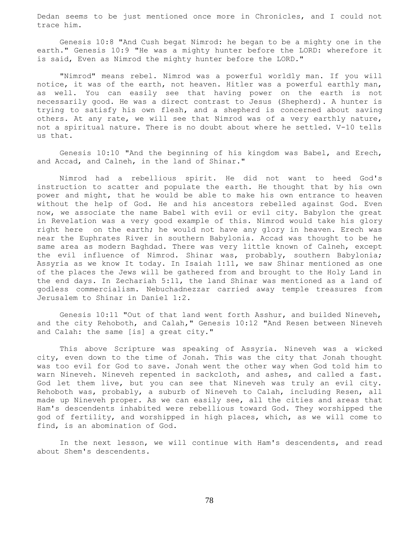Dedan seems to be just mentioned once more in Chronicles, and I could not trace him.

 Genesis 10:8 "And Cush begat Nimrod: he began to be a mighty one in the earth." Genesis 10:9 "He was a mighty hunter before the LORD: wherefore it is said, Even as Nimrod the mighty hunter before the LORD."

 "Nimrod" means rebel. Nimrod was a powerful worldly man. If you will notice, it was of the earth, not heaven. Hitler was a powerful earthly man, as well. You can easily see that having power on the earth is not necessarily good. He was a direct contrast to Jesus (Shepherd). A hunter is trying to satisfy his own flesh, and a shepherd is concerned about saving others. At any rate, we will see that Nimrod was of a very earthly nature, not a spiritual nature. There is no doubt about where he settled. V-10 tells us that.

 Genesis 10:10 "And the beginning of his kingdom was Babel, and Erech, and Accad, and Calneh, in the land of Shinar."

 Nimrod had a rebellious spirit. He did not want to heed God's instruction to scatter and populate the earth. He thought that by his own power and might, that he would be able to make his own entrance to heaven without the help of God. He and his ancestors rebelled against God. Even now, we associate the name Babel with evil or evil city. Babylon the great in Revelation was a very good example of this. Nimrod would take his glory right here on the earth; he would not have any glory in heaven. Erech was near the Euphrates River in southern Babylonia. Accad was thought to be he same area as modern Baghdad. There was very little known of Calneh, except the evil influence of Nimrod. Shinar was, probably, southern Babylonia; Assyria as we know It today. In Isaiah 1:11, we saw Shinar mentioned as one of the places the Jews will be gathered from and brought to the Holy Land in the end days. In Zechariah 5:11, the land Shinar was mentioned as a land of godless commercialism. Nebuchadnezzar carried away temple treasures from Jerusalem to Shinar in Daniel 1:2.

 Genesis 10:11 "Out of that land went forth Asshur, and builded Nineveh, and the city Rehoboth, and Calah," Genesis 10:12 "And Resen between Nineveh and Calah: the same [is] a great city."

 This above Scripture was speaking of Assyria. Nineveh was a wicked city, even down to the time of Jonah. This was the city that Jonah thought was too evil for God to save. Jonah went the other way when God told him to warn Nineveh. Nineveh repented in sackcloth, and ashes, and called a fast. God let them live, but you can see that Nineveh was truly an evil city. Rehoboth was, probably, a suburb of Nineveh to Calah, including Resen, all made up Nineveh proper. As we can easily see, all the cities and areas that Ham's descendents inhabited were rebellious toward God. They worshipped the god of fertility, and worshipped in high places, which, as we will come to find, is an abomination of God.

 In the next lesson, we will continue with Ham's descendents, and read about Shem's descendents.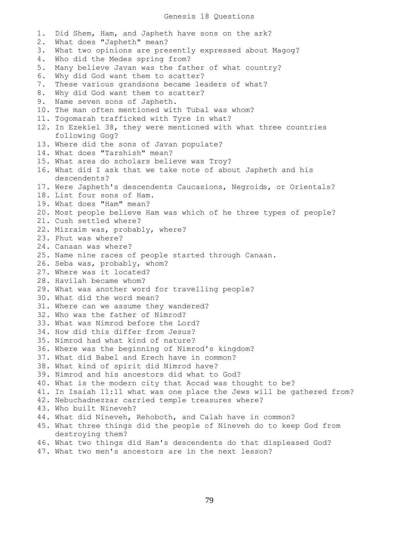### Genesis 18 Questions

1. Did Shem, Ham, and Japheth have sons on the ark? 2. What does "Japheth" mean? 3. What two opinions are presently expressed about Magog? 4. Who did the Medes spring from? 5. Many believe Javan was the father of what country? 6. Why did God want them to scatter? 7. These various grandsons became leaders of what? 8. Why did God want them to scatter? 9. Name seven sons of Japheth. 10. The man often mentioned with Tubal was whom? 11. Togomarah trafficked with Tyre in what? 12. In Ezekiel 38, they were mentioned with what three countries following Gog? 13. Where did the sons of Javan populate? 14. What does "Tarshish" mean? 15. What area do scholars believe was Troy? 16. What did I ask that we take note of about Japheth and his descendents? 17. Were Japheth's descendents Caucasions, Negroids, or Orientals? 18. List four sons of Ham. 19. What does "Ham" mean? 20. Most people believe Ham was which of he three types of people? 21. Cush settled where? 22. Mizraim was, probably, where? 23. Phut was where? 24. Canaan was where? 25. Name nine races of people started through Canaan. 26. Seba was, probably, whom? 27. Where was it located? 28. Havilah became whom? 29. What was another word for travelling people? 30. What did the word mean? 31. Where can we assume they wandered? 32. Who was the father of Nimrod? 33. What was Nimrod before the Lord? 34. How did this differ from Jesus? 35. Nimrod had what kind of nature? 36. Where was the beginning of Nimrod's kingdom? 37. What did Babel and Erech have in common? 38. What kind of spirit did Nimrod have? 39. Nimrod and his ancestors did what to God? 40. What is the modern city that Accad was thought to be? 41. In Isaiah 11:11 what was one place the Jews will be gathered from? 42. Nebuchadnezzar carried temple treasures where? 43. Who built Nineveh? 44. What did Nineveh, Rehoboth, and Calah have in common? 45. What three things did the people of Nineveh do to keep God from destroying them? 46. What two things did Ham's descendents do that displeased God?

47. What two men's ancestors are in the next lesson?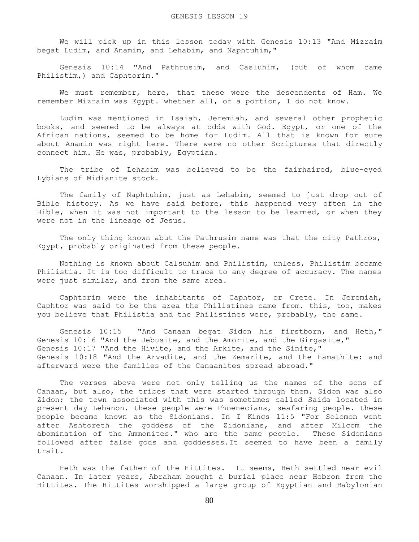We will pick up in this lesson today with Genesis 10:13 "And Mizraim begat Ludim, and Anamim, and Lehabim, and Naphtuhim,"

 Genesis 10:14 "And Pathrusim, and Casluhim, (out of whom came Philistim,) and Caphtorim."

 We must remember, here, that these were the descendents of Ham. We remember Mizraim was Egypt. whether all, or a portion, I do not know.

 Ludim was mentioned in Isaiah, Jeremiah, and several other prophetic books, and seemed to be always at odds with God. Egypt, or one of the African nations, seemed to be home for Ludim. All that is known for sure about Anamin was right here. There were no other Scriptures that directly connect him. He was, probably, Egyptian.

 The tribe of Lehabim was believed to be the fairhaired, blue-eyed Lybians of Midianite stock.

 The family of Naphtuhim, just as Lehabim, seemed to just drop out of Bible history. As we have said before, this happened very often in the Bible, when it was not important to the lesson to be learned, or when they were not in the lineage of Jesus.

 The only thing known abut the Pathrusim name was that the city Pathros, Egypt, probably originated from these people.

 Nothing is known about Calsuhim and Philistim, unless, Philistim became Philistia. It is too difficult to trace to any degree of accuracy. The names were just similar, and from the same area.

 Caphtorim were the inhabitants of Caphtor, or Crete. In Jeremiah, Caphtor was said to be the area the Philistines came from. this, too, makes you believe that Philistia and the Philistines were, probably, the same.

 Genesis 10:15 "And Canaan begat Sidon his firstborn, and Heth," Genesis 10:16 "And the Jebusite, and the Amorite, and the Girgasite," Genesis 10:17 "And the Hivite, and the Arkite, and the Sinite," Genesis 10:18 "And the Arvadite, and the Zemarite, and the Hamathite: and afterward were the families of the Canaanites spread abroad."

 The verses above were not only telling us the names of the sons of Canaan, but also, the tribes that were started through them. Sidon was also Zidon; the town associated with this was sometimes called Saida located in present day Lebanon. these people were Phoenecians, seafaring people. these people became known as the Sidonians. In I Kings 11:5 "For Solomon went after Ashtoreth the goddess of the Zidonians, and after Milcom the abomination of the Ammonites." who are the same people. These Sidonians followed after false gods and goddesses.It seemed to have been a family trait.

 Heth was the father of the Hittites. It seems, Heth settled near evil Canaan. In later years, Abraham bought a burial place near Hebron from the Hittites. The Hittites worshipped a large group of Egyptian and Babylonian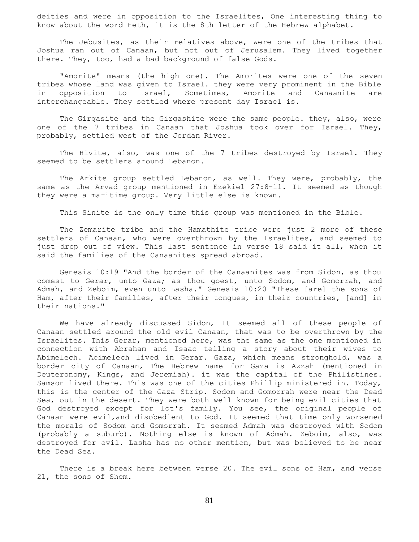deities and were in opposition to the Israelites, One interesting thing to know about the word Heth, it is the 8th letter of the Hebrew alphabet.

 The Jebusites, as their relatives above, were one of the tribes that Joshua ran out of Canaan, but not out of Jerusalem. They lived together there. They, too, had a bad background of false Gods.

 "Amorite" means (the high one). The Amorites were one of the seven tribes whose land was given to Israel. they were very prominent in the Bible in opposition to Israel, Sometimes, Amorite and Canaanite are interchangeable. They settled where present day Israel is.

The Girgasite and the Girgashite were the same people. they, also, were one of the 7 tribes in Canaan that Joshua took over for Israel. They, probably, settled west of the Jordan River.

 The Hivite, also, was one of the 7 tribes destroyed by Israel. They seemed to be settlers around Lebanon.

 The Arkite group settled Lebanon, as well. They were, probably, the same as the Arvad group mentioned in Ezekiel 27:8-11. It seemed as though they were a maritime group. Very little else is known.

This Sinite is the only time this group was mentioned in the Bible.

 The Zemarite tribe and the Hamathite tribe were just 2 more of these settlers of Canaan, who were overthrown by the Israelites, and seemed to just drop out of view. This last sentence in verse 18 said it all, when it said the families of the Canaanites spread abroad.

 Genesis 10:19 "And the border of the Canaanites was from Sidon, as thou comest to Gerar, unto Gaza; as thou goest, unto Sodom, and Gomorrah, and Admah, and Zeboim, even unto Lasha." Genesis 10:20 "These [are] the sons of Ham, after their families, after their tongues, in their countries, [and] in their nations."

 We have already discussed Sidon, It seemed all of these people of Canaan settled around the old evil Canaan, that was to be overthrown by the Israelites. This Gerar, mentioned here, was the same as the one mentioned in connection with Abraham and Isaac telling a story about their wives to Abimelech. Abimelech lived in Gerar. Gaza, which means stronghold, was a border city of Canaan, The Hebrew name for Gaza is Azzah (mentioned in Deuteronomy, Kings, and Jeremiah). it was the capital of the Philistines. Samson lived there. This was one of the cities Phillip ministered in. Today, this is the center of the Gaza Strip. Sodom and Gomorrah were near the Dead Sea, out in the desert. They were both well known for being evil cities that God destroyed except for lot's family. You see, the original people of Canaan were evil,and disobedient to God. It seemed that time only worsened the morals of Sodom and Gomorrah. It seemed Admah was destroyed with Sodom (probably a suburb). Nothing else is known of Admah. Zeboim, also, was destroyed for evil. Lasha has no other mention, but was believed to be near the Dead Sea.

 There is a break here between verse 20. The evil sons of Ham, and verse 21, the sons of Shem.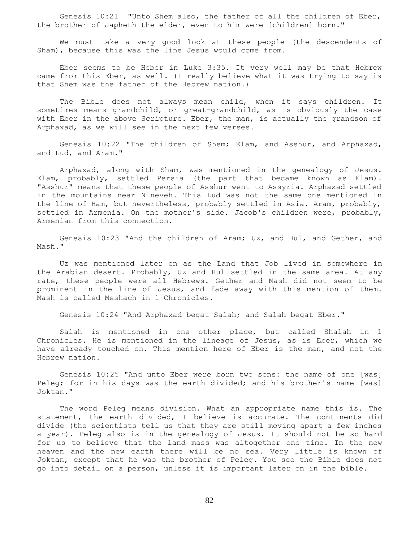Genesis 10:21 "Unto Shem also, the father of all the children of Eber, the brother of Japheth the elder, even to him were [children] born."

 We must take a very good look at these people (the descendents of Sham), because this was the line Jesus would come from.

 Eber seems to be Heber in Luke 3:35. It very well may be that Hebrew came from this Eber, as well. (I really believe what it was trying to say is that Shem was the father of the Hebrew nation.)

 The Bible does not always mean child, when it says children. It sometimes means grandchild, or great-grandchild, as is obviously the case with Eber in the above Scripture. Eber, the man, is actually the grandson of Arphaxad, as we will see in the next few verses.

 Genesis 10:22 "The children of Shem; Elam, and Asshur, and Arphaxad, and Lud, and Aram."

 Arphaxad, along with Sham, was mentioned in the genealogy of Jesus. Elam, probably, settled Persia (the part that became known as Elam). "Asshur" means that these people of Asshur went to Assyria. Arphaxad settled in the mountains near Nineveh. This Lud was not the same one mentioned in the line of Ham, but nevertheless, probably settled in Asia. Aram, probably, settled in Armenia. On the mother's side. Jacob's children were, probably, Armenian from this connection.

 Genesis 10:23 "And the children of Aram; Uz, and Hul, and Gether, and Mash."

 Uz was mentioned later on as the Land that Job lived in somewhere in the Arabian desert. Probably, Uz and Hul settled in the same area. At any rate, these people were all Hebrews. Gether and Mash did not seem to be prominent in the line of Jesus, and fade away with this mention of them. Mash is called Meshach in 1 Chronicles.

Genesis 10:24 "And Arphaxad begat Salah; and Salah begat Eber."

 Salah is mentioned in one other place, but called Shalah in 1 Chronicles. He is mentioned in the lineage of Jesus, as is Eber, which we have already touched on. This mention here of Eber is the man, and not the Hebrew nation.

 Genesis 10:25 "And unto Eber were born two sons: the name of one [was] Peleg; for in his days was the earth divided; and his brother's name [was] Joktan."

 The word Peleg means division. What an appropriate name this is. The statement, the earth divided, I believe is accurate. The continents did divide (the scientists tell us that they are still moving apart a few inches a year). Peleg also is in the genealogy of Jesus. It should not be so hard for us to believe that the land mass was altogether one time. In the new heaven and the new earth there will be no sea. Very little is known of Joktan, except that he was the brother of Peleg. You see the Bible does not go into detail on a person, unless it is important later on in the bible.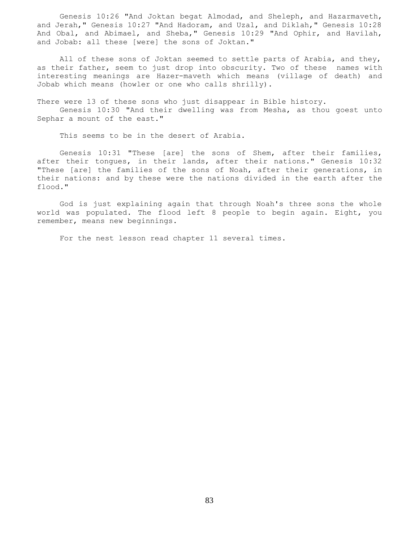Genesis 10:26 "And Joktan begat Almodad, and Sheleph, and Hazarmaveth, and Jerah," Genesis 10:27 "And Hadoram, and Uzal, and Diklah," Genesis 10:28 And Obal, and Abimael, and Sheba," Genesis 10:29 "And Ophir, and Havilah, and Jobab: all these [were] the sons of Joktan."

 All of these sons of Joktan seemed to settle parts of Arabia, and they, as their father, seem to just drop into obscurity. Two of these names with interesting meanings are Hazer-maveth which means (village of death) and Jobab which means (howler or one who calls shrilly).

There were 13 of these sons who just disappear in Bible history.

 Genesis 10:30 "And their dwelling was from Mesha, as thou goest unto Sephar a mount of the east."

This seems to be in the desert of Arabia.

 Genesis 10:31 "These [are] the sons of Shem, after their families, after their tongues, in their lands, after their nations." Genesis 10:32 "These [are] the families of the sons of Noah, after their generations, in their nations: and by these were the nations divided in the earth after the flood."

 God is just explaining again that through Noah's three sons the whole world was populated. The flood left 8 people to begin again. Eight, you remember, means new beginnings.

For the nest lesson read chapter 11 several times.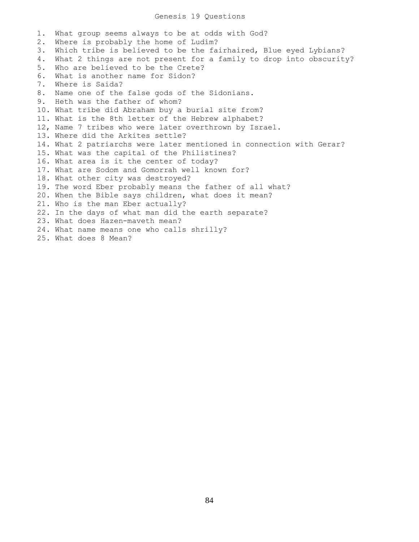## Genesis 19 Questions

1. What group seems always to be at odds with God? 2. Where is probably the home of Ludim? 3. Which tribe is believed to be the fairhaired, Blue eyed Lybians? 4. What 2 things are not present for a family to drop into obscurity? 5. Who are believed to be the Crete? 6. What is another name for Sidon? 7. Where is Saida? 8. Name one of the false gods of the Sidonians. 9. Heth was the father of whom? 10. What tribe did Abraham buy a burial site from? 11. What is the 8th letter of the Hebrew alphabet? 12, Name 7 tribes who were later overthrown by Israel. 13. Where did the Arkites settle? 14. What 2 patriarchs were later mentioned in connection with Gerar? 15. What was the capital of the Philistines? 16. What area is it the center of today? 17. What are Sodom and Gomorrah well known for? 18. What other city was destroyed? 19. The word Eber probably means the father of all what? 20. When the Bible says children, what does it mean? 21. Who is the man Eber actually? 22. In the days of what man did the earth separate? 23. What does Hazen-maveth mean? 24. What name means one who calls shrilly? 25. What does 8 Mean?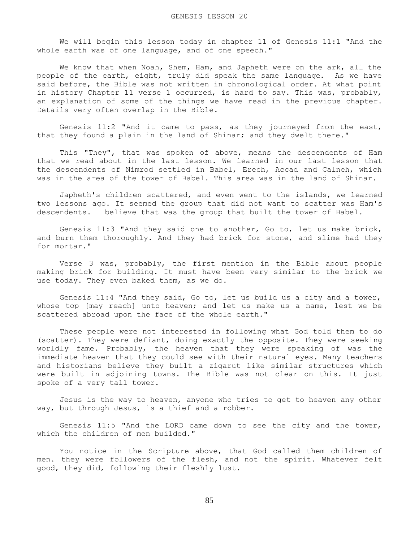We will begin this lesson today in chapter 11 of Genesis 11:1 "And the whole earth was of one language, and of one speech."

 We know that when Noah, Shem, Ham, and Japheth were on the ark, all the people of the earth, eight, truly did speak the same language. As we have said before, the Bible was not written in chronological order. At what point in history Chapter 11 verse 1 occurred, is hard to say. This was, probably, an explanation of some of the things we have read in the previous chapter. Details very often overlap in the Bible.

 Genesis 11:2 "And it came to pass, as they journeyed from the east, that they found a plain in the land of Shinar; and they dwelt there."

 This "They", that was spoken of above, means the descendents of Ham that we read about in the last lesson. We learned in our last lesson that the descendents of Nimrod settled in Babel, Erech, Accad and Calneh, which was in the area of the tower of Babel. This area was in the land of Shinar.

 Japheth's children scattered, and even went to the islands, we learned two lessons ago. It seemed the group that did not want to scatter was Ham's descendents. I believe that was the group that built the tower of Babel.

 Genesis 11:3 "And they said one to another, Go to, let us make brick, and burn them thoroughly. And they had brick for stone, and slime had they for mortar."

 Verse 3 was, probably, the first mention in the Bible about people making brick for building. It must have been very similar to the brick we use today. They even baked them, as we do.

 Genesis 11:4 "And they said, Go to, let us build us a city and a tower, whose top [may reach] unto heaven; and let us make us a name, lest we be scattered abroad upon the face of the whole earth."

 These people were not interested in following what God told them to do (scatter). They were defiant, doing exactly the opposite. They were seeking worldly fame. Probably, the heaven that they were speaking of was the immediate heaven that they could see with their natural eyes. Many teachers and historians believe they built a zigarut like similar structures which were built in adjoining towns. The Bible was not clear on this. It just spoke of a very tall tower.

 Jesus is the way to heaven, anyone who tries to get to heaven any other way, but through Jesus, is a thief and a robber.

 Genesis 11:5 "And the LORD came down to see the city and the tower, which the children of men builded."

 You notice in the Scripture above, that God called them children of men. they were followers of the flesh, and not the spirit. Whatever felt good, they did, following their fleshly lust.

85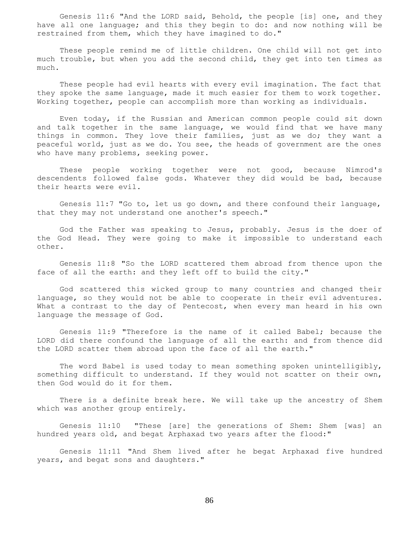Genesis 11:6 "And the LORD said, Behold, the people [is] one, and they have all one language; and this they begin to do: and now nothing will be restrained from them, which they have imagined to do."

 These people remind me of little children. One child will not get into much trouble, but when you add the second child, they get into ten times as much.

 These people had evil hearts with every evil imagination. The fact that they spoke the same language, made it much easier for them to work together. Working together, people can accomplish more than working as individuals.

 Even today, if the Russian and American common people could sit down and talk together in the same language, we would find that we have many things in common. They love their families, just as we do; they want a peaceful world, just as we do. You see, the heads of government are the ones who have many problems, seeking power.

 These people working together were not good, because Nimrod's descendents followed false gods. Whatever they did would be bad, because their hearts were evil.

 Genesis 11:7 "Go to, let us go down, and there confound their language, that they may not understand one another's speech."

 God the Father was speaking to Jesus, probably. Jesus is the doer of the God Head. They were going to make it impossible to understand each other.

 Genesis 11:8 "So the LORD scattered them abroad from thence upon the face of all the earth: and they left off to build the city."

 God scattered this wicked group to many countries and changed their language, so they would not be able to cooperate in their evil adventures. What a contrast to the day of Pentecost, when every man heard in his own language the message of God.

 Genesis 11:9 "Therefore is the name of it called Babel; because the LORD did there confound the language of all the earth: and from thence did the LORD scatter them abroad upon the face of all the earth."

 The word Babel is used today to mean something spoken unintelligibly, something difficult to understand. If they would not scatter on their own, then God would do it for them.

 There is a definite break here. We will take up the ancestry of Shem which was another group entirely.

 Genesis 11:10 "These [are] the generations of Shem: Shem [was] an hundred years old, and begat Arphaxad two years after the flood:"

 Genesis 11:11 "And Shem lived after he begat Arphaxad five hundred years, and begat sons and daughters."

86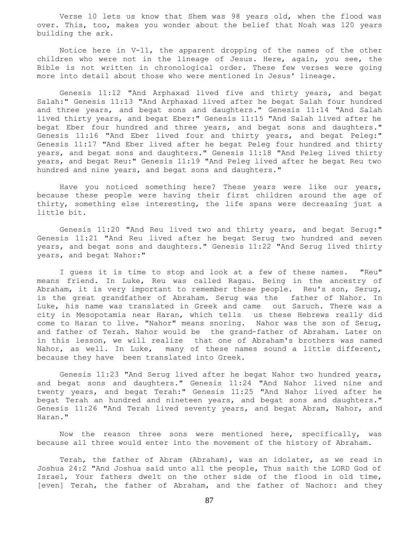Verse 10 lets us know that Shem was 98 years old, when the flood was over. This, too, makes you wonder about the belief that Noah was 120 years building the ark.

 Notice here in V-11, the apparent dropping of the names of the other children who were not in the lineage of Jesus. Here, again, you see, the Bible is not written in chronological order. These few verses were going more into detail about those who were mentioned in Jesus' lineage.

 Genesis 11:12 "And Arphaxad lived five and thirty years, and begat Salah:" Genesis 11:13 "And Arphaxad lived after he begat Salah four hundred and three years, and begat sons and daughters." Genesis 11:14 "And Salah lived thirty years, and begat Eber:" Genesis 11:15 "And Salah lived after he begat Eber four hundred and three years, and begat sons and daughters." Genesis 11:16 "And Eber lived four and thirty years, and begat Peleg:" Genesis 11:17 "And Eber lived after he begat Peleg four hundred and thirty years, and begat sons and daughters." Genesis 11:18 "And Peleg lived thirty years, and begat Reu:" Genesis 11:19 "And Peleg lived after he begat Reu two hundred and nine years, and begat sons and daughters."

 Have you noticed something here? These years were like our years, because these people were having their first children around the age of thirty, something else interesting, the life spans were decreasing just a little bit.

 Genesis 11:20 "And Reu lived two and thirty years, and begat Serug:" Genesis 11:21 "And Reu lived after he begat Serug two hundred and seven years, and begat sons and daughters." Genesis 11:22 "And Serug lived thirty years, and begat Nahor:"

 I guess it is time to stop and look at a few of these names. "Reu" means friend. In Luke, Reu was called Ragau. Being in the ancestry of Abraham, it is very important to remember these people. Reu's son, Serug, is the great grandfather of Abraham. Serug was the father of Nahor. In Luke, his name was translated in Greek and came out Saruch. There was a city in Mesopotamia near Haran, which tells us these Hebrews really did come to Haran to live. "Nahor" means snoring. Nahor was the son of Serug, and father of Terah. Nahor would be the grand-father of Abraham. Later on in this lesson, we will realize that one of Abraham's brothers was named Nahor, as well. In Luke, many of these names sound a little different, because they have been translated into Greek.

 Genesis 11:23 "And Serug lived after he begat Nahor two hundred years, and begat sons and daughters." Genesis 11:24 "And Nahor lived nine and twenty years, and begat Terah:" Genesis 11:25 "And Nahor lived after he begat Terah an hundred and nineteen years, and begat sons and daughters." Genesis 11:26 "And Terah lived seventy years, and begat Abram, Nahor, and Haran."

 Now the reason three sons were mentioned here, specifically, was because all three would enter into the movement of the history of Abraham.

 Terah, the father of Abram (Abraham), was an idolater, as we read in Joshua 24:2 "And Joshua said unto all the people, Thus saith the LORD God of Israel, Your fathers dwelt on the other side of the flood in old time, [even] Terah, the father of Abraham, and the father of Nachor: and they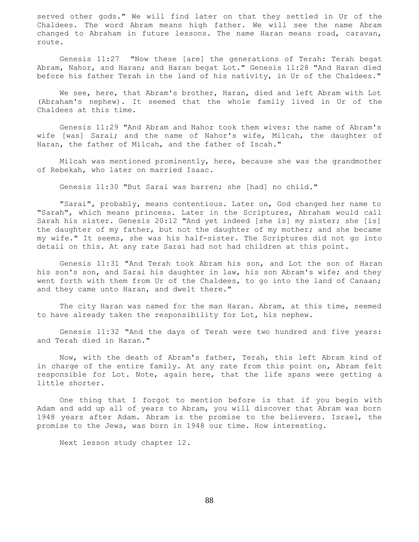served other gods." We will find later on that they settled in Ur of the Chaldees. The word Abram means high father. We will see the name Abram changed to Abraham in future lessons. The name Haran means road, caravan, route.

 Genesis 11:27 "Now these [are] the generations of Terah: Terah begat Abram, Nahor, and Haran; and Haran begat Lot." Genesis 11:28 "And Haran died before his father Terah in the land of his nativity, in Ur of the Chaldees."

 We see, here, that Abram's brother, Haran, died and left Abram with Lot (Abraham's nephew). It seemed that the whole family lived in Ur of the Chaldees at this time.

 Genesis 11:29 "And Abram and Nahor took them wives: the name of Abram's wife [was] Sarai; and the name of Nahor's wife, Milcah, the daughter of Haran, the father of Milcah, and the father of Iscah."

 Milcah was mentioned prominently, here, because she was the grandmother of Rebekah, who later on married Isaac.

Genesis 11:30 "But Sarai was barren; she [had] no child."

 "Sarai", probably, means contentious. Later on, God changed her name to "Sarah", which means princess. Later in the Scriptures, Abraham would call Sarah his sister. Genesis 20:12 "And yet indeed [she is] my sister; she [is] the daughter of my father, but not the daughter of my mother; and she became my wife." It seems, she was his half-sister. The Scriptures did not go into detail on this. At any rate Sarai had not had children at this point.

 Genesis 11:31 "And Terah took Abram his son, and Lot the son of Haran his son's son, and Sarai his daughter in law, his son Abram's wife; and they went forth with them from Ur of the Chaldees, to go into the land of Canaan; and they came unto Haran, and dwelt there."

 The city Haran was named for the man Haran. Abram, at this time, seemed to have already taken the responsibility for Lot, his nephew.

 Genesis 11:32 "And the days of Terah were two hundred and five years: and Terah died in Haran."

 Now, with the death of Abram's father, Terah, this left Abram kind of in charge of the entire family. At any rate from this point on, Abram felt responsible for Lot. Note, again here, that the life spans were getting a little shorter.

 One thing that I forgot to mention before is that if you begin with Adam and add up all of years to Abram, you will discover that Abram was born 1948 years after Adam. Abram is the promise to the believers. Israel, the promise to the Jews, was born in 1948 our time. How interesting.

Next lesson study chapter 12.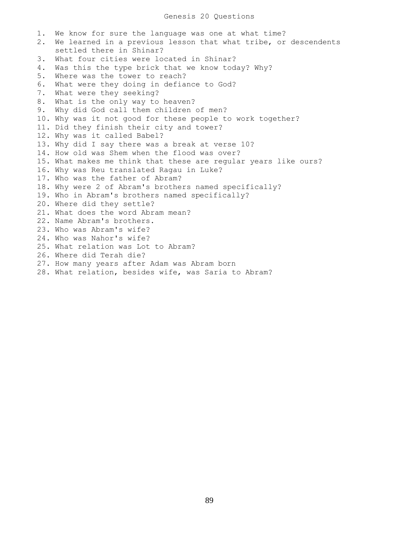# Genesis 20 Questions

1. We know for sure the language was one at what time? 2. We learned in a previous lesson that what tribe, or descendents settled there in Shinar? 3. What four cities were located in Shinar? 4. Was this the type brick that we know today? Why? 5. Where was the tower to reach? 6. What were they doing in defiance to God? 7. What were they seeking? 8. What is the only way to heaven? 9. Why did God call them children of men? 10. Why was it not good for these people to work together? 11. Did they finish their city and tower? 12. Why was it called Babel? 13. Why did I say there was a break at verse 10? 14. How old was Shem when the flood was over? 15. What makes me think that these are regular years like ours? 16. Why was Reu translated Ragau in Luke? 17. Who was the father of Abram? 18. Why were 2 of Abram's brothers named specifically? 19. Who in Abram's brothers named specifically? 20. Where did they settle? 21. What does the word Abram mean? 22. Name Abram's brothers. 23. Who was Abram's wife? 24. Who was Nahor's wife? 25. What relation was Lot to Abram? 26. Where did Terah die? 27. How many years after Adam was Abram born 28. What relation, besides wife, was Saria to Abram?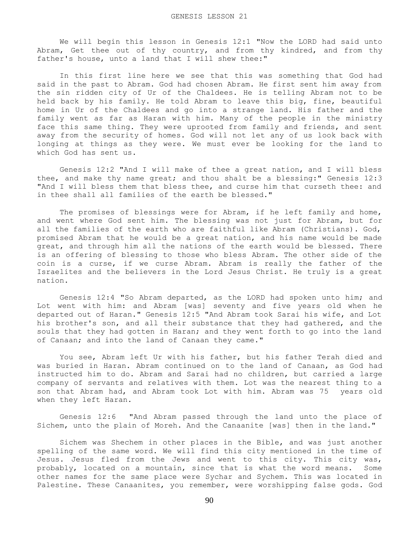We will begin this lesson in Genesis 12:1 "Now the LORD had said unto Abram, Get thee out of thy country, and from thy kindred, and from thy father's house, unto a land that I will shew thee:"

 In this first line here we see that this was something that God had said in the past to Abram. God had chosen Abram. He first sent him away from the sin ridden city of Ur of the Chaldees. He is telling Abram not to be held back by his family. He told Abram to leave this big, fine, beautiful home in Ur of the Chaldees and go into a strange land. His father and the family went as far as Haran with him. Many of the people in the ministry face this same thing. They were uprooted from family and friends, and sent away from the security of homes. God will not let any of us look back with longing at things as they were. We must ever be looking for the land to which God has sent us.

 Genesis 12:2 "And I will make of thee a great nation, and I will bless thee, and make thy name great; and thou shalt be a blessing:" Genesis 12:3 "And I will bless them that bless thee, and curse him that curseth thee: and in thee shall all families of the earth be blessed."

 The promises of blessings were for Abram, if he left family and home, and went where God sent him. The blessing was not just for Abram, but for all the families of the earth who are faithful like Abram (Christians). God, promised Abram that he would be a great nation, and his name would be made great, and through him all the nations of the earth would be blessed. There is an offering of blessing to those who bless Abram. The other side of the coin is a curse, if we curse Abram. Abram is really the father of the Israelites and the believers in the Lord Jesus Christ. He truly is a great nation.

 Genesis 12:4 "So Abram departed, as the LORD had spoken unto him; and Lot went with him: and Abram [was] seventy and five years old when he departed out of Haran." Genesis 12:5 "And Abram took Sarai his wife, and Lot his brother's son, and all their substance that they had gathered, and the souls that they had gotten in Haran; and they went forth to go into the land of Canaan; and into the land of Canaan they came."

 You see, Abram left Ur with his father, but his father Terah died and was buried in Haran. Abram continued on to the land of Canaan, as God had instructed him to do. Abram and Sarai had no children, but carried a large company of servants and relatives with them. Lot was the nearest thing to a son that Abram had, and Abram took Lot with him. Abram was 75 years old when they left Haran.

 Genesis 12:6 "And Abram passed through the land unto the place of Sichem, unto the plain of Moreh. And the Canaanite [was] then in the land."

 Sichem was Shechem in other places in the Bible, and was just another spelling of the same word. We will find this city mentioned in the time of Jesus. Jesus fled from the Jews and went to this city. This city was, probably, located on a mountain, since that is what the word means. Some other names for the same place were Sychar and Sychem. This was located in Palestine. These Canaanites, you remember, were worshipping false gods. God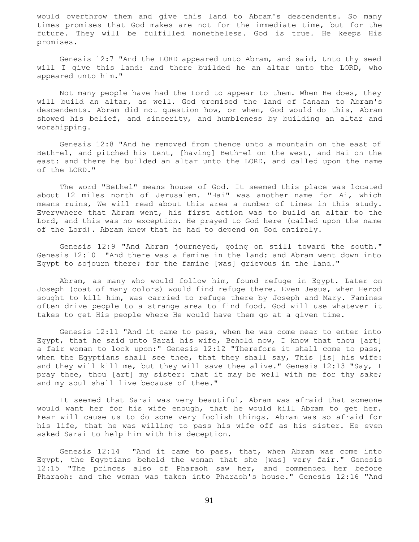would overthrow them and give this land to Abram's descendents. So many times promises that God makes are not for the immediate time, but for the future. They will be fulfilled nonetheless. God is true. He keeps His promises.

 Genesis 12:7 "And the LORD appeared unto Abram, and said, Unto thy seed will I give this land: and there builded he an altar unto the LORD, who appeared unto him."

 Not many people have had the Lord to appear to them. When He does, they will build an altar, as well. God promised the land of Canaan to Abram's descendents. Abram did not question how, or when, God would do this, Abram showed his belief, and sincerity, and humbleness by building an altar and worshipping.

 Genesis 12:8 "And he removed from thence unto a mountain on the east of Beth-el, and pitched his tent, [having] Beth-el on the west, and Hai on the east: and there he builded an altar unto the LORD, and called upon the name of the LORD."

 The word "Bethel" means house of God. It seemed this place was located about 12 miles north of Jerusalem. "Hai" was another name for Ai, which means ruins, We will read about this area a number of times in this study. Everywhere that Abram went, his first action was to build an altar to the Lord, and this was no exception. He prayed to God here (called upon the name of the Lord). Abram knew that he had to depend on God entirely.

 Genesis 12:9 "And Abram journeyed, going on still toward the south." Genesis 12:10 "And there was a famine in the land: and Abram went down into Egypt to sojourn there; for the famine [was] grievous in the land."

 Abram, as many who would follow him, found refuge in Egypt. Later on Joseph (coat of many colors) would find refuge there. Even Jesus, when Herod sought to kill him, was carried to refuge there by Joseph and Mary. Famines often drive people to a strange area to find food. God will use whatever it takes to get His people where He would have them go at a given time.

 Genesis 12:11 "And it came to pass, when he was come near to enter into Egypt, that he said unto Sarai his wife, Behold now, I know that thou [art] a fair woman to look upon:" Genesis 12:12 "Therefore it shall come to pass, when the Egyptians shall see thee, that they shall say, This [is] his wife: and they will kill me, but they will save thee alive." Genesis 12:13 "Say, I pray thee, thou [art] my sister: that it may be well with me for thy sake; and my soul shall live because of thee."

 It seemed that Sarai was very beautiful, Abram was afraid that someone would want her for his wife enough, that he would kill Abram to get her. Fear will cause us to do some very foolish things. Abram was so afraid for his life, that he was willing to pass his wife off as his sister. He even asked Sarai to help him with his deception.

 Genesis 12:14 "And it came to pass, that, when Abram was come into Egypt, the Egyptians beheld the woman that she [was] very fair." Genesis 12:15 "The princes also of Pharaoh saw her, and commended her before Pharaoh: and the woman was taken into Pharaoh's house." Genesis 12:16 "And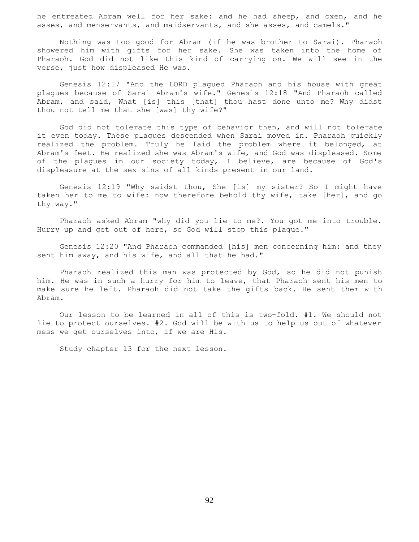he entreated Abram well for her sake: and he had sheep, and oxen, and he asses, and menservants, and maidservants, and she asses, and camels."

 Nothing was too good for Abram (if he was brother to Sarai). Pharaoh showered him with gifts for her sake. She was taken into the home of Pharaoh. God did not like this kind of carrying on. We will see in the verse, just how displeased He was.

 Genesis 12:17 "And the LORD plagued Pharaoh and his house with great plagues because of Sarai Abram's wife." Genesis 12:18 "And Pharaoh called Abram, and said, What [is] this [that] thou hast done unto me? Why didst thou not tell me that she [was] thy wife?"

 God did not tolerate this type of behavior then, and will not tolerate it even today. These plagues descended when Sarai moved in. Pharaoh quickly realized the problem. Truly he laid the problem where it belonged, at Abram's feet. He realized she was Abram's wife, and God was displeased. Some of the plagues in our society today, I believe, are because of God's displeasure at the sex sins of all kinds present in our land.

 Genesis 12:19 "Why saidst thou, She [is] my sister? So I might have taken her to me to wife: now therefore behold thy wife, take [her], and go thy way."

 Pharaoh asked Abram "why did you lie to me?. You got me into trouble. Hurry up and get out of here, so God will stop this plague."

 Genesis 12:20 "And Pharaoh commanded [his] men concerning him: and they sent him away, and his wife, and all that he had."

 Pharaoh realized this man was protected by God, so he did not punish him. He was in such a hurry for him to leave, that Pharaoh sent his men to make sure he left. Pharaoh did not take the gifts back. He sent them with Abram.

 Our lesson to be learned in all of this is two-fold. #1. We should not lie to protect ourselves. #2. God will be with us to help us out of whatever mess we get ourselves into, if we are His.

Study chapter 13 for the next lesson.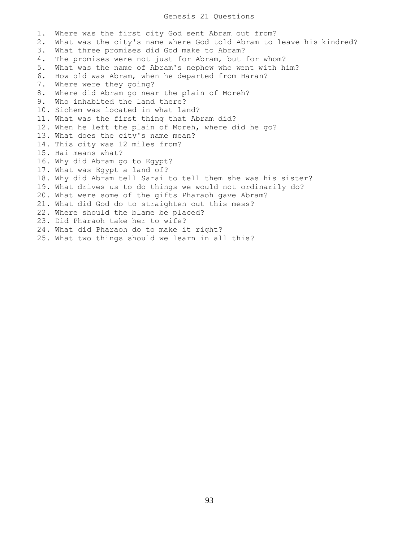### Genesis 21 Questions

1. Where was the first city God sent Abram out from? 2. What was the city's name where God told Abram to leave his kindred? 3. What three promises did God make to Abram? 4. The promises were not just for Abram, but for whom? 5. What was the name of Abram's nephew who went with him? 6. How old was Abram, when he departed from Haran? 7. Where were they going? 8. Where did Abram go near the plain of Moreh? 9. Who inhabited the land there? 10. Sichem was located in what land? 11. What was the first thing that Abram did? 12. When he left the plain of Moreh, where did he go? 13. What does the city's name mean? 14. This city was 12 miles from? 15. Hai means what? 16. Why did Abram go to Egypt? 17. What was Egypt a land of? 18. Why did Abram tell Sarai to tell them she was his sister? 19. What drives us to do things we would not ordinarily do? 20. What were some of the gifts Pharaoh gave Abram? 21. What did God do to straighten out this mess? 22. Where should the blame be placed? 23. Did Pharaoh take her to wife? 24. What did Pharaoh do to make it right? 25. What two things should we learn in all this?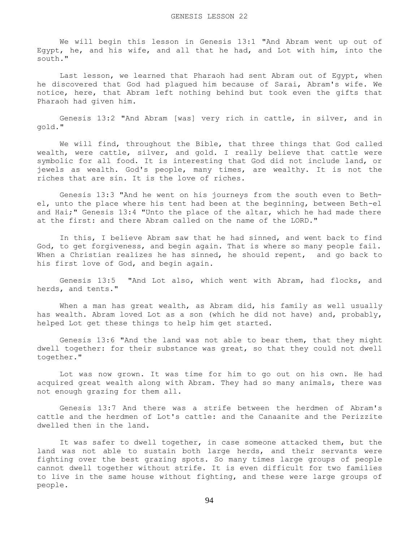We will begin this lesson in Genesis 13:1 "And Abram went up out of Egypt, he, and his wife, and all that he had, and Lot with him, into the south."

 Last lesson, we learned that Pharaoh had sent Abram out of Egypt, when he discovered that God had plagued him because of Sarai, Abram's wife. We notice, here, that Abram left nothing behind but took even the gifts that Pharaoh had given him.

 Genesis 13:2 "And Abram [was] very rich in cattle, in silver, and in gold."

 We will find, throughout the Bible, that three things that God called wealth, were cattle, silver, and gold. I really believe that cattle were symbolic for all food. It is interesting that God did not include land, or jewels as wealth. God's people, many times, are wealthy. It is not the riches that are sin. It is the love of riches.

 Genesis 13:3 "And he went on his journeys from the south even to Bethel, unto the place where his tent had been at the beginning, between Beth-el and Hai;" Genesis 13:4 "Unto the place of the altar, which he had made there at the first: and there Abram called on the name of the LORD."

 In this, I believe Abram saw that he had sinned, and went back to find God, to get forgiveness, and begin again. That is where so many people fail. When a Christian realizes he has sinned, he should repent, and go back to his first love of God, and begin again.

 Genesis 13:5 "And Lot also, which went with Abram, had flocks, and herds, and tents."

When a man has great wealth, as Abram did, his family as well usually has wealth. Abram loved Lot as a son (which he did not have) and, probably, helped Lot get these things to help him get started.

 Genesis 13:6 "And the land was not able to bear them, that they might dwell together: for their substance was great, so that they could not dwell together."

 Lot was now grown. It was time for him to go out on his own. He had acquired great wealth along with Abram. They had so many animals, there was not enough grazing for them all.

 Genesis 13:7 And there was a strife between the herdmen of Abram's cattle and the herdmen of Lot's cattle: and the Canaanite and the Perizzite dwelled then in the land.

 It was safer to dwell together, in case someone attacked them, but the land was not able to sustain both large herds, and their servants were fighting over the best grazing spots. So many times large groups of people cannot dwell together without strife. It is even difficult for two families to live in the same house without fighting, and these were large groups of people.

94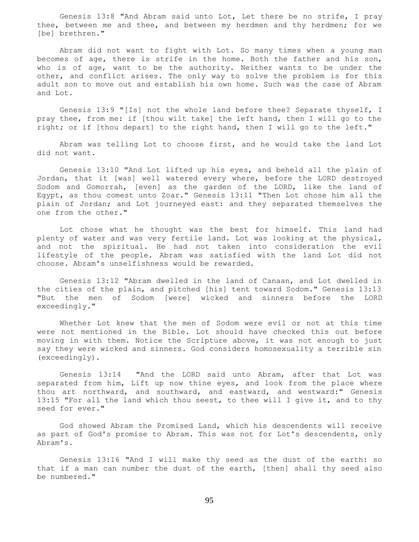Genesis 13:8 "And Abram said unto Lot, Let there be no strife, I pray thee, between me and thee, and between my herdmen and thy herdmen; for we [be] brethren."

 Abram did not want to fight with Lot. So many times when a young man becomes of age, there is strife in the home. Both the father and his son, who is of age, want to be the authority. Neither wants to be under the other, and conflict arises. The only way to solve the problem is for this adult son to move out and establish his own home. Such was the case of Abram and Lot.

 Genesis 13:9 "[Is] not the whole land before thee? Separate thyself, I pray thee, from me: if [thou wilt take] the left hand, then I will go to the right; or if [thou depart] to the right hand, then I will go to the left."

 Abram was telling Lot to choose first, and he would take the land Lot did not want.

 Genesis 13:10 "And Lot lifted up his eyes, and beheld all the plain of Jordan, that it [was] well watered every where, before the LORD destroyed Sodom and Gomorrah, [even] as the garden of the LORD, like the land of Egypt, as thou comest unto Zoar." Genesis 13:11 "Then Lot chose him all the plain of Jordan; and Lot journeyed east: and they separated themselves the one from the other."

 Lot chose what he thought was the best for himself. This land had plenty of water and was very fertile land. Lot was looking at the physical, and not the spiritual. He had not taken into consideration the evil lifestyle of the people. Abram was satisfied with the land Lot did not choose. Abram's unselfishness would be rewarded.

 Genesis 13:12 "Abram dwelled in the land of Canaan, and Lot dwelled in the cities of the plain, and pitched [his] tent toward Sodom." Genesis 13:13 "But the men of Sodom [were] wicked and sinners before the LORD exceedingly."

 Whether Lot knew that the men of Sodom were evil or not at this time were not mentioned in the Bible. Lot should have checked this out before moving in with them. Notice the Scripture above, it was not enough to just say they were wicked and sinners. God considers homosexuality a terrible sin (exceedingly).

 Genesis 13:14 "And the LORD said unto Abram, after that Lot was separated from him, Lift up now thine eyes, and look from the place where thou art northward, and southward, and eastward, and westward:" Genesis 13:15 "For all the land which thou seest, to thee will I give it, and to thy seed for ever."

 God showed Abram the Promised Land, which his descendents will receive as part of God's promise to Abram. This was not for Lot's descendents, only Abram's.

 Genesis 13:16 "And I will make thy seed as the dust of the earth: so that if a man can number the dust of the earth, [then] shall thy seed also be numbered."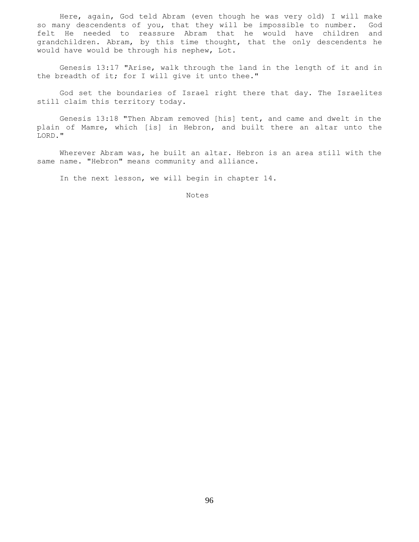Here, again, God teld Abram (even though he was very old) I will make so many descendents of you, that they will be impossible to number. God felt He needed to reassure Abram that he would have children and grandchildren. Abram, by this time thought, that the only descendents he would have would be through his nephew, Lot.

 Genesis 13:17 "Arise, walk through the land in the length of it and in the breadth of it; for I will give it unto thee."

 God set the boundaries of Israel right there that day. The Israelites still claim this territory today.

 Genesis 13:18 "Then Abram removed [his] tent, and came and dwelt in the plain of Mamre, which [is] in Hebron, and built there an altar unto the LORD."

 Wherever Abram was, he built an altar. Hebron is an area still with the same name. "Hebron" means community and alliance.

In the next lesson, we will begin in chapter 14.

Notes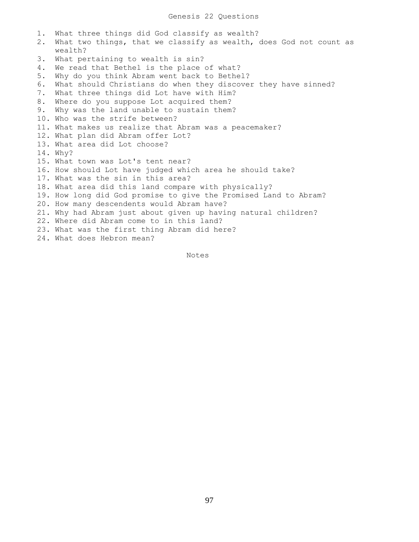1. What three things did God classify as wealth? 2. What two things, that we classify as wealth, does God not count as wealth? 3. What pertaining to wealth is sin? 4. We read that Bethel is the place of what? 5. Why do you think Abram went back to Bethel? 6. What should Christians do when they discover they have sinned? 7. What three things did Lot have with Him? 8. Where do you suppose Lot acquired them? 9. Why was the land unable to sustain them? 10. Who was the strife between? 11. What makes us realize that Abram was a peacemaker? 12. What plan did Abram offer Lot? 13. What area did Lot choose? 14. Why? 15. What town was Lot's tent near? 16. How should Lot have judged which area he should take? 17. What was the sin in this area? 18. What area did this land compare with physically? 19. How long did God promise to give the Promised Land to Abram? 20. How many descendents would Abram have? 21. Why had Abram just about given up having natural children? 22. Where did Abram come to in this land? 23. What was the first thing Abram did here? 24. What does Hebron mean?

Notes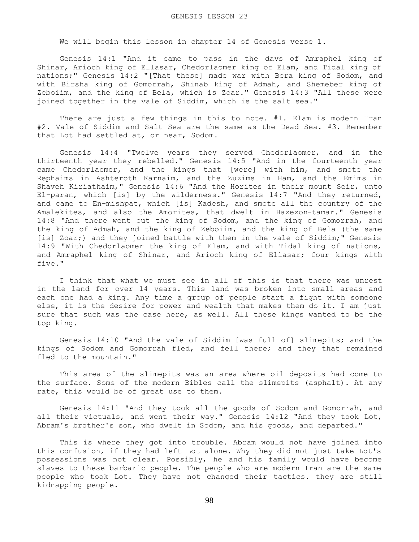We will begin this lesson in chapter 14 of Genesis verse 1.

 Genesis 14:1 "And it came to pass in the days of Amraphel king of Shinar, Arioch king of Ellasar, Chedorlaomer king of Elam, and Tidal king of nations;" Genesis 14:2 "[That these] made war with Bera king of Sodom, and with Birsha king of Gomorrah, Shinab king of Admah, and Shemeber king of Zeboiim, and the king of Bela, which is Zoar." Genesis 14:3 "All these were joined together in the vale of Siddim, which is the salt sea."

 There are just a few things in this to note. #1. Elam is modern Iran #2. Vale of Siddim and Salt Sea are the same as the Dead Sea. #3. Remember that Lot had settled at, or near, Sodom.

 Genesis 14:4 "Twelve years they served Chedorlaomer, and in the thirteenth year they rebelled." Genesis 14:5 "And in the fourteenth year came Chedorlaomer, and the kings that [were] with him, and smote the Rephaims in Ashteroth Karnaim, and the Zuzims in Ham, and the Emims in Shaveh Kiriathaim," Genesis 14:6 "And the Horites in their mount Seir, unto El-paran, which [is] by the wilderness." Genesis 14:7 "And they returned, and came to En-mishpat, which [is] Kadesh, and smote all the country of the Amalekites, and also the Amorites, that dwelt in Hazezon-tamar." Genesis 14:8 "And there went out the king of Sodom, and the king of Gomorrah, and the king of Admah, and the king of Zeboiim, and the king of Bela (the same [is] Zoar;) and they joined battle with them in the vale of Siddim;" Genesis 14:9 "With Chedorlaomer the king of Elam, and with Tidal king of nations, and Amraphel king of Shinar, and Arioch king of Ellasar; four kings with five."

 I think that what we must see in all of this is that there was unrest in the land for over 14 years. This land was broken into small areas and each one had a king. Any time a group of people start a fight with someone else, it is the desire for power and wealth that makes them do it. I am just sure that such was the case here, as well. All these kings wanted to be the top king.

 Genesis 14:10 "And the vale of Siddim [was full of] slimepits; and the kings of Sodom and Gomorrah fled, and fell there; and they that remained fled to the mountain."

 This area of the slimepits was an area where oil deposits had come to the surface. Some of the modern Bibles call the slimepits (asphalt). At any rate, this would be of great use to them.

 Genesis 14:11 "And they took all the goods of Sodom and Gomorrah, and all their victuals, and went their way." Genesis 14:12 "And they took Lot, Abram's brother's son, who dwelt in Sodom, and his goods, and departed."

 This is where they got into trouble. Abram would not have joined into this confusion, if they had left Lot alone. Why they did not just take Lot's possessions was not clear. Possibly, he and his family would have become slaves to these barbaric people. The people who are modern Iran are the same people who took Lot. They have not changed their tactics. they are still kidnapping people.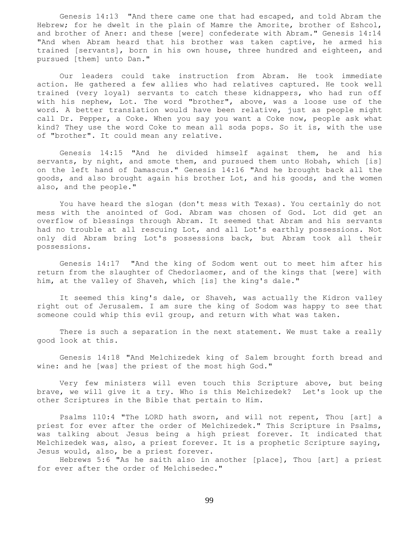Genesis 14:13 "And there came one that had escaped, and told Abram the Hebrew; for he dwelt in the plain of Mamre the Amorite, brother of Eshcol, and brother of Aner: and these [were] confederate with Abram." Genesis 14:14 "And when Abram heard that his brother was taken captive, he armed his trained [servants], born in his own house, three hundred and eighteen, and pursued [them] unto Dan."

 Our leaders could take instruction from Abram. He took immediate action. He gathered a few allies who had relatives captured. He took well trained (very loyal) servants to catch these kidnappers, who had run off with his nephew, Lot. The word "brother", above, was a loose use of the word. A better translation would have been relative, just as people might call Dr. Pepper, a Coke. When you say you want a Coke now, people ask what kind? They use the word Coke to mean all soda pops. So it is, with the use of "brother". It could mean any relative.

 Genesis 14:15 "And he divided himself against them, he and his servants, by night, and smote them, and pursued them unto Hobah, which [is] on the left hand of Damascus." Genesis 14:16 "And he brought back all the goods, and also brought again his brother Lot, and his goods, and the women also, and the people."

 You have heard the slogan (don't mess with Texas). You certainly do not mess with the anointed of God. Abram was chosen of God. Lot did get an overflow of blessings through Abram. It seemed that Abram and his servants had no trouble at all rescuing Lot, and all Lot's earthly possessions. Not only did Abram bring Lot's possessions back, but Abram took all their possessions.

 Genesis 14:17 "And the king of Sodom went out to meet him after his return from the slaughter of Chedorlaomer, and of the kings that [were] with him, at the valley of Shaveh, which [is] the king's dale."

 It seemed this king's dale, or Shaveh, was actually the Kidron valley right out of Jerusalem. I am sure the king of Sodom was happy to see that someone could whip this evil group, and return with what was taken.

 There is such a separation in the next statement. We must take a really good look at this.

 Genesis 14:18 "And Melchizedek king of Salem brought forth bread and wine: and he [was] the priest of the most high God."

 Very few ministers will even touch this Scripture above, but being brave, we will give it a try. Who is this Melchizedek? Let's look up the other Scriptures in the Bible that pertain to Him.

 Psalms 110:4 "The LORD hath sworn, and will not repent, Thou [art] a priest for ever after the order of Melchizedek." This Scripture in Psalms, was talking about Jesus being a high priest forever. It indicated that Melchizedek was, also, a priest forever. It is a prophetic Scripture saying, Jesus would, also, be a priest forever.

 Hebrews 5:6 "As he saith also in another [place], Thou [art] a priest for ever after the order of Melchisedec."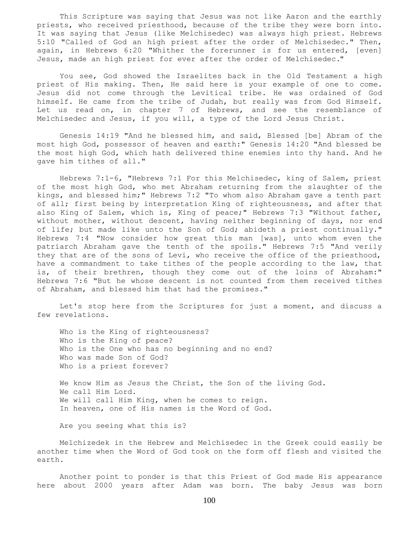This Scripture was saying that Jesus was not like Aaron and the earthly priests, who received priesthood, because of the tribe they were born into. It was saying that Jesus (like Melchisedec) was always high priest. Hebrews 5:10 "Called of God an high priest after the order of Melchisedec." Then, again, in Hebrews 6:20 "Whither the forerunner is for us entered, [even] Jesus, made an high priest for ever after the order of Melchisedec."

 You see, God showed the Israelites back in the Old Testament a high priest of His making. Then, He said here is your example of one to come. Jesus did not come through the Levitical tribe. He was ordained of God himself. He came from the tribe of Judah, but really was from God Himself. Let us read on, in chapter 7 of Hebrews, and see the resemblance of Melchisedec and Jesus, if you will, a type of the Lord Jesus Christ.

 Genesis 14:19 "And he blessed him, and said, Blessed [be] Abram of the most high God, possessor of heaven and earth:" Genesis 14:20 "And blessed be the most high God, which hath delivered thine enemies into thy hand. And he gave him tithes of all."

 Hebrews 7:1-6, "Hebrews 7:1 For this Melchisedec, king of Salem, priest of the most high God, who met Abraham returning from the slaughter of the kings, and blessed him;" Hebrews 7:2 "To whom also Abraham gave a tenth part of all; first being by interpretation King of righteousness, and after that also King of Salem, which is, King of peace;" Hebrews 7:3 "Without father, without mother, without descent, having neither beginning of days, nor end of life; but made like unto the Son of God; abideth a priest continually." Hebrews 7:4 "Now consider how great this man [was], unto whom even the patriarch Abraham gave the tenth of the spoils." Hebrews 7:5 "And verily they that are of the sons of Levi, who receive the office of the priesthood, have a commandment to take tithes of the people according to the law, that is, of their brethren, though they come out of the loins of Abraham:" Hebrews 7:6 "But he whose descent is not counted from them received tithes of Abraham, and blessed him that had the promises."

 Let's stop here from the Scriptures for just a moment, and discuss a few revelations.

 Who is the King of righteousness? Who is the King of peace? Who is the One who has no beginning and no end? Who was made Son of God? Who is a priest forever?

 We know Him as Jesus the Christ, the Son of the living God. We call Him Lord. We will call Him King, when he comes to reign. In heaven, one of His names is the Word of God.

Are you seeing what this is?

 Melchizedek in the Hebrew and Melchisedec in the Greek could easily be another time when the Word of God took on the form off flesh and visited the earth.

 Another point to ponder is that this Priest of God made His appearance here about 2000 years after Adam was born. The baby Jesus was born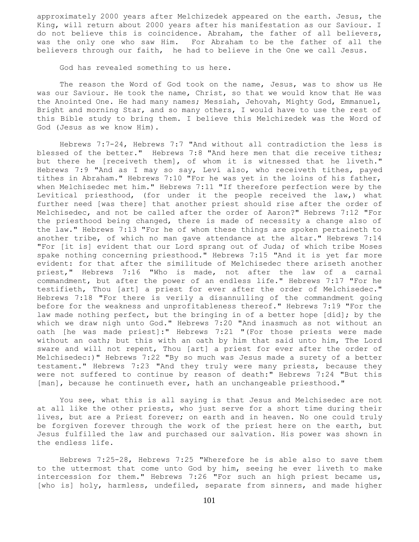approximately 2000 years after Melchizedek appeared on the earth. Jesus, the King, will return about 2000 years after his manifestation as our Saviour. I do not believe this is coincidence. Abraham, the father of all believers, was the only one who saw Him. For Abraham to be the father of all the believers through our faith, he had to believe in the One we call Jesus.

God has revealed something to us here.

 The reason the Word of God took on the name, Jesus, was to show us He was our Saviour. He took the name, Christ, so that we would know that He was the Anointed One. He had many names; Messiah, Jehovah, Mighty God, Emmanuel, Bright and morning Star, and so many others, I would have to use the rest of this Bible study to bring them. I believe this Melchizedek was the Word of God (Jesus as we know Him).

 Hebrews 7:7-24, Hebrews 7:7 "And without all contradiction the less is blessed of the better." Hebrews 7:8 "And here men that die receive tithes; but there he [receiveth them], of whom it is witnessed that he liveth." Hebrews 7:9 "And as I may so say, Levi also, who receiveth tithes, payed tithes in Abraham." Hebrews 7:10 "For he was yet in the loins of his father, when Melchisedec met him." Hebrews 7:11 "If therefore perfection were by the Levitical priesthood, (for under it the people received the law,) what further need [was there] that another priest should rise after the order of Melchisedec, and not be called after the order of Aaron?" Hebrews 7:12 "For the priesthood being changed, there is made of necessity a change also of the law." Hebrews 7:13 "For he of whom these things are spoken pertaineth to another tribe, of which no man gave attendance at the altar." Hebrews 7:14 "For [it is] evident that our Lord sprang out of Juda; of which tribe Moses spake nothing concerning priesthood." Hebrews 7:15 "And it is yet far more evident: for that after the similitude of Melchisedec there ariseth another priest," Hebrews 7:16 "Who is made, not after the law of a carnal commandment, but after the power of an endless life." Hebrews 7:17 "For he testifieth, Thou [art] a priest for ever after the order of Melchisedec." Hebrews 7:18 "For there is verily a disannulling of the commandment going before for the weakness and unprofitableness thereof." Hebrews 7:19 "For the law made nothing perfect, but the bringing in of a better hope [did]; by the which we draw nigh unto God." Hebrews 7:20 "And inasmuch as not without an oath [he was made priest]:" Hebrews 7:21 "(For those priests were made without an oath; but this with an oath by him that said unto him, The Lord sware and will not repent, Thou [art] a priest for ever after the order of Melchisedec:)" Hebrews 7:22 "By so much was Jesus made a surety of a better testament." Hebrews 7:23 "And they truly were many priests, because they were not suffered to continue by reason of death:" Hebrews 7:24 "But this [man], because he continueth ever, hath an unchangeable priesthood."

 You see, what this is all saying is that Jesus and Melchisedec are not at all like the other priests, who just serve for a short time during their lives, but are a Priest forever; on earth and in heaven. No one could truly be forgiven forever through the work of the priest here on the earth, but Jesus fulfilled the law and purchased our salvation. His power was shown in the endless life.

 Hebrews 7:25-28, Hebrews 7:25 "Wherefore he is able also to save them to the uttermost that come unto God by him, seeing he ever liveth to make intercession for them." Hebrews 7:26 "For such an high priest became us, [who is] holy, harmless, undefiled, separate from sinners, and made higher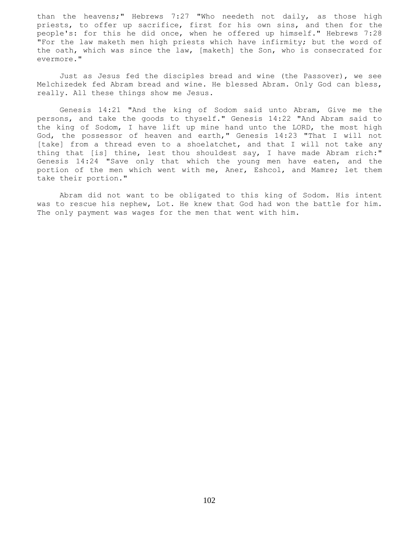than the heavens;" Hebrews 7:27 "Who needeth not daily, as those high priests, to offer up sacrifice, first for his own sins, and then for the people's: for this he did once, when he offered up himself." Hebrews 7:28 "For the law maketh men high priests which have infirmity; but the word of the oath, which was since the law, [maketh] the Son, who is consecrated for evermore."

 Just as Jesus fed the disciples bread and wine (the Passover), we see Melchizedek fed Abram bread and wine. He blessed Abram. Only God can bless, really. All these things show me Jesus.

 Genesis 14:21 "And the king of Sodom said unto Abram, Give me the persons, and take the goods to thyself." Genesis 14:22 "And Abram said to the king of Sodom, I have lift up mine hand unto the LORD, the most high God, the possessor of heaven and earth," Genesis 14:23 "That I will not [take] from a thread even to a shoelatchet, and that I will not take any thing that [is] thine, lest thou shouldest say, I have made Abram rich:" Genesis 14:24 "Save only that which the young men have eaten, and the portion of the men which went with me, Aner, Eshcol, and Mamre; let them take their portion."

 Abram did not want to be obligated to this king of Sodom. His intent was to rescue his nephew, Lot. He knew that God had won the battle for him. The only payment was wages for the men that went with him.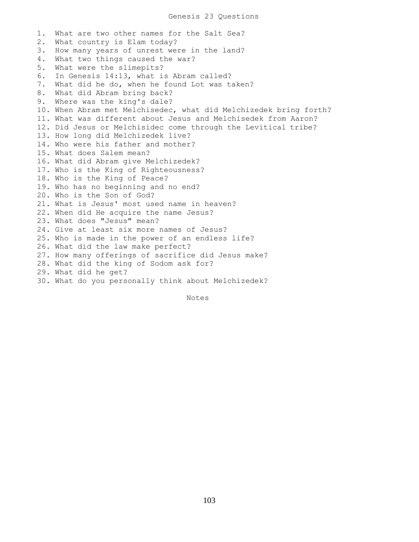1. What are two other names for the Salt Sea? 2. What country is Elam today? 3. How many years of unrest were in the land? 4. What two things caused the war? 5. What were the slimepits? 6. In Genesis 14:13, what is Abram called? 7. What did he do, when he found Lot was taken? 8. What did Abram bring back? 9. Where was the king's dale? 10. When Abram met Melchisedec, what did Melchizedek bring forth? 11. What was different about Jesus and Melchisedek from Aaron? 12. Did Jesus or Melchisidec come through the Levitical tribe? 13. How long did Melchizedek live? 14. Who were his father and mother? 15. What does Salem mean? 16. What did Abram give Melchizedek? 17. Who is the King of Righteousness? 18. Who is the King of Peace? 19. Who has no beginning and no end? 20. Who is the Son of God? 21. What is Jesus' most used name in heaven? 22. When did He acquire the name Jesus? 23. What does "Jesus" mean? 24. Give at least six more names of Jesus? 25. Who is made in the power of an endless life? 26. What did the law make perfect? 27. How many offerings of sacrifice did Jesus make? 28. What did the king of Sodom ask for? 29. What did he get? 30. What do you personally think about Melchizedek?

Notes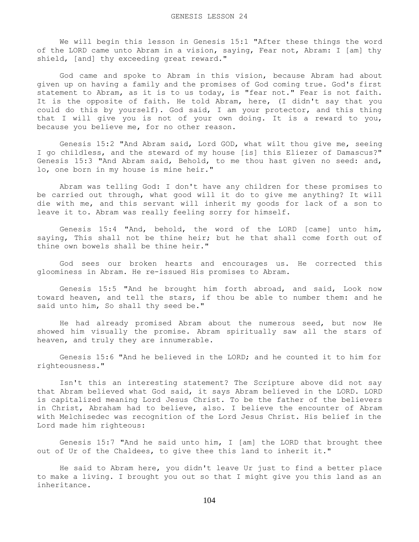We will begin this lesson in Genesis 15:1 "After these things the word of the LORD came unto Abram in a vision, saying, Fear not, Abram: I [am] thy shield, [and] thy exceeding great reward."

 God came and spoke to Abram in this vision, because Abram had about given up on having a family and the promises of God coming true. God's first statement to Abram, as it is to us today, is "fear not." Fear is not faith. It is the opposite of faith. He told Abram, here, (I didn't say that you could do this by yourself). God said, I am your protector, and this thing that I will give you is not of your own doing. It is a reward to you, because you believe me, for no other reason.

 Genesis 15:2 "And Abram said, Lord GOD, what wilt thou give me, seeing I go childless, and the steward of my house [is] this Eliezer of Damascus?" Genesis 15:3 "And Abram said, Behold, to me thou hast given no seed: and, lo, one born in my house is mine heir."

 Abram was telling God: I don't have any children for these promises to be carried out through, what good will it do to give me anything? It will die with me, and this servant will inherit my goods for lack of a son to leave it to. Abram was really feeling sorry for himself.

 Genesis 15:4 "And, behold, the word of the LORD [came] unto him, saying, This shall not be thine heir; but he that shall come forth out of thine own bowels shall be thine heir."

 God sees our broken hearts and encourages us. He corrected this gloominess in Abram. He re-issued His promises to Abram.

 Genesis 15:5 "And he brought him forth abroad, and said, Look now toward heaven, and tell the stars, if thou be able to number them: and he said unto him, So shall thy seed be."

 He had already promised Abram about the numerous seed, but now He showed him visually the promise. Abram spiritually saw all the stars of heaven, and truly they are innumerable.

 Genesis 15:6 "And he believed in the LORD; and he counted it to him for righteousness."

 Isn't this an interesting statement? The Scripture above did not say that Abram believed what God said, it says Abram believed in the LORD. LORD is capitalized meaning Lord Jesus Christ. To be the father of the believers in Christ, Abraham had to believe, also. I believe the encounter of Abram with Melchisedec was recognition of the Lord Jesus Christ. His belief in the Lord made him righteous:

 Genesis 15:7 "And he said unto him, I [am] the LORD that brought thee out of Ur of the Chaldees, to give thee this land to inherit it."

 He said to Abram here, you didn't leave Ur just to find a better place to make a living. I brought you out so that I might give you this land as an inheritance.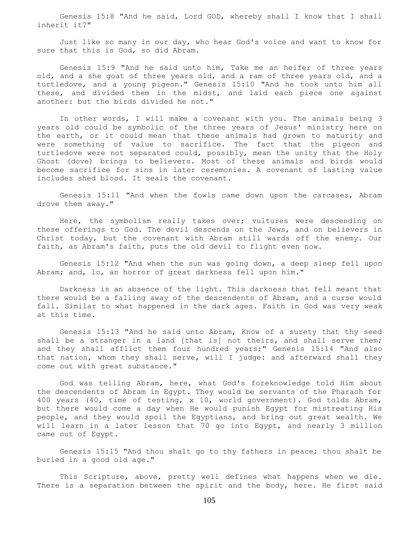Genesis 15:8 "And he said, Lord GOD, whereby shall I know that I shall inherit it?"

 Just like so many in our day, who hear God's voice and want to know for sure that this is God, so did Abram.

 Genesis 15:9 "And he said unto him, Take me an heifer of three years old, and a she goat of three years old, and a ram of three years old, and a turtledove, and a young pigeon." Genesis 15:10 "And he took unto him all these, and divided them in the midst, and laid each piece one against another: but the birds divided he not."

 In other words, I will make a covenant with you. The animals being 3 years old could be symbolic of the three years of Jesus' ministry here on the earth, or it could mean that these animals had grown to maturity and were something of value to sacrifice. The fact that the pigeon and turtledove were not separated could, possibly, mean the unity that the Holy Ghost (dove) brings to believers. Most of these animals and birds would become sacrifice for sins in later ceremonies. A covenant of lasting value includes shed blood. It seals the covenant.

 Genesis 15:11 "And when the fowls came down upon the carcases, Abram drove them away."

 Here, the symbolism really takes over; vultures were descending on these offerings to God. The devil descends on the Jews, and on believers in Christ today, but the covenant with Abram still wards off the enemy. Our faith, as Abram's faith, puts the old devil to flight even now.

 Genesis 15:12 "And when the sun was going down, a deep sleep fell upon Abram; and, lo, an horror of great darkness fell upon him."

 Darkness is an absence of the light. This darkness that fell meant that there would be a falling away of the descendents of Abram, and a curse would fall. Similar to what happened in the dark ages. Faith in God was very weak at this time.

 Genesis 15:13 "And he said unto Abram, Know of a surety that thy seed shall be a stranger in a land [that is] not theirs, and shall serve them; and they shall afflict them four hundred years;" Genesis 15:14 "And also that nation, whom they shall serve, will I judge: and afterward shall they come out with great substance."

 God was telling Abram, here, what God's foreknowledge told Him about the descendents of Abram in Egypt. They would be servants of the Pharaoh for 400 years (40, time of testing, x 10, world government). God tolds Abram, but there would come a day when He would punish Egypt for mistreating His people, and they would spoil the Egyptians, and bring out great wealth. We will learn in a later lesson that 70 go into Egypt, and nearly 3 million came out of Egypt.

 Genesis 15:15 "And thou shalt go to thy fathers in peace; thou shalt be buried in a good old age."

This Scripture, above, pretty well defines what happens when we die. There is a separation between the spirit and the body, here. He first said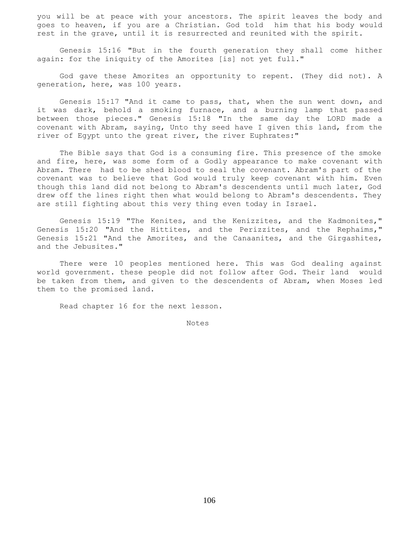you will be at peace with your ancestors. The spirit leaves the body and goes to heaven, if you are a Christian. God told him that his body would rest in the grave, until it is resurrected and reunited with the spirit.

 Genesis 15:16 "But in the fourth generation they shall come hither again: for the iniquity of the Amorites [is] not yet full."

 God gave these Amorites an opportunity to repent. (They did not). A generation, here, was 100 years.

 Genesis 15:17 "And it came to pass, that, when the sun went down, and it was dark, behold a smoking furnace, and a burning lamp that passed between those pieces." Genesis 15:18 "In the same day the LORD made a covenant with Abram, saying, Unto thy seed have I given this land, from the river of Egypt unto the great river, the river Euphrates:"

 The Bible says that God is a consuming fire. This presence of the smoke and fire, here, was some form of a Godly appearance to make covenant with Abram. There had to be shed blood to seal the covenant. Abram's part of the covenant was to believe that God would truly keep covenant with him. Even though this land did not belong to Abram's descendents until much later, God drew off the lines right then what would belong to Abram's descendents. They are still fighting about this very thing even today in Israel.

 Genesis 15:19 "The Kenites, and the Kenizzites, and the Kadmonites," Genesis 15:20 "And the Hittites, and the Perizzites, and the Rephaims," Genesis 15:21 "And the Amorites, and the Canaanites, and the Girgashites, and the Jebusites."

 There were 10 peoples mentioned here. This was God dealing against world government. these people did not follow after God. Their land would be taken from them, and given to the descendents of Abram, when Moses led them to the promised land.

Read chapter 16 for the next lesson.

Notes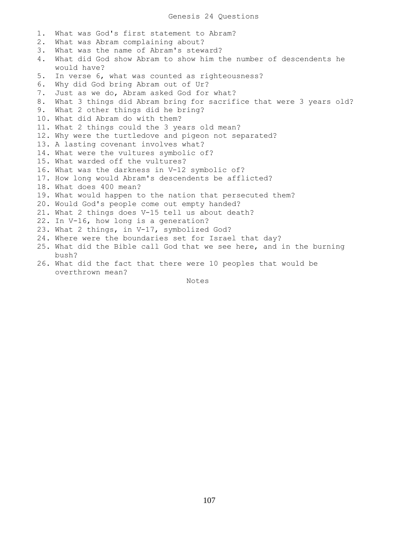1. What was God's first statement to Abram? 2. What was Abram complaining about? 3. What was the name of Abram's steward? 4. What did God show Abram to show him the number of descendents he would have? 5. In verse 6, what was counted as righteousness? 6. Why did God bring Abram out of Ur? 7. Just as we do, Abram asked God for what? 8. What 3 things did Abram bring for sacrifice that were 3 years old? 9. What 2 other things did he bring? 10. What did Abram do with them? 11. What 2 things could the 3 years old mean? 12. Why were the turtledove and pigeon not separated? 13. A lasting covenant involves what? 14. What were the vultures symbolic of? 15. What warded off the vultures? 16. What was the darkness in V-12 symbolic of? 17. How long would Abram's descendents be afflicted? 18. What does 400 mean? 19. What would happen to the nation that persecuted them? 20. Would God's people come out empty handed? 21. What 2 things does V-15 tell us about death? 22. In V-16, how long is a generation? 23. What 2 things, in V-17, symbolized God? 24. Where were the boundaries set for Israel that day? 25. What did the Bible call God that we see here, and in the burning bush? 26. What did the fact that there were 10 peoples that would be overthrown mean?

Notes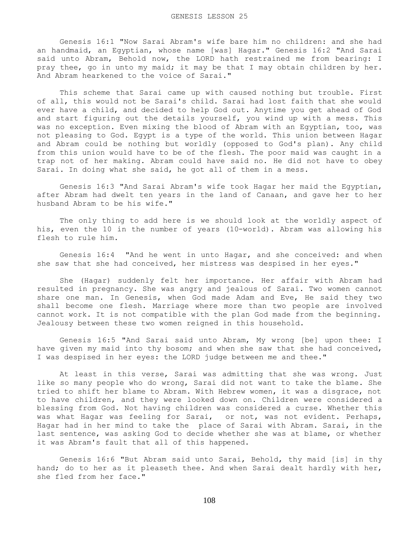Genesis 16:1 "Now Sarai Abram's wife bare him no children: and she had an handmaid, an Egyptian, whose name [was] Hagar." Genesis 16:2 "And Sarai said unto Abram, Behold now, the LORD hath restrained me from bearing: I pray thee, go in unto my maid; it may be that I may obtain children by her. And Abram hearkened to the voice of Sarai."

 This scheme that Sarai came up with caused nothing but trouble. First of all, this would not be Sarai's child. Sarai had lost faith that she would ever have a child, and decided to help God out. Anytime you get ahead of God and start figuring out the details yourself, you wind up with a mess. This was no exception. Even mixing the blood of Abram with an Egyptian, too, was not pleasing to God. Egypt is a type of the world. This union between Hagar and Abram could be nothing but worldly (opposed to God's plan). Any child from this union would have to be of the flesh. The poor maid was caught in a trap not of her making. Abram could have said no. He did not have to obey Sarai. In doing what she said, he got all of them in a mess.

 Genesis 16:3 "And Sarai Abram's wife took Hagar her maid the Egyptian, after Abram had dwelt ten years in the land of Canaan, and gave her to her husband Abram to be his wife."

 The only thing to add here is we should look at the worldly aspect of his, even the 10 in the number of years (10-world). Abram was allowing his flesh to rule him.

 Genesis 16:4 "And he went in unto Hagar, and she conceived: and when she saw that she had conceived, her mistress was despised in her eyes."

 She (Hagar) suddenly felt her importance. Her affair with Abram had resulted in pregnancy. She was angry and jealous of Sarai. Two women cannot share one man. In Genesis, when God made Adam and Eve, He said they two shall become one flesh. Marriage where more than two people are involved cannot work. It is not compatible with the plan God made from the beginning. Jealousy between these two women reigned in this household.

 Genesis 16:5 "And Sarai said unto Abram, My wrong [be] upon thee: I have given my maid into thy bosom; and when she saw that she had conceived, I was despised in her eyes: the LORD judge between me and thee."

 At least in this verse, Sarai was admitting that she was wrong. Just like so many people who do wrong, Sarai did not want to take the blame. She tried to shift her blame to Abram. With Hebrew women, it was a disgrace, not to have children, and they were looked down on. Children were considered a blessing from God. Not having children was considered a curse. Whether this was what Hagar was feeling for Sarai, or not, was not evident. Perhaps, Hagar had in her mind to take the place of Sarai with Abram. Sarai, in the last sentence, was asking God to decide whether she was at blame, or whether it was Abram's fault that all of this happened.

 Genesis 16:6 "But Abram said unto Sarai, Behold, thy maid [is] in thy hand; do to her as it pleaseth thee. And when Sarai dealt hardly with her, she fled from her face."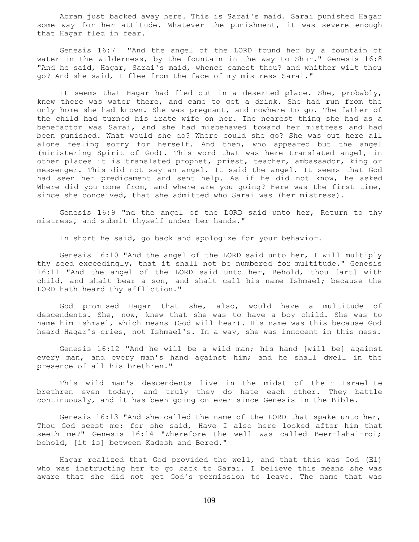Abram just backed away here. This is Sarai's maid. Sarai punished Hagar some way for her attitude. Whatever the punishment, it was severe enough that Hagar fled in fear.

 Genesis 16:7 "And the angel of the LORD found her by a fountain of water in the wilderness, by the fountain in the way to Shur." Genesis 16:8 "And he said, Hagar, Sarai's maid, whence camest thou? and whither wilt thou go? And she said, I flee from the face of my mistress Sarai."

 It seems that Hagar had fled out in a deserted place. She, probably, knew there was water there, and came to get a drink. She had run from the only home she had known. She was pregnant, and nowhere to go. The father of the child had turned his irate wife on her. The nearest thing she had as a benefactor was Sarai, and she had misbehaved toward her mistress and had been punished. What would she do? Where could she go? She was out here all alone feeling sorry for herself. And then, who appeared but the angel (ministering Spirit of God). This word that was here translated angel, in other places it is translated prophet, priest, teacher, ambassador, king or messenger. This did not say an angel. It said the angel. It seems that God had seen her predicament and sent help. As if he did not know, he asked Where did you come from, and where are you going? Here was the first time, since she conceived, that she admitted who Sarai was (her mistress).

 Genesis 16:9 "nd the angel of the LORD said unto her, Return to thy mistress, and submit thyself under her hands."

In short he said, go back and apologize for your behavior.

 Genesis 16:10 "And the angel of the LORD said unto her, I will multiply thy seed exceedingly, that it shall not be numbered for multitude." Genesis 16:11 "And the angel of the LORD said unto her, Behold, thou [art] with child, and shalt bear a son, and shalt call his name Ishmael; because the LORD hath heard thy affliction."

 God promised Hagar that she, also, would have a multitude of descendents. She, now, knew that she was to have a boy child. She was to name him Ishmael, which means (God will hear). His name was this because God heard Hagar's cries, not Ishmael's. In a way, she was innocent in this mess.

 Genesis 16:12 "And he will be a wild man; his hand [will be] against every man, and every man's hand against him; and he shall dwell in the presence of all his brethren."

 This wild man's descendents live in the midst of their Israelite brethren even today, and truly they do hate each other. They battle continuously, and it has been going on ever since Genesis in the Bible.

 Genesis 16:13 "And she called the name of the LORD that spake unto her, Thou God seest me: for she said, Have I also here looked after him that seeth me?" Genesis 16:14 "Wherefore the well was called Beer-lahai-roi; behold, [it is] between Kadesh and Bered."

 Hagar realized that God provided the well, and that this was God (El) who was instructing her to go back to Sarai. I believe this means she was aware that she did not get God's permission to leave. The name that was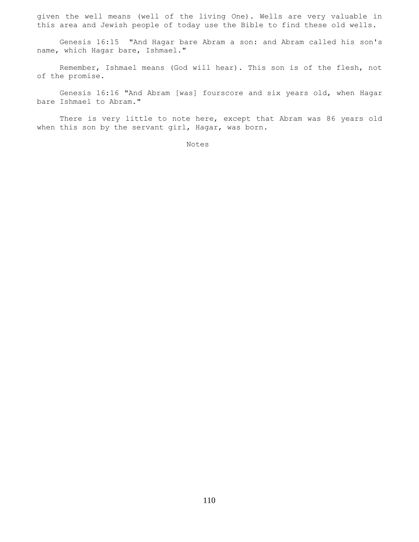given the well means (well of the living One). Wells are very valuable in this area and Jewish people of today use the Bible to find these old wells.

 Genesis 16:15 "And Hagar bare Abram a son: and Abram called his son's name, which Hagar bare, Ishmael."

 Remember, Ishmael means (God will hear). This son is of the flesh, not of the promise.

 Genesis 16:16 "And Abram [was] fourscore and six years old, when Hagar bare Ishmael to Abram."

 There is very little to note here, except that Abram was 86 years old when this son by the servant girl, Hagar, was born.

Notes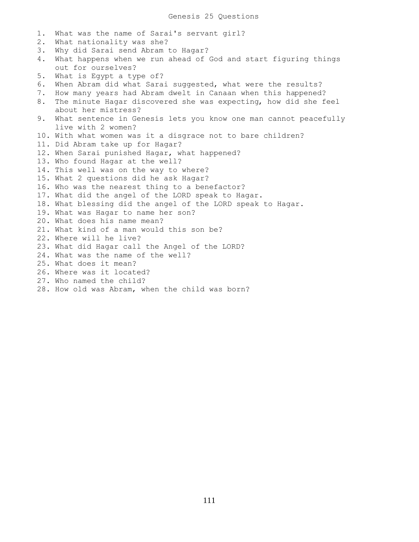1. What was the name of Sarai's servant girl? 2. What nationality was she? 3. Why did Sarai send Abram to Hagar? 4. What happens when we run ahead of God and start figuring things out for ourselves? 5. What is Egypt a type of? 6. When Abram did what Sarai suggested, what were the results? 7. How many years had Abram dwelt in Canaan when this happened? 8. The minute Hagar discovered she was expecting, how did she feel about her mistress? 9. What sentence in Genesis lets you know one man cannot peacefully live with 2 women? 10. With what women was it a disgrace not to bare children? 11. Did Abram take up for Hagar? 12. When Sarai punished Hagar, what happened? 13. Who found Hagar at the well? 14. This well was on the way to where? 15. What 2 questions did he ask Hagar? 16. Who was the nearest thing to a benefactor? 17. What did the angel of the LORD speak to Hagar. 18. What blessing did the angel of the LORD speak to Hagar. 19. What was Hagar to name her son? 20. What does his name mean? 21. What kind of a man would this son be? 22. Where will he live? 23. What did Hagar call the Angel of the LORD? 24. What was the name of the well? 25. What does it mean? 26. Where was it located? 27. Who named the child? 28. How old was Abram, when the child was born?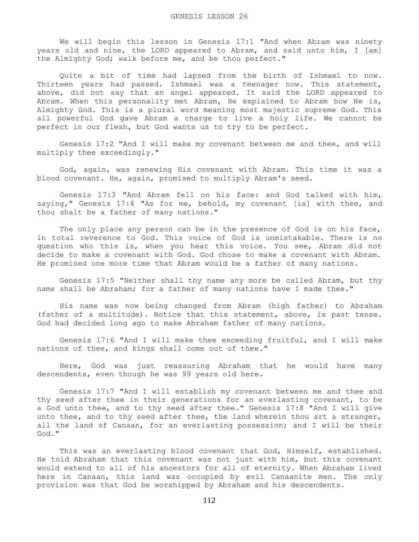We will begin this lesson in Genesis 17:1 "And when Abram was ninety years old and nine, the LORD appeared to Abram, and said unto him, I [am] the Almighty God; walk before me, and be thou perfect."

 Quite a bit of time had lapsed from the birth of Ishmael to now. Thirteen years had passed. Ishmael was a teenager now. This statement, above, did not say that an angel appeared. It said the LORD appeared to Abram. When this personality met Abram, He explained to Abram how He is, Almighty God. This is a plural word meaning most majestic supreme God. This all powerful God gave Abram a charge to live a holy life. We cannot be perfect in our flesh, but God wants us to try to be perfect.

 Genesis 17:2 "And I will make my covenant between me and thee, and will multiply thee exceedingly."

 God, again, was renewing His covenant with Abram. This time it was a blood covenant. He, again, promised to multiply Abram's seed.

 Genesis 17:3 "And Abram fell on his face: and God talked with him, saying," Genesis 17:4 "As for me, behold, my covenant [is] with thee, and thou shalt be a father of many nations."

The only place any person can be in the presence of God is on his face, in total reverence to God. This voice of God is unmistakable. There is no question who this is, when you hear this voice. You see, Abram did not decide to make a covenant with God. God chose to make a covenant with Abram. He promised one more time that Abram would be a father of many nations.

 Genesis 17:5 "Neither shall thy name any more be called Abram, but thy name shall be Abraham; for a father of many nations have I made thee."

 His name was now being changed from Abram (high father) to Abraham (father of a multitude). Notice that this statement, above, is past tense. God had decided long ago to make Abraham father of many nations.

 Genesis 17:6 "And I will make thee exceeding fruitful, and I will make nations of thee, and kings shall come out of thee."

 Here, God was just reassuring Abraham that he would have many descendents, even though he was 99 years old here.

 Genesis 17:7 "And I will establish my covenant between me and thee and thy seed after thee in their generations for an everlasting covenant, to be a God unto thee, and to thy seed after thee." Genesis 17:8 "And I will give unto thee, and to thy seed after thee, the land wherein thou art a stranger, all the land of Canaan, for an everlasting possession; and I will be their God."

 This was an everlasting blood covenant that God, Himself, established. He told Abraham that this covenant was not just with him, but this covenant would extend to all of his ancestors for all of eternity. When Abraham lived here in Canaan, this land was occupied by evil Canaanite men. The only provision was that God be worshipped by Abraham and his descendents.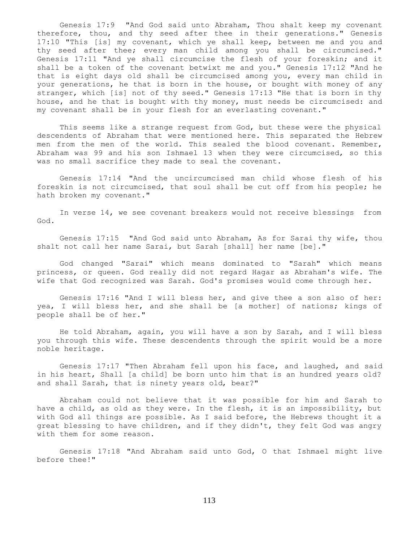Genesis 17:9 "And God said unto Abraham, Thou shalt keep my covenant therefore, thou, and thy seed after thee in their generations." Genesis 17:10 "This [is] my covenant, which ye shall keep, between me and you and thy seed after thee; every man child among you shall be circumcised." Genesis 17:11 "And ye shall circumcise the flesh of your foreskin; and it shall be a token of the covenant betwixt me and you." Genesis 17:12 "And he that is eight days old shall be circumcised among you, every man child in your generations, he that is born in the house, or bought with money of any stranger, which [is] not of thy seed." Genesis 17:13 "He that is born in thy house, and he that is bought with thy money, must needs be circumcised: and my covenant shall be in your flesh for an everlasting covenant."

 This seems like a strange request from God, but these were the physical descendents of Abraham that were mentioned here. This separated the Hebrew men from the men of the world. This sealed the blood covenant. Remember, Abraham was 99 and his son Ishmael 13 when they were circumcised, so this was no small sacrifice they made to seal the covenant.

 Genesis 17:14 "And the uncircumcised man child whose flesh of his foreskin is not circumcised, that soul shall be cut off from his people; he hath broken my covenant."

 In verse 14, we see covenant breakers would not receive blessings from God.

 Genesis 17:15 "And God said unto Abraham, As for Sarai thy wife, thou shalt not call her name Sarai, but Sarah [shall] her name [be]."

 God changed "Sarai" which means dominated to "Sarah" which means princess, or queen. God really did not regard Hagar as Abraham's wife. The wife that God recognized was Sarah. God's promises would come through her.

 Genesis 17:16 "And I will bless her, and give thee a son also of her: yea, I will bless her, and she shall be [a mother] of nations; kings of people shall be of her."

 He told Abraham, again, you will have a son by Sarah, and I will bless you through this wife. These descendents through the spirit would be a more noble heritage.

 Genesis 17:17 "Then Abraham fell upon his face, and laughed, and said in his heart, Shall [a child] be born unto him that is an hundred years old? and shall Sarah, that is ninety years old, bear?"

 Abraham could not believe that it was possible for him and Sarah to have a child, as old as they were. In the flesh, it is an impossibility, but with God all things are possible. As I said before, the Hebrews thought it a great blessing to have children, and if they didn't, they felt God was angry with them for some reason.

 Genesis 17:18 "And Abraham said unto God, O that Ishmael might live before thee!"

113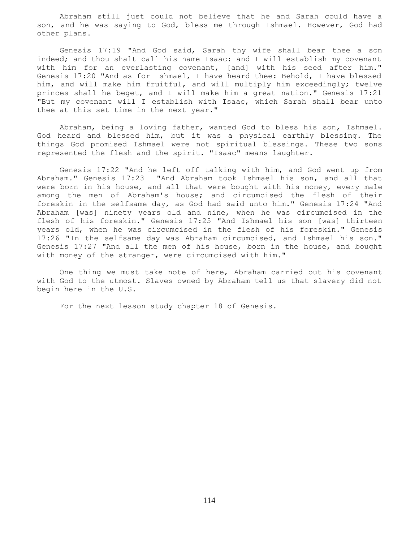Abraham still just could not believe that he and Sarah could have a son, and he was saying to God, bless me through Ishmael. However, God had other plans.

 Genesis 17:19 "And God said, Sarah thy wife shall bear thee a son indeed; and thou shalt call his name Isaac: and I will establish my covenant with him for an everlasting covenant, [and] with his seed after him." Genesis 17:20 "And as for Ishmael, I have heard thee: Behold, I have blessed him, and will make him fruitful, and will multiply him exceedingly; twelve princes shall he beget, and I will make him a great nation." Genesis 17:21 "But my covenant will I establish with Isaac, which Sarah shall bear unto thee at this set time in the next year."

 Abraham, being a loving father, wanted God to bless his son, Ishmael. God heard and blessed him, but it was a physical earthly blessing. The things God promised Ishmael were not spiritual blessings. These two sons represented the flesh and the spirit. "Isaac" means laughter.

 Genesis 17:22 "And he left off talking with him, and God went up from Abraham." Genesis 17:23 "And Abraham took Ishmael his son, and all that were born in his house, and all that were bought with his money, every male among the men of Abraham's house; and circumcised the flesh of their foreskin in the selfsame day, as God had said unto him." Genesis 17:24 "And Abraham [was] ninety years old and nine, when he was circumcised in the flesh of his foreskin." Genesis 17:25 "And Ishmael his son [was] thirteen years old, when he was circumcised in the flesh of his foreskin." Genesis 17:26 "In the selfsame day was Abraham circumcised, and Ishmael his son." Genesis 17:27 "And all the men of his house, born in the house, and bought with money of the stranger, were circumcised with him."

 One thing we must take note of here, Abraham carried out his covenant with God to the utmost. Slaves owned by Abraham tell us that slavery did not begin here in the U.S.

For the next lesson study chapter 18 of Genesis.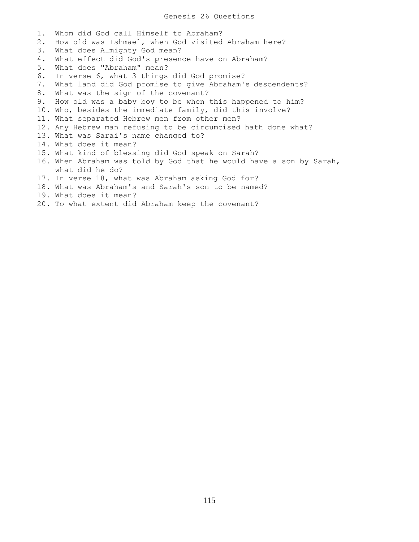1. Whom did God call Himself to Abraham? 2. How old was Ishmael, when God visited Abraham here? 3. What does Almighty God mean? 4. What effect did God's presence have on Abraham? 5. What does "Abraham" mean? 6. In verse 6, what 3 things did God promise? 7. What land did God promise to give Abraham's descendents? 8. What was the sign of the covenant? 9. How old was a baby boy to be when this happened to him? 10. Who, besides the immediate family, did this involve? 11. What separated Hebrew men from other men? 12. Any Hebrew man refusing to be circumcised hath done what? 13. What was Sarai's name changed to? 14. What does it mean? 15. What kind of blessing did God speak on Sarah? 16. When Abraham was told by God that he would have a son by Sarah, what did he do? 17. In verse 18, what was Abraham asking God for? 18. What was Abraham's and Sarah's son to be named? 19. What does it mean? 20. To what extent did Abraham keep the covenant?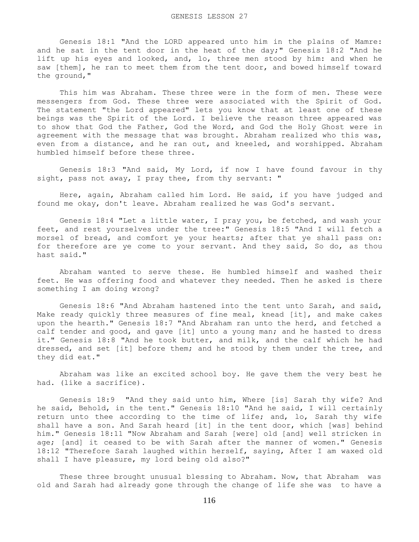Genesis 18:1 "And the LORD appeared unto him in the plains of Mamre: and he sat in the tent door in the heat of the day;" Genesis 18:2 "And he lift up his eyes and looked, and, lo, three men stood by him: and when he saw [them], he ran to meet them from the tent door, and bowed himself toward the ground,"

 This him was Abraham. These three were in the form of men. These were messengers from God. These three were associated with the Spirit of God. The statement "the Lord appeared" lets you know that at least one of these beings was the Spirit of the Lord. I believe the reason three appeared was to show that God the Father, God the Word, and God the Holy Ghost were in agreement with the message that was brought. Abraham realized who this was, even from a distance, and he ran out, and kneeled, and worshipped. Abraham humbled himself before these three.

 Genesis 18:3 "And said, My Lord, if now I have found favour in thy sight, pass not away, I pray thee, from thy servant: "

 Here, again, Abraham called him Lord. He said, if you have judged and found me okay, don't leave. Abraham realized he was God's servant.

 Genesis 18:4 "Let a little water, I pray you, be fetched, and wash your feet, and rest yourselves under the tree:" Genesis 18:5 "And I will fetch a morsel of bread, and comfort ye your hearts; after that ye shall pass on: for therefore are ye come to your servant. And they said, So do, as thou hast said."

 Abraham wanted to serve these. He humbled himself and washed their feet. He was offering food and whatever they needed. Then he asked is there something I am doing wrong?

 Genesis 18:6 "And Abraham hastened into the tent unto Sarah, and said, Make ready quickly three measures of fine meal, knead [it], and make cakes upon the hearth." Genesis 18:7 "And Abraham ran unto the herd, and fetched a calf tender and good, and gave [it] unto a young man; and he hasted to dress it." Genesis 18:8 "And he took butter, and milk, and the calf which he had dressed, and set [it] before them; and he stood by them under the tree, and they did eat."

 Abraham was like an excited school boy. He gave them the very best he had. (like a sacrifice).

 Genesis 18:9 "And they said unto him, Where [is] Sarah thy wife? And he said, Behold, in the tent." Genesis 18:10 "And he said, I will certainly return unto thee according to the time of life; and, lo, Sarah thy wife shall have a son. And Sarah heard [it] in the tent door, which [was] behind him." Genesis 18:11 "Now Abraham and Sarah [were] old [and] well stricken in age; [and] it ceased to be with Sarah after the manner of women." Genesis 18:12 "Therefore Sarah laughed within herself, saying, After I am waxed old shall I have pleasure, my lord being old also?"

 These three brought unusual blessing to Abraham. Now, that Abraham was old and Sarah had already gone through the change of life she was to have a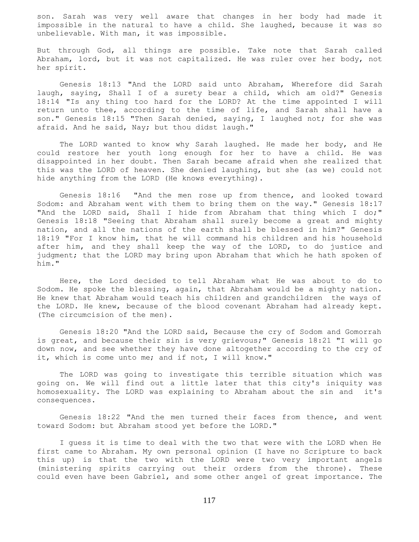son. Sarah was very well aware that changes in her body had made it impossible in the natural to have a child. She laughed, because it was so unbelievable. With man, it was impossible.

But through God, all things are possible. Take note that Sarah called Abraham, lord, but it was not capitalized. He was ruler over her body, not her spirit.

 Genesis 18:13 "And the LORD said unto Abraham, Wherefore did Sarah laugh, saying, Shall I of a surety bear a child, which am old?" Genesis 18:14 "Is any thing too hard for the LORD? At the time appointed I will return unto thee, according to the time of life, and Sarah shall have a son." Genesis 18:15 "Then Sarah denied, saying, I laughed not; for she was afraid. And he said, Nay; but thou didst laugh."

 The LORD wanted to know why Sarah laughed. He made her body, and He could restore her youth long enough for her to have a child. He was disappointed in her doubt. Then Sarah became afraid when she realized that this was the LORD of heaven. She denied laughing, but she (as we) could not hide anything from the LORD (He knows everything).

 Genesis 18:16 "And the men rose up from thence, and looked toward Sodom: and Abraham went with them to bring them on the way." Genesis 18:17 "And the LORD said, Shall I hide from Abraham that thing which I do;" Genesis 18:18 "Seeing that Abraham shall surely become a great and mighty nation, and all the nations of the earth shall be blessed in him?" Genesis 18:19 "For I know him, that he will command his children and his household after him, and they shall keep the way of the LORD, to do justice and judgment; that the LORD may bring upon Abraham that which he hath spoken of him."

 Here, the Lord decided to tell Abraham what He was about to do to Sodom. He spoke the blessing, again, that Abraham would be a mighty nation. He knew that Abraham would teach his children and grandchildren the ways of the LORD. He knew, because of the blood covenant Abraham had already kept. (The circumcision of the men).

 Genesis 18:20 "And the LORD said, Because the cry of Sodom and Gomorrah is great, and because their sin is very grievous;" Genesis 18:21 "I will go down now, and see whether they have done altogether according to the cry of it, which is come unto me; and if not, I will know."

 The LORD was going to investigate this terrible situation which was going on. We will find out a little later that this city's iniquity was homosexuality. The LORD was explaining to Abraham about the sin and it's consequences.

 Genesis 18:22 "And the men turned their faces from thence, and went toward Sodom: but Abraham stood yet before the LORD."

 I guess it is time to deal with the two that were with the LORD when He first came to Abraham. My own personal opinion (I have no Scripture to back this up) is that the two with the LORD were two very important angels (ministering spirits carrying out their orders from the throne). These could even have been Gabriel, and some other angel of great importance. The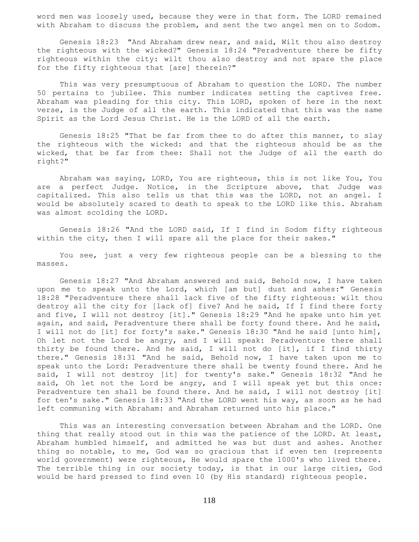word men was loosely used, because they were in that form. The LORD remained with Abraham to discuss the problem, and sent the two angel men on to Sodom.

 Genesis 18:23 "And Abraham drew near, and said, Wilt thou also destroy the righteous with the wicked?" Genesis 18:24 "Peradventure there be fifty righteous within the city: wilt thou also destroy and not spare the place for the fifty righteous that [are] therein?"

 This was very presumptuous of Abraham to question the LORD. The number 50 pertains to jubilee. This number indicates setting the captives free. Abraham was pleading for this city. This LORD, spoken of here in the next verse, is the Judge of all the earth. This indicated that this was the same Spirit as the Lord Jesus Christ. He is the LORD of all the earth.

 Genesis 18:25 "That be far from thee to do after this manner, to slay the righteous with the wicked: and that the righteous should be as the wicked, that be far from thee: Shall not the Judge of all the earth do right?"

 Abraham was saying, LORD, You are righteous, this is not like You, You are a perfect Judge. Notice, in the Scripture above, that Judge was capitalized. This also tells us that this was the LORD, not an angel. I would be absolutely scared to death to speak to the LORD like this. Abraham was almost scolding the LORD.

 Genesis 18:26 "And the LORD said, If I find in Sodom fifty righteous within the city, then I will spare all the place for their sakes."

 You see, just a very few righteous people can be a blessing to the masses.

 Genesis 18:27 "And Abraham answered and said, Behold now, I have taken upon me to speak unto the Lord, which [am but] dust and ashes:" Genesis 18:28 "Peradventure there shall lack five of the fifty righteous: wilt thou destroy all the city for [lack of] five? And he said, If I find there forty and five, I will not destroy [it]." Genesis 18:29 "And he spake unto him yet again, and said, Peradventure there shall be forty found there. And he said, I will not do [it] for forty's sake." Genesis 18:30 "And he said [unto him], Oh let not the Lord be angry, and I will speak: Peradventure there shall thirty be found there. And he said, I will not do [it], if I find thirty there." Genesis 18:31 "And he said, Behold now, I have taken upon me to speak unto the Lord: Peradventure there shall be twenty found there. And he said, I will not destroy [it] for twenty's sake." Genesis 18:32 "And he said, Oh let not the Lord be angry, and I will speak yet but this once: Peradventure ten shall be found there. And he said, I will not destroy [it] for ten's sake." Genesis 18:33 "And the LORD went his way, as soon as he had left communing with Abraham: and Abraham returned unto his place."

 This was an interesting conversation between Abraham and the LORD. One thing that really stood out in this was the patience of the LORD. At least, Abraham humbled himself, and admitted he was but dust and ashes. Another thing so notable, to me, God was so gracious that if even ten (represents world government) were righteous, He would spare the 1000's who lived there. The terrible thing in our society today, is that in our large cities, God would be hard pressed to find even 10 (by His standard) righteous people.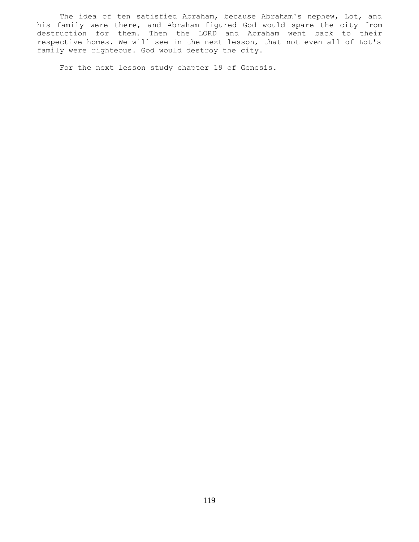The idea of ten satisfied Abraham, because Abraham's nephew, Lot, and his family were there, and Abraham figured God would spare the city from destruction for them. Then the LORD and Abraham went back to their respective homes. We will see in the next lesson, that not even all of Lot's family were righteous. God would destroy the city.

For the next lesson study chapter 19 of Genesis.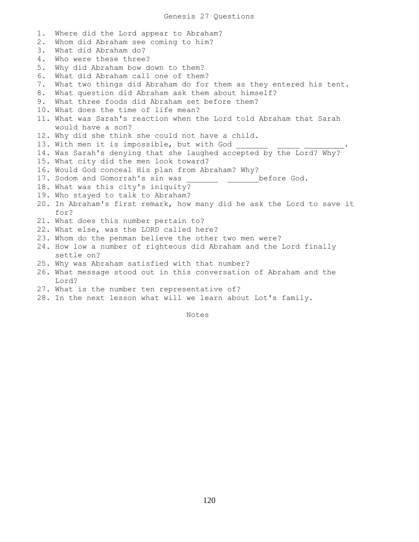1. Where did the Lord appear to Abraham? 2. Whom did Abraham see coming to him? 3. What did Abraham do? 4. Who were these three? 5. Why did Abraham bow down to them? 6. What did Abraham call one of them? 7. What two things did Abraham do for them as they entered his tent. 8. What question did Abraham ask them about himself? 9. What three foods did Abraham set before them? 10. What does the time of life mean? 11. What was Sarah's reaction when the Lord told Abraham that Sarah would have a son? 12. Why did she think she could not have a child. 13. With men it is impossible, but with God 14. Was Sarah's denying that she laughed accepted by the Lord? Why? 15. What city did the men look toward? 16. Would God conceal His plan from Abraham? Why? 17. Sodom and Gomorrah's sin was \_\_\_\_\_\_\_\_ \_\_\_\_\_\_\_\_\_before God. 18. What was this city's iniquity? 19. Who stayed to talk to Abraham? 20. In Abraham's first remark, how many did he ask the Lord to save it for? 21. What does this number pertain to? 22. What else, was the LORD called here? 23. Whom do the penman believe the other two men were? 24. How low a number of righteous did Abraham and the Lord finally settle on? 25. Why was Abraham satisfied with that number? 26. What message stood out in this conversation of Abraham and the Lord? 27. What is the number ten representative of? 28. In the next lesson what will we learn about Lot's family.

Notes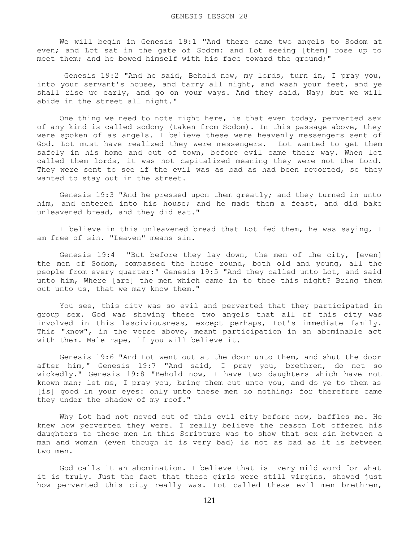We will begin in Genesis 19:1 "And there came two angels to Sodom at even; and Lot sat in the gate of Sodom: and Lot seeing [them] rose up to meet them; and he bowed himself with his face toward the ground;"

 Genesis 19:2 "And he said, Behold now, my lords, turn in, I pray you, into your servant's house, and tarry all night, and wash your feet, and ye shall rise up early, and go on your ways. And they said, Nay; but we will abide in the street all night."

 One thing we need to note right here, is that even today, perverted sex of any kind is called sodomy (taken from Sodom). In this passage above, they were spoken of as angels. I believe these were heavenly messengers sent of God. Lot must have realized they were messengers. Lot wanted to get them safely in his home and out of town, before evil came their way. When lot called them lords, it was not capitalized meaning they were not the Lord. They were sent to see if the evil was as bad as had been reported, so they wanted to stay out in the street.

 Genesis 19:3 "And he pressed upon them greatly; and they turned in unto him, and entered into his house; and he made them a feast, and did bake unleavened bread, and they did eat."

 I believe in this unleavened bread that Lot fed them, he was saying, I am free of sin. "Leaven" means sin.

 Genesis 19:4 "But before they lay down, the men of the city, [even] the men of Sodom, compassed the house round, both old and young, all the people from every quarter:" Genesis 19:5 "And they called unto Lot, and said unto him, Where [are] the men which came in to thee this night? Bring them out unto us, that we may know them."

 You see, this city was so evil and perverted that they participated in group sex. God was showing these two angels that all of this city was involved in this lasciviousness, except perhaps, Lot's immediate family. This "know", in the verse above, meant participation in an abominable act with them. Male rape, if you will believe it.

 Genesis 19:6 "And Lot went out at the door unto them, and shut the door after him," Genesis 19:7 "And said, I pray you, brethren, do not so wickedly." Genesis 19:8 "Behold now, I have two daughters which have not known man; let me, I pray you, bring them out unto you, and do ye to them as [is] good in your eyes: only unto these men do nothing; for therefore came they under the shadow of my roof."

 Why Lot had not moved out of this evil city before now, baffles me. He knew how perverted they were. I really believe the reason Lot offered his daughters to these men in this Scripture was to show that sex sin between a man and woman (even though it is very bad) is not as bad as it is between two men.

 God calls it an abomination. I believe that is very mild word for what it is truly. Just the fact that these girls were still virgins, showed just how perverted this city really was. Lot called these evil men brethren,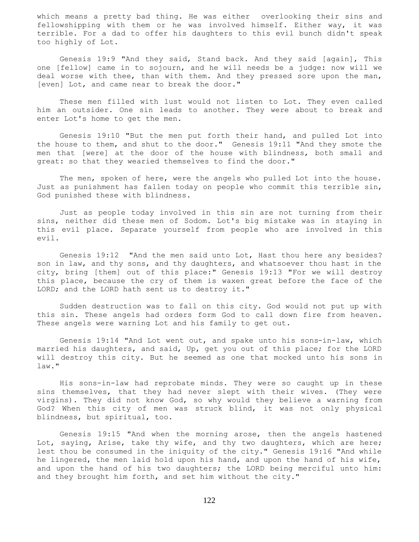which means a pretty bad thing. He was either overlooking their sins and fellowshipping with them or he was involved himself. Either way, it was terrible. For a dad to offer his daughters to this evil bunch didn't speak too highly of Lot.

 Genesis 19:9 "And they said, Stand back. And they said [again], This one [fellow] came in to sojourn, and he will needs be a judge: now will we deal worse with thee, than with them. And they pressed sore upon the man, [even] Lot, and came near to break the door."

 These men filled with lust would not listen to Lot. They even called him an outsider. One sin leads to another. They were about to break and enter Lot's home to get the men.

 Genesis 19:10 "But the men put forth their hand, and pulled Lot into the house to them, and shut to the door." Genesis 19:11 "And they smote the men that [were] at the door of the house with blindness, both small and great: so that they wearied themselves to find the door."

 The men, spoken of here, were the angels who pulled Lot into the house. Just as punishment has fallen today on people who commit this terrible sin, God punished these with blindness.

 Just as people today involved in this sin are not turning from their sins, neither did these men of Sodom. Lot's big mistake was in staying in this evil place. Separate yourself from people who are involved in this evil.

 Genesis 19:12 "And the men said unto Lot, Hast thou here any besides? son in law, and thy sons, and thy daughters, and whatsoever thou hast in the city, bring [them] out of this place:" Genesis 19:13 "For we will destroy this place, because the cry of them is waxen great before the face of the LORD; and the LORD hath sent us to destroy it."

 Sudden destruction was to fall on this city. God would not put up with this sin. These angels had orders form God to call down fire from heaven. These angels were warning Lot and his family to get out.

 Genesis 19:14 "And Lot went out, and spake unto his sons-in-law, which married his daughters, and said, Up, get you out of this place; for the LORD will destroy this city. But he seemed as one that mocked unto his sons in law."

 His sons-in-law had reprobate minds. They were so caught up in these sins themselves, that they had never slept with their wives. (They were virgins). They did not know God, so why would they believe a warning from God? When this city of men was struck blind, it was not only physical blindness, but spiritual, too.

 Genesis 19:15 "And when the morning arose, then the angels hastened Lot, saying, Arise, take thy wife, and thy two daughters, which are here; lest thou be consumed in the iniquity of the city." Genesis 19:16 "And while he lingered, the men laid hold upon his hand, and upon the hand of his wife, and upon the hand of his two daughters; the LORD being merciful unto him: and they brought him forth, and set him without the city."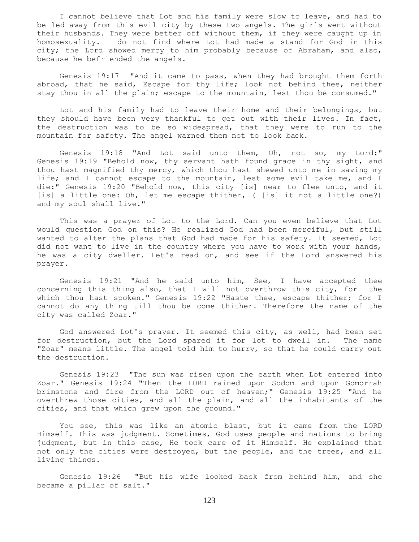I cannot believe that Lot and his family were slow to leave, and had to be led away from this evil city by these two angels. The girls went without their husbands. They were better off without them, if they were caught up in homosexuality. I do not find where Lot had made a stand for God in this city; the Lord showed mercy to him probably because of Abraham, and also, because he befriended the angels.

 Genesis 19:17 "And it came to pass, when they had brought them forth abroad, that he said, Escape for thy life; look not behind thee, neither stay thou in all the plain; escape to the mountain, lest thou be consumed."

 Lot and his family had to leave their home and their belongings, but they should have been very thankful to get out with their lives. In fact, the destruction was to be so widespread, that they were to run to the mountain for safety. The angel warned them not to look back.

 Genesis 19:18 "And Lot said unto them, Oh, not so, my Lord:" Genesis 19:19 "Behold now, thy servant hath found grace in thy sight, and thou hast magnified thy mercy, which thou hast shewed unto me in saving my life; and I cannot escape to the mountain, lest some evil take me, and I die:" Genesis 19:20 "Behold now, this city [is] near to flee unto, and it [is] a little one: Oh, let me escape thither, ( [is] it not a little one?) and my soul shall live."

 This was a prayer of Lot to the Lord. Can you even believe that Lot would question God on this? He realized God had been merciful, but still wanted to alter the plans that God had made for his safety. It seemed, Lot did not want to live in the country where you have to work with your hands, he was a city dweller. Let's read on, and see if the Lord answered his prayer.

 Genesis 19:21 "And he said unto him, See, I have accepted thee concerning this thing also, that I will not overthrow this city, for the which thou hast spoken." Genesis 19:22 "Haste thee, escape thither; for I cannot do any thing till thou be come thither. Therefore the name of the city was called Zoar."

 God answered Lot's prayer. It seemed this city, as well, had been set for destruction, but the Lord spared it for lot to dwell in. The name "Zoar" means little. The angel told him to hurry, so that he could carry out the destruction.

 Genesis 19:23 "The sun was risen upon the earth when Lot entered into Zoar." Genesis 19:24 "Then the LORD rained upon Sodom and upon Gomorrah brimstone and fire from the LORD out of heaven;" Genesis 19:25 "And he overthrew those cities, and all the plain, and all the inhabitants of the cities, and that which grew upon the ground."

 You see, this was like an atomic blast, but it came from the LORD Himself. This was judgment. Sometimes, God uses people and nations to bring judgment, but in this case, He took care of it Himself. He explained that not only the cities were destroyed, but the people, and the trees, and all living things.

 Genesis 19:26 "But his wife looked back from behind him, and she became a pillar of salt."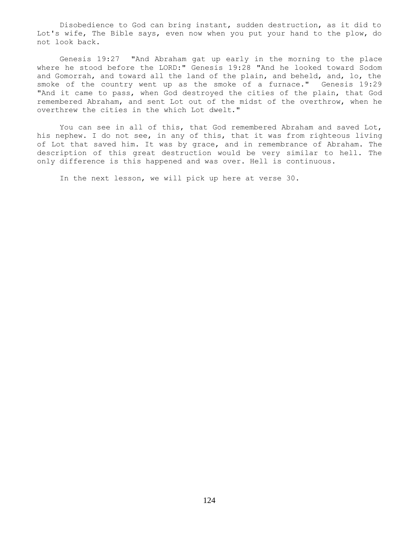Disobedience to God can bring instant, sudden destruction, as it did to Lot's wife, The Bible says, even now when you put your hand to the plow, do not look back.

 Genesis 19:27 "And Abraham gat up early in the morning to the place where he stood before the LORD:" Genesis 19:28 "And he looked toward Sodom and Gomorrah, and toward all the land of the plain, and beheld, and, lo, the smoke of the country went up as the smoke of a furnace." Genesis 19:29 "And it came to pass, when God destroyed the cities of the plain, that God remembered Abraham, and sent Lot out of the midst of the overthrow, when he overthrew the cities in the which Lot dwelt."

You can see in all of this, that God remembered Abraham and saved Lot, his nephew. I do not see, in any of this, that it was from righteous living of Lot that saved him. It was by grace, and in remembrance of Abraham. The description of this great destruction would be very similar to hell. The only difference is this happened and was over. Hell is continuous.

In the next lesson, we will pick up here at verse 30.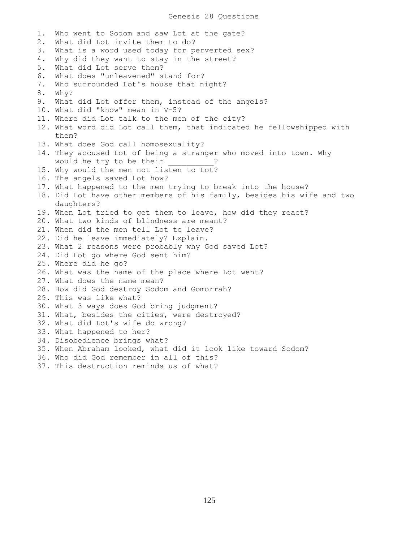1. Who went to Sodom and saw Lot at the gate? 2. What did Lot invite them to do? 3. What is a word used today for perverted sex? 4. Why did they want to stay in the street? 5. What did Lot serve them? 6. What does "unleavened" stand for? 7. Who surrounded Lot's house that night? 8. Why? 9. What did Lot offer them, instead of the angels? 10. What did "know" mean in V-5? 11. Where did Lot talk to the men of the city? 12. What word did Lot call them, that indicated he fellowshipped with them? 13. What does God call homosexuality? 14. They accused Lot of being a stranger who moved into town. Why would he try to be their  $\cdot$  ? 15. Why would the men not listen to Lot? 16. The angels saved Lot how? 17. What happened to the men trying to break into the house? 18. Did Lot have other members of his family, besides his wife and two daughters? 19. When Lot tried to get them to leave, how did they react? 20. What two kinds of blindness are meant? 21. When did the men tell Lot to leave? 22. Did he leave immediately? Explain. 23. What 2 reasons were probably why God saved Lot? 24. Did Lot go where God sent him? 25. Where did he go? 26. What was the name of the place where Lot went? 27. What does the name mean? 28. How did God destroy Sodom and Gomorrah? 29. This was like what? 30. What 3 ways does God bring judgment? 31. What, besides the cities, were destroyed? 32. What did Lot's wife do wrong? 33. What happened to her? 34. Disobedience brings what? 35. When Abraham looked, what did it look like toward Sodom? 36. Who did God remember in all of this? 37. This destruction reminds us of what?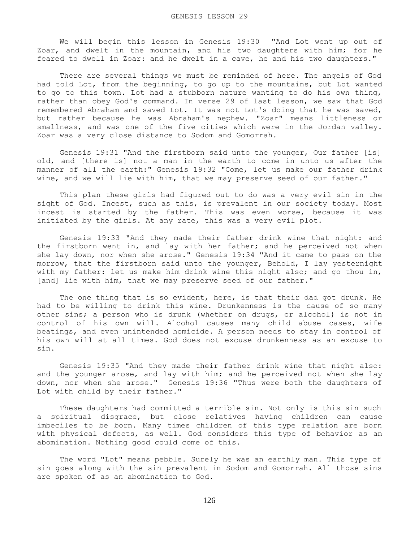We will begin this lesson in Genesis 19:30 "And Lot went up out of Zoar, and dwelt in the mountain, and his two daughters with him; for he feared to dwell in Zoar: and he dwelt in a cave, he and his two daughters."

 There are several things we must be reminded of here. The angels of God had told Lot, from the beginning, to go up to the mountains, but Lot wanted to go to this town. Lot had a stubborn nature wanting to do his own thing, rather than obey God's command. In verse 29 of last lesson, we saw that God remembered Abraham and saved Lot. It was not Lot's doing that he was saved, but rather because he was Abraham's nephew. "Zoar" means littleness or smallness, and was one of the five cities which were in the Jordan valley. Zoar was a very close distance to Sodom and Gomorrah.

 Genesis 19:31 "And the firstborn said unto the younger, Our father [is] old, and [there is] not a man in the earth to come in unto us after the manner of all the earth:" Genesis 19:32 "Come, let us make our father drink wine, and we will lie with him, that we may preserve seed of our father."

 This plan these girls had figured out to do was a very evil sin in the sight of God. Incest, such as this, is prevalent in our society today. Most incest is started by the father. This was even worse, because it was initiated by the girls. At any rate, this was a very evil plot.

 Genesis 19:33 "And they made their father drink wine that night: and the firstborn went in, and lay with her father; and he perceived not when she lay down, nor when she arose." Genesis 19:34 "And it came to pass on the morrow, that the firstborn said unto the younger, Behold, I lay yesternight with my father: let us make him drink wine this night also; and go thou in, [and] lie with him, that we may preserve seed of our father."

 The one thing that is so evident, here, is that their dad got drunk. He had to be willing to drink this wine. Drunkenness is the cause of so many other sins; a person who is drunk (whether on drugs, or alcohol} is not in control of his own will. Alcohol causes many child abuse cases, wife beatings, and even unintended homicide. A person needs to stay in control of his own will at all times. God does not excuse drunkenness as an excuse to sin.

 Genesis 19:35 "And they made their father drink wine that night also: and the younger arose, and lay with him; and he perceived not when she lay down, nor when she arose." Genesis 19:36 "Thus were both the daughters of Lot with child by their father."

 These daughters had committed a terrible sin. Not only is this sin such a spiritual disgrace, but close relatives having children can cause imbeciles to be born. Many times children of this type relation are born with physical defects, as well. God considers this type of behavior as an abomination. Nothing good could come of this.

 The word "Lot" means pebble. Surely he was an earthly man. This type of sin goes along with the sin prevalent in Sodom and Gomorrah. All those sins are spoken of as an abomination to God.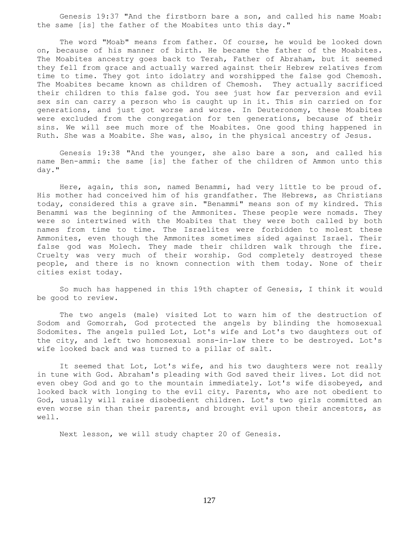Genesis 19:37 "And the firstborn bare a son, and called his name Moab: the same [is] the father of the Moabites unto this day."

 The word "Moab" means from father. Of course, he would be looked down on, because of his manner of birth. He became the father of the Moabites. The Moabites ancestry goes back to Terah, Father of Abraham, but it seemed they fell from grace and actually warred against their Hebrew relatives from time to time. They got into idolatry and worshipped the false god Chemosh. The Moabites became known as children of Chemosh. They actually sacrificed their children to this false god. You see just how far perversion and evil sex sin can carry a person who is caught up in it. This sin carried on for generations, and just got worse and worse. In Deuteronomy, these Moabites were excluded from the congregation for ten generations, because of their sins. We will see much more of the Moabites. One good thing happened in Ruth. She was a Moabite. She was, also, in the physical ancestry of Jesus.

 Genesis 19:38 "And the younger, she also bare a son, and called his name Ben-ammi: the same [is] the father of the children of Ammon unto this day."

 Here, again, this son, named Benammi, had very little to be proud of. His mother had conceived him of his grandfather. The Hebrews, as Christians today, considered this a grave sin. "Benammi" means son of my kindred. This Benammi was the beginning of the Ammonites. These people were nomads. They were so intertwined with the Moabites that they were both called by both names from time to time. The Israelites were forbidden to molest these Ammonites, even though the Ammonites sometimes sided against Israel. Their false god was Molech. They made their children walk through the fire. Cruelty was very much of their worship. God completely destroyed these people, and there is no known connection with them today. None of their cities exist today.

 So much has happened in this 19th chapter of Genesis, I think it would be good to review.

 The two angels (male) visited Lot to warn him of the destruction of Sodom and Gomorrah, God protected the angels by blinding the homosexual Sodomites. The angels pulled Lot, Lot's wife and Lot's two daughters out of the city, and left two homosexual sons-in-law there to be destroyed. Lot's wife looked back and was turned to a pillar of salt.

It seemed that Lot, Lot's wife, and his two daughters were not really in tune with God. Abraham's pleading with God saved their lives. Lot did not even obey God and go to the mountain immediately. Lot's wife disobeyed, and looked back with longing to the evil city. Parents, who are not obedient to God, usually will raise disobedient children. Lot's two girls committed an even worse sin than their parents, and brought evil upon their ancestors, as well.

Next lesson, we will study chapter 20 of Genesis.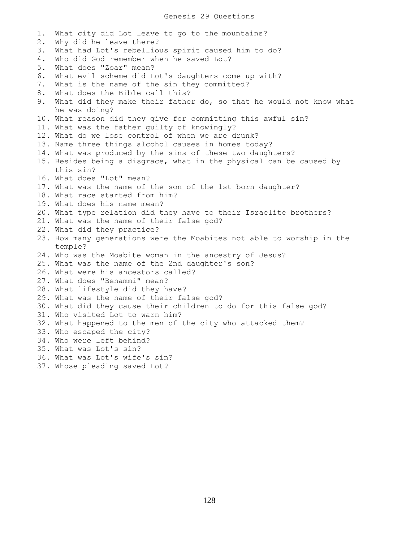## Genesis 29 Questions

1. What city did Lot leave to go to the mountains? 2. Why did he leave there? 3. What had Lot's rebellious spirit caused him to do? 4. Who did God remember when he saved Lot? 5. What does "Zoar" mean? 6. What evil scheme did Lot's daughters come up with? 7. What is the name of the sin they committed? 8. What does the Bible call this? 9. What did they make their father do, so that he would not know what he was doing? 10. What reason did they give for committing this awful sin? 11. What was the father guilty of knowingly? 12. What do we lose control of when we are drunk? 13. Name three things alcohol causes in homes today? 14. What was produced by the sins of these two daughters? 15. Besides being a disgrace, what in the physical can be caused by this sin? 16. What does "Lot" mean? 17. What was the name of the son of the 1st born daughter? 18. What race started from him? 19. What does his name mean? 20. What type relation did they have to their Israelite brothers? 21. What was the name of their false god? 22. What did they practice? 23. How many generations were the Moabites not able to worship in the temple? 24. Who was the Moabite woman in the ancestry of Jesus? 25. What was the name of the 2nd daughter's son? 26. What were his ancestors called? 27. What does "Benammi" mean? 28. What lifestyle did they have? 29. What was the name of their false god? 30. What did they cause their children to do for this false god? 31. Who visited Lot to warn him? 32. What happened to the men of the city who attacked them? 33. Who escaped the city? 34. Who were left behind? 35. What was Lot's sin? 36. What was Lot's wife's sin? 37. Whose pleading saved Lot?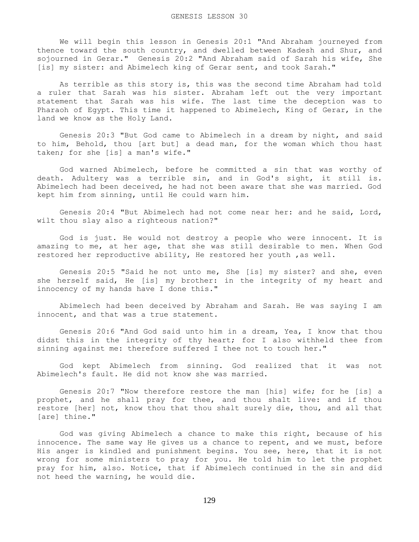We will begin this lesson in Genesis 20:1 "And Abraham journeyed from thence toward the south country, and dwelled between Kadesh and Shur, and sojourned in Gerar." Genesis 20:2 "And Abraham said of Sarah his wife, She [is] my sister: and Abimelech king of Gerar sent, and took Sarah."

 As terrible as this story is, this was the second time Abraham had told a ruler that Sarah was his sister. Abraham left out the very important statement that Sarah was his wife. The last time the deception was to Pharaoh of Egypt. This time it happened to Abimelech, King of Gerar, in the land we know as the Holy Land.

 Genesis 20:3 "But God came to Abimelech in a dream by night, and said to him, Behold, thou [art but] a dead man, for the woman which thou hast taken; for she [is] a man's wife."

 God warned Abimelech, before he committed a sin that was worthy of death. Adultery was a terrible sin, and in God's sight, it still is. Abimelech had been deceived, he had not been aware that she was married. God kept him from sinning, until He could warn him.

 Genesis 20:4 "But Abimelech had not come near her: and he said, Lord, wilt thou slay also a righteous nation?"

 God is just. He would not destroy a people who were innocent. It is amazing to me, at her age, that she was still desirable to men. When God restored her reproductive ability, He restored her youth ,as well.

 Genesis 20:5 "Said he not unto me, She [is] my sister? and she, even she herself said, He [is] my brother: in the integrity of my heart and innocency of my hands have I done this."

 Abimelech had been deceived by Abraham and Sarah. He was saying I am innocent, and that was a true statement.

 Genesis 20:6 "And God said unto him in a dream, Yea, I know that thou didst this in the integrity of thy heart; for I also withheld thee from sinning against me: therefore suffered I thee not to touch her."

 God kept Abimelech from sinning. God realized that it was not Abimelech's fault. He did not know she was married.

 Genesis 20:7 "Now therefore restore the man [his] wife; for he [is] a prophet, and he shall pray for thee, and thou shalt live: and if thou restore [her] not, know thou that thou shalt surely die, thou, and all that [are] thine."

 God was giving Abimelech a chance to make this right, because of his innocence. The same way He gives us a chance to repent, and we must, before His anger is kindled and punishment begins. You see, here, that it is not wrong for some ministers to pray for you. He told him to let the prophet pray for him, also. Notice, that if Abimelech continued in the sin and did not heed the warning, he would die.

129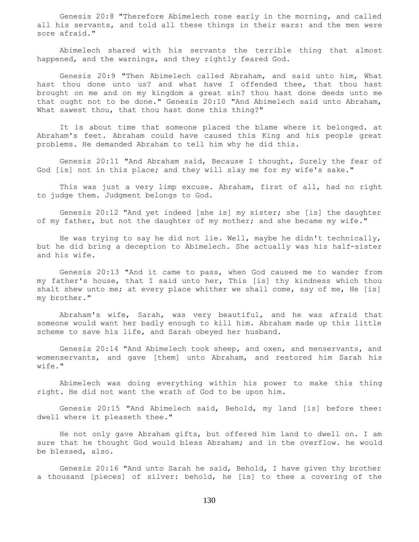Genesis 20:8 "Therefore Abimelech rose early in the morning, and called all his servants, and told all these things in their ears: and the men were sore afraid."

 Abimelech shared with his servants the terrible thing that almost happened, and the warnings, and they rightly feared God.

 Genesis 20:9 "Then Abimelech called Abraham, and said unto him, What hast thou done unto us? and what have I offended thee, that thou hast brought on me and on my kingdom a great sin? thou hast done deeds unto me that ought not to be done." Genesis 20:10 "And Abimelech said unto Abraham, What sawest thou, that thou hast done this thing?"

 It is about time that someone placed the blame where it belonged. at Abraham's feet. Abraham could have caused this King and his people great problems. He demanded Abraham to tell him why he did this.

 Genesis 20:11 "And Abraham said, Because I thought, Surely the fear of God [is] not in this place; and they will slay me for my wife's sake."

 This was just a very limp excuse. Abraham, first of all, had no right to judge them. Judgment belongs to God.

 Genesis 20:12 "And yet indeed [she is] my sister; she [is] the daughter of my father, but not the daughter of my mother; and she became my wife."

 He was trying to say he did not lie. Well, maybe he didn't technically, but he did bring a deception to Abimelech. She actually was his half-sister and his wife.

 Genesis 20:13 "And it came to pass, when God caused me to wander from my father's house, that I said unto her, This [is] thy kindness which thou shalt shew unto me; at every place whither we shall come, say of me, He [is] my brother."

 Abraham's wife, Sarah, was very beautiful, and he was afraid that someone would want her badly enough to kill him. Abraham made up this little scheme to save his life, and Sarah obeyed her husband.

 Genesis 20:14 "And Abimelech took sheep, and oxen, and menservants, and womenservants, and gave [them] unto Abraham, and restored him Sarah his wife."

 Abimelech was doing everything within his power to make this thing right. He did not want the wrath of God to be upon him.

 Genesis 20:15 "And Abimelech said, Behold, my land [is] before thee: dwell where it pleaseth thee."

 He not only gave Abraham gifts, but offered him land to dwell on. I am sure that he thought God would bless Abraham; and in the overflow. he would be blessed, also.

 Genesis 20:16 "And unto Sarah he said, Behold, I have given thy brother a thousand [pieces] of silver: behold, he [is] to thee a covering of the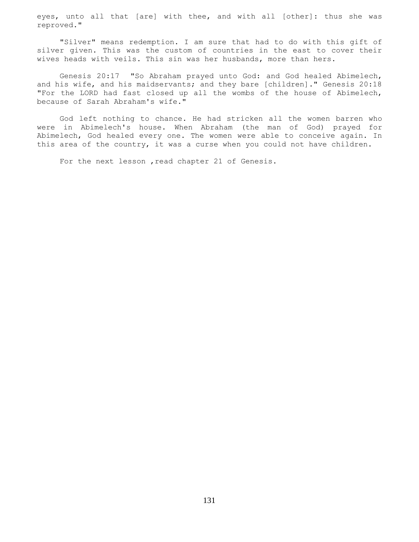eyes, unto all that [are] with thee, and with all [other]: thus she was reproved."

 "Silver" means redemption. I am sure that had to do with this gift of silver given. This was the custom of countries in the east to cover their wives heads with veils. This sin was her husbands, more than hers.

 Genesis 20:17 "So Abraham prayed unto God: and God healed Abimelech, and his wife, and his maidservants; and they bare [children]." Genesis 20:18 "For the LORD had fast closed up all the wombs of the house of Abimelech, because of Sarah Abraham's wife."

 God left nothing to chance. He had stricken all the women barren who were in Abimelech's house. When Abraham (the man of God) prayed for Abimelech, God healed every one. The women were able to conceive again. In this area of the country, it was a curse when you could not have children.

For the next lesson, read chapter 21 of Genesis.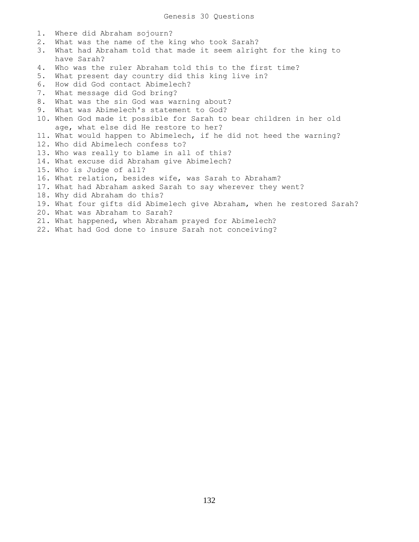1. Where did Abraham sojourn? 2. What was the name of the king who took Sarah? 3. What had Abraham told that made it seem alright for the king to have Sarah? 4. Who was the ruler Abraham told this to the first time? 5. What present day country did this king live in? 6. How did God contact Abimelech? 7. What message did God bring? 8. What was the sin God was warning about? 9. What was Abimelech's statement to God? 10. When God made it possible for Sarah to bear children in her old age, what else did He restore to her? 11. What would happen to Abimelech, if he did not heed the warning? 12. Who did Abimelech confess to? 13. Who was really to blame in all of this? 14. What excuse did Abraham give Abimelech? 15. Who is Judge of all? 16. What relation, besides wife, was Sarah to Abraham? 17. What had Abraham asked Sarah to say wherever they went? 18. Why did Abraham do this? 19. What four gifts did Abimelech give Abraham, when he restored Sarah? 20. What was Abraham to Sarah? 21. What happened, when Abraham prayed for Abimelech? 22. What had God done to insure Sarah not conceiving?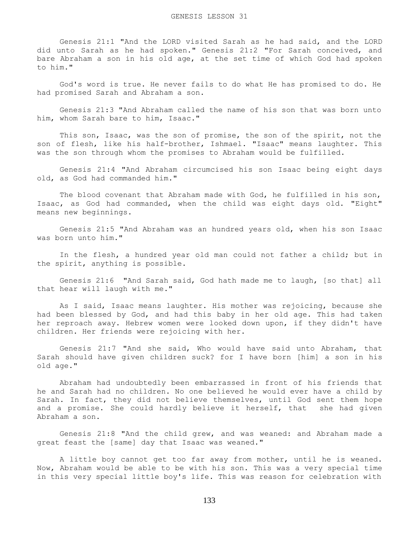Genesis 21:1 "And the LORD visited Sarah as he had said, and the LORD did unto Sarah as he had spoken." Genesis 21:2 "For Sarah conceived, and bare Abraham a son in his old age, at the set time of which God had spoken to him."

 God's word is true. He never fails to do what He has promised to do. He had promised Sarah and Abraham a son.

 Genesis 21:3 "And Abraham called the name of his son that was born unto him, whom Sarah bare to him, Isaac."

 This son, Isaac, was the son of promise, the son of the spirit, not the son of flesh, like his half-brother, Ishmael. "Isaac" means laughter. This was the son through whom the promises to Abraham would be fulfilled.

 Genesis 21:4 "And Abraham circumcised his son Isaac being eight days old, as God had commanded him."

 The blood covenant that Abraham made with God, he fulfilled in his son, Isaac, as God had commanded, when the child was eight days old. "Eight" means new beginnings.

 Genesis 21:5 "And Abraham was an hundred years old, when his son Isaac was born unto him."

 In the flesh, a hundred year old man could not father a child; but in the spirit, anything is possible.

 Genesis 21:6 "And Sarah said, God hath made me to laugh, [so that] all that hear will laugh with me."

 As I said, Isaac means laughter. His mother was rejoicing, because she had been blessed by God, and had this baby in her old age. This had taken her reproach away. Hebrew women were looked down upon, if they didn't have children. Her friends were rejoicing with her.

 Genesis 21:7 "And she said, Who would have said unto Abraham, that Sarah should have given children suck? for I have born [him] a son in his old age."

 Abraham had undoubtedly been embarrassed in front of his friends that he and Sarah had no children. No one believed he would ever have a child by Sarah. In fact, they did not believe themselves, until God sent them hope and a promise. She could hardly believe it herself, that she had given Abraham a son.

 Genesis 21:8 "And the child grew, and was weaned: and Abraham made a great feast the [same] day that Isaac was weaned."

 A little boy cannot get too far away from mother, until he is weaned. Now, Abraham would be able to be with his son. This was a very special time in this very special little boy's life. This was reason for celebration with

133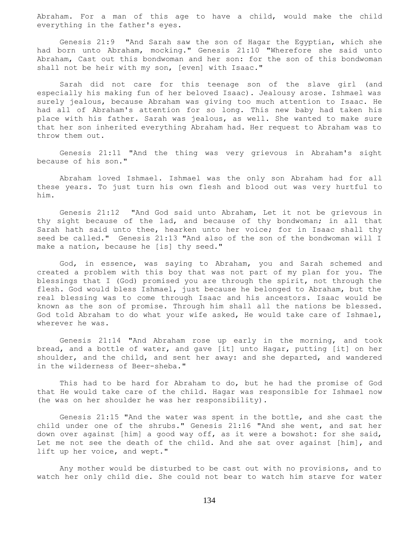Abraham. For a man of this age to have a child, would make the child everything in the father's eyes.

 Genesis 21:9 "And Sarah saw the son of Hagar the Egyptian, which she had born unto Abraham, mocking." Genesis 21:10 "Wherefore she said unto Abraham, Cast out this bondwoman and her son: for the son of this bondwoman shall not be heir with my son, [even] with Isaac."

 Sarah did not care for this teenage son of the slave girl (and especially his making fun of her beloved Isaac). Jealousy arose. Ishmael was surely jealous, because Abraham was giving too much attention to Isaac. He had all of Abraham's attention for so long. This new baby had taken his place with his father. Sarah was jealous, as well. She wanted to make sure that her son inherited everything Abraham had. Her request to Abraham was to throw them out.

 Genesis 21:11 "And the thing was very grievous in Abraham's sight because of his son."

 Abraham loved Ishmael. Ishmael was the only son Abraham had for all these years. To just turn his own flesh and blood out was very hurtful to him.

 Genesis 21:12 "And God said unto Abraham, Let it not be grievous in thy sight because of the lad, and because of thy bondwoman; in all that Sarah hath said unto thee, hearken unto her voice; for in Isaac shall thy seed be called." Genesis 21:13 "And also of the son of the bondwoman will I make a nation, because he [is] thy seed."

 God, in essence, was saying to Abraham, you and Sarah schemed and created a problem with this boy that was not part of my plan for you. The blessings that I (God) promised you are through the spirit, not through the flesh. God would bless Ishmael, just because he belonged to Abraham, but the real blessing was to come through Isaac and his ancestors. Isaac would be known as the son of promise. Through him shall all the nations be blessed. God told Abraham to do what your wife asked, He would take care of Ishmael, wherever he was.

 Genesis 21:14 "And Abraham rose up early in the morning, and took bread, and a bottle of water, and gave [it] unto Hagar, putting [it] on her shoulder, and the child, and sent her away: and she departed, and wandered in the wilderness of Beer-sheba."

 This had to be hard for Abraham to do, but he had the promise of God that He would take care of the child. Hagar was responsible for Ishmael now (he was on her shoulder he was her responsibility).

 Genesis 21:15 "And the water was spent in the bottle, and she cast the child under one of the shrubs." Genesis 21:16 "And she went, and sat her down over against [him] a good way off, as it were a bowshot: for she said, Let me not see the death of the child. And she sat over against [him], and lift up her voice, and wept."

 Any mother would be disturbed to be cast out with no provisions, and to watch her only child die. She could not bear to watch him starve for water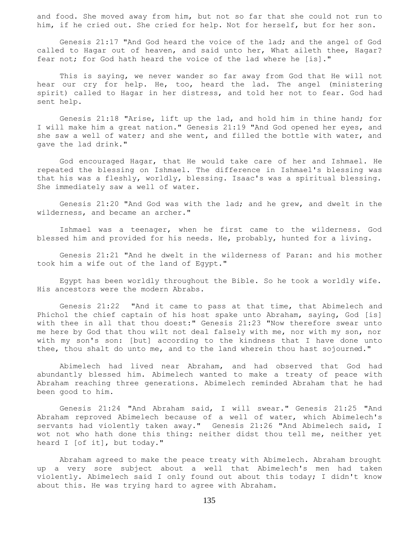and food. She moved away from him, but not so far that she could not run to him, if he cried out. She cried for help. Not for herself, but for her son.

 Genesis 21:17 "And God heard the voice of the lad; and the angel of God called to Hagar out of heaven, and said unto her, What aileth thee, Hagar? fear not; for God hath heard the voice of the lad where he [is]."

 This is saying, we never wander so far away from God that He will not hear our cry for help. He, too, heard the lad. The angel (ministering spirit) called to Hagar in her distress, and told her not to fear. God had sent help.

 Genesis 21:18 "Arise, lift up the lad, and hold him in thine hand; for I will make him a great nation." Genesis 21:19 "And God opened her eyes, and she saw a well of water; and she went, and filled the bottle with water, and gave the lad drink."

 God encouraged Hagar, that He would take care of her and Ishmael. He repeated the blessing on Ishmael. The difference in Ishmael's blessing was that his was a fleshly, worldly, blessing. Isaac's was a spiritual blessing. She immediately saw a well of water.

 Genesis 21:20 "And God was with the lad; and he grew, and dwelt in the wilderness, and became an archer."

 Ishmael was a teenager, when he first came to the wilderness. God blessed him and provided for his needs. He, probably, hunted for a living.

 Genesis 21:21 "And he dwelt in the wilderness of Paran: and his mother took him a wife out of the land of Egypt."

 Egypt has been worldly throughout the Bible. So he took a worldly wife. His ancestors were the modern Abrabs.

 Genesis 21:22 "And it came to pass at that time, that Abimelech and Phichol the chief captain of his host spake unto Abraham, saying, God [is] with thee in all that thou doest:" Genesis 21:23 "Now therefore swear unto me here by God that thou wilt not deal falsely with me, nor with my son, nor with my son's son: [but] according to the kindness that I have done unto thee, thou shalt do unto me, and to the land wherein thou hast sojourned."

 Abimelech had lived near Abraham, and had observed that God had abundantly blessed him. Abimelech wanted to make a treaty of peace with Abraham reaching three generations. Abimelech reminded Abraham that he had been good to him.

 Genesis 21:24 "And Abraham said, I will swear." Genesis 21:25 "And Abraham reproved Abimelech because of a well of water, which Abimelech's servants had violently taken away." Genesis 21:26 "And Abimelech said, I wot not who hath done this thing: neither didst thou tell me, neither yet heard I [of it], but today."

 Abraham agreed to make the peace treaty with Abimelech. Abraham brought up a very sore subject about a well that Abimelech's men had taken violently. Abimelech said I only found out about this today; I didn't know about this. He was trying hard to agree with Abraham.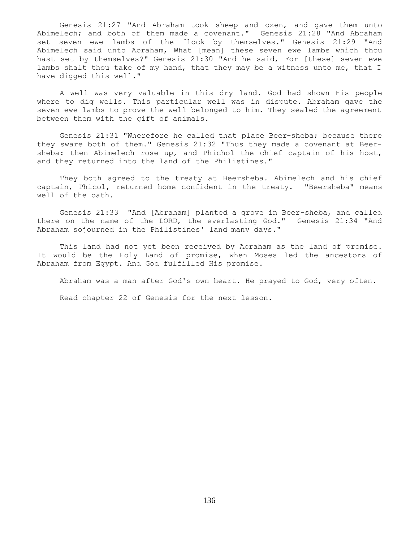Genesis 21:27 "And Abraham took sheep and oxen, and gave them unto Abimelech; and both of them made a covenant." Genesis 21:28 "And Abraham set seven ewe lambs of the flock by themselves." Genesis 21:29 "And Abimelech said unto Abraham, What [mean] these seven ewe lambs which thou hast set by themselves?" Genesis 21:30 "And he said, For [these] seven ewe lambs shalt thou take of my hand, that they may be a witness unto me, that I have digged this well."

 A well was very valuable in this dry land. God had shown His people where to dig wells. This particular well was in dispute. Abraham gave the seven ewe lambs to prove the well belonged to him. They sealed the agreement between them with the gift of animals.

 Genesis 21:31 "Wherefore he called that place Beer-sheba; because there they sware both of them." Genesis 21:32 "Thus they made a covenant at Beersheba: then Abimelech rose up, and Phichol the chief captain of his host, and they returned into the land of the Philistines."

 They both agreed to the treaty at Beersheba. Abimelech and his chief captain, Phicol, returned home confident in the treaty. "Beersheba" means well of the oath.

 Genesis 21:33 "And [Abraham] planted a grove in Beer-sheba, and called there on the name of the LORD, the everlasting God." Genesis 21:34 "And Abraham sojourned in the Philistines' land many days."

 This land had not yet been received by Abraham as the land of promise. It would be the Holy Land of promise, when Moses led the ancestors of Abraham from Egypt. And God fulfilled His promise.

Abraham was a man after God's own heart. He prayed to God, very often.

Read chapter 22 of Genesis for the next lesson.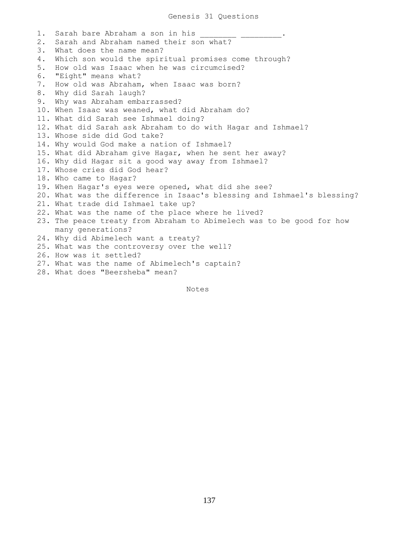1. Sarah bare Abraham a son in his 2. Sarah and Abraham named their son what? 3. What does the name mean? 4. Which son would the spiritual promises come through? 5. How old was Isaac when he was circumcised? 6. "Eight" means what? 7. How old was Abraham, when Isaac was born? 8. Why did Sarah laugh? 9. Why was Abraham embarrassed? 10. When Isaac was weaned, what did Abraham do? 11. What did Sarah see Ishmael doing? 12. What did Sarah ask Abraham to do with Hagar and Ishmael? 13. Whose side did God take? 14. Why would God make a nation of Ishmael? 15. What did Abraham give Hagar, when he sent her away? 16. Why did Hagar sit a good way away from Ishmael? 17. Whose cries did God hear? 18. Who came to Hagar? 19. When Hagar's eyes were opened, what did she see? 20. What was the difference in Isaac's blessing and Ishmael's blessing? 21. What trade did Ishmael take up? 22. What was the name of the place where he lived? 23. The peace treaty from Abraham to Abimelech was to be good for how many generations? 24. Why did Abimelech want a treaty? 25. What was the controversy over the well? 26. How was it settled? 27. What was the name of Abimelech's captain? 28. What does "Beersheba" mean?

Notes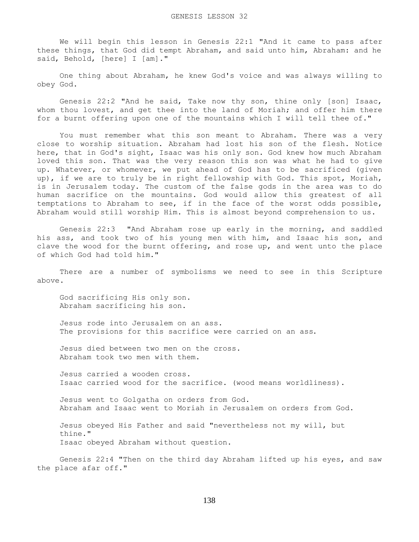We will begin this lesson in Genesis 22:1 "And it came to pass after these things, that God did tempt Abraham, and said unto him, Abraham: and he said, Behold, [here] I [am]."

 One thing about Abraham, he knew God's voice and was always willing to obey God.

 Genesis 22:2 "And he said, Take now thy son, thine only [son] Isaac, whom thou lovest, and get thee into the land of Moriah; and offer him there for a burnt offering upon one of the mountains which I will tell thee of."

 You must remember what this son meant to Abraham. There was a very close to worship situation. Abraham had lost his son of the flesh. Notice here, that in God's sight, Isaac was his only son. God knew how much Abraham loved this son. That was the very reason this son was what he had to give up. Whatever, or whomever, we put ahead of God has to be sacrificed (given up), if we are to truly be in right fellowship with God. This spot, Moriah, is in Jerusalem today. The custom of the false gods in the area was to do human sacrifice on the mountains. God would allow this greatest of all temptations to Abraham to see, if in the face of the worst odds possible, Abraham would still worship Him. This is almost beyond comprehension to us.

 Genesis 22:3 "And Abraham rose up early in the morning, and saddled his ass, and took two of his young men with him, and Isaac his son, and clave the wood for the burnt offering, and rose up, and went unto the place of which God had told him."

 There are a number of symbolisms we need to see in this Scripture above.

 God sacrificing His only son. Abraham sacrificing his son.

 Jesus rode into Jerusalem on an ass. The provisions for this sacrifice were carried on an ass.

 Jesus died between two men on the cross. Abraham took two men with them.

 Jesus carried a wooden cross. Isaac carried wood for the sacrifice. (wood means worldliness).

 Jesus went to Golgatha on orders from God. Abraham and Isaac went to Moriah in Jerusalem on orders from God.

 Jesus obeyed His Father and said "nevertheless not my will, but thine." Isaac obeyed Abraham without question.

 Genesis 22:4 "Then on the third day Abraham lifted up his eyes, and saw the place afar off."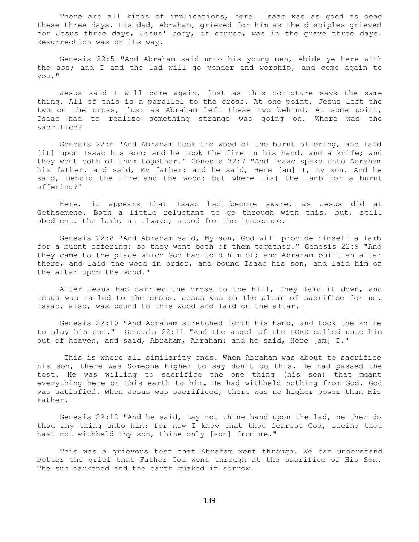There are all kinds of implications, here. Isaac was as good as dead these three days. His dad, Abraham, grieved for him as the disciples grieved for Jesus three days, Jesus' body, of course, was in the grave three days. Resurrection was on its way.

 Genesis 22:5 "And Abraham said unto his young men, Abide ye here with the ass; and I and the lad will go yonder and worship, and come again to you."

 Jesus said I will come again, just as this Scripture says the same thing. All of this is a parallel to the cross. At one point, Jesus left the two on the cross, just as Abraham left these two behind. At some point, Isaac had to realize something strange was going on. Where was the sacrifice?

 Genesis 22:6 "And Abraham took the wood of the burnt offering, and laid [it] upon Isaac his son; and he took the fire in his hand, and a knife; and they went both of them together." Genesis 22:7 "And Isaac spake unto Abraham his father, and said, My father: and he said, Here [am] I, my son. And he said, Behold the fire and the wood: but where [is] the lamb for a burnt offering?"

 Here, it appears that Isaac had become aware, as Jesus did at Gethsemene. Both a little reluctant to go through with this, but, still obedient. the lamb, as always, stood for the innocence.

 Genesis 22:8 "And Abraham said, My son, God will provide himself a lamb for a burnt offering: so they went both of them together." Genesis 22:9 "And they came to the place which God had told him of; and Abraham built an altar there, and laid the wood in order, and bound Isaac his son, and laid him on the altar upon the wood."

 After Jesus had carried the cross to the hill, they laid it down, and Jesus was nailed to the cross. Jesus was on the altar of sacrifice for us. Isaac, also, was bound to this wood and laid on the altar.

 Genesis 22:10 "And Abraham stretched forth his hand, and took the knife to slay his son." Genesis 22:11 "And the angel of the LORD called unto him out of heaven, and said, Abraham, Abraham: and he said, Here [am] I."

 This is where all similarity ends. When Abraham was about to sacrifice his son, there was Someone higher to say don't do this. He had passed the test. He was willing to sacrifice the one thing (his son) that meant everything here on this earth to him. He had withheld nothing from God. God was satisfied. When Jesus was sacrificed, there was no higher power than His Father.

 Genesis 22:12 "And he said, Lay not thine hand upon the lad, neither do thou any thing unto him: for now I know that thou fearest God, seeing thou hast not withheld thy son, thine only [son] from me."

 This was a grievous test that Abraham went through. We can understand better the grief that Father God went through at the sacrifice of His Son. The sun darkened and the earth quaked in sorrow.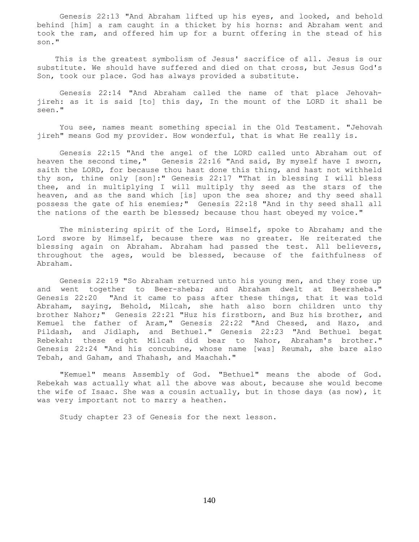Genesis 22:13 "And Abraham lifted up his eyes, and looked, and behold behind [him] a ram caught in a thicket by his horns: and Abraham went and took the ram, and offered him up for a burnt offering in the stead of his son."

 This is the greatest symbolism of Jesus' sacrifice of all. Jesus is our substitute. We should have suffered and died on that cross, but Jesus God's Son, took our place. God has always provided a substitute.

 Genesis 22:14 "And Abraham called the name of that place Jehovahjireh: as it is said [to] this day, In the mount of the LORD it shall be seen."

 You see, names meant something special in the Old Testament. "Jehovah jireh" means God my provider. How wonderful, that is what He really is.

 Genesis 22:15 "And the angel of the LORD called unto Abraham out of heaven the second time," Genesis 22:16 "And said, By myself have I sworn, saith the LORD, for because thou hast done this thing, and hast not withheld thy son, thine only [son]:" Genesis 22:17 "That in blessing I will bless thee, and in multiplying I will multiply thy seed as the stars of the heaven, and as the sand which [is] upon the sea shore; and thy seed shall possess the gate of his enemies;" Genesis 22:18 "And in thy seed shall all the nations of the earth be blessed; because thou hast obeyed my voice."

 The ministering spirit of the Lord, Himself, spoke to Abraham; and the Lord swore by Himself, because there was no greater. He reiterated the blessing again on Abraham. Abraham had passed the test. All believers, throughout the ages, would be blessed, because of the faithfulness of Abraham.

 Genesis 22:19 "So Abraham returned unto his young men, and they rose up and went together to Beer-sheba; and Abraham dwelt at Beersheba." Genesis 22:20 "And it came to pass after these things, that it was told Abraham, saying, Behold, Milcah, she hath also born children unto thy brother Nahor;" Genesis 22:21 "Huz his firstborn, and Buz his brother, and Kemuel the father of Aram," Genesis 22:22 "And Chesed, and Hazo, and Pildash, and Jidlaph, and Bethuel." Genesis 22:23 "And Bethuel begat Rebekah: these eight Milcah did bear to Nahor, Abraham's brother." Genesis 22:24 "And his concubine, whose name [was] Reumah, she bare also Tebah, and Gaham, and Thahash, and Maachah."

 "Kemuel" means Assembly of God. "Bethuel" means the abode of God. Rebekah was actually what all the above was about, because she would become the wife of Isaac. She was a cousin actually, but in those days (as now), it was very important not to marry a heathen.

Study chapter 23 of Genesis for the next lesson.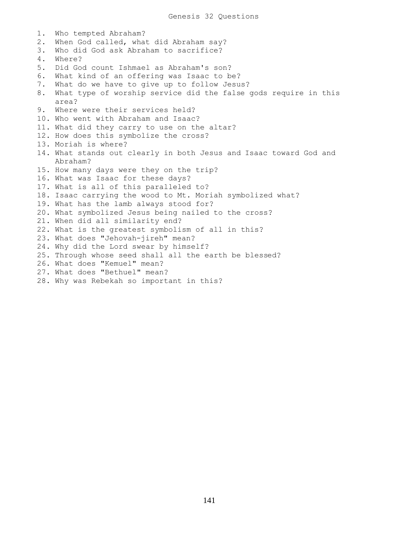1. Who tempted Abraham? 2. When God called, what did Abraham say? 3. Who did God ask Abraham to sacrifice? 4. Where? 5. Did God count Ishmael as Abraham's son? 6. What kind of an offering was Isaac to be? 7. What do we have to give up to follow Jesus? 8. What type of worship service did the false gods require in this area? 9. Where were their services held? 10. Who went with Abraham and Isaac? 11. What did they carry to use on the altar? 12. How does this symbolize the cross? 13. Moriah is where? 14. What stands out clearly in both Jesus and Isaac toward God and Abraham? 15. How many days were they on the trip? 16. What was Isaac for these days? 17. What is all of this paralleled to? 18. Isaac carrying the wood to Mt. Moriah symbolized what? 19. What has the lamb always stood for? 20. What symbolized Jesus being nailed to the cross? 21. When did all similarity end? 22. What is the greatest symbolism of all in this? 23. What does "Jehovah-jireh" mean? 24. Why did the Lord swear by himself? 25. Through whose seed shall all the earth be blessed? 26. What does "Kemuel" mean? 27. What does "Bethuel" mean? 28. Why was Rebekah so important in this?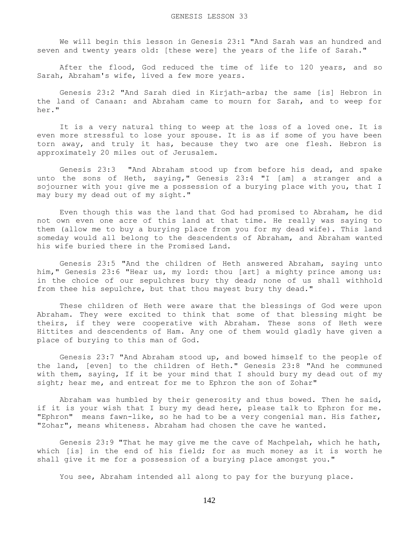We will begin this lesson in Genesis 23:1 "And Sarah was an hundred and seven and twenty years old: [these were] the years of the life of Sarah."

 After the flood, God reduced the time of life to 120 years, and so Sarah, Abraham's wife, lived a few more years.

 Genesis 23:2 "And Sarah died in Kirjath-arba; the same [is] Hebron in the land of Canaan: and Abraham came to mourn for Sarah, and to weep for her."

 It is a very natural thing to weep at the loss of a loved one. It is even more stressful to lose your spouse. It is as if some of you have been torn away, and truly it has, because they two are one flesh. Hebron is approximately 20 miles out of Jerusalem.

 Genesis 23:3 "And Abraham stood up from before his dead, and spake unto the sons of Heth, saying," Genesis 23:4 "I [am] a stranger and a sojourner with you: give me a possession of a burying place with you, that I may bury my dead out of my sight."

 Even though this was the land that God had promised to Abraham, he did not own even one acre of this land at that time. He really was saying to them (allow me to buy a burying place from you for my dead wife). This land someday would all belong to the descendents of Abraham, and Abraham wanted his wife buried there in the Promised Land.

 Genesis 23:5 "And the children of Heth answered Abraham, saying unto him," Genesis 23:6 "Hear us, my lord: thou [art] a mighty prince among us: in the choice of our sepulchres bury thy dead; none of us shall withhold from thee his sepulchre, but that thou mayest bury thy dead."

 These children of Heth were aware that the blessings of God were upon Abraham. They were excited to think that some of that blessing might be theirs, if they were cooperative with Abraham. These sons of Heth were Hittites and descendents of Ham. Any one of them would gladly have given a place of burying to this man of God.

 Genesis 23:7 "And Abraham stood up, and bowed himself to the people of the land, [even] to the children of Heth." Genesis 23:8 "And he communed with them, saying, If it be your mind that I should bury my dead out of my sight; hear me, and entreat for me to Ephron the son of Zohar"

 Abraham was humbled by their generosity and thus bowed. Then he said, if it is your wish that I bury my dead here, please talk to Ephron for me. "Ephron" means fawn-like, so he had to be a very congenial man. His father, "Zohar", means whiteness. Abraham had chosen the cave he wanted.

 Genesis 23:9 "That he may give me the cave of Machpelah, which he hath, which [is] in the end of his field; for as much money as it is worth he shall give it me for a possession of a burying place amongst you."

You see, Abraham intended all along to pay for the buryung place.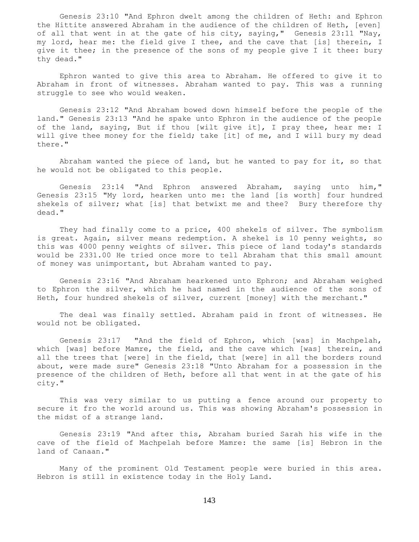Genesis 23:10 "And Ephron dwelt among the children of Heth: and Ephron the Hittite answered Abraham in the audience of the children of Heth, [even] of all that went in at the gate of his city, saying," Genesis 23:11 "Nay, my lord, hear me: the field give I thee, and the cave that [is] therein, I give it thee; in the presence of the sons of my people give I it thee: bury thy dead."

 Ephron wanted to give this area to Abraham. He offered to give it to Abraham in front of witnesses. Abraham wanted to pay. This was a running struggle to see who would weaken.

 Genesis 23:12 "And Abraham bowed down himself before the people of the land." Genesis 23:13 "And he spake unto Ephron in the audience of the people of the land, saying, But if thou [wilt give it], I pray thee, hear me: I will give thee money for the field; take [it] of me, and I will bury my dead there."

 Abraham wanted the piece of land, but he wanted to pay for it, so that he would not be obligated to this people.

 Genesis 23:14 "And Ephron answered Abraham, saying unto him," Genesis 23:15 "My lord, hearken unto me: the land [is worth] four hundred shekels of silver; what [is] that betwixt me and thee? Bury therefore thy dead."

 They had finally come to a price, 400 shekels of silver. The symbolism is great. Again, silver means redemption. A shekel is 10 penny weights, so this was 4000 penny weights of silver. This piece of land today's standards would be 2331.00 He tried once more to tell Abraham that this small amount of money was unimportant, but Abraham wanted to pay.

 Genesis 23:16 "And Abraham hearkened unto Ephron; and Abraham weighed to Ephron the silver, which he had named in the audience of the sons of Heth, four hundred shekels of silver, current [money] with the merchant."

 The deal was finally settled. Abraham paid in front of witnesses. He would not be obligated.

 Genesis 23:17 "And the field of Ephron, which [was] in Machpelah, which [was] before Mamre, the field, and the cave which [was] therein, and all the trees that [were] in the field, that [were] in all the borders round about, were made sure" Genesis 23:18 "Unto Abraham for a possession in the presence of the children of Heth, before all that went in at the gate of his city."

 This was very similar to us putting a fence around our property to secure it fro the world around us. This was showing Abraham's possession in the midst of a strange land.

 Genesis 23:19 "And after this, Abraham buried Sarah his wife in the cave of the field of Machpelah before Mamre: the same [is] Hebron in the land of Canaan."

 Many of the prominent Old Testament people were buried in this area. Hebron is still in existence today in the Holy Land.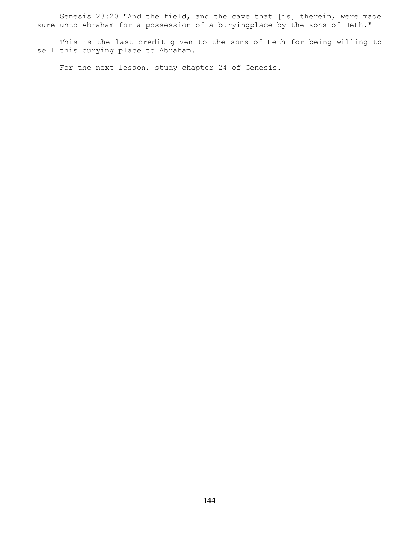Genesis 23:20 "And the field, and the cave that [is] therein, were made sure unto Abraham for a possession of a buryingplace by the sons of Heth."

 This is the last credit given to the sons of Heth for being willing to sell this burying place to Abraham.

For the next lesson, study chapter 24 of Genesis.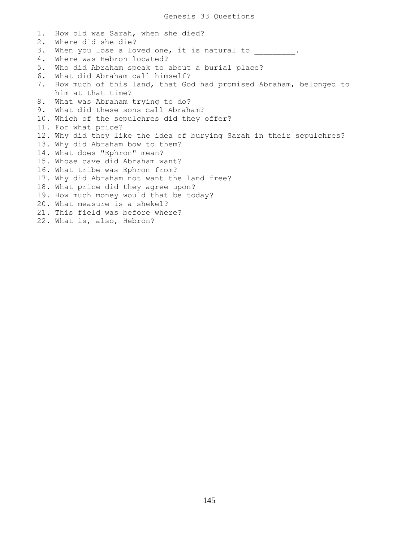1. How old was Sarah, when she died? 2. Where did she die? 3. When you lose a loved one, it is natural to \_\_\_\_\_\_\_\_\_\_. 4. Where was Hebron located? 5. Who did Abraham speak to about a burial place? 6. What did Abraham call himself? 7. How much of this land, that God had promised Abraham, belonged to him at that time? 8. What was Abraham trying to do? 9. What did these sons call Abraham? 10. Which of the sepulchres did they offer? 11. For what price? 12. Why did they like the idea of burying Sarah in their sepulchres? 13. Why did Abraham bow to them? 14. What does "Ephron" mean? 15. Whose cave did Abraham want? 16. What tribe was Ephron from? 17. Why did Abraham not want the land free? 18. What price did they agree upon? 19. How much money would that be today? 20. What measure is a shekel? 21. This field was before where? 22. What is, also, Hebron?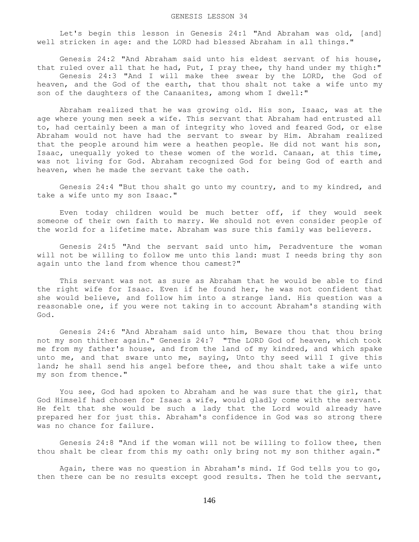Let's begin this lesson in Genesis 24:1 "And Abraham was old, [and] well stricken in age: and the LORD had blessed Abraham in all things."

 Genesis 24:2 "And Abraham said unto his eldest servant of his house, that ruled over all that he had, Put, I pray thee, thy hand under my thigh:" Genesis 24:3 "And I will make thee swear by the LORD, the God of heaven, and the God of the earth, that thou shalt not take a wife unto my son of the daughters of the Canaanites, among whom I dwell:"

 Abraham realized that he was growing old. His son, Isaac, was at the age where young men seek a wife. This servant that Abraham had entrusted all to, had certainly been a man of integrity who loved and feared God, or else Abraham would not have had the servant to swear by Him. Abraham realized that the people around him were a heathen people. He did not want his son, Isaac, unequally yoked to these women of the world. Canaan, at this time, was not living for God. Abraham recognized God for being God of earth and heaven, when he made the servant take the oath.

 Genesis 24:4 "But thou shalt go unto my country, and to my kindred, and take a wife unto my son Isaac."

 Even today children would be much better off, if they would seek someone of their own faith to marry. We should not even consider people of the world for a lifetime mate. Abraham was sure this family was believers.

 Genesis 24:5 "And the servant said unto him, Peradventure the woman will not be willing to follow me unto this land: must I needs bring thy son again unto the land from whence thou camest?"

 This servant was not as sure as Abraham that he would be able to find the right wife for Isaac. Even if he found her, he was not confident that she would believe, and follow him into a strange land. His question was a reasonable one, if you were not taking in to account Abraham's standing with God.

 Genesis 24:6 "And Abraham said unto him, Beware thou that thou bring not my son thither again." Genesis 24:7 "The LORD God of heaven, which took me from my father's house, and from the land of my kindred, and which spake unto me, and that sware unto me, saying, Unto thy seed will I give this land; he shall send his angel before thee, and thou shalt take a wife unto my son from thence."

 You see, God had spoken to Abraham and he was sure that the girl, that God Himself had chosen for Isaac a wife, would gladly come with the servant. He felt that she would be such a lady that the Lord would already have prepared her for just this. Abraham's confidence in God was so strong there was no chance for failure.

 Genesis 24:8 "And if the woman will not be willing to follow thee, then thou shalt be clear from this my oath: only bring not my son thither again."

 Again, there was no question in Abraham's mind. If God tells you to go, then there can be no results except good results. Then he told the servant,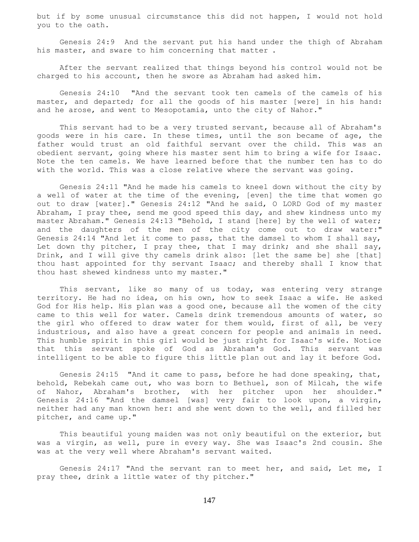but if by some unusual circumstance this did not happen, I would not hold you to the oath.

 Genesis 24:9 And the servant put his hand under the thigh of Abraham his master, and sware to him concerning that matter .

 After the servant realized that things beyond his control would not be charged to his account, then he swore as Abraham had asked him.

 Genesis 24:10 "And the servant took ten camels of the camels of his master, and departed; for all the goods of his master [were] in his hand: and he arose, and went to Mesopotamia, unto the city of Nahor."

 This servant had to be a very trusted servant, because all of Abraham's goods were in his care. In these times, until the son became of age, the father would trust an old faithful servant over the child. This was an obedient servant, going where his master sent him to bring a wife for Isaac. Note the ten camels. We have learned before that the number ten has to do with the world. This was a close relative where the servant was going.

 Genesis 24:11 "And he made his camels to kneel down without the city by a well of water at the time of the evening, [even] the time that women go out to draw [water]." Genesis 24:12 "And he said, O LORD God of my master Abraham, I pray thee, send me good speed this day, and shew kindness unto my master Abraham." Genesis 24:13 "Behold, I stand [here] by the well of water; and the daughters of the men of the city come out to draw water:" Genesis 24:14 "And let it come to pass, that the damsel to whom I shall say, Let down thy pitcher, I pray thee, that I may drink; and she shall say, Drink, and I will give thy camels drink also: [let the same be] she [that] thou hast appointed for thy servant Isaac; and thereby shall I know that thou hast shewed kindness unto my master."

 This servant, like so many of us today, was entering very strange territory. He had no idea, on his own, how to seek Isaac a wife. He asked God for His help. His plan was a good one, because all the women of the city came to this well for water. Camels drink tremendous amounts of water, so the girl who offered to draw water for them would, first of all, be very industrious, and also have a great concern for people and animals in need. This humble spirit in this girl would be just right for Isaac's wife. Notice that this servant spoke of God as Abraham's God. This servant was intelligent to be able to figure this little plan out and lay it before God.

 Genesis 24:15 "And it came to pass, before he had done speaking, that, behold, Rebekah came out, who was born to Bethuel, son of Milcah, the wife of Nahor, Abraham's brother, with her pitcher upon her shoulder." Genesis 24:16 "And the damsel [was] very fair to look upon, a virgin, neither had any man known her: and she went down to the well, and filled her pitcher, and came up."

 This beautiful young maiden was not only beautiful on the exterior, but was a virgin, as well, pure in every way. She was Isaac's 2nd cousin. She was at the very well where Abraham's servant waited.

 Genesis 24:17 "And the servant ran to meet her, and said, Let me, I pray thee, drink a little water of thy pitcher."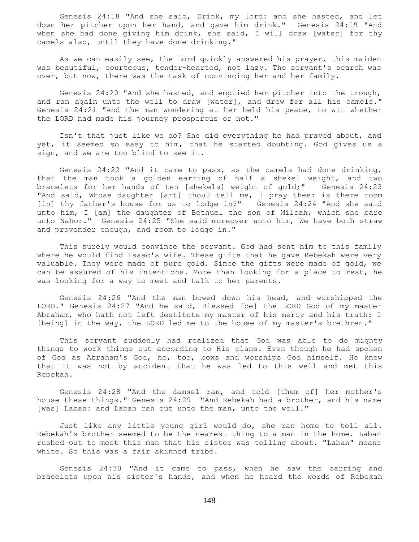Genesis 24:18 "And she said, Drink, my lord: and she hasted, and let down her pitcher upon her hand, and gave him drink." Genesis 24:19 "And when she had done giving him drink, she said, I will draw [water] for thy camels also, until they have done drinking."

 As we can easily see, the Lord quickly answered his prayer, this maiden was beautiful, courteous, tender-hearted, not lazy. The servant's search was over, but now, there was the task of convincing her and her family.

 Genesis 24:20 "And she hasted, and emptied her pitcher into the trough, and ran again unto the well to draw [water], and drew for all his camels." Genesis 24:21 "And the man wondering at her held his peace, to wit whether the LORD had made his journey prosperous or not."

 Isn't that just like we do? She did everything he had prayed about, and yet, it seemed so easy to him, that he started doubting. God gives us a sign, and we are too blind to see it.

 Genesis 24:22 "And it came to pass, as the camels had done drinking, that the man took a golden earring of half a shekel weight, and two bracelets for her hands of ten [shekels] weight of gold;" Genesis 24:23 "And said, Whose daughter [art] thou? tell me, I pray thee: is there room [in] thy father's house for us to lodge in?" Genesis 24:24 "And she said unto him, I [am] the daughter of Bethuel the son of Milcah, which she bare unto Nahor." Genesis 24:25 "She said moreover unto him, We have both straw and provender enough, and room to lodge in."

 This surely would convince the servant. God had sent him to this family where he would find Isaac's wife. These gifts that he gave Rebekah were very valuable. They were made of pure gold. Since the gifts were made of gold, we can be assured of his intentions. More than looking for a place to rest, he was looking for a way to meet and talk to her parents.

 Genesis 24:26 "And the man bowed down his head, and worshipped the LORD." Genesis 24:27 "And he said, Blessed [be] the LORD God of my master Abraham, who hath not left destitute my master of his mercy and his truth: I [being] in the way, the LORD led me to the house of my master's brethren."

 This servant suddenly had realized that God was able to do mighty things to work things out according to His plans. Even though he had spoken of God as Abraham's God, he, too, bows and worships God himself. He knew that it was not by accident that he was led to this well and met this Rebekah.

 Genesis 24:28 "And the damsel ran, and told [them of] her mother's house these things." Genesis 24:29 "And Rebekah had a brother, and his name [was] Laban: and Laban ran out unto the man, unto the well."

 Just like any little young girl would do, she ran home to tell all. Rebekah's brother seemed to be the nearest thing to a man in the home. Laban rushed out to meet this man that his sister was telling about. "Laban" means white. So this was a fair skinned tribe.

 Genesis 24:30 "And it came to pass, when he saw the earring and bracelets upon his sister's hands, and when he heard the words of Rebekah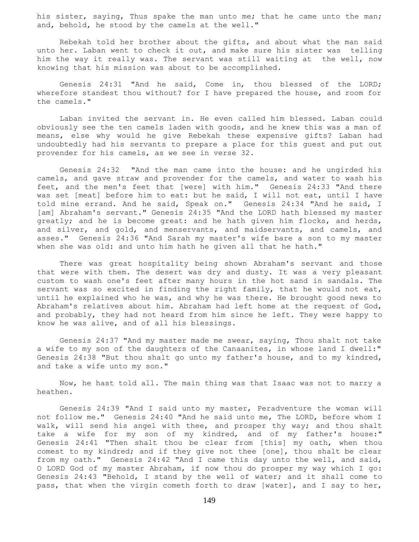his sister, saying, Thus spake the man unto me; that he came unto the man; and, behold, he stood by the camels at the well."

 Rebekah told her brother about the gifts, and about what the man said unto her. Laban went to check it out, and make sure his sister was telling him the way it really was. The servant was still waiting at the well, now knowing that his mission was about to be accomplished.

 Genesis 24:31 "And he said, Come in, thou blessed of the LORD; wherefore standest thou without? for I have prepared the house, and room for the camels."

 Laban invited the servant in. He even called him blessed. Laban could obviously see the ten camels laden with goods, and he knew this was a man of means, else why would he give Rebekah these expensive gifts? Laban had undoubtedly had his servants to prepare a place for this guest and put out provender for his camels, as we see in verse 32.

 Genesis 24:32 "And the man came into the house: and he ungirded his camels, and gave straw and provender for the camels, and water to wash his feet, and the men's feet that [were] with him." Genesis 24:33 "And there was set [meat] before him to eat: but he said, I will not eat, until I have told mine errand. And he said, Speak on." Genesis 24:34 "And he said, I [am] Abraham's servant." Genesis 24:35 "And the LORD hath blessed my master greatly; and he is become great: and he hath given him flocks, and herds, and silver, and gold, and menservants, and maidservants, and camels, and asses." Genesis 24:36 "And Sarah my master's wife bare a son to my master when she was old: and unto him hath he given all that he hath."

 There was great hospitality being shown Abraham's servant and those that were with them. The desert was dry and dusty. It was a very pleasant custom to wash one's feet after many hours in the hot sand in sandals. The servant was so excited in finding the right family, that he would not eat, until he explained who he was, and why he was there. He brought good news to Abraham's relatives about him. Abraham had left home at the request of God, and probably, they had not heard from him since he left. They were happy to know he was alive, and of all his blessings.

 Genesis 24:37 "And my master made me swear, saying, Thou shalt not take a wife to my son of the daughters of the Canaanites, in whose land I dwell:" Genesis 24:38 "But thou shalt go unto my father's house, and to my kindred, and take a wife unto my son."

 Now, he hast told all. The main thing was that Isaac was not to marry a heathen.

 Genesis 24:39 "And I said unto my master, Peradventure the woman will not follow me." Genesis 24:40 "And he said unto me, The LORD, before whom I walk, will send his angel with thee, and prosper thy way; and thou shalt take a wife for my son of my kindred, and of my father's house:" Genesis 24:41 "Then shalt thou be clear from [this] my oath, when thou comest to my kindred; and if they give not thee [one], thou shalt be clear from my oath." Genesis 24:42 "And I came this day unto the well, and said, O LORD God of my master Abraham, if now thou do prosper my way which I go: Genesis 24:43 "Behold, I stand by the well of water; and it shall come to pass, that when the virgin cometh forth to draw [water], and I say to her,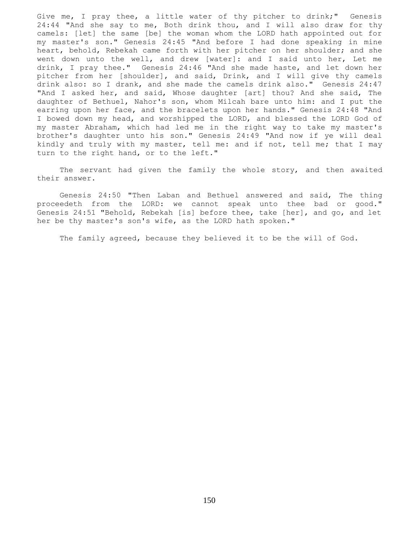Give me, I pray thee, a little water of thy pitcher to drink;" Genesis 24:44 "And she say to me, Both drink thou, and I will also draw for thy camels: [let] the same [be] the woman whom the LORD hath appointed out for my master's son." Genesis 24:45 "And before I had done speaking in mine heart, behold, Rebekah came forth with her pitcher on her shoulder; and she went down unto the well, and drew [water]: and I said unto her, Let me drink, I pray thee." Genesis 24:46 "And she made haste, and let down her pitcher from her [shoulder], and said, Drink, and I will give thy camels drink also: so I drank, and she made the camels drink also." Genesis 24:47 "And I asked her, and said, Whose daughter [art] thou? And she said, The daughter of Bethuel, Nahor's son, whom Milcah bare unto him: and I put the earring upon her face, and the bracelets upon her hands." Genesis 24:48 "And I bowed down my head, and worshipped the LORD, and blessed the LORD God of my master Abraham, which had led me in the right way to take my master's brother's daughter unto his son." Genesis 24:49 "And now if ye will deal kindly and truly with my master, tell me: and if not, tell me; that I may turn to the right hand, or to the left."

 The servant had given the family the whole story, and then awaited their answer.

 Genesis 24:50 "Then Laban and Bethuel answered and said, The thing proceedeth from the LORD: we cannot speak unto thee bad or good." Genesis 24:51 "Behold, Rebekah [is] before thee, take [her], and go, and let her be thy master's son's wife, as the LORD hath spoken."

The family agreed, because they believed it to be the will of God.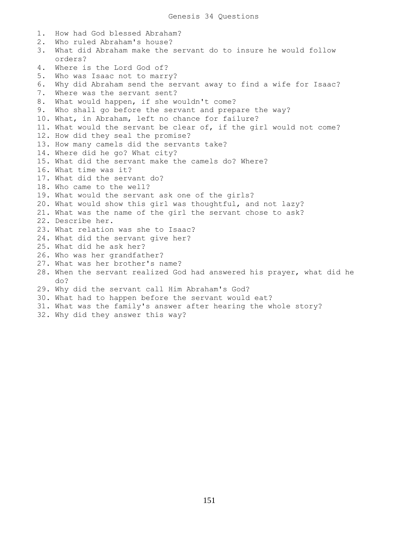1. How had God blessed Abraham? 2. Who ruled Abraham's house? 3. What did Abraham make the servant do to insure he would follow orders? 4. Where is the Lord God of? 5. Who was Isaac not to marry? 6. Why did Abraham send the servant away to find a wife for Isaac? 7. Where was the servant sent? 8. What would happen, if she wouldn't come? 9. Who shall go before the servant and prepare the way? 10. What, in Abraham, left no chance for failure? 11. What would the servant be clear of, if the girl would not come? 12. How did they seal the promise? 13. How many camels did the servants take? 14. Where did he go? What city? 15. What did the servant make the camels do? Where? 16. What time was it? 17. What did the servant do? 18. Who came to the well? 19. What would the servant ask one of the girls? 20. What would show this girl was thoughtful, and not lazy? 21. What was the name of the girl the servant chose to ask? 22. Describe her. 23. What relation was she to Isaac? 24. What did the servant give her? 25. What did he ask her? 26. Who was her grandfather? 27. What was her brother's name? 28. When the servant realized God had answered his prayer, what did he do? 29. Why did the servant call Him Abraham's God? 30. What had to happen before the servant would eat? 31. What was the family's answer after hearing the whole story? 32. Why did they answer this way?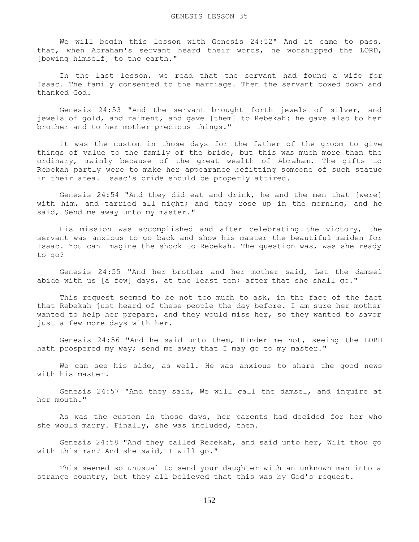We will begin this lesson with Genesis 24:52" And it came to pass, that, when Abraham's servant heard their words, he worshipped the LORD, [bowing himself] to the earth."

 In the last lesson, we read that the servant had found a wife for Isaac. The family consented to the marriage. Then the servant bowed down and thanked God.

 Genesis 24:53 "And the servant brought forth jewels of silver, and jewels of gold, and raiment, and gave [them] to Rebekah: he gave also to her brother and to her mother precious things."

 It was the custom in those days for the father of the groom to give things of value to the family of the bride, but this was much more than the ordinary, mainly because of the great wealth of Abraham. The gifts to Rebekah partly were to make her appearance befitting someone of such statue in their area. Isaac's bride should be properly attired.

 Genesis 24:54 "And they did eat and drink, he and the men that [were] with him, and tarried all night; and they rose up in the morning, and he said, Send me away unto my master."

 His mission was accomplished and after celebrating the victory, the servant was anxious to go back and show his master the beautiful maiden for Isaac. You can imagine the shock to Rebekah. The question was, was she ready to go?

 Genesis 24:55 "And her brother and her mother said, Let the damsel abide with us [a few] days, at the least ten; after that she shall go."

This request seemed to be not too much to ask, in the face of the fact that Rebekah just heard of these people the day before. I am sure her mother wanted to help her prepare, and they would miss her, so they wanted to savor just a few more days with her.

 Genesis 24:56 "And he said unto them, Hinder me not, seeing the LORD hath prospered my way; send me away that I may go to my master."

 We can see his side, as well. He was anxious to share the good news with his master.

 Genesis 24:57 "And they said, We will call the damsel, and inquire at her mouth."

 As was the custom in those days, her parents had decided for her who she would marry. Finally, she was included, then.

 Genesis 24:58 "And they called Rebekah, and said unto her, Wilt thou go with this man? And she said, I will go."

 This seemed so unusual to send your daughter with an unknown man into a strange country, but they all believed that this was by God's request.

152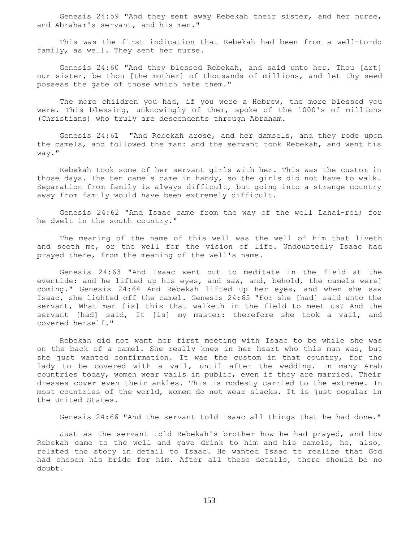Genesis 24:59 "And they sent away Rebekah their sister, and her nurse, and Abraham's servant, and his men."

 This was the first indication that Rebekah had been from a well-to-do family, as well. They sent her nurse.

 Genesis 24:60 "And they blessed Rebekah, and said unto her, Thou [art] our sister, be thou [the mother] of thousands of millions, and let thy seed possess the gate of those which hate them."

The more children you had, if you were a Hebrew, the more blessed you were. This blessing, unknowingly of them, spoke of the 1000's of millions (Christians) who truly are descendents through Abraham.

 Genesis 24:61 "And Rebekah arose, and her damsels, and they rode upon the camels, and followed the man: and the servant took Rebekah, and went his way."

 Rebekah took some of her servant girls with her. This was the custom in those days. The ten camels came in handy, so the girls did not have to walk. Separation from family is always difficult, but going into a strange country away from family would have been extremely difficult.

 Genesis 24:62 "And Isaac came from the way of the well Lahai-roi; for he dwelt in the south country."

 The meaning of the name of this well was the well of him that liveth and seeth me, or the well for the vision of life. Undoubtedly Isaac had prayed there, from the meaning of the well's name.

 Genesis 24:63 "And Isaac went out to meditate in the field at the eventide: and he lifted up his eyes, and saw, and, behold, the camels were] coming." Genesis 24:64 And Rebekah lifted up her eyes, and when she saw Isaac, she lighted off the camel. Genesis 24:65 "For she [had] said unto the servant, What man [is] this that walketh in the field to meet us? And the servant [had] said, It [is] my master: therefore she took a vail, and covered herself."

 Rebekah did not want her first meeting with Isaac to be while she was on the back of a camel. She really knew in her heart who this man was, but she just wanted confirmation. It was the custom in that country, for the lady to be covered with a vail, until after the wedding. In many Arab countries today, women wear vails in public, even if they are married. Their dresses cover even their ankles. This is modesty carried to the extreme. In most countries of the world, women do not wear slacks. It is just popular in the United States.

Genesis 24:66 "And the servant told Isaac all things that he had done."

 Just as the servant told Rebekah's brother how he had prayed, and how Rebekah came to the well and gave drink to him and his camels, he, also, related the story in detail to Isaac. He wanted Isaac to realize that God had chosen his bride for him. After all these details, there should be no doubt.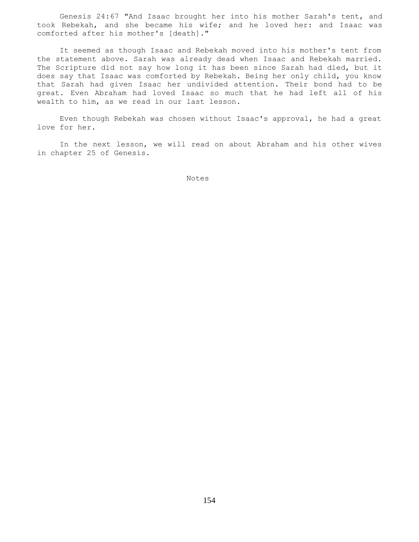Genesis 24:67 "And Isaac brought her into his mother Sarah's tent, and took Rebekah, and she became his wife; and he loved her: and Isaac was comforted after his mother's [death]."

 It seemed as though Isaac and Rebekah moved into his mother's tent from the statement above. Sarah was already dead when Isaac and Rebekah married. The Scripture did not say how long it has been since Sarah had died, but it does say that Isaac was comforted by Rebekah. Being her only child, you know that Sarah had given Isaac her undivided attention. Their bond had to be great. Even Abraham had loved Isaac so much that he had left all of his wealth to him, as we read in our last lesson.

 Even though Rebekah was chosen without Isaac's approval, he had a great love for her.

 In the next lesson, we will read on about Abraham and his other wives in chapter 25 of Genesis.

Notes **Notes**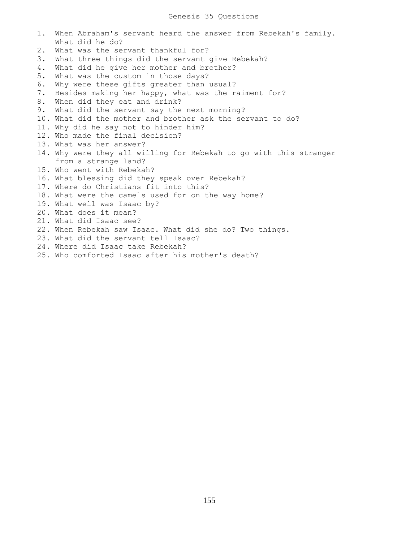1. When Abraham's servant heard the answer from Rebekah's family. What did he do? 2. What was the servant thankful for? 3. What three things did the servant give Rebekah? 4. What did he give her mother and brother? 5. What was the custom in those days? 6. Why were these gifts greater than usual? 7. Besides making her happy, what was the raiment for? 8. When did they eat and drink? 9. What did the servant say the next morning? 10. What did the mother and brother ask the servant to do? 11. Why did he say not to hinder him? 12. Who made the final decision? 13. What was her answer? 14. Why were they all willing for Rebekah to go with this stranger from a strange land? 15. Who went with Rebekah? 16. What blessing did they speak over Rebekah? 17. Where do Christians fit into this? 18. What were the camels used for on the way home? 19. What well was Isaac by? 20. What does it mean? 21. What did Isaac see? 22. When Rebekah saw Isaac. What did she do? Two things. 23. What did the servant tell Isaac? 24. Where did Isaac take Rebekah? 25. Who comforted Isaac after his mother's death?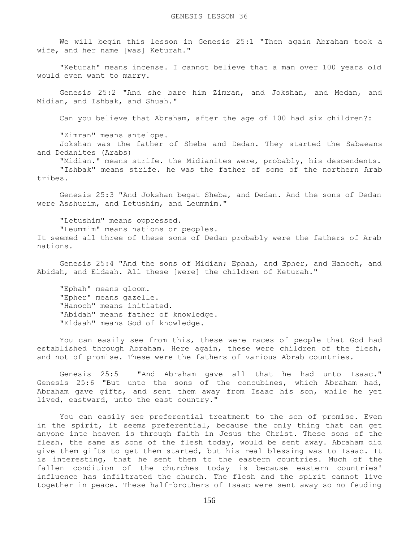We will begin this lesson in Genesis 25:1 "Then again Abraham took a wife, and her name [was] Keturah."

 "Keturah" means incense. I cannot believe that a man over 100 years old would even want to marry.

 Genesis 25:2 "And she bare him Zimran, and Jokshan, and Medan, and Midian, and Ishbak, and Shuah."

Can you believe that Abraham, after the age of 100 had six children?:

"Zimran" means antelope.

 Jokshan was the father of Sheba and Dedan. They started the Sabaeans and Dedanites (Arabs)

"Midian." means strife. the Midianites were, probably, his descendents.

 "Ishbak" means strife. he was the father of some of the northern Arab tribes.

 Genesis 25:3 "And Jokshan begat Sheba, and Dedan. And the sons of Dedan were Asshurim, and Letushim, and Leummim."

"Letushim" means oppressed.

 "Leummim" means nations or peoples. It seemed all three of these sons of Dedan probably were the fathers of Arab nations.

 Genesis 25:4 "And the sons of Midian; Ephah, and Epher, and Hanoch, and Abidah, and Eldaah. All these [were] the children of Keturah."

 "Ephah" means gloom. "Epher" means gazelle. "Hanoch" means initiated. "Abidah" means father of knowledge. "Eldaah" means God of knowledge.

 You can easily see from this, these were races of people that God had established through Abraham. Here again, these were children of the flesh, and not of promise. These were the fathers of various Abrab countries.

 Genesis 25:5 "And Abraham gave all that he had unto Isaac." Genesis 25:6 "But unto the sons of the concubines, which Abraham had, Abraham gave gifts, and sent them away from Isaac his son, while he yet lived, eastward, unto the east country."

 You can easily see preferential treatment to the son of promise. Even in the spirit, it seems preferential, because the only thing that can get anyone into heaven is through faith in Jesus the Christ. These sons of the flesh, the same as sons of the flesh today, would be sent away. Abraham did give them gifts to get them started, but his real blessing was to Isaac. It is interesting, that he sent them to the eastern countries. Much of the fallen condition of the churches today is because eastern countries' influence has infiltrated the church. The flesh and the spirit cannot live together in peace. These half-brothers of Isaac were sent away so no feuding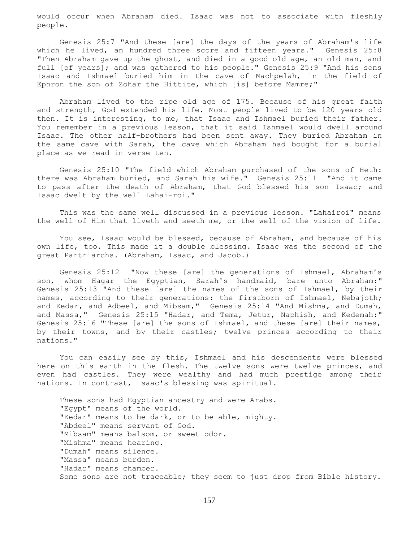would occur when Abraham died. Isaac was not to associate with fleshly people.

 Genesis 25:7 "And these [are] the days of the years of Abraham's life which he lived, an hundred three score and fifteen years." Genesis 25:8 "Then Abraham gave up the ghost, and died in a good old age, an old man, and full [of years]; and was gathered to his people." Genesis 25:9 "And his sons Isaac and Ishmael buried him in the cave of Machpelah, in the field of Ephron the son of Zohar the Hittite, which [is] before Mamre;"

 Abraham lived to the ripe old age of 175. Because of his great faith and strength, God extended his life. Most people lived to be 120 years old then. It is interesting, to me, that Isaac and Ishmael buried their father. You remember in a previous lesson, that it said Ishmael would dwell around Isaac. The other half-brothers had been sent away. They buried Abraham in the same cave with Sarah, the cave which Abraham had bought for a burial place as we read in verse ten.

 Genesis 25:10 "The field which Abraham purchased of the sons of Heth: there was Abraham buried, and Sarah his wife." Genesis 25:11 "And it came to pass after the death of Abraham, that God blessed his son Isaac; and Isaac dwelt by the well Lahai-roi."

 This was the same well discussed in a previous lesson. "Lahairoi" means the well of Him that liveth and seeth me, or the well of the vision of life.

 You see, Isaac would be blessed, because of Abraham, and because of his own life, too. This made it a double blessing. Isaac was the second of the great Partriarchs. (Abraham, Isaac, and Jacob.)

 Genesis 25:12 "Now these [are] the generations of Ishmael, Abraham's son, whom Hagar the Egyptian, Sarah's handmaid, bare unto Abraham:" Genesis 25:13 "And these [are] the names of the sons of Ishmael, by their names, according to their generations: the firstborn of Ishmael, Nebajoth; and Kedar, and Adbeel, and Mibsam," Genesis 25:14 "And Mishma, and Dumah, and Massa," Genesis 25:15 "Hadar, and Tema, Jetur, Naphish, and Kedemah:" Genesis 25:16 "These [are] the sons of Ishmael, and these [are] their names, by their towns, and by their castles; twelve princes according to their nations."

 You can easily see by this, Ishmael and his descendents were blessed here on this earth in the flesh. The twelve sons were twelve princes, and even had castles. They were wealthy and had much prestige among their nations. In contrast, Isaac's blessing was spiritual.

 These sons had Egyptian ancestry and were Arabs. "Egypt" means of the world. "Kedar" means to be dark, or to be able, mighty. "Abdeel" means servant of God. "Mibsam" means balsom, or sweet odor. "Mishma" means hearing. "Dumah" means silence. "Massa" means burden. "Hadar" means chamber. Some sons are not traceable; they seem to just drop from Bible history.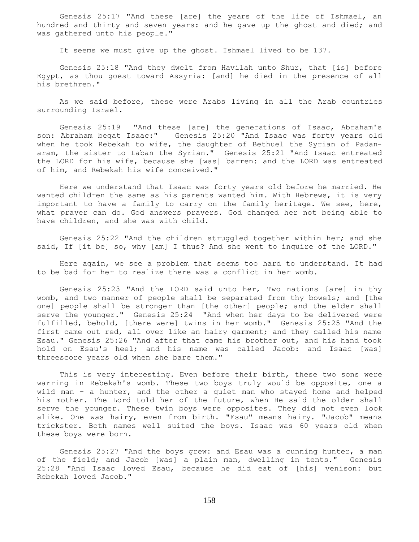Genesis 25:17 "And these [are] the years of the life of Ishmael, an hundred and thirty and seven years: and he gave up the ghost and died; and was gathered unto his people."

It seems we must give up the ghost. Ishmael lived to be 137.

 Genesis 25:18 "And they dwelt from Havilah unto Shur, that [is] before Egypt, as thou goest toward Assyria: [and] he died in the presence of all his brethren."

 As we said before, these were Arabs living in all the Arab countries surrounding Israel.

 Genesis 25:19 "And these [are] the generations of Isaac, Abraham's son: Abraham begat Isaac:" Genesis 25:20 "And Isaac was forty years old when he took Rebekah to wife, the daughter of Bethuel the Syrian of Padanaram, the sister to Laban the Syrian." Genesis 25:21 "And Isaac entreated the LORD for his wife, because she [was] barren: and the LORD was entreated of him, and Rebekah his wife conceived."

 Here we understand that Isaac was forty years old before he married. He wanted children the same as his parents wanted him. With Hebrews, it is very important to have a family to carry on the family heritage. We see, here, what prayer can do. God answers prayers. God changed her not being able to have children, and she was with child.

 Genesis 25:22 "And the children struggled together within her; and she said, If [it be] so, why [am] I thus? And she went to inquire of the LORD."

 Here again, we see a problem that seems too hard to understand. It had to be bad for her to realize there was a conflict in her womb.

 Genesis 25:23 "And the LORD said unto her, Two nations [are] in thy womb, and two manner of people shall be separated from thy bowels; and [the one] people shall be stronger than [the other] people; and the elder shall serve the younger." Genesis 25:24 "And when her days to be delivered were fulfilled, behold, [there were] twins in her womb." Genesis 25:25 "And the first came out red, all over like an hairy garment; and they called his name Esau." Genesis 25:26 "And after that came his brother out, and his hand took hold on Esau's heel; and his name was called Jacob: and Isaac [was] threescore years old when she bare them."

 This is very interesting. Even before their birth, these two sons were warring in Rebekah's womb. These two boys truly would be opposite, one a wild man - a hunter, and the other a quiet man who stayed home and helped his mother. The Lord told her of the future, when He said the older shall serve the younger. These twin boys were opposites. They did not even look alike. One was hairy, even from birth. "Esau" means hairy. "Jacob" means trickster. Both names well suited the boys. Isaac was 60 years old when these boys were born.

 Genesis 25:27 "And the boys grew: and Esau was a cunning hunter, a man of the field; and Jacob [was] a plain man, dwelling in tents." Genesis 25:28 "And Isaac loved Esau, because he did eat of [his] venison: but Rebekah loved Jacob."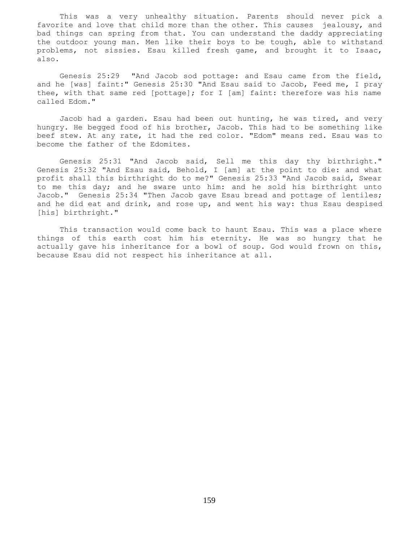This was a very unhealthy situation. Parents should never pick a favorite and love that child more than the other. This causes jealousy, and bad things can spring from that. You can understand the daddy appreciating the outdoor young man. Men like their boys to be tough, able to withstand problems, not sissies. Esau killed fresh game, and brought it to Isaac, also.

 Genesis 25:29 "And Jacob sod pottage: and Esau came from the field, and he [was] faint:" Genesis 25:30 "And Esau said to Jacob, Feed me, I pray thee, with that same red [pottage]; for I [am] faint: therefore was his name called Edom."

 Jacob had a garden. Esau had been out hunting, he was tired, and very hungry. He begged food of his brother, Jacob. This had to be something like beef stew. At any rate, it had the red color. "Edom" means red. Esau was to become the father of the Edomites.

 Genesis 25:31 "And Jacob said, Sell me this day thy birthright." Genesis 25:32 "And Esau said, Behold, I [am] at the point to die: and what profit shall this birthright do to me?" Genesis 25:33 "And Jacob said, Swear to me this day; and he sware unto him: and he sold his birthright unto Jacob." Genesis 25:34 "Then Jacob gave Esau bread and pottage of lentiles; and he did eat and drink, and rose up, and went his way: thus Esau despised [his] birthright."

 This transaction would come back to haunt Esau. This was a place where things of this earth cost him his eternity. He was so hungry that he actually gave his inheritance for a bowl of soup. God would frown on this, because Esau did not respect his inheritance at all.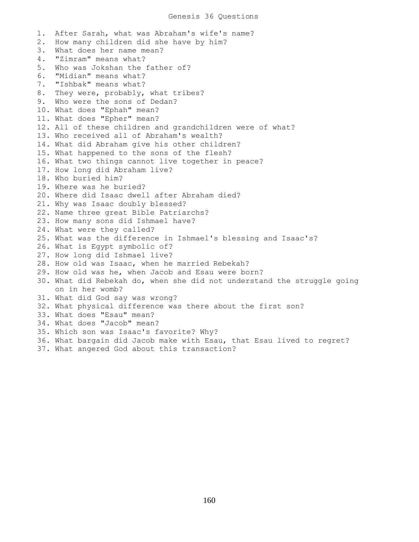1. After Sarah, what was Abraham's wife's name? 2. How many children did she have by him? 3. What does her name mean? 4. "Zimram" means what? 5. Who was Jokshan the father of? 6. "Midian" means what? 7. "Ishbak" means what? 8. They were, probably, what tribes? 9. Who were the sons of Dedan? 10. What does "Ephah" mean? 11. What does "Epher" mean? 12. All of these children and grandchildren were of what? 13. Who received all of Abraham's wealth? 14. What did Abraham give his other children? 15. What happened to the sons of the flesh? 16. What two things cannot live together in peace? 17. How long did Abraham live? 18. Who buried him? 19. Where was he buried? 20. Where did Isaac dwell after Abraham died? 21. Why was Isaac doubly blessed? 22. Name three great Bible Patriarchs? 23. How many sons did Ishmael have? 24. What were they called? 25. What was the difference in Ishmael's blessing and Isaac's? 26. What is Egypt symbolic of? 27. How long did Ishmael live? 28. How old was Isaac, when he married Rebekah? 29. How old was he, when Jacob and Esau were born? 30. What did Rebekah do, when she did not understand the struggle going on in her womb? 31. What did God say was wrong? 32. What physical difference was there about the first son? 33. What does "Esau" mean? 34. What does "Jacob" mean? 35. Which son was Isaac's favorite? Why? 36. What bargain did Jacob make with Esau, that Esau lived to regret? 37. What angered God about this transaction?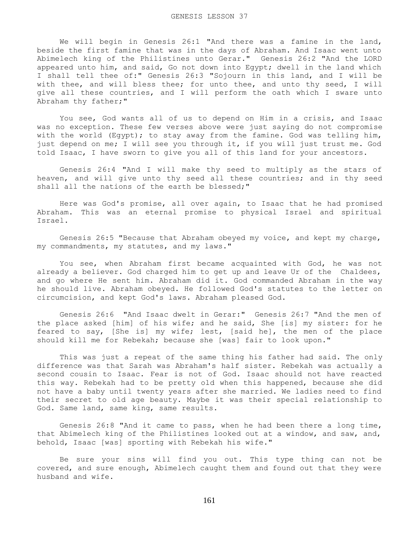We will begin in Genesis 26:1 "And there was a famine in the land, beside the first famine that was in the days of Abraham. And Isaac went unto Abimelech king of the Philistines unto Gerar." Genesis 26:2 "And the LORD appeared unto him, and said, Go not down into Egypt; dwell in the land which I shall tell thee of:" Genesis 26:3 "Sojourn in this land, and I will be with thee, and will bless thee; for unto thee, and unto thy seed, I will give all these countries, and I will perform the oath which I sware unto Abraham thy father;"

 You see, God wants all of us to depend on Him in a crisis, and Isaac was no exception. These few verses above were just saying do not compromise with the world (Egypt); to stay away from the famine. God was telling him, just depend on me; I will see you through it, if you will just trust me. God told Isaac, I have sworn to give you all of this land for your ancestors.

 Genesis 26:4 "And I will make thy seed to multiply as the stars of heaven, and will give unto thy seed all these countries; and in thy seed shall all the nations of the earth be blessed;"

 Here was God's promise, all over again, to Isaac that he had promised Abraham. This was an eternal promise to physical Israel and spiritual Israel.

 Genesis 26:5 "Because that Abraham obeyed my voice, and kept my charge, my commandments, my statutes, and my laws."

 You see, when Abraham first became acquainted with God, he was not already a believer. God charged him to get up and leave Ur of the Chaldees, and go where He sent him. Abraham did it. God commanded Abraham in the way he should live. Abraham obeyed. He followed God's statutes to the letter on circumcision, and kept God's laws. Abraham pleased God.

 Genesis 26:6 "And Isaac dwelt in Gerar:" Genesis 26:7 "And the men of the place asked [him] of his wife; and he said, She [is] my sister: for he feared to say, [She is] my wife; lest, [said he], the men of the place should kill me for Rebekah; because she [was] fair to look upon."

 This was just a repeat of the same thing his father had said. The only difference was that Sarah was Abraham's half sister. Rebekah was actually a second cousin to Isaac. Fear is not of God. Isaac should not have reacted this way. Rebekah had to be pretty old when this happened, because she did not have a baby until twenty years after she married. We ladies need to find their secret to old age beauty. Maybe it was their special relationship to God. Same land, same king, same results.

 Genesis 26:8 "And it came to pass, when he had been there a long time, that Abimelech king of the Philistines looked out at a window, and saw, and, behold, Isaac [was] sporting with Rebekah his wife."

 Be sure your sins will find you out. This type thing can not be covered, and sure enough, Abimelech caught them and found out that they were husband and wife.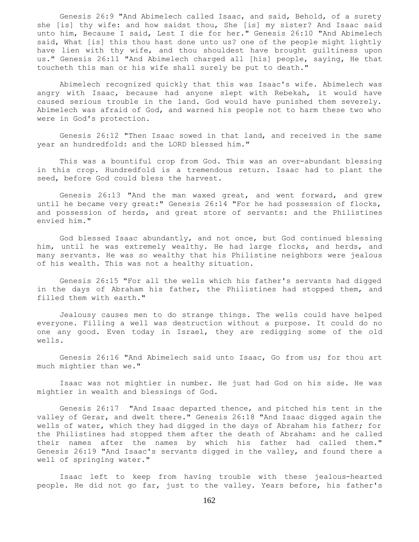Genesis 26:9 "And Abimelech called Isaac, and said, Behold, of a surety she [is] thy wife: and how saidst thou, She [is] my sister? And Isaac said unto him, Because I said, Lest I die for her." Genesis 26:10 "And Abimelech said, What [is] this thou hast done unto us? one of the people might lightly have lien with thy wife, and thou shouldest have brought guiltiness upon us." Genesis 26:11 "And Abimelech charged all [his] people, saying, He that toucheth this man or his wife shall surely be put to death."

 Abimelech recognized quickly that this was Isaac's wife. Abimelech was angry with Isaac, because had anyone slept with Rebekah, it would have caused serious trouble in the land. God would have punished them severely. Abimelech was afraid of God, and warned his people not to harm these two who were in God's protection.

 Genesis 26:12 "Then Isaac sowed in that land, and received in the same year an hundredfold: and the LORD blessed him."

 This was a bountiful crop from God. This was an over-abundant blessing in this crop. Hundredfold is a tremendous return. Isaac had to plant the seed, before God could bless the harvest.

 Genesis 26:13 "And the man waxed great, and went forward, and grew until he became very great:" Genesis 26:14 "For he had possession of flocks, and possession of herds, and great store of servants: and the Philistines envied him."

 God blessed Isaac abundantly, and not once, but God continued blessing him, until he was extremely wealthy. He had large flocks, and herds, and many servants. He was so wealthy that his Philistine neighbors were jealous of his wealth. This was not a healthy situation.

 Genesis 26:15 "For all the wells which his father's servants had digged in the days of Abraham his father, the Philistines had stopped them, and filled them with earth."

 Jealousy causes men to do strange things. The wells could have helped everyone. Filling a well was destruction without a purpose. It could do no one any good. Even today in Israel, they are redigging some of the old wells.

 Genesis 26:16 "And Abimelech said unto Isaac, Go from us; for thou art much mightier than we."

 Isaac was not mightier in number. He just had God on his side. He was mightier in wealth and blessings of God.

 Genesis 26:17 "And Isaac departed thence, and pitched his tent in the valley of Gerar, and dwelt there." Genesis 26:18 "And Isaac digged again the wells of water, which they had digged in the days of Abraham his father; for the Philistines had stopped them after the death of Abraham: and he called their names after the names by which his father had called them." Genesis 26:19 "And Isaac's servants digged in the valley, and found there a well of springing water."

 Isaac left to keep from having trouble with these jealous-hearted people. He did not go far, just to the valley. Years before, his father's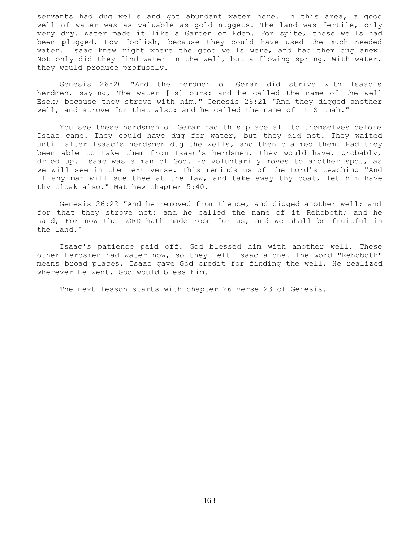servants had dug wells and got abundant water here. In this area, a good well of water was as valuable as gold nuggets. The land was fertile, only very dry. Water made it like a Garden of Eden. For spite, these wells had been plugged. How foolish, because they could have used the much needed water. Isaac knew right where the good wells were, and had them dug anew. Not only did they find water in the well, but a flowing spring. With water, they would produce profusely.

 Genesis 26:20 "And the herdmen of Gerar did strive with Isaac's herdmen, saying, The water [is] ours: and he called the name of the well Esek; because they strove with him." Genesis 26:21 "And they digged another well, and strove for that also: and he called the name of it Sitnah."

 You see these herdsmen of Gerar had this place all to themselves before Isaac came. They could have dug for water, but they did not. They waited until after Isaac's herdsmen dug the wells, and then claimed them. Had they been able to take them from Isaac's herdsmen, they would have, probably, dried up. Isaac was a man of God. He voluntarily moves to another spot, as we will see in the next verse. This reminds us of the Lord's teaching "And if any man will sue thee at the law, and take away thy coat, let him have thy cloak also." Matthew chapter 5:40.

 Genesis 26:22 "And he removed from thence, and digged another well; and for that they strove not: and he called the name of it Rehoboth; and he said, For now the LORD hath made room for us, and we shall be fruitful in the land."

 Isaac's patience paid off. God blessed him with another well. These other herdsmen had water now, so they left Isaac alone. The word "Rehoboth" means broad places. Isaac gave God credit for finding the well. He realized wherever he went, God would bless him.

The next lesson starts with chapter 26 verse 23 of Genesis.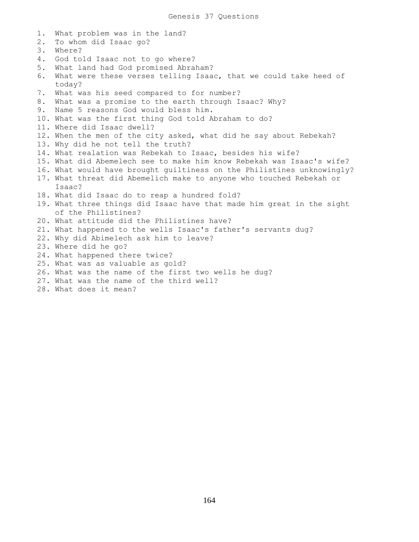1. What problem was in the land? 2. To whom did Isaac go? 3. Where? 4. God told Isaac not to go where? 5. What land had God promised Abraham? 6. What were these verses telling Isaac, that we could take heed of today? 7. What was his seed compared to for number? 8. What was a promise to the earth through Isaac? Why? 9. Name 5 reasons God would bless him. 10. What was the first thing God told Abraham to do? 11. Where did Isaac dwell? 12. When the men of the city asked, what did he say about Rebekah? 13. Why did he not tell the truth? 14. What realation was Rebekah to Isaac, besides his wife? 15. What did Abemelech see to make him know Rebekah was Isaac's wife? 16. What would have brought guiltiness on the Philistines unknowingly? 17. What threat did Abemelich make to anyone who touched Rebekah or Isaac? 18. What did Isaac do to reap a hundred fold? 19. What three things did Isaac have that made him great in the sight of the Philistines? 20. What attitude did the Philistines have? 21. What happened to the wells Isaac's father's servants dug? 22. Why did Abimelech ask him to leave? 23. Where did he go? 24. What happened there twice? 25. What was as valuable as gold? 26. What was the name of the first two wells he dug? 27. What was the name of the third well? 28. What does it mean?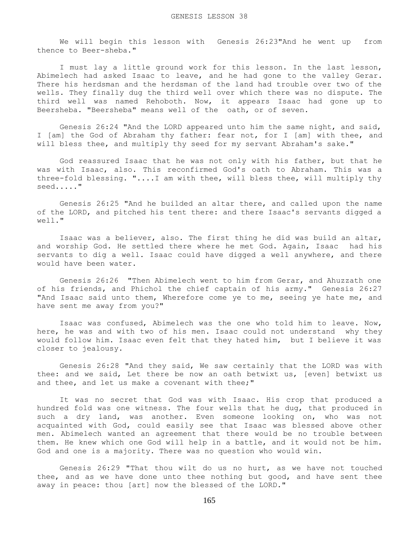We will begin this lesson with Genesis 26:23"And he went up from thence to Beer-sheba."

 I must lay a little ground work for this lesson. In the last lesson, Abimelech had asked Isaac to leave, and he had gone to the valley Gerar. There his herdsman and the herdsman of the land had trouble over two of the wells. They finally dug the third well over which there was no dispute. The third well was named Rehoboth. Now, it appears Isaac had gone up to Beersheba. "Beersheba" means well of the oath, or of seven.

 Genesis 26:24 "And the LORD appeared unto him the same night, and said, I [am] the God of Abraham thy father: fear not, for I [am] with thee, and will bless thee, and multiply thy seed for my servant Abraham's sake."

 God reassured Isaac that he was not only with his father, but that he was with Isaac, also. This reconfirmed God's oath to Abraham. This was a three-fold blessing. "....I am with thee, will bless thee, will multiply thy seed....."

 Genesis 26:25 "And he builded an altar there, and called upon the name of the LORD, and pitched his tent there: and there Isaac's servants digged a well."

 Isaac was a believer, also. The first thing he did was build an altar, and worship God. He settled there where he met God. Again, Isaac had his servants to dig a well. Isaac could have digged a well anywhere, and there would have been water.

 Genesis 26:26 "Then Abimelech went to him from Gerar, and Ahuzzath one of his friends, and Phichol the chief captain of his army." Genesis 26:27 "And Isaac said unto them, Wherefore come ye to me, seeing ye hate me, and have sent me away from you?"

 Isaac was confused, Abimelech was the one who told him to leave. Now, here, he was and with two of his men. Isaac could not understand why they would follow him. Isaac even felt that they hated him, but I believe it was closer to jealousy.

 Genesis 26:28 "And they said, We saw certainly that the LORD was with thee: and we said, Let there be now an oath betwixt us, [even] betwixt us and thee, and let us make a covenant with thee;"

 It was no secret that God was with Isaac. His crop that produced a hundred fold was one witness. The four wells that he dug, that produced in such a dry land, was another. Even someone looking on, who was not acquainted with God, could easily see that Isaac was blessed above other men. Abimelech wanted an agreement that there would be no trouble between them. He knew which one God will help in a battle, and it would not be him. God and one is a majority. There was no question who would win.

 Genesis 26:29 "That thou wilt do us no hurt, as we have not touched thee, and as we have done unto thee nothing but good, and have sent thee away in peace: thou [art] now the blessed of the LORD."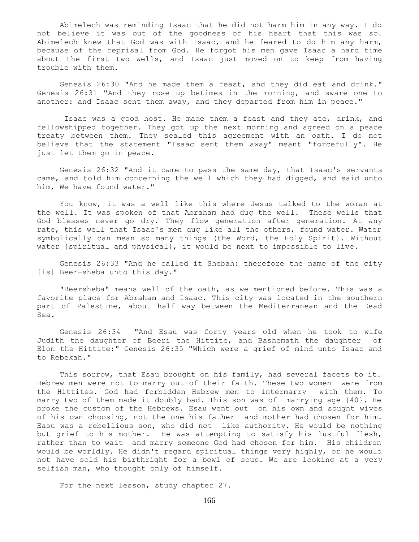Abimelech was reminding Isaac that he did not harm him in any way. I do not believe it was out of the goodness of his heart that this was so. Abimelech knew that God was with Isaac, and he feared to do him any harm, because of the reprisal from God. He forgot his men gave Isaac a hard time about the first two wells, and Isaac just moved on to keep from having trouble with them.

 Genesis 26:30 "And he made them a feast, and they did eat and drink." Genesis 26:31 "And they rose up betimes in the morning, and sware one to another: and Isaac sent them away, and they departed from him in peace."

 Isaac was a good host. He made them a feast and they ate, drink, and fellowshipped together. They got up the next morning and agreed on a peace treaty between them. They sealed this agreement with an oath. I do not believe that the statement "Isaac sent them away" meant "forcefully". He just let them go in peace.

 Genesis 26:32 "And it came to pass the same day, that Isaac's servants came, and told him concerning the well which they had digged, and said unto him, We have found water."

 You know, it was a well like this where Jesus talked to the woman at the well. It was spoken of that Abraham had dug the well. These wells that God blesses never go dry. They flow generation after generation. At any rate, this well that Isaac's men dug like all the others, found water. Water symbolically can mean so many things (the Word, the Holy Spirit}. Without water {spiritual and physical}, it would be next to impossible to live.

 Genesis 26:33 "And he called it Shebah: therefore the name of the city [is] Beer-sheba unto this day."

 "Beersheba" means well of the oath, as we mentioned before. This was a favorite place for Abraham and Isaac. This city was located in the southern part of Palestine, about half way between the Mediterranean and the Dead Sea.

 Genesis 26:34 "And Esau was forty years old when he took to wife Judith the daughter of Beeri the Hittite, and Bashemath the daughter of Elon the Hittite:" Genesis 26:35 "Which were a grief of mind unto Isaac and to Rebekah."

This sorrow, that Esau brought on his family, had several facets to it. Hebrew men were not to marry out of their faith. These two women were from the Hittites. God had forbidden Hebrew men to intermarry with them. To marry two of them made it doubly bad. This son was of marrying age {40}. He broke the custom of the Hebrews. Esau went out on his own and sought wives of his own choosing, not the one his father and mother had chosen for him. Easu was a rebellious son, who did not like authority. He would be nothing but grief to his mother. He was attempting to satisfy his lustful flesh, rather than to wait and marry someone God had chosen for him. His children would be worldly. He didn't regard spiritual things very highly, or he would not have sold his birthright for a bowl of soup. We are looking at a very selfish man, who thought only of himself.

For the next lesson, study chapter 27.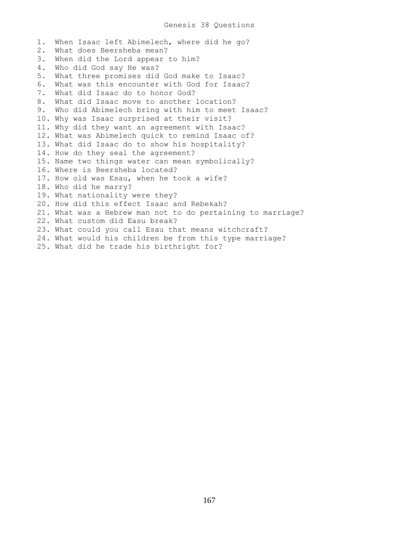1. When Isaac left Abimelech, where did he go? 2. What does Beersheba mean? 3. When did the Lord appear to him? 4. Who did God say He was? 5. What three promises did God make to Isaac? 6. What was this encounter with God for Isaac? 7. What did Isaac do to honor God? 8. What did Isaac move to another location? 9. Who did Abimelech bring with him to meet Isaac? 10. Why was Isaac surprised at their visit? 11. Why did they want an agreement with Isaac? 12. What was Abimelech quick to remind Isaac of? 13. What did Isaac do to show his hospitality? 14. How do they seal the agreement? 15. Name two things water can mean symbolically? 16. Where is Beersheba located? 17. How old was Esau, when he took a wife? 18. Who did he marry? 19. What nationality were they? 20. How did this effect Isaac and Rebekah? 21. What was a Hebrew man not to do pertaining to marriage? 22. What custom did Easu break? 23. What could you call Esau that means witchcraft? 24. What would his children be from this type marriage? 25. What did he trade his birthright for?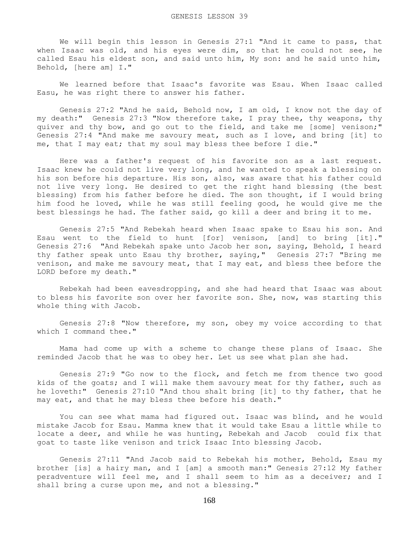We will begin this lesson in Genesis 27:1 "And it came to pass, that when Isaac was old, and his eyes were dim, so that he could not see, he called Esau his eldest son, and said unto him, My son: and he said unto him, Behold, [here am] I."

 We learned before that Isaac's favorite was Esau. When Isaac called Easu, he was right there to answer his father.

 Genesis 27:2 "And he said, Behold now, I am old, I know not the day of my death:" Genesis 27:3 "Now therefore take, I pray thee, thy weapons, thy quiver and thy bow, and go out to the field, and take me [some] venison;" Genesis 27:4 "And make me savoury meat, such as I love, and bring [it] to me, that I may eat; that my soul may bless thee before I die."

 Here was a father's request of his favorite son as a last request. Isaac knew he could not live very long, and he wanted to speak a blessing on his son before his departure. His son, also, was aware that his father could not live very long. He desired to get the right hand blessing (the best blessing) from his father before he died. The son thought, if I would bring him food he loved, while he was still feeling good, he would give me the best blessings he had. The father said, go kill a deer and bring it to me.

 Genesis 27:5 "And Rebekah heard when Isaac spake to Esau his son. And Esau went to the field to hunt [for] venison, [and] to bring [it]." Genesis 27:6 "And Rebekah spake unto Jacob her son, saying, Behold, I heard thy father speak unto Esau thy brother, saying," Genesis 27:7 "Bring me venison, and make me savoury meat, that I may eat, and bless thee before the LORD before my death."

 Rebekah had been eavesdropping, and she had heard that Isaac was about to bless his favorite son over her favorite son. She, now, was starting this whole thing with Jacob.

 Genesis 27:8 "Now therefore, my son, obey my voice according to that which I command thee."

 Mama had come up with a scheme to change these plans of Isaac. She reminded Jacob that he was to obey her. Let us see what plan she had.

 Genesis 27:9 "Go now to the flock, and fetch me from thence two good kids of the goats; and I will make them savoury meat for thy father, such as he loveth:" Genesis 27:10 "And thou shalt bring [it] to thy father, that he may eat, and that he may bless thee before his death."

 You can see what mama had figured out. Isaac was blind, and he would mistake Jacob for Esau. Mamma knew that it would take Esau a little while to locate a deer, and while he was hunting, Rebekah and Jacob could fix that goat to taste like venison and trick Isaac Into blessing Jacob.

 Genesis 27:11 "And Jacob said to Rebekah his mother, Behold, Esau my brother [is] a hairy man, and I [am] a smooth man:" Genesis 27:12 My father peradventure will feel me, and I shall seem to him as a deceiver; and I shall bring a curse upon me, and not a blessing."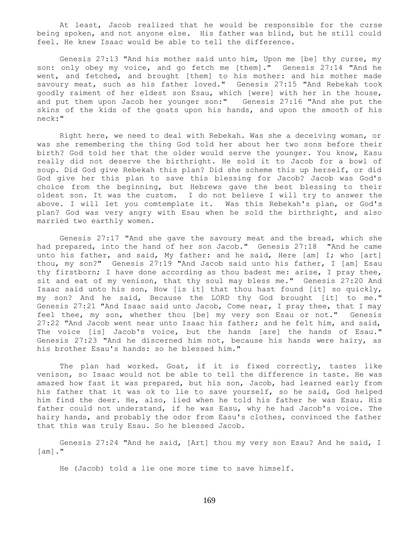At least, Jacob realized that he would be responsible for the curse being spoken, and not anyone else. His father was blind, but he still could feel. He knew Isaac would be able to tell the difference.

 Genesis 27:13 "And his mother said unto him, Upon me [be] thy curse, my son: only obey my voice, and go fetch me [them]." Genesis 27:14 "And he went, and fetched, and brought [them] to his mother: and his mother made savoury meat, such as his father loved." Genesis 27:15 "And Rebekah took goodly raiment of her eldest son Esau, which [were] with her in the house, and put them upon Jacob her younger son:" Genesis 27:16 "And she put the skins of the kids of the goats upon his hands, and upon the smooth of his neck:"

 Right here, we need to deal with Rebekah. Was she a deceiving woman, or was she remembering the thing God told her about her two sons before their birth? God told her that the older would serve the younger. You know, Easu really did not deserve the birthright. He sold it to Jacob for a bowl of soup. Did God give Rebekah this plan? Did she scheme this up herself, or did God give her this plan to save this blessing for Jacob? Jacob was God's choice from the beginning, but Hebrews gave the best blessing to their oldest son. It was the custom. I do not believe I will try to answer the above. I will let you comtemplate it. Was this Rebekah's plan, or God's plan? God was very angry with Esau when he sold the birthright, and also married two earthly women.

 Genesis 27:17 "And she gave the savoury meat and the bread, which she had prepared, into the hand of her son Jacob." Genesis 27:18 "And he came unto his father, and said, My father: and he said, Here [am] I; who [art] thou, my son?" Genesis 27:19 "And Jacob said unto his father, I [am] Esau thy firstborn; I have done according as thou badest me: arise, I pray thee, sit and eat of my venison, that thy soul may bless me." Genesis 27:20 And Isaac said unto his son, How [is it] that thou hast found [it] so quickly, my son? And he said, Because the LORD thy God brought [it] to me." Genesis 27:21 "And Isaac said unto Jacob, Come near, I pray thee, that I may feel thee, my son, whether thou [be] my very son Esau or not." Genesis 27:22 "And Jacob went near unto Isaac his father; and he felt him, and said, The voice [is] Jacob's voice, but the hands [are] the hands of Esau." Genesis 27:23 "And he discerned him not, because his hands were hairy, as his brother Esau's hands: so he blessed him."

 The plan had worked. Goat, if it is fixed correctly, tastes like venison, so Isaac would not be able to tell the difference in taste. He was amazed how fast it was prepared, but his son, Jacob, had learned early from his father that it was ok to lie to save yourself, so he said, God helped him find the deer. He, also, lied when he told his father he was Esau. His father could not understand, if he was Easu, why he had Jacob's voice. The hairy hands, and probably the odor from Easu's clothes, convinced the father that this was truly Esau. So he blessed Jacob.

 Genesis 27:24 "And he said, [Art] thou my very son Esau? And he said, I [am]."

He (Jacob) told a lie one more time to save himself.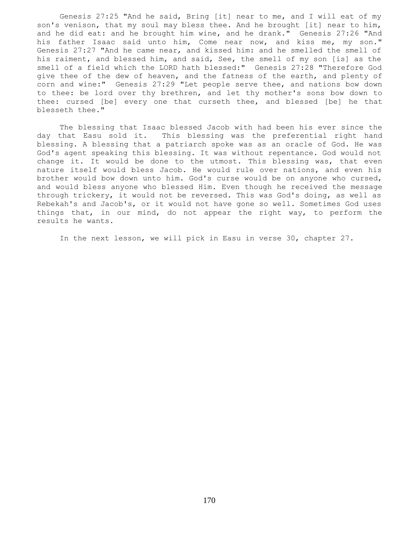Genesis 27:25 "And he said, Bring [it] near to me, and I will eat of my son's venison, that my soul may bless thee. And he brought [it] near to him, and he did eat: and he brought him wine, and he drank." Genesis 27:26 "And his father Isaac said unto him, Come near now, and kiss me, my son." Genesis 27:27 "And he came near, and kissed him: and he smelled the smell of his raiment, and blessed him, and said, See, the smell of my son [is] as the smell of a field which the LORD hath blessed:" Genesis 27:28 "Therefore God give thee of the dew of heaven, and the fatness of the earth, and plenty of corn and wine:" Genesis 27:29 "Let people serve thee, and nations bow down to thee: be lord over thy brethren, and let thy mother's sons bow down to thee: cursed [be] every one that curseth thee, and blessed [be] he that blesseth thee."

 The blessing that Isaac blessed Jacob with had been his ever since the day that Easu sold it. This blessing was the preferential right hand blessing. A blessing that a patriarch spoke was as an oracle of God. He was God's agent speaking this blessing. It was without repentance. God would not change it. It would be done to the utmost. This blessing was, that even nature itself would bless Jacob. He would rule over nations, and even his brother would bow down unto him. God's curse would be on anyone who cursed, and would bless anyone who blessed Him. Even though he received the message through trickery, it would not be reversed. This was God's doing, as well as Rebekah's and Jacob's, or it would not have gone so well. Sometimes God uses things that, in our mind, do not appear the right way, to perform the results he wants.

In the next lesson, we will pick in Easu in verse 30, chapter 27.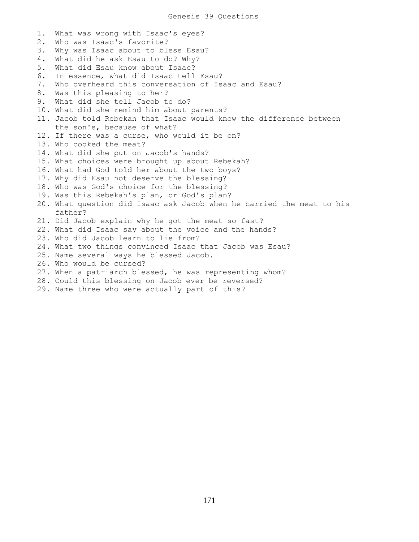1. What was wrong with Isaac's eyes? 2. Who was Isaac's favorite? 3. Why was Isaac about to bless Esau? 4. What did he ask Esau to do? Why? 5. What did Esau know about Isaac? 6. In essence, what did Isaac tell Esau? 7. Who overheard this conversation of Isaac and Esau? 8. Was this pleasing to her? 9. What did she tell Jacob to do? 10. What did she remind him about parents? 11. Jacob told Rebekah that Isaac would know the difference between the son's, because of what? 12. If there was a curse, who would it be on? 13. Who cooked the meat? 14. What did she put on Jacob's hands? 15. What choices were brought up about Rebekah? 16. What had God told her about the two boys? 17. Why did Esau not deserve the blessing? 18. Who was God's choice for the blessing? 19. Was this Rebekah's plan, or God's plan? 20. What question did Isaac ask Jacob when he carried the meat to his father? 21. Did Jacob explain why he got the meat so fast? 22. What did Isaac say about the voice and the hands? 23. Who did Jacob learn to lie from? 24. What two things convinced Isaac that Jacob was Esau? 25. Name several ways he blessed Jacob. 26. Who would be cursed? 27. When a patriarch blessed, he was representing whom? 28. Could this blessing on Jacob ever be reversed?

29. Name three who were actually part of this?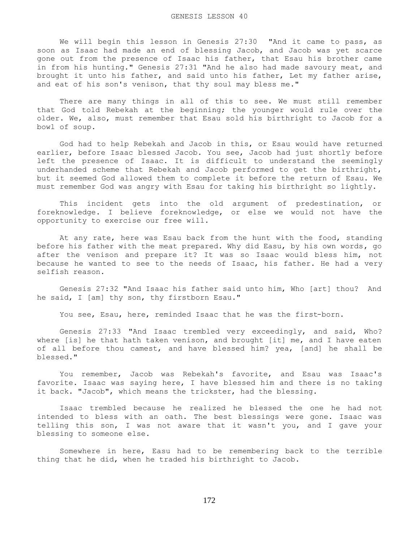We will begin this lesson in Genesis 27:30 "And it came to pass, as soon as Isaac had made an end of blessing Jacob, and Jacob was yet scarce gone out from the presence of Isaac his father, that Esau his brother came in from his hunting." Genesis 27:31 "And he also had made savoury meat, and brought it unto his father, and said unto his father, Let my father arise, and eat of his son's venison, that thy soul may bless me."

 There are many things in all of this to see. We must still remember that God told Rebekah at the beginning; the younger would rule over the older. We, also, must remember that Esau sold his birthright to Jacob for a bowl of soup.

 God had to help Rebekah and Jacob in this, or Esau would have returned earlier, before Isaac blessed Jacob. You see, Jacob had just shortly before left the presence of Isaac. It is difficult to understand the seemingly underhanded scheme that Rebekah and Jacob performed to get the birthright, but it seemed God allowed them to complete it before the return of Esau. We must remember God was angry with Esau for taking his birthright so lightly.

 This incident gets into the old argument of predestination, or foreknowledge. I believe foreknowledge, or else we would not have the opportunity to exercise our free will.

 At any rate, here was Esau back from the hunt with the food, standing before his father with the meat prepared. Why did Easu, by his own words, go after the venison and prepare it? It was so Isaac would bless him, not because he wanted to see to the needs of Isaac, his father. He had a very selfish reason.

 Genesis 27:32 "And Isaac his father said unto him, Who [art] thou? And he said, I [am] thy son, thy firstborn Esau."

You see, Esau, here, reminded Isaac that he was the first-born.

 Genesis 27:33 "And Isaac trembled very exceedingly, and said, Who? where [is] he that hath taken venison, and brought [it] me, and I have eaten of all before thou camest, and have blessed him? yea, [and] he shall be blessed."

 You remember, Jacob was Rebekah's favorite, and Esau was Isaac's favorite. Isaac was saying here, I have blessed him and there is no taking it back. "Jacob", which means the trickster, had the blessing.

 Isaac trembled because he realized he blessed the one he had not intended to bless with an oath. The best blessings were gone. Isaac was telling this son, I was not aware that it wasn't you, and I gave your blessing to someone else.

 Somewhere in here, Easu had to be remembering back to the terrible thing that he did, when he traded his birthright to Jacob.

172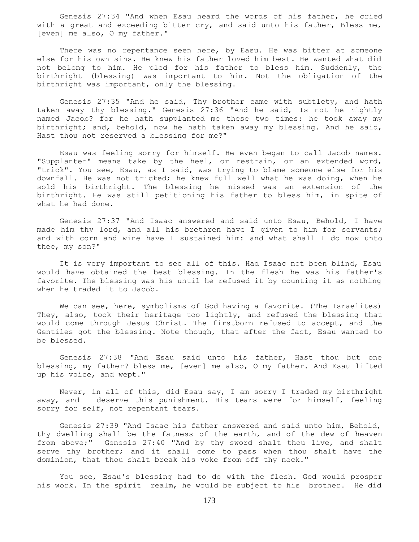Genesis 27:34 "And when Esau heard the words of his father, he cried with a great and exceeding bitter cry, and said unto his father, Bless me, [even] me also, O my father."

 There was no repentance seen here, by Easu. He was bitter at someone else for his own sins. He knew his father loved him best. He wanted what did not belong to him. He pled for his father to bless him. Suddenly, the birthright (blessing) was important to him. Not the obligation of the birthright was important, only the blessing.

 Genesis 27:35 "And he said, Thy brother came with subtlety, and hath taken away thy blessing." Genesis 27:36 "And he said, Is not he rightly named Jacob? for he hath supplanted me these two times: he took away my birthright; and, behold, now he hath taken away my blessing. And he said, Hast thou not reserved a blessing for me?"

 Esau was feeling sorry for himself. He even began to call Jacob names. "Supplanter" means take by the heel, or restrain, or an extended word, "trick". You see, Esau, as I said, was trying to blame someone else for his downfall. He was not tricked; he knew full well what he was doing, when he sold his birthright. The blessing he missed was an extension of the birthright. He was still petitioning his father to bless him, in spite of what he had done.

 Genesis 27:37 "And Isaac answered and said unto Esau, Behold, I have made him thy lord, and all his brethren have I given to him for servants; and with corn and wine have I sustained him: and what shall I do now unto thee, my son?"

 It is very important to see all of this. Had Isaac not been blind, Esau would have obtained the best blessing. In the flesh he was his father's favorite. The blessing was his until he refused it by counting it as nothing when he traded it to Jacob.

We can see, here, symbolisms of God having a favorite. (The Israelites) They, also, took their heritage too lightly, and refused the blessing that would come through Jesus Christ. The firstborn refused to accept, and the Gentiles got the blessing. Note though, that after the fact, Esau wanted to be blessed.

 Genesis 27:38 "And Esau said unto his father, Hast thou but one blessing, my father? bless me, [even] me also, O my father. And Esau lifted up his voice, and wept."

 Never, in all of this, did Esau say, I am sorry I traded my birthright away, and I deserve this punishment. His tears were for himself, feeling sorry for self, not repentant tears.

 Genesis 27:39 "And Isaac his father answered and said unto him, Behold, thy dwelling shall be the fatness of the earth, and of the dew of heaven from above;" Genesis 27:40 "And by thy sword shalt thou live, and shalt serve thy brother; and it shall come to pass when thou shalt have the dominion, that thou shalt break his yoke from off thy neck."

 You see, Esau's blessing had to do with the flesh. God would prosper his work. In the spirit realm, he would be subject to his brother. He did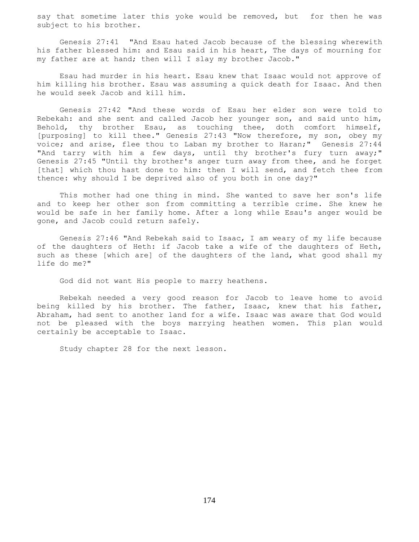say that sometime later this yoke would be removed, but for then he was subject to his brother.

 Genesis 27:41 "And Esau hated Jacob because of the blessing wherewith his father blessed him: and Esau said in his heart, The days of mourning for my father are at hand; then will I slay my brother Jacob."

 Esau had murder in his heart. Esau knew that Isaac would not approve of him killing his brother. Esau was assuming a quick death for Isaac. And then he would seek Jacob and kill him.

 Genesis 27:42 "And these words of Esau her elder son were told to Rebekah: and she sent and called Jacob her younger son, and said unto him, Behold, thy brother Esau, as touching thee, doth comfort himself, [purposing] to kill thee." Genesis 27:43 "Now therefore, my son, obey my voice; and arise, flee thou to Laban my brother to Haran;" Genesis 27:44 "And tarry with him a few days, until thy brother's fury turn away;" Genesis 27:45 "Until thy brother's anger turn away from thee, and he forget [that] which thou hast done to him: then I will send, and fetch thee from thence: why should I be deprived also of you both in one day?"

 This mother had one thing in mind. She wanted to save her son's life and to keep her other son from committing a terrible crime. She knew he would be safe in her family home. After a long while Esau's anger would be gone, and Jacob could return safely.

 Genesis 27:46 "And Rebekah said to Isaac, I am weary of my life because of the daughters of Heth: if Jacob take a wife of the daughters of Heth, such as these [which are] of the daughters of the land, what good shall my life do me?"

God did not want His people to marry heathens.

 Rebekah needed a very good reason for Jacob to leave home to avoid being killed by his brother. The father, Isaac, knew that his father, Abraham, had sent to another land for a wife. Isaac was aware that God would not be pleased with the boys marrying heathen women. This plan would certainly be acceptable to Isaac.

Study chapter 28 for the next lesson.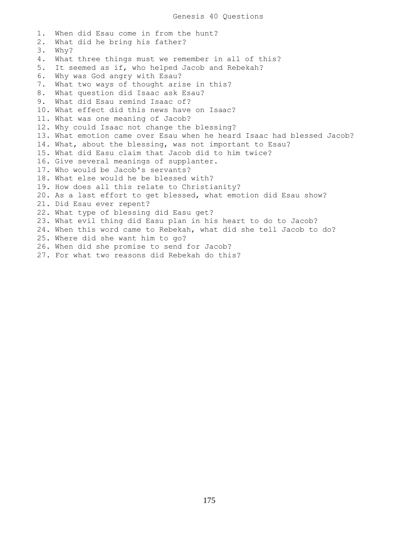1. When did Esau come in from the hunt? 2. What did he bring his father? 3. Why? 4. What three things must we remember in all of this? 5. It seemed as if, who helped Jacob and Rebekah? 6. Why was God angry with Esau? 7. What two ways of thought arise in this? 8. What question did Isaac ask Esau? 9. What did Esau remind Isaac of? 10. What effect did this news have on Isaac? 11. What was one meaning of Jacob? 12. Why could Isaac not change the blessing? 13. What emotion came over Esau when he heard Isaac had blessed Jacob? 14. What, about the blessing, was not important to Esau? 15. What did Easu claim that Jacob did to him twice? 16. Give several meanings of supplanter. 17. Who would be Jacob's servants? 18. What else would he be blessed with? 19. How does all this relate to Christianity? 20. As a last effort to get blessed, what emotion did Esau show? 21. Did Esau ever repent? 22. What type of blessing did Easu get? 23. What evil thing did Easu plan in his heart to do to Jacob? 24. When this word came to Rebekah, what did she tell Jacob to do? 25. Where did she want him to go? 26. When did she promise to send for Jacob? 27. For what two reasons did Rebekah do this?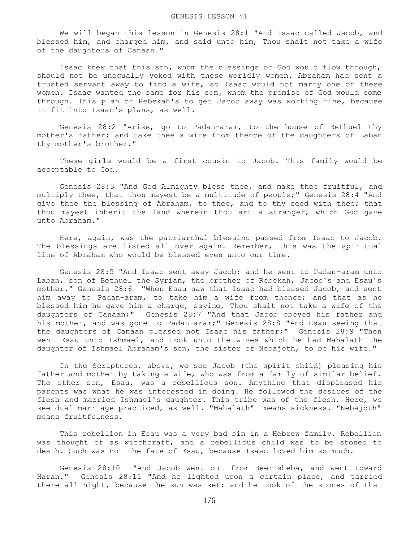We will began this lesson in Genesis 28:1 "And Isaac called Jacob, and blessed him, and charged him, and said unto him, Thou shalt not take a wife of the daughters of Canaan."

 Isaac knew that this son, whom the blessings of God would flow through, should not be unequally yoked with these worldly women. Abraham had sent a trusted servant away to find a wife, so Isaac would not marry one of these women. Isaac wanted the same for his son, whom the promise of God would come through. This plan of Rebekah's to get Jacob away was working fine, because it fit into Isaac's plans, as well.

 Genesis 28:2 "Arise, go to Padan-aram, to the house of Bethuel thy mother's father; and take thee a wife from thence of the daughters of Laban thy mother's brother."

 These girls would be a first cousin to Jacob. This family would be acceptable to God.

 Genesis 28:3 "And God Almighty bless thee, and make thee fruitful, and multiply thee, that thou mayest be a multitude of people;" Genesis 28:4 "And give thee the blessing of Abraham, to thee, and to thy seed with thee; that thou mayest inherit the land wherein thou art a stranger, which God gave unto Abraham."

 Here, again, was the patriarchal blessing passed from Isaac to Jacob. The blessings are listed all over again. Remember, this was the spiritual line of Abraham who would be blessed even unto our time.

 Genesis 28:5 "And Isaac sent away Jacob: and he went to Padan-aram unto Laban, son of Bethuel the Syrian, the brother of Rebekah, Jacob's and Esau's mother." Genesis 28:6 "When Esau saw that Isaac had blessed Jacob, and sent him away to Padan-aram, to take him a wife from thence; and that as he blessed him he gave him a charge, saying, Thou shalt not take a wife of the daughters of Canaan;" Genesis 28:7 "And that Jacob obeyed his father and his mother, and was gone to Padan-aram;" Genesis 28:8 "And Esau seeing that the daughters of Canaan pleased not Isaac his father;" Genesis 28:9 "Then went Esau unto Ishmael, and took unto the wives which he had Mahalath the daughter of Ishmael Abraham's son, the sister of Nebajoth, to be his wife."

 In the Scriptures, above, we see Jacob (the spirit child) pleasing his father and mother by taking a wife, who was from a family of similar belief. The other son, Esau, was a rebellious son. Anything that displeased his parents was what he was interested in doing. He followed the desires of the flesh and married Ishmael's daughter. This tribe was of the flesh. Here, we see dual marriage practiced, as well. "Mahalath" means sickness. "Nebajoth" means fruitfulness.

 This rebellion in Esau was a very bad sin in a Hebrew family. Rebellion was thought of as witchcraft, and a rebellious child was to be stoned to death. Such was not the fate of Esau, because Isaac loved him so much.

 Genesis 28:10 "And Jacob went out from Beer-sheba, and went toward Haran." Genesis 28:11 "And he lighted upon a certain place, and tarried there all night, because the sun was set; and he took of the stones of that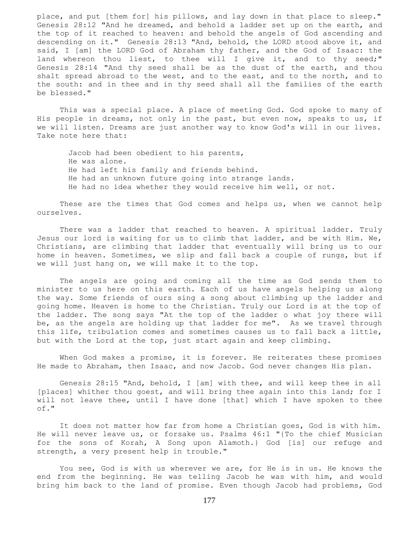place, and put [them for] his pillows, and lay down in that place to sleep." Genesis 28:12 "And he dreamed, and behold a ladder set up on the earth, and the top of it reached to heaven: and behold the angels of God ascending and descending on it." Genesis 28:13 "And, behold, the LORD stood above it, and said, I [am] the LORD God of Abraham thy father, and the God of Isaac: the land whereon thou liest, to thee will I give it, and to thy seed;" Genesis 28:14 "And thy seed shall be as the dust of the earth, and thou shalt spread abroad to the west, and to the east, and to the north, and to the south: and in thee and in thy seed shall all the families of the earth be blessed."

 This was a special place. A place of meeting God. God spoke to many of His people in dreams, not only in the past, but even now, speaks to us, if we will listen. Dreams are just another way to know God's will in our lives. Take note here that:

Jacob had been obedient to his parents, He was alone. He had left his family and friends behind. He had an unknown future going into strange lands. He had no idea whether they would receive him well, or not.

 These are the times that God comes and helps us, when we cannot help ourselves.

There was a ladder that reached to heaven. A spiritual ladder. Truly Jesus our lord is waiting for us to climb that ladder, and be with Him. We, Christians, are climbing that ladder that eventually will bring us to our home in heaven. Sometimes, we slip and fall back a couple of rungs, but if we will just hang on, we will make it to the top.

 The angels are going and coming all the time as God sends them to minister to us here on this earth. Each of us have angels helping us along the way. Some friends of ours sing a song about climbing up the ladder and going home. Heaven is home to the Christian. Truly our Lord is at the top of the ladder. The song says "At the top of the ladder o what joy there will be, as the angels are holding up that ladder for me". As we travel through this life, tribulation comes and sometimes causes us to fall back a little, but with the Lord at the top, just start again and keep climbing.

When God makes a promise, it is forever. He reiterates these promises He made to Abraham, then Isaac, and now Jacob. God never changes His plan.

 Genesis 28:15 "And, behold, I [am] with thee, and will keep thee in all [places] whither thou goest, and will bring thee again into this land; for I will not leave thee, until I have done [that] which I have spoken to thee of."

 It does not matter how far from home a Christian goes, God is with him. He will never leave us, or forsake us. Psalms 46:1 "{To the chief Musician for the sons of Korah, A Song upon Alamoth.} God [is] our refuge and strength, a very present help in trouble."

 You see, God is with us wherever we are, for He is in us. He knows the end from the beginning. He was telling Jacob he was with him, and would bring him back to the land of promise. Even though Jacob had problems, God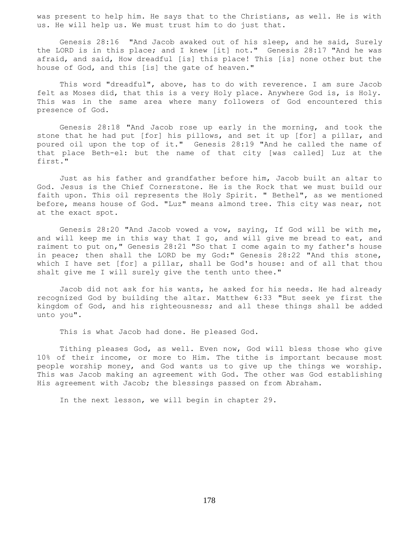was present to help him. He says that to the Christians, as well. He is with us. He will help us. We must trust him to do just that.

 Genesis 28:16 "And Jacob awaked out of his sleep, and he said, Surely the LORD is in this place; and I knew [it] not." Genesis 28:17 "And he was afraid, and said, How dreadful [is] this place! This [is] none other but the house of God, and this [is] the gate of heaven."

 This word "dreadful", above, has to do with reverence. I am sure Jacob felt as Moses did, that this is a very Holy place. Anywhere God is, is Holy. This was in the same area where many followers of God encountered this presence of God.

 Genesis 28:18 "And Jacob rose up early in the morning, and took the stone that he had put [for] his pillows, and set it up [for] a pillar, and poured oil upon the top of it." Genesis 28:19 "And he called the name of that place Beth-el: but the name of that city [was called] Luz at the first."

 Just as his father and grandfather before him, Jacob built an altar to God. Jesus is the Chief Cornerstone. He is the Rock that we must build our faith upon. This oil represents the Holy Spirit. " Bethel", as we mentioned before, means house of God. "Luz" means almond tree. This city was near, not at the exact spot.

 Genesis 28:20 "And Jacob vowed a vow, saying, If God will be with me, and will keep me in this way that I go, and will give me bread to eat, and raiment to put on," Genesis 28:21 "So that I come again to my father's house in peace; then shall the LORD be my God:" Genesis 28:22 "And this stone, which I have set [for] a pillar, shall be God's house: and of all that thou shalt give me I will surely give the tenth unto thee."

 Jacob did not ask for his wants, he asked for his needs. He had already recognized God by building the altar. Matthew 6:33 "But seek ye first the kingdom of God, and his righteousness; and all these things shall be added unto you".

This is what Jacob had done. He pleased God.

 Tithing pleases God, as well. Even now, God will bless those who give 10% of their income, or more to Him. The tithe is important because most people worship money, and God wants us to give up the things we worship. This was Jacob making an agreement with God. The other was God establishing His agreement with Jacob; the blessings passed on from Abraham.

In the next lesson, we will begin in chapter 29.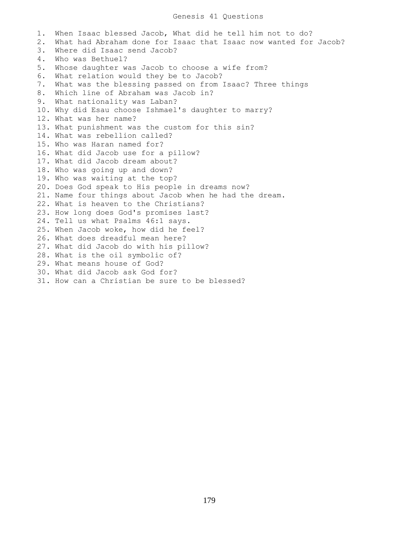1. When Isaac blessed Jacob, What did he tell him not to do? 2. What had Abraham done for Isaac that Isaac now wanted for Jacob? 3. Where did Isaac send Jacob? 4. Who was Bethuel? 5. Whose daughter was Jacob to choose a wife from? 6. What relation would they be to Jacob? 7. What was the blessing passed on from Isaac? Three things 8. Which line of Abraham was Jacob in? 9. What nationality was Laban? 10. Why did Esau choose Ishmael's daughter to marry? 12. What was her name? 13. What punishment was the custom for this sin? 14. What was rebellion called? 15. Who was Haran named for? 16. What did Jacob use for a pillow? 17. What did Jacob dream about? 18. Who was going up and down? 19. Who was waiting at the top? 20. Does God speak to His people in dreams now? 21. Name four things about Jacob when he had the dream. 22. What is heaven to the Christians? 23. How long does God's promises last? 24. Tell us what Psalms 46:1 says. 25. When Jacob woke, how did he feel? 26. What does dreadful mean here? 27. What did Jacob do with his pillow? 28. What is the oil symbolic of? 29. What means house of God? 30. What did Jacob ask God for? 31. How can a Christian be sure to be blessed?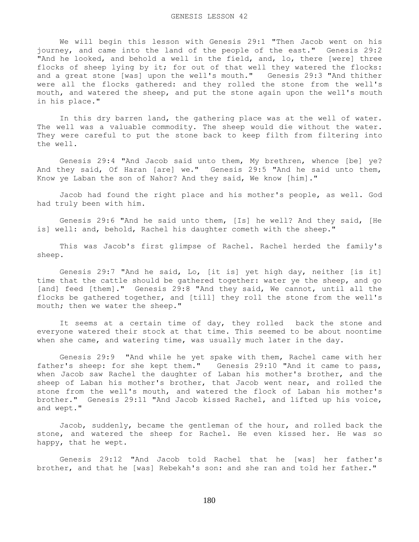We will begin this lesson with Genesis 29:1 "Then Jacob went on his journey, and came into the land of the people of the east." Genesis 29:2 "And he looked, and behold a well in the field, and, lo, there [were] three flocks of sheep lying by it; for out of that well they watered the flocks: and a great stone [was] upon the well's mouth." Genesis 29:3 "And thither were all the flocks gathered: and they rolled the stone from the well's mouth, and watered the sheep, and put the stone again upon the well's mouth in his place."

 In this dry barren land, the gathering place was at the well of water. The well was a valuable commodity. The sheep would die without the water. They were careful to put the stone back to keep filth from filtering into the well.

 Genesis 29:4 "And Jacob said unto them, My brethren, whence [be] ye? And they said, Of Haran [are] we." Genesis 29:5 "And he said unto them, Know ye Laban the son of Nahor? And they said, We know [him]."

 Jacob had found the right place and his mother's people, as well. God had truly been with him.

 Genesis 29:6 "And he said unto them, [Is] he well? And they said, [He is] well: and, behold, Rachel his daughter cometh with the sheep."

 This was Jacob's first glimpse of Rachel. Rachel herded the family's sheep.

 Genesis 29:7 "And he said, Lo, [it is] yet high day, neither [is it] time that the cattle should be gathered together: water ye the sheep, and go [and] feed [them]." Genesis 29:8 "And they said, We cannot, until all the flocks be gathered together, and [till] they roll the stone from the well's mouth; then we water the sheep."

 It seems at a certain time of day, they rolled back the stone and everyone watered their stock at that time. This seemed to be about noontime when she came, and watering time, was usually much later in the day.

 Genesis 29:9 "And while he yet spake with them, Rachel came with her father's sheep: for she kept them." Genesis 29:10 "And it came to pass, when Jacob saw Rachel the daughter of Laban his mother's brother, and the sheep of Laban his mother's brother, that Jacob went near, and rolled the stone from the well's mouth, and watered the flock of Laban his mother's brother." Genesis 29:11 "And Jacob kissed Rachel, and lifted up his voice, and wept."

 Jacob, suddenly, became the gentleman of the hour, and rolled back the stone, and watered the sheep for Rachel. He even kissed her. He was so happy, that he wept.

 Genesis 29:12 "And Jacob told Rachel that he [was] her father's brother, and that he [was] Rebekah's son: and she ran and told her father."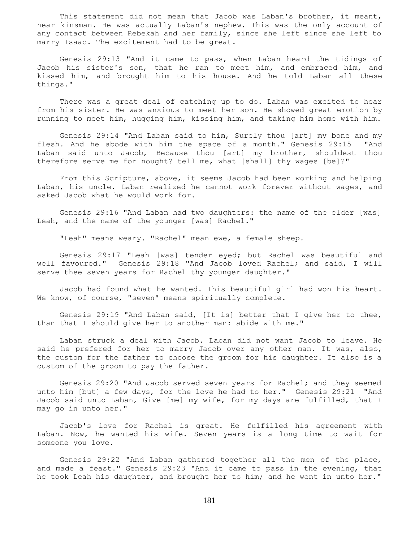This statement did not mean that Jacob was Laban's brother, it meant, near kinsman. He was actually Laban's nephew. This was the only account of any contact between Rebekah and her family, since she left since she left to marry Isaac. The excitement had to be great.

 Genesis 29:13 "And it came to pass, when Laban heard the tidings of Jacob his sister's son, that he ran to meet him, and embraced him, and kissed him, and brought him to his house. And he told Laban all these things."

 There was a great deal of catching up to do. Laban was excited to hear from his sister. He was anxious to meet her son. He showed great emotion by running to meet him, hugging him, kissing him, and taking him home with him.

 Genesis 29:14 "And Laban said to him, Surely thou [art] my bone and my flesh. And he abode with him the space of a month." Genesis 29:15 "And Laban said unto Jacob, Because thou [art] my brother, shouldest thou therefore serve me for nought? tell me, what [shall] thy wages [be]?"

 From this Scripture, above, it seems Jacob had been working and helping Laban, his uncle. Laban realized he cannot work forever without wages, and asked Jacob what he would work for.

 Genesis 29:16 "And Laban had two daughters: the name of the elder [was] Leah, and the name of the younger [was] Rachel."

"Leah" means weary. "Rachel" mean ewe, a female sheep.

 Genesis 29:17 "Leah [was] tender eyed; but Rachel was beautiful and well favoured." Genesis 29:18 "And Jacob loved Rachel; and said, I will serve thee seven years for Rachel thy younger daughter."

 Jacob had found what he wanted. This beautiful girl had won his heart. We know, of course, "seven" means spiritually complete.

 Genesis 29:19 "And Laban said, [It is] better that I give her to thee, than that I should give her to another man: abide with me."

 Laban struck a deal with Jacob. Laban did not want Jacob to leave. He said he prefered for her to marry Jacob over any other man. It was, also, the custom for the father to choose the groom for his daughter. It also is a custom of the groom to pay the father.

 Genesis 29:20 "And Jacob served seven years for Rachel; and they seemed unto him [but] a few days, for the love he had to her." Genesis 29:21 "And Jacob said unto Laban, Give [me] my wife, for my days are fulfilled, that I may go in unto her."

 Jacob's love for Rachel is great. He fulfilled his agreement with Laban. Now, he wanted his wife. Seven years is a long time to wait for someone you love.

 Genesis 29:22 "And Laban gathered together all the men of the place, and made a feast." Genesis 29:23 "And it came to pass in the evening, that he took Leah his daughter, and brought her to him; and he went in unto her."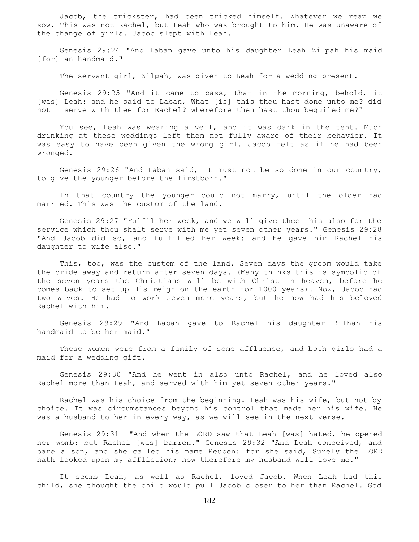Jacob, the trickster, had been tricked himself. Whatever we reap we sow. This was not Rachel, but Leah who was brought to him. He was unaware of the change of girls. Jacob slept with Leah.

 Genesis 29:24 "And Laban gave unto his daughter Leah Zilpah his maid [for] an handmaid."

The servant girl, Zilpah, was given to Leah for a wedding present.

 Genesis 29:25 "And it came to pass, that in the morning, behold, it [was] Leah: and he said to Laban, What [is] this thou hast done unto me? did not I serve with thee for Rachel? wherefore then hast thou beguiled me?"

 You see, Leah was wearing a veil, and it was dark in the tent. Much drinking at these weddings left them not fully aware of their behavior. It was easy to have been given the wrong girl. Jacob felt as if he had been wronged.

 Genesis 29:26 "And Laban said, It must not be so done in our country, to give the younger before the firstborn."

 In that country the younger could not marry, until the older had married. This was the custom of the land.

 Genesis 29:27 "Fulfil her week, and we will give thee this also for the service which thou shalt serve with me yet seven other years." Genesis 29:28 "And Jacob did so, and fulfilled her week: and he gave him Rachel his daughter to wife also."

 This, too, was the custom of the land. Seven days the groom would take the bride away and return after seven days. (Many thinks this is symbolic of the seven years the Christians will be with Christ in heaven, before he comes back to set up His reign on the earth for 1000 years). Now, Jacob had two wives. He had to work seven more years, but he now had his beloved Rachel with him.

 Genesis 29:29 "And Laban gave to Rachel his daughter Bilhah his handmaid to be her maid."

 These women were from a family of some affluence, and both girls had a maid for a wedding gift.

 Genesis 29:30 "And he went in also unto Rachel, and he loved also Rachel more than Leah, and served with him yet seven other years."

 Rachel was his choice from the beginning. Leah was his wife, but not by choice. It was circumstances beyond his control that made her his wife. He was a husband to her in every way, as we will see in the next verse.

 Genesis 29:31 "And when the LORD saw that Leah [was] hated, he opened her womb: but Rachel [was] barren." Genesis 29:32 "And Leah conceived, and bare a son, and she called his name Reuben: for she said, Surely the LORD hath looked upon my affliction; now therefore my husband will love me."

 It seems Leah, as well as Rachel, loved Jacob. When Leah had this child, she thought the child would pull Jacob closer to her than Rachel. God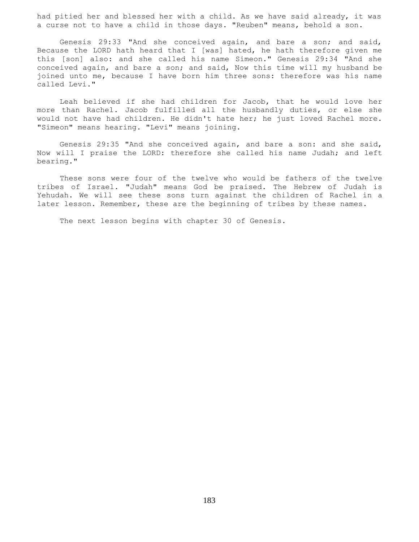had pitied her and blessed her with a child. As we have said already, it was a curse not to have a child in those days. "Reuben" means, behold a son.

 Genesis 29:33 "And she conceived again, and bare a son; and said, Because the LORD hath heard that I [was] hated, he hath therefore given me this [son] also: and she called his name Simeon." Genesis 29:34 "And she conceived again, and bare a son; and said, Now this time will my husband be joined unto me, because I have born him three sons: therefore was his name called Levi."

 Leah believed if she had children for Jacob, that he would love her more than Rachel. Jacob fulfilled all the husbandly duties, or else she would not have had children. He didn't hate her; he just loved Rachel more. "Simeon" means hearing. "Levi" means joining.

 Genesis 29:35 "And she conceived again, and bare a son: and she said, Now will I praise the LORD: therefore she called his name Judah; and left bearing."

 These sons were four of the twelve who would be fathers of the twelve tribes of Israel. "Judah" means God be praised. The Hebrew of Judah is Yehudah. We will see these sons turn against the children of Rachel in a later lesson. Remember, these are the beginning of tribes by these names.

The next lesson begins with chapter 30 of Genesis.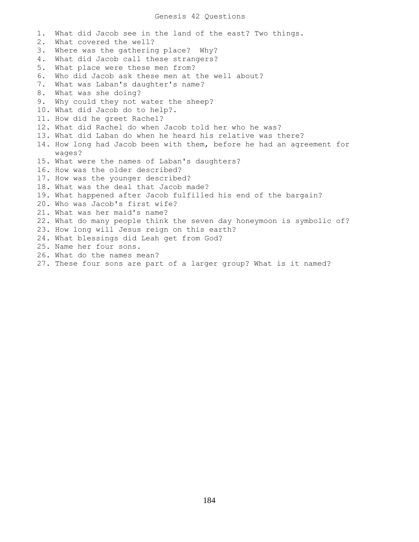## Genesis 42 Questions

1. What did Jacob see in the land of the east? Two things. 2. What covered the well? 3. Where was the gathering place? Why? 4. What did Jacob call these strangers? 5. What place were these men from? 6. Who did Jacob ask these men at the well about? 7. What was Laban's daughter's name? 8. What was she doing? 9. Why could they not water the sheep? 10. What did Jacob do to help?. 11. How did he greet Rachel? 12. What did Rachel do when Jacob told her who he was? 13. What did Laban do when he heard his relative was there? 14. How long had Jacob been with them, before he had an agreement for wages? 15. What were the names of Laban's daughters? 16. How was the older described? 17. How was the younger described? 18. What was the deal that Jacob made? 19. What happened after Jacob fulfilled his end of the bargain? 20. Who was Jacob's first wife? 21. What was her maid's name? 22. What do many people think the seven day honeymoon is symbolic of? 23. How long will Jesus reign on this earth? 24. What blessings did Leah get from God? 25. Name her four sons. 26. What do the names mean? 27. These four sons are part of a larger group? What is it named?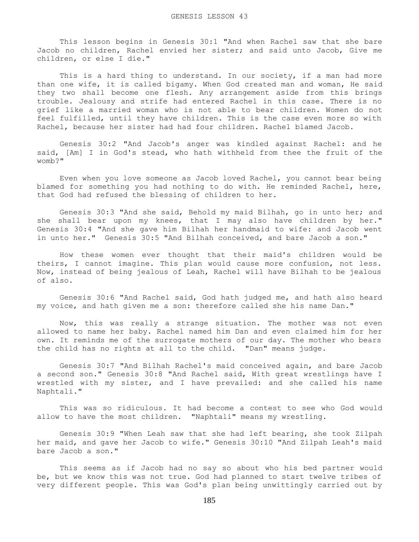This lesson begins in Genesis 30:1 "And when Rachel saw that she bare Jacob no children, Rachel envied her sister; and said unto Jacob, Give me children, or else I die."

This is a hard thing to understand. In our society, if a man had more than one wife, it is called bigamy. When God created man and woman, He said they two shall become one flesh. Any arrangement aside from this brings trouble. Jealousy and strife had entered Rachel in this case. There is no grief like a married woman who is not able to bear children. Women do not feel fulfilled, until they have children. This is the case even more so with Rachel, because her sister had had four children. Rachel blamed Jacob.

 Genesis 30:2 "And Jacob's anger was kindled against Rachel: and he said, [Am] I in God's stead, who hath withheld from thee the fruit of the womb?"

 Even when you love someone as Jacob loved Rachel, you cannot bear being blamed for something you had nothing to do with. He reminded Rachel, here, that God had refused the blessing of children to her.

 Genesis 30:3 "And she said, Behold my maid Bilhah, go in unto her; and she shall bear upon my knees, that I may also have children by her." Genesis 30:4 "And she gave him Bilhah her handmaid to wife: and Jacob went in unto her." Genesis 30:5 "And Bilhah conceived, and bare Jacob a son."

 How these women ever thought that their maid's children would be theirs, I cannot imagine. This plan would cause more confusion, not less. Now, instead of being jealous of Leah, Rachel will have Bilhah to be jealous of also.

 Genesis 30:6 "And Rachel said, God hath judged me, and hath also heard my voice, and hath given me a son: therefore called she his name Dan."

 Now, this was really a strange situation. The mother was not even allowed to name her baby. Rachel named him Dan and even claimed him for her own. It reminds me of the surrogate mothers of our day. The mother who bears the child has no rights at all to the child. "Dan" means judge.

 Genesis 30:7 "And Bilhah Rachel's maid conceived again, and bare Jacob a second son." Genesis 30:8 "And Rachel said, With great wrestlings have I wrestled with my sister, and I have prevailed: and she called his name Naphtali."

 This was so ridiculous. It had become a contest to see who God would allow to have the most children. "Naphtali" means my wrestling.

 Genesis 30:9 "When Leah saw that she had left bearing, she took Zilpah her maid, and gave her Jacob to wife." Genesis 30:10 "And Zilpah Leah's maid bare Jacob a son."

 This seems as if Jacob had no say so about who his bed partner would be, but we know this was not true. God had planned to start twelve tribes of very different people. This was God's plan being unwittingly carried out by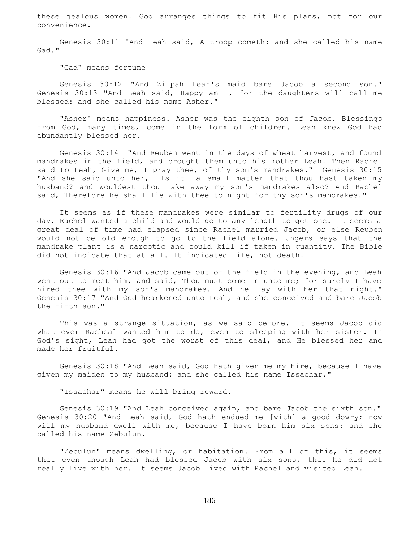these jealous women. God arranges things to fit His plans, not for our convenience.

 Genesis 30:11 "And Leah said, A troop cometh: and she called his name Gad."

"Gad" means fortune

 Genesis 30:12 "And Zilpah Leah's maid bare Jacob a second son." Genesis 30:13 "And Leah said, Happy am I, for the daughters will call me blessed: and she called his name Asher."

 "Asher" means happiness. Asher was the eighth son of Jacob. Blessings from God, many times, come in the form of children. Leah knew God had abundantly blessed her.

 Genesis 30:14 "And Reuben went in the days of wheat harvest, and found mandrakes in the field, and brought them unto his mother Leah. Then Rachel said to Leah, Give me, I pray thee, of thy son's mandrakes." Genesis 30:15 "And she said unto her, [Is it] a small matter that thou hast taken my husband? and wouldest thou take away my son's mandrakes also? And Rachel said, Therefore he shall lie with thee to night for thy son's mandrakes."

 It seems as if these mandrakes were similar to fertility drugs of our day. Rachel wanted a child and would go to any length to get one. It seems a great deal of time had elapsed since Rachel married Jacob, or else Reuben would not be old enough to go to the field alone. Ungers says that the mandrake plant is a narcotic and could kill if taken in quantity. The Bible did not indicate that at all. It indicated life, not death.

 Genesis 30:16 "And Jacob came out of the field in the evening, and Leah went out to meet him, and said, Thou must come in unto me; for surely I have hired thee with my son's mandrakes. And he lay with her that night." Genesis 30:17 "And God hearkened unto Leah, and she conceived and bare Jacob the fifth son."

 This was a strange situation, as we said before. It seems Jacob did what ever Racheal wanted him to do, even to sleeping with her sister. In God's sight, Leah had got the worst of this deal, and He blessed her and made her fruitful.

 Genesis 30:18 "And Leah said, God hath given me my hire, because I have given my maiden to my husband: and she called his name Issachar."

"Issachar" means he will bring reward.

 Genesis 30:19 "And Leah conceived again, and bare Jacob the sixth son." Genesis 30:20 "And Leah said, God hath endued me [with] a good dowry; now will my husband dwell with me, because I have born him six sons: and she called his name Zebulun.

 "Zebulun" means dwelling, or habitation. From all of this, it seems that even though Leah had blessed Jacob with six sons, that he did not really live with her. It seems Jacob lived with Rachel and visited Leah.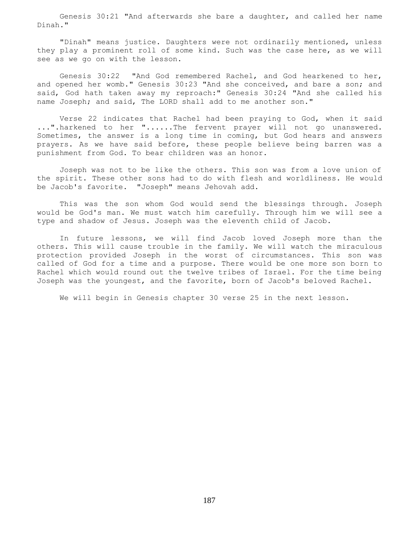Genesis 30:21 "And afterwards she bare a daughter, and called her name Dinah."

 "Dinah" means justice. Daughters were not ordinarily mentioned, unless they play a prominent roll of some kind. Such was the case here, as we will see as we go on with the lesson.

 Genesis 30:22 "And God remembered Rachel, and God hearkened to her, and opened her womb." Genesis 30:23 "And she conceived, and bare a son; and said, God hath taken away my reproach:" Genesis 30:24 "And she called his name Joseph; and said, The LORD shall add to me another son."

 Verse 22 indicates that Rachel had been praying to God, when it said ...".harkened to her "......The fervent prayer will not go unanswered. Sometimes, the answer is a long time in coming, but God hears and answers prayers. As we have said before, these people believe being barren was a punishment from God. To bear children was an honor.

 Joseph was not to be like the others. This son was from a love union of the spirit. These other sons had to do with flesh and worldliness. He would be Jacob's favorite. "Joseph" means Jehovah add.

 This was the son whom God would send the blessings through. Joseph would be God's man. We must watch him carefully. Through him we will see a type and shadow of Jesus. Joseph was the eleventh child of Jacob.

 In future lessons, we will find Jacob loved Joseph more than the others. This will cause trouble in the family. We will watch the miraculous protection provided Joseph in the worst of circumstances. This son was called of God for a time and a purpose. There would be one more son born to Rachel which would round out the twelve tribes of Israel. For the time being Joseph was the youngest, and the favorite, born of Jacob's beloved Rachel.

We will begin in Genesis chapter 30 verse 25 in the next lesson.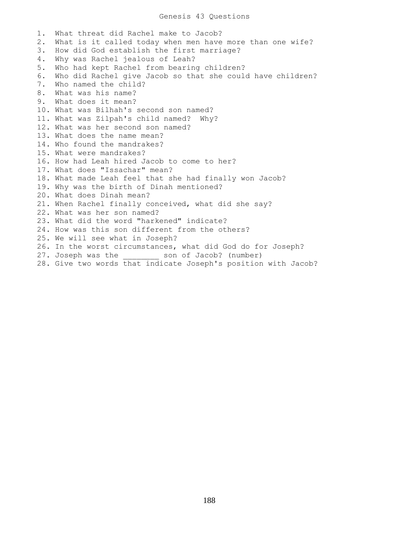## Genesis 43 Questions

1. What threat did Rachel make to Jacob? 2. What is it called today when men have more than one wife? 3. How did God establish the first marriage? 4. Why was Rachel jealous of Leah? 5. Who had kept Rachel from bearing children? 6. Who did Rachel give Jacob so that she could have children? 7. Who named the child? 8. What was his name? 9. What does it mean? 10. What was Bilhah's second son named? 11. What was Zilpah's child named? Why? 12. What was her second son named? 13. What does the name mean? 14. Who found the mandrakes? 15. What were mandrakes? 16. How had Leah hired Jacob to come to her? 17. What does "Issachar" mean? 18. What made Leah feel that she had finally won Jacob? 19. Why was the birth of Dinah mentioned? 20. What does Dinah mean? 21. When Rachel finally conceived, what did she say? 22. What was her son named? 23. What did the word "harkened" indicate? 24. How was this son different from the others? 25. We will see what in Joseph? 26. In the worst circumstances, what did God do for Joseph? 27. Joseph was the son of Jacob? (number) 28. Give two words that indicate Joseph's position with Jacob?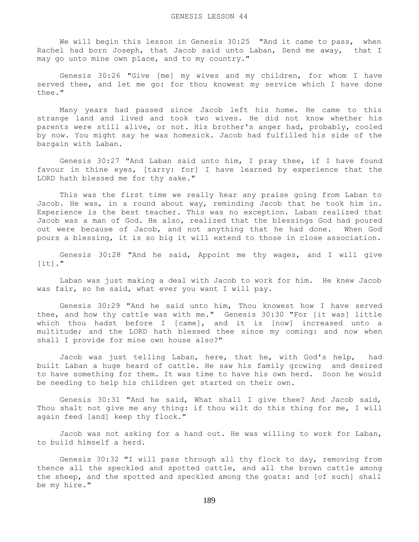We will begin this lesson in Genesis 30:25 "And it came to pass, when Rachel had born Joseph, that Jacob said unto Laban, Send me away, that I may go unto mine own place, and to my country."

 Genesis 30:26 "Give [me] my wives and my children, for whom I have served thee, and let me go: for thou knowest my service which I have done thee."

 Many years had passed since Jacob left his home. He came to this strange land and lived and took two wives. He did not know whether his parents were still alive, or not. His brother's anger had, probably, cooled by now. You might say he was homesick. Jacob had fulfilled his side of the bargain with Laban.

 Genesis 30:27 "And Laban said unto him, I pray thee, if I have found favour in thine eyes, [tarry: for] I have learned by experience that the LORD hath blessed me for thy sake."

 This was the first time we really hear any praise going from Laban to Jacob. He was, in a round about way, reminding Jacob that he took him in. Experience is the best teacher. This was no exception. Laban realized that Jacob was a man of God. He also, realized that the blessings God had poured out were because of Jacob, and not anything that he had done. When God pours a blessing, it is so big it will extend to those in close association.

 Genesis 30:28 "And he said, Appoint me thy wages, and I will give  $[it]$ ."

 Laban was just making a deal with Jacob to work for him. He knew Jacob was fair, so he said, what ever you want I will pay.

 Genesis 30:29 "And he said unto him, Thou knowest how I have served thee, and how thy cattle was with me." Genesis 30:30 "For [it was] little which thou hadst before I [came], and it is [now] increased unto a multitude; and the LORD hath blessed thee since my coming: and now when shall I provide for mine own house also?"

 Jacob was just telling Laban, here, that he, with God's help, had built Laban a huge heard of cattle. He saw his family growing and desired to have something for them. It was time to have his own herd. Soon he would be needing to help his children get started on their own.

 Genesis 30:31 "And he said, What shall I give thee? And Jacob said, Thou shalt not give me any thing: if thou wilt do this thing for me, I will again feed [and] keep thy flock."

 Jacob was not asking for a hand out. He was willing to work for Laban, to build himself a herd.

 Genesis 30:32 "I will pass through all thy flock to day, removing from thence all the speckled and spotted cattle, and all the brown cattle among the sheep, and the spotted and speckled among the goats: and [of such] shall be my hire."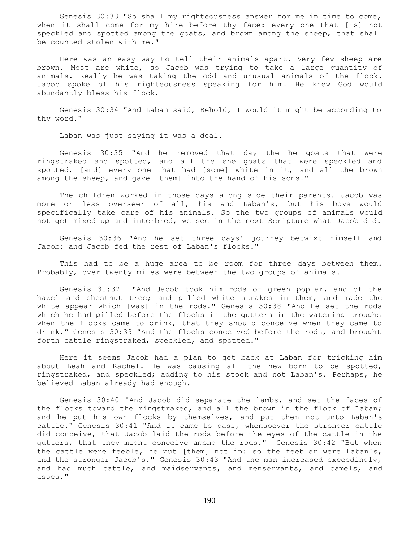Genesis 30:33 "So shall my righteousness answer for me in time to come, when it shall come for my hire before thy face: every one that [is] not speckled and spotted among the goats, and brown among the sheep, that shall be counted stolen with me."

 Here was an easy way to tell their animals apart. Very few sheep are brown. Most are white, so Jacob was trying to take a large quantity of animals. Really he was taking the odd and unusual animals of the flock. Jacob spoke of his righteousness speaking for him. He knew God would abundantly bless his flock.

 Genesis 30:34 "And Laban said, Behold, I would it might be according to thy word."

Laban was just saying it was a deal.

 Genesis 30:35 "And he removed that day the he goats that were ringstraked and spotted, and all the she goats that were speckled and spotted, [and] every one that had [some] white in it, and all the brown among the sheep, and gave [them] into the hand of his sons."

 The children worked in those days along side their parents. Jacob was more or less overseer of all, his and Laban's, but his boys would specifically take care of his animals. So the two groups of animals would not get mixed up and interbred, we see in the next Scripture what Jacob did.

 Genesis 30:36 "And he set three days' journey betwixt himself and Jacob: and Jacob fed the rest of Laban's flocks."

 This had to be a huge area to be room for three days between them. Probably, over twenty miles were between the two groups of animals.

 Genesis 30:37 "And Jacob took him rods of green poplar, and of the hazel and chestnut tree; and pilled white strakes in them, and made the white appear which [was] in the rods." Genesis 30:38 "And he set the rods which he had pilled before the flocks in the gutters in the watering troughs when the flocks came to drink, that they should conceive when they came to drink." Genesis 30:39 "And the flocks conceived before the rods, and brought forth cattle ringstraked, speckled, and spotted."

 Here it seems Jacob had a plan to get back at Laban for tricking him about Leah and Rachel. He was causing all the new born to be spotted, ringstraked, and speckled; adding to his stock and not Laban's. Perhaps, he believed Laban already had enough.

 Genesis 30:40 "And Jacob did separate the lambs, and set the faces of the flocks toward the ringstraked, and all the brown in the flock of Laban; and he put his own flocks by themselves, and put them not unto Laban's cattle." Genesis 30:41 "And it came to pass, whensoever the stronger cattle did conceive, that Jacob laid the rods before the eyes of the cattle in the gutters, that they might conceive among the rods." Genesis 30:42 "But when the cattle were feeble, he put [them] not in: so the feebler were Laban's, and the stronger Jacob's." Genesis 30:43 "And the man increased exceedingly, and had much cattle, and maidservants, and menservants, and camels, and asses."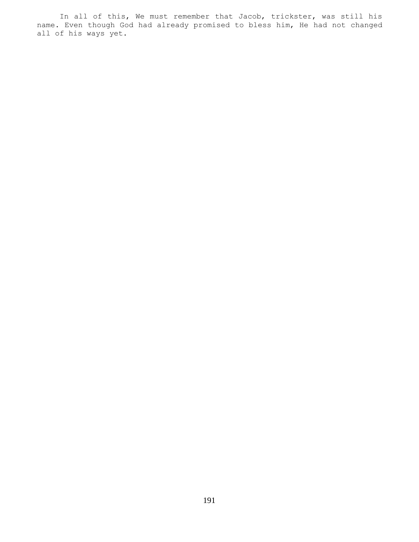In all of this, We must remember that Jacob, trickster, was still his name. Even though God had already promised to bless him, He had not changed all of his ways yet.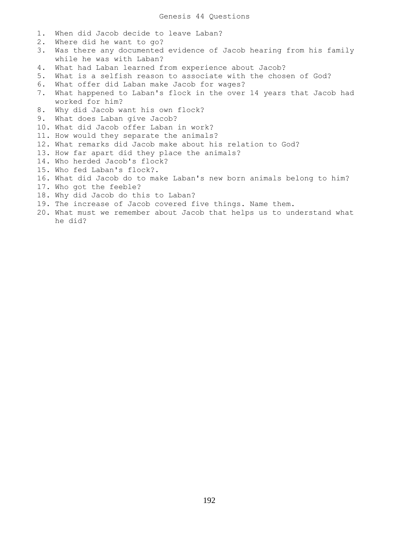- 1. When did Jacob decide to leave Laban?
- 2. Where did he want to go?
- 3. Was there any documented evidence of Jacob hearing from his family while he was with Laban?
- 4. What had Laban learned from experience about Jacob?
- 5. What is a selfish reason to associate with the chosen of God?
- 6. What offer did Laban make Jacob for wages?
- 7. What happened to Laban's flock in the over 14 years that Jacob had worked for him?
- 8. Why did Jacob want his own flock?
- 9. What does Laban give Jacob?
- 10. What did Jacob offer Laban in work?
- 11. How would they separate the animals?
- 12. What remarks did Jacob make about his relation to God?
- 13. How far apart did they place the animals?
- 14. Who herded Jacob's flock?
- 15. Who fed Laban's flock?.
- 16. What did Jacob do to make Laban's new born animals belong to him?
- 17. Who got the feeble?
- 18. Why did Jacob do this to Laban?
- 19. The increase of Jacob covered five things. Name them.
- 20. What must we remember about Jacob that helps us to understand what he did?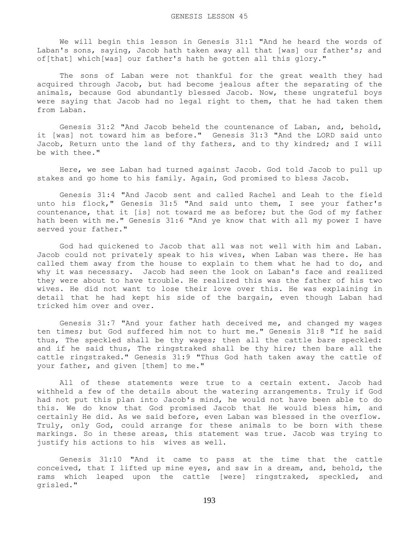We will begin this lesson in Genesis 31:1 "And he heard the words of Laban's sons, saying, Jacob hath taken away all that [was] our father's; and of[that] which[was] our father's hath he gotten all this glory."

 The sons of Laban were not thankful for the great wealth they had acquired through Jacob, but had become jealous after the separating of the animals, because God abundantly blessed Jacob. Now, these ungrateful boys were saying that Jacob had no legal right to them, that he had taken them from Laban.

 Genesis 31:2 "And Jacob beheld the countenance of Laban, and, behold, it [was] not toward him as before." Genesis 31:3 "And the LORD said unto Jacob, Return unto the land of thy fathers, and to thy kindred; and I will be with thee."

 Here, we see Laban had turned against Jacob. God told Jacob to pull up stakes and go home to his family. Again, God promised to bless Jacob.

 Genesis 31:4 "And Jacob sent and called Rachel and Leah to the field unto his flock," Genesis 31:5 "And said unto them, I see your father's countenance, that it [is] not toward me as before; but the God of my father hath been with me." Genesis 31:6 "And ye know that with all my power I have served your father."

 God had quickened to Jacob that all was not well with him and Laban. Jacob could not privately speak to his wives, when Laban was there. He has called them away from the house to explain to them what he had to do, and why it was necessary. Jacob had seen the look on Laban's face and realized they were about to have trouble. He realized this was the father of his two wives. He did not want to lose their love over this. He was explaining in detail that he had kept his side of the bargain, even though Laban had tricked him over and over.

 Genesis 31:7 "And your father hath deceived me, and changed my wages ten times; but God suffered him not to hurt me." Genesis 31:8 "If he said thus, The speckled shall be thy wages; then all the cattle bare speckled: and if he said thus, The ringstraked shall be thy hire; then bare all the cattle ringstraked." Genesis 31:9 "Thus God hath taken away the cattle of your father, and given [them] to me."

 All of these statements were true to a certain extent. Jacob had withheld a few of the details about the watering arrangements. Truly if God had not put this plan into Jacob's mind, he would not have been able to do this. We do know that God promised Jacob that He would bless him, and certainly He did. As we said before, even Laban was blessed in the overflow. Truly, only God, could arrange for these animals to be born with these markings. So in these areas, this statement was true. Jacob was trying to justify his actions to his wives as well.

 Genesis 31:10 "And it came to pass at the time that the cattle conceived, that I lifted up mine eyes, and saw in a dream, and, behold, the rams which leaped upon the cattle [were] ringstraked, speckled, and grisled."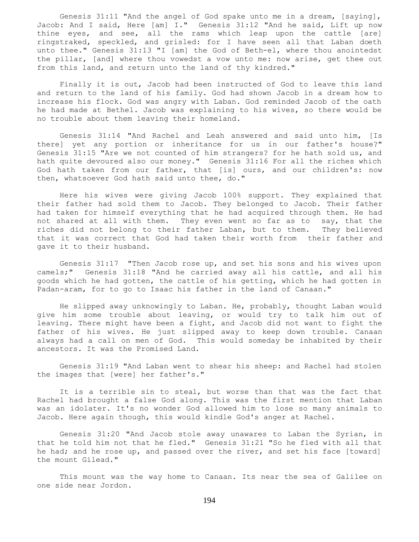Genesis 31:11 "And the angel of God spake unto me in a dream, [saying], Jacob: And I said, Here [am] I." Genesis 31:12 "And he said, Lift up now thine eyes, and see, all the rams which leap upon the cattle [are] ringstraked, speckled, and grisled: for I have seen all that Laban doeth unto thee." Genesis 31:13 "I [am] the God of Beth-el, where thou anointedst the pillar, [and] where thou vowedst a vow unto me: now arise, get thee out from this land, and return unto the land of thy kindred."

 Finally it is out, Jacob had been instructed of God to leave this land and return to the land of his family. God had shown Jacob in a dream how to increase his flock. God was angry with Laban. God reminded Jacob of the oath he had made at Bethel. Jacob was explaining to his wives, so there would be no trouble about them leaving their homeland.

 Genesis 31:14 "And Rachel and Leah answered and said unto him, [Is there] yet any portion or inheritance for us in our father's house?" Genesis 31:15 "Are we not counted of him strangers? for he hath sold us, and hath quite devoured also our money." Genesis 31:16 For all the riches which God hath taken from our father, that [is] ours, and our children's: now then, whatsoever God hath said unto thee, do."

 Here his wives were giving Jacob 100% support. They explained that their father had sold them to Jacob. They belonged to Jacob. Their father had taken for himself everything that he had acquired through them. He had not shared at all with them. They even went so far as to say, that the riches did not belong to their father Laban, but to them. They believed that it was correct that God had taken their worth from their father and gave it to their husband.

 Genesis 31:17 "Then Jacob rose up, and set his sons and his wives upon camels;" Genesis 31:18 "And he carried away all his cattle, and all his goods which he had gotten, the cattle of his getting, which he had gotten in Padan-aram, for to go to Isaac his father in the land of Canaan."

 He slipped away unknowingly to Laban. He, probably, thought Laban would give him some trouble about leaving, or would try to talk him out of leaving. There might have been a fight, and Jacob did not want to fight the father of his wives. He just slipped away to keep down trouble. Canaan always had a call on men of God. This would someday be inhabited by their ancestors. It was the Promised Land.

 Genesis 31:19 "And Laban went to shear his sheep: and Rachel had stolen the images that [were] her father's."

 It is a terrible sin to steal, but worse than that was the fact that Rachel had brought a false God along. This was the first mention that Laban was an idolater. It's no wonder God allowed him to lose so many animals to Jacob. Here again though, this would kindle God's anger at Rachel.

 Genesis 31:20 "And Jacob stole away unawares to Laban the Syrian, in that he told him not that he fled." Genesis 31:21 "So he fled with all that he had; and he rose up, and passed over the river, and set his face [toward] the mount Gilead."

 This mount was the way home to Canaan. Its near the sea of Galilee on one side near Jordon.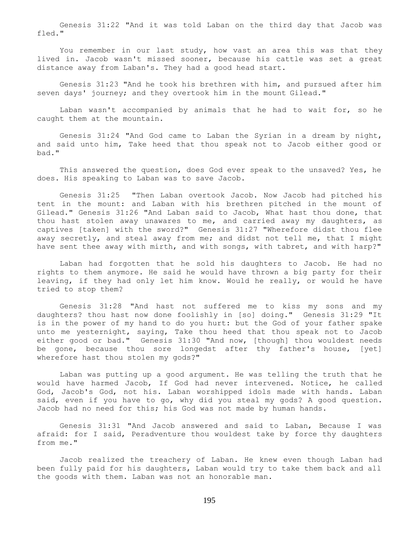Genesis 31:22 "And it was told Laban on the third day that Jacob was fled."

You remember in our last study, how vast an area this was that they lived in. Jacob wasn't missed sooner, because his cattle was set a great distance away from Laban's. They had a good head start.

 Genesis 31:23 "And he took his brethren with him, and pursued after him seven days' journey; and they overtook him in the mount Gilead."

 Laban wasn't accompanied by animals that he had to wait for, so he caught them at the mountain.

 Genesis 31:24 "And God came to Laban the Syrian in a dream by night, and said unto him, Take heed that thou speak not to Jacob either good or bad."

 This answered the question, does God ever speak to the unsaved? Yes, he does. His speaking to Laban was to save Jacob.

 Genesis 31:25 "Then Laban overtook Jacob. Now Jacob had pitched his tent in the mount: and Laban with his brethren pitched in the mount of Gilead." Genesis 31:26 "And Laban said to Jacob, What hast thou done, that thou hast stolen away unawares to me, and carried away my daughters, as captives [taken] with the sword?" Genesis 31:27 "Wherefore didst thou flee away secretly, and steal away from me; and didst not tell me, that I might have sent thee away with mirth, and with songs, with tabret, and with harp?"

 Laban had forgotten that he sold his daughters to Jacob. He had no rights to them anymore. He said he would have thrown a big party for their leaving, if they had only let him know. Would he really, or would he have tried to stop them?

 Genesis 31:28 "And hast not suffered me to kiss my sons and my daughters? thou hast now done foolishly in [so] doing." Genesis 31:29 "It is in the power of my hand to do you hurt: but the God of your father spake unto me yesternight, saying, Take thou heed that thou speak not to Jacob either good or bad." Genesis 31:30 "And now, [though] thou wouldest needs be gone, because thou sore longedst after thy father's house, [yet] wherefore hast thou stolen my gods?"

 Laban was putting up a good argument. He was telling the truth that he would have harmed Jacob, If God had never intervened. Notice, he called God, Jacob's God, not his. Laban worshipped idols made with hands. Laban said, even if you have to go, why did you steal my gods? A good question. Jacob had no need for this; his God was not made by human hands.

 Genesis 31:31 "And Jacob answered and said to Laban, Because I was afraid: for I said, Peradventure thou wouldest take by force thy daughters from me."

 Jacob realized the treachery of Laban. He knew even though Laban had been fully paid for his daughters, Laban would try to take them back and all the goods with them. Laban was not an honorable man.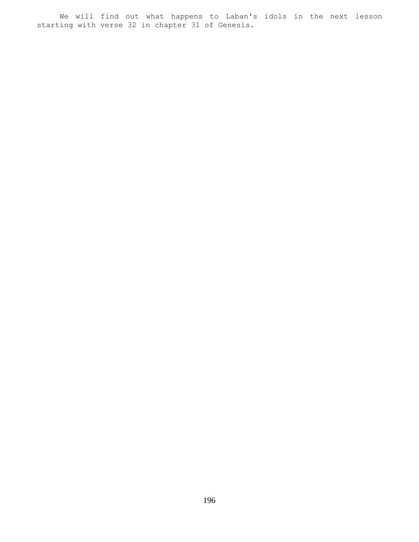We will find out what happens to Laban's idols in the next lesson starting with verse 32 in chapter 31 of Genesis.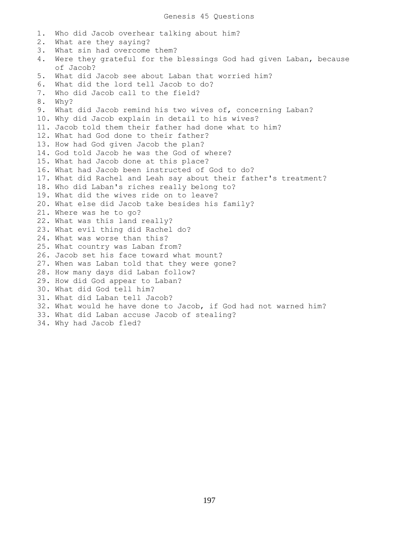1. Who did Jacob overhear talking about him? 2. What are they saying? 3. What sin had overcome them? 4. Were they grateful for the blessings God had given Laban, because of Jacob? 5. What did Jacob see about Laban that worried him? 6. What did the lord tell Jacob to do? 7. Who did Jacob call to the field? 8. Why? 9. What did Jacob remind his two wives of, concerning Laban? 10. Why did Jacob explain in detail to his wives? 11. Jacob told them their father had done what to him? 12. What had God done to their father? 13. How had God given Jacob the plan? 14. God told Jacob he was the God of where? 15. What had Jacob done at this place? 16. What had Jacob been instructed of God to do? 17. What did Rachel and Leah say about their father's treatment? 18. Who did Laban's riches really belong to? 19. What did the wives ride on to leave? 20. What else did Jacob take besides his family? 21. Where was he to go? 22. What was this land really? 23. What evil thing did Rachel do? 24. What was worse than this? 25. What country was Laban from? 26. Jacob set his face toward what mount? 27. When was Laban told that they were gone? 28. How many days did Laban follow? 29. How did God appear to Laban? 30. What did God tell him? 31. What did Laban tell Jacob? 32. What would he have done to Jacob, if God had not warned him? 33. What did Laban accuse Jacob of stealing? 34. Why had Jacob fled?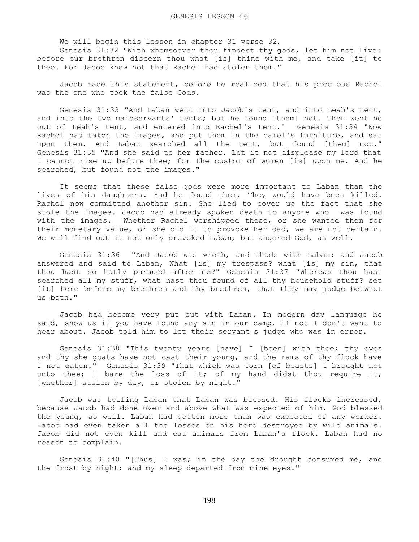We will begin this lesson in chapter 31 verse 32.

 Genesis 31:32 "With whomsoever thou findest thy gods, let him not live: before our brethren discern thou what [is] thine with me, and take [it] to thee. For Jacob knew not that Rachel had stolen them."

 Jacob made this statement, before he realized that his precious Rachel was the one who took the false Gods.

 Genesis 31:33 "And Laban went into Jacob's tent, and into Leah's tent, and into the two maidservants' tents; but he found [them] not. Then went he out of Leah's tent, and entered into Rachel's tent." Genesis 31:34 "Now Rachel had taken the images, and put them in the camel's furniture, and sat upon them. And Laban searched all the tent, but found [them] not." Genesis 31:35 "And she said to her father, Let it not displease my lord that I cannot rise up before thee; for the custom of women [is] upon me. And he searched, but found not the images."

 It seems that these false gods were more important to Laban than the lives of his daughters. Had he found them, They would have been killed. Rachel now committed another sin. She lied to cover up the fact that she stole the images. Jacob had already spoken death to anyone who was found with the images. Whether Rachel worshipped these, or she wanted them for their monetary value, or she did it to provoke her dad, we are not certain. We will find out it not only provoked Laban, but angered God, as well.

 Genesis 31:36 "And Jacob was wroth, and chode with Laban: and Jacob answered and said to Laban, What [is] my trespass? what [is] my sin, that thou hast so hotly pursued after me?" Genesis 31:37 "Whereas thou hast searched all my stuff, what hast thou found of all thy household stuff? set [it] here before my brethren and thy brethren, that they may judge betwixt us both."

 Jacob had become very put out with Laban. In modern day language he said, show us if you have found any sin in our camp, if not I don't want to hear about. Jacob told him to let their servant s judge who was in error.

 Genesis 31:38 "This twenty years [have] I [been] with thee; thy ewes and thy she goats have not cast their young, and the rams of thy flock have I not eaten." Genesis 31:39 "That which was torn [of beasts] I brought not unto thee; I bare the loss of it; of my hand didst thou require it, [whether] stolen by day, or stolen by night."

 Jacob was telling Laban that Laban was blessed. His flocks increased, because Jacob had done over and above what was expected of him. God blessed the young, as well. Laban had gotten more than was expected of any worker. Jacob had even taken all the losses on his herd destroyed by wild animals. Jacob did not even kill and eat animals from Laban's flock. Laban had no reason to complain.

 Genesis 31:40 "[Thus] I was; in the day the drought consumed me, and the frost by night; and my sleep departed from mine eyes."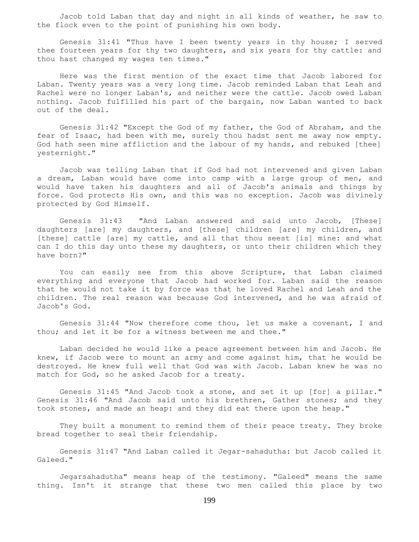Jacob told Laban that day and night in all kinds of weather, he saw to the flock even to the point of punishing his own body.

 Genesis 31:41 "Thus have I been twenty years in thy house; I served thee fourteen years for thy two daughters, and six years for thy cattle: and thou hast changed my wages ten times."

 Here was the first mention of the exact time that Jacob labored for Laban. Twenty years was a very long time. Jacob reminded Laban that Leah and Rachel were no longer Laban's, and neither were the cattle. Jacob owed Laban nothing. Jacob fulfilled his part of the bargain, now Laban wanted to back out of the deal.

 Genesis 31:42 "Except the God of my father, the God of Abraham, and the fear of Isaac, had been with me, surely thou hadst sent me away now empty. God hath seen mine affliction and the labour of my hands, and rebuked [thee] yesternight."

 Jacob was telling Laban that if God had not intervened and given Laban a dream, Laban would have come into camp with a large group of men, and would have taken his daughters and all of Jacob's animals and things by force. God protects His own, and this was no exception. Jacob was divinely protected by God Himself.

 Genesis 31:43 "And Laban answered and said unto Jacob, [These] daughters [are] my daughters, and [these] children [are] my children, and [these] cattle [are] my cattle, and all that thou seest [is] mine: and what can I do this day unto these my daughters, or unto their children which they have born?"

 You can easily see from this above Scripture, that Laban claimed everything and everyone that Jacob had worked for. Laban said the reason that he would not take it by force was that he loved Rachel and Leah and the children. The real reason was because God intervened, and he was afraid of Jacob's God.

 Genesis 31:44 "Now therefore come thou, let us make a covenant, I and thou; and let it be for a witness between me and thee."

 Laban decided he would like a peace agreement between him and Jacob. He knew, if Jacob were to mount an army and come against him, that he would be destroyed. He knew full well that God was with Jacob. Laban knew he was no match for God, so he asked Jacob for a treaty.

 Genesis 31:45 "And Jacob took a stone, and set it up [for] a pillar." Genesis 31:46 "And Jacob said unto his brethren, Gather stones; and they took stones, and made an heap: and they did eat there upon the heap."

 They built a monument to remind them of their peace treaty. They broke bread together to seal their friendship.

 Genesis 31:47 "And Laban called it Jegar-sahadutha: but Jacob called it Galeed."

Jegarsahadutha" means heap of the testimony. "Galeed" means the same thing. Isn't it strange that these two men called this place by two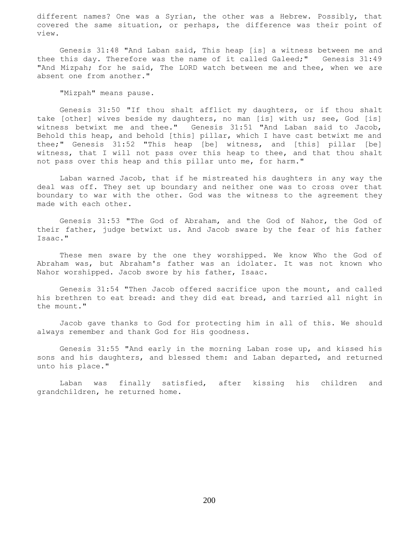different names? One was a Syrian, the other was a Hebrew. Possibly, that covered the same situation, or perhaps, the difference was their point of view.

 Genesis 31:48 "And Laban said, This heap [is] a witness between me and thee this day. Therefore was the name of it called Galeed;" Genesis 31:49 "And Mizpah; for he said, The LORD watch between me and thee, when we are absent one from another."

"Mizpah" means pause.

 Genesis 31:50 "If thou shalt afflict my daughters, or if thou shalt take [other] wives beside my daughters, no man [is] with us; see, God [is] witness betwixt me and thee." Genesis 31:51 "And Laban said to Jacob, Behold this heap, and behold [this] pillar, which I have cast betwixt me and thee;" Genesis 31:52 "This heap [be] witness, and [this] pillar [be] witness, that I will not pass over this heap to thee, and that thou shalt not pass over this heap and this pillar unto me, for harm."

 Laban warned Jacob, that if he mistreated his daughters in any way the deal was off. They set up boundary and neither one was to cross over that boundary to war with the other. God was the witness to the agreement they made with each other.

 Genesis 31:53 "The God of Abraham, and the God of Nahor, the God of their father, judge betwixt us. And Jacob sware by the fear of his father Isaac."

 These men sware by the one they worshipped. We know Who the God of Abraham was, but Abraham's father was an idolater. It was not known who Nahor worshipped. Jacob swore by his father, Isaac.

 Genesis 31:54 "Then Jacob offered sacrifice upon the mount, and called his brethren to eat bread: and they did eat bread, and tarried all night in the mount."

 Jacob gave thanks to God for protecting him in all of this. We should always remember and thank God for His goodness.

 Genesis 31:55 "And early in the morning Laban rose up, and kissed his sons and his daughters, and blessed them: and Laban departed, and returned unto his place."

 Laban was finally satisfied, after kissing his children and grandchildren, he returned home.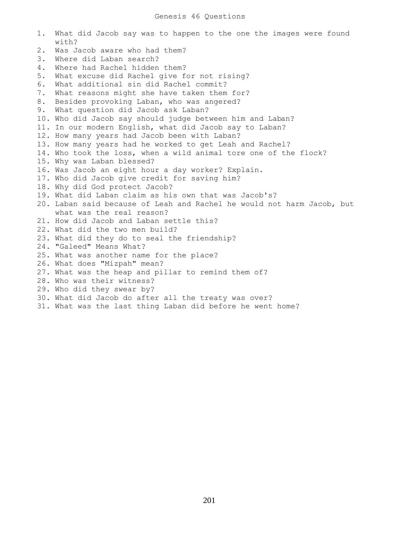## Genesis 46 Questions

| 1.    | What did Jacob say was to happen to the one the images were found<br>with? |
|-------|----------------------------------------------------------------------------|
| $2$ . | Was Jacob aware who had them?                                              |
| 3.    | Where did Laban search?                                                    |
| 4.    | Where had Rachel hidden them?                                              |
| 5.    | What excuse did Rachel give for not rising?                                |
| 6.    | What additional sin did Rachel commit?                                     |
| 7.    | What reasons might she have taken them for?                                |
| 8.    | Besides provoking Laban, who was angered?                                  |
| 9.    | What question did Jacob ask Laban?                                         |
|       | 10. Who did Jacob say should judge between him and Laban?                  |
|       | 11. In our modern English, what did Jacob say to Laban?                    |
|       | 12. How many years had Jacob been with Laban?                              |
|       | 13. How many years had he worked to get Leah and Rachel?                   |
|       | 14. Who took the loss, when a wild animal tore one of the flock?           |
|       | 15. Why was Laban blessed?                                                 |
|       | 16. Was Jacob an eight hour a day worker? Explain.                         |
|       | 17. Who did Jacob give credit for saving him?                              |
|       | 18. Why did God protect Jacob?                                             |
|       | 19. What did Laban claim as his own that was Jacob's?                      |
|       | 20. Laban said because of Leah and Rachel he would not harm Jacob, but     |
|       | what was the real reason?                                                  |
|       | 21. How did Jacob and Laban settle this?                                   |
|       | 22. What did the two men build?                                            |
|       | 23. What did they do to seal the friendship?                               |
|       | 24. "Galeed" Means What?                                                   |
|       | 25. What was another name for the place?                                   |
|       | 26. What does "Mizpah" mean?                                               |
|       | 27. What was the heap and pillar to remind them of?                        |
|       | 28. Who was their witness?                                                 |
|       | 29. Who did they swear by?                                                 |
|       | 30. What did Jacob do after all the treaty was over?                       |
|       | 31. What was the last thing Laban did before he went home?                 |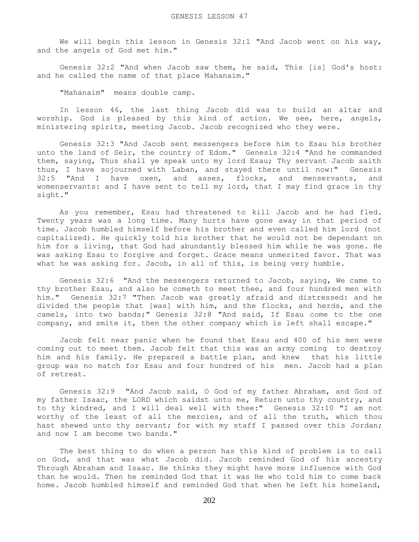We will begin this lesson in Genesis  $32:1$  "And Jacob went on his way, and the angels of God met him."

 Genesis 32:2 "And when Jacob saw them, he said, This [is] God's host: and he called the name of that place Mahanaim."

"Mahanaim" means double camp.

 In lesson 46, the last thing Jacob did was to build an altar and worship. God is pleased by this kind of action. We see, here, angels, ministering spirits, meeting Jacob. Jacob recognized who they were.

 Genesis 32:3 "And Jacob sent messengers before him to Esau his brother unto the land of Seir, the country of Edom." Genesis 32:4 "And he commanded them, saying, Thus shall ye speak unto my lord Esau; Thy servant Jacob saith thus, I have sojourned with Laban, and stayed there until now:" Genesis 32:5 "And I have oxen, and asses, flocks, and menservants, and womenservants: and I have sent to tell my lord, that I may find grace in thy sight."

 As you remember, Esau had threatened to kill Jacob and he had fled. Twenty years was a long time. Many hurts have gone away in that period of time. Jacob humbled himself before his brother and even called him lord (not capitalized). He quickly told his brother that he would not be dependant on him for a living, that God had abundantly blessed him while he was gone. He was asking Esau to forgive and forget. Grace means unmerited favor. That was what he was asking for. Jacob, in all of this, is being very humble.

 Genesis 32:6 "And the messengers returned to Jacob, saying, We came to thy brother Esau, and also he cometh to meet thee, and four hundred men with him." Genesis 32:7 "Then Jacob was greatly afraid and distressed: and he divided the people that [was] with him, and the flocks, and herds, and the camels, into two bands;" Genesis 32:8 "And said, If Esau come to the one company, and smite it, then the other company which is left shall escape."

 Jacob felt near panic when he found that Esau and 400 of his men were coming out to meet them. Jacob felt that this was an army coming to destroy him and his family. He prepared a battle plan, and knew that his little group was no match for Esau and four hundred of his men. Jacob had a plan of retreat.

 Genesis 32:9 "And Jacob said, O God of my father Abraham, and God of my father Isaac, the LORD which saidst unto me, Return unto thy country, and to thy kindred, and I will deal well with thee:" Genesis 32:10 "I am not worthy of the least of all the mercies, and of all the truth, which thou hast shewed unto thy servant; for with my staff I passed over this Jordan; and now I am become two bands."

 The best thing to do when a person has this kind of problem is to call on God, and that was what Jacob did. Jacob reminded God of his ancestry Through Abraham and Isaac. He thinks they might have more influence with God than he would. Then he reminded God that it was He who told him to come back home. Jacob humbled himself and reminded God that when he left his homeland,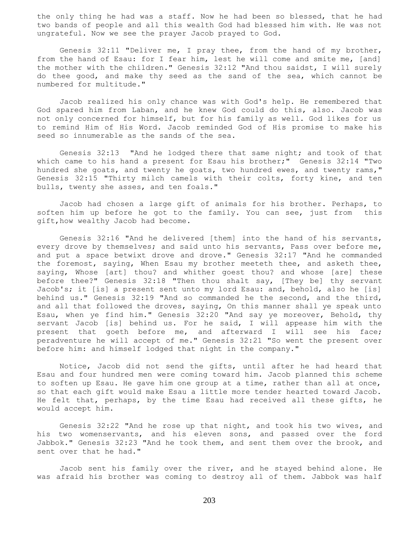the only thing he had was a staff. Now he had been so blessed, that he had two bands of people and all this wealth God had blessed him with. He was not ungrateful. Now we see the prayer Jacob prayed to God.

 Genesis 32:11 "Deliver me, I pray thee, from the hand of my brother, from the hand of Esau: for I fear him, lest he will come and smite me, [and] the mother with the children." Genesis 32:12 "And thou saidst, I will surely do thee good, and make thy seed as the sand of the sea, which cannot be numbered for multitude."

 Jacob realized his only chance was with God's help. He remembered that God spared him from Laban, and he knew God could do this, also. Jacob was not only concerned for himself, but for his family as well. God likes for us to remind Him of His Word. Jacob reminded God of His promise to make his seed so innumerable as the sands of the sea.

 Genesis 32:13 "And he lodged there that same night; and took of that which came to his hand a present for Esau his brother;" Genesis 32:14 "Two hundred she goats, and twenty he goats, two hundred ewes, and twenty rams," Genesis 32:15 "Thirty milch camels with their colts, forty kine, and ten bulls, twenty she asses, and ten foals."

 Jacob had chosen a large gift of animals for his brother. Perhaps, to soften him up before he got to the family. You can see, just from this gift,how wealthy Jacob had become.

 Genesis 32:16 "And he delivered [them] into the hand of his servants, every drove by themselves; and said unto his servants, Pass over before me, and put a space betwixt drove and drove." Genesis 32:17 "And he commanded the foremost, saying, When Esau my brother meeteth thee, and asketh thee, saying, Whose [art] thou? and whither goest thou? and whose [are] these before thee?" Genesis 32:18 "Then thou shalt say, [They be] thy servant Jacob's; it [is] a present sent unto my lord Esau: and, behold, also he [is] behind us." Genesis 32:19 "And so commanded he the second, and the third, and all that followed the droves, saying, On this manner shall ye speak unto Esau, when ye find him." Genesis 32:20 "And say ye moreover, Behold, thy servant Jacob [is] behind us. For he said, I will appease him with the present that goeth before me, and afterward I will see his face; peradventure he will accept of me." Genesis 32:21 "So went the present over before him: and himself lodged that night in the company."

 Notice, Jacob did not send the gifts, until after he had heard that Esau and four hundred men were coming toward him. Jacob planned this scheme to soften up Esau. He gave him one group at a time, rather than all at once, so that each gift would make Esau a little more tender hearted toward Jacob. He felt that, perhaps, by the time Esau had received all these gifts, he would accept him.

 Genesis 32:22 "And he rose up that night, and took his two wives, and his two womenservants, and his eleven sons, and passed over the ford Jabbok." Genesis 32:23 "And he took them, and sent them over the brook, and sent over that he had."

 Jacob sent his family over the river, and he stayed behind alone. He was afraid his brother was coming to destroy all of them. Jabbok was half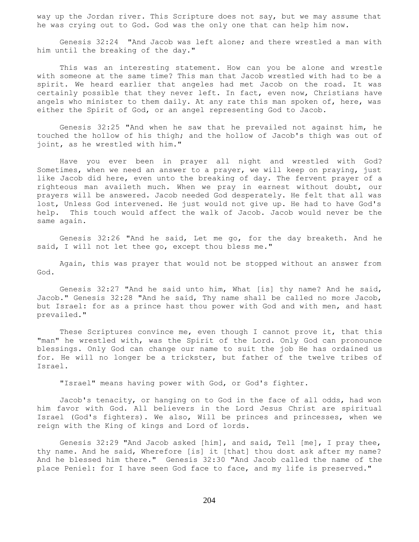way up the Jordan river. This Scripture does not say, but we may assume that he was crying out to God. God was the only one that can help him now.

 Genesis 32:24 "And Jacob was left alone; and there wrestled a man with him until the breaking of the day."

 This was an interesting statement. How can you be alone and wrestle with someone at the same time? This man that Jacob wrestled with had to be a spirit. We heard earlier that angeles had met Jacob on the road. It was certainly possible that they never left. In fact, even now, Christians have angels who minister to them daily. At any rate this man spoken of, here, was either the Spirit of God, or an angel representing God to Jacob.

 Genesis 32:25 "And when he saw that he prevailed not against him, he touched the hollow of his thigh; and the hollow of Jacob's thigh was out of joint, as he wrestled with him."

 Have you ever been in prayer all night and wrestled with God? Sometimes, when we need an answer to a prayer, we will keep on praying, just like Jacob did here, even unto the breaking of day. The fervent prayer of a righteous man availeth much. When we pray in earnest without doubt, our prayers will be answered. Jacob needed God desperately. He felt that all was lost, Unless God intervened. He just would not give up. He had to have God's help. This touch would affect the walk of Jacob. Jacob would never be the same again.

 Genesis 32:26 "And he said, Let me go, for the day breaketh. And he said, I will not let thee go, except thou bless me."

 Again, this was prayer that would not be stopped without an answer from God.

 Genesis 32:27 "And he said unto him, What [is] thy name? And he said, Jacob." Genesis 32:28 "And he said, Thy name shall be called no more Jacob, but Israel: for as a prince hast thou power with God and with men, and hast prevailed."

These Scriptures convince me, even though I cannot prove it, that this "man" he wrestled with, was the Spirit of the Lord. Only God can pronounce blessings. Only God can change our name to suit the job He has ordained us for. He will no longer be a trickster, but father of the twelve tribes of Israel.

"Israel" means having power with God, or God's fighter.

 Jacob's tenacity, or hanging on to God in the face of all odds, had won him favor with God. All believers in the Lord Jesus Christ are spiritual Israel (God's fighters). We also, Will be princes and princesses, when we reign with the King of kings and Lord of lords.

 Genesis 32:29 "And Jacob asked [him], and said, Tell [me], I pray thee, thy name. And he said, Wherefore [is] it [that] thou dost ask after my name? And he blessed him there." Genesis 32:30 "And Jacob called the name of the place Peniel: for I have seen God face to face, and my life is preserved."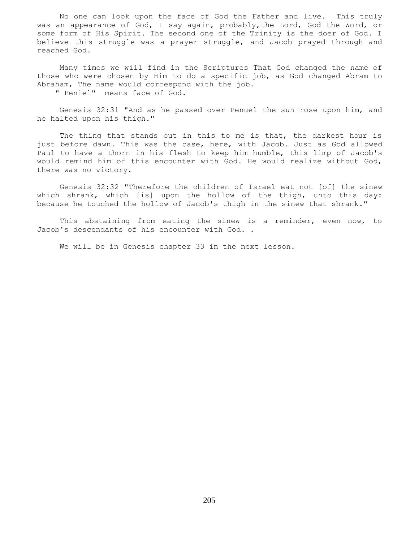No one can look upon the face of God the Father and live. This truly was an appearance of God, I say again, probably,the Lord, God the Word, or some form of His Spirit. The second one of the Trinity is the doer of God. I believe this struggle was a prayer struggle, and Jacob prayed through and reached God.

 Many times we will find in the Scriptures That God changed the name of those who were chosen by Him to do a specific job, as God changed Abram to Abraham, The name would correspond with the job.

" Peniel" means face of God.

 Genesis 32:31 "And as he passed over Penuel the sun rose upon him, and he halted upon his thigh."

The thing that stands out in this to me is that, the darkest hour is just before dawn. This was the case, here, with Jacob. Just as God allowed Paul to have a thorn in his flesh to keep him humble, this limp of Jacob's would remind him of this encounter with God. He would realize without God, there was no victory.

 Genesis 32:32 "Therefore the children of Israel eat not [of] the sinew which shrank, which [is] upon the hollow of the thigh, unto this day: because he touched the hollow of Jacob's thigh in the sinew that shrank."

 This abstaining from eating the sinew is a reminder, even now, to Jacob's descendants of his encounter with God. .

We will be in Genesis chapter 33 in the next lesson.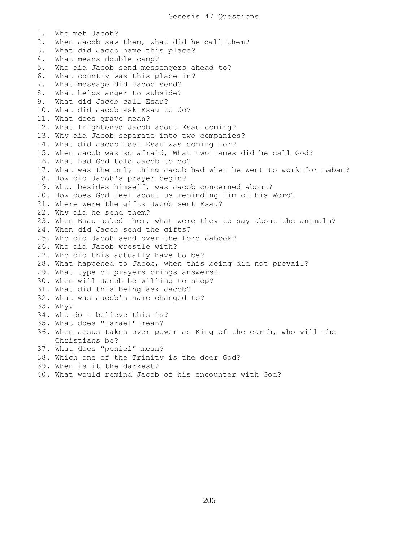1. Who met Jacob? 2. When Jacob saw them, what did he call them? 3. What did Jacob name this place? 4. What means double camp? 5. Who did Jacob send messengers ahead to? 6. What country was this place in? 7. What message did Jacob send? 8. What helps anger to subside? 9. What did Jacob call Esau? 10. What did Jacob ask Esau to do? 11. What does grave mean? 12. What frightened Jacob about Esau coming? 13. Why did Jacob separate into two companies? 14. What did Jacob feel Esau was coming for? 15. When Jacob was so afraid, What two names did he call God? 16. What had God told Jacob to do? 17. What was the only thing Jacob had when he went to work for Laban? 18. How did Jacob's prayer begin? 19. Who, besides himself, was Jacob concerned about? 20. How does God feel about us reminding Him of his Word? 21. Where were the gifts Jacob sent Esau? 22. Why did he send them? 23. When Esau asked them, what were they to say about the animals? 24. When did Jacob send the gifts? 25. Who did Jacob send over the ford Jabbok? 26. Who did Jacob wrestle with? 27. Who did this actually have to be? 28. What happened to Jacob, when this being did not prevail? 29. What type of prayers brings answers? 30. When will Jacob be willing to stop? 31. What did this being ask Jacob? 32. What was Jacob's name changed to? 33. Why? 34. Who do I believe this is? 35. What does "Israel" mean? 36. When Jesus takes over power as King of the earth, who will the Christians be? 37. What does "peniel" mean? 38. Which one of the Trinity is the doer God? 39. When is it the darkest? 40. What would remind Jacob of his encounter with God?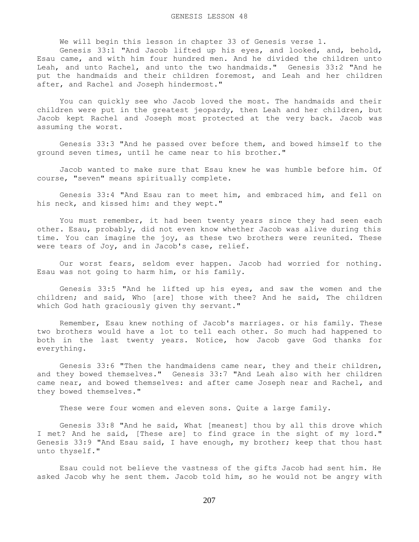We will begin this lesson in chapter 33 of Genesis verse 1.

 Genesis 33:1 "And Jacob lifted up his eyes, and looked, and, behold, Esau came, and with him four hundred men. And he divided the children unto Leah, and unto Rachel, and unto the two handmaids." Genesis 33:2 "And he put the handmaids and their children foremost, and Leah and her children after, and Rachel and Joseph hindermost."

 You can quickly see who Jacob loved the most. The handmaids and their children were put in the greatest jeopardy, then Leah and her children, but Jacob kept Rachel and Joseph most protected at the very back. Jacob was assuming the worst.

 Genesis 33:3 "And he passed over before them, and bowed himself to the ground seven times, until he came near to his brother."

 Jacob wanted to make sure that Esau knew he was humble before him. Of course, "seven" means spiritually complete.

 Genesis 33:4 "And Esau ran to meet him, and embraced him, and fell on his neck, and kissed him: and they wept."

 You must remember, it had been twenty years since they had seen each other. Esau, probably, did not even know whether Jacob was alive during this time. You can imagine the joy, as these two brothers were reunited. These were tears of Joy, and in Jacob's case, relief.

 Our worst fears, seldom ever happen. Jacob had worried for nothing. Esau was not going to harm him, or his family.

 Genesis 33:5 "And he lifted up his eyes, and saw the women and the children; and said, Who [are] those with thee? And he said, The children which God hath graciously given thy servant."

 Remember, Esau knew nothing of Jacob's marriages. or his family. These two brothers would have a lot to tell each other. So much had happened to both in the last twenty years. Notice, how Jacob gave God thanks for everything.

 Genesis 33:6 "Then the handmaidens came near, they and their children, and they bowed themselves." Genesis 33:7 "And Leah also with her children came near, and bowed themselves: and after came Joseph near and Rachel, and they bowed themselves."

These were four women and eleven sons. Quite a large family.

 Genesis 33:8 "And he said, What [meanest] thou by all this drove which I met? And he said, [These are] to find grace in the sight of my lord." Genesis 33:9 "And Esau said, I have enough, my brother; keep that thou hast unto thyself."

 Esau could not believe the vastness of the gifts Jacob had sent him. He asked Jacob why he sent them. Jacob told him, so he would not be angry with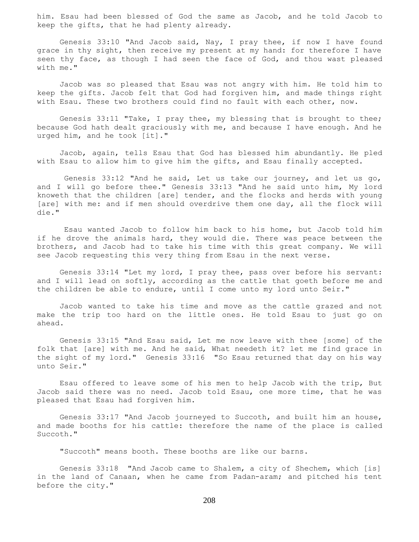him. Esau had been blessed of God the same as Jacob, and he told Jacob to keep the gifts, that he had plenty already.

 Genesis 33:10 "And Jacob said, Nay, I pray thee, if now I have found grace in thy sight, then receive my present at my hand: for therefore I have seen thy face, as though I had seen the face of God, and thou wast pleased with me."

 Jacob was so pleased that Esau was not angry with him. He told him to keep the gifts. Jacob felt that God had forgiven him, and made things right with Esau. These two brothers could find no fault with each other, now.

 Genesis 33:11 "Take, I pray thee, my blessing that is brought to thee; because God hath dealt graciously with me, and because I have enough. And he urged him, and he took [it]."

 Jacob, again, tells Esau that God has blessed him abundantly. He pled with Esau to allow him to give him the gifts, and Esau finally accepted.

 Genesis 33:12 "And he said, Let us take our journey, and let us go, and I will go before thee." Genesis 33:13 "And he said unto him, My lord knoweth that the children [are] tender, and the flocks and herds with young [are] with me: and if men should overdrive them one day, all the flock will die."

 Esau wanted Jacob to follow him back to his home, but Jacob told him if he drove the animals hard, they would die. There was peace between the brothers, and Jacob had to take his time with this great company. We will see Jacob requesting this very thing from Esau in the next verse.

 Genesis 33:14 "Let my lord, I pray thee, pass over before his servant: and I will lead on softly, according as the cattle that goeth before me and the children be able to endure, until I come unto my lord unto Seir."

 Jacob wanted to take his time and move as the cattle grazed and not make the trip too hard on the little ones. He told Esau to just go on ahead.

 Genesis 33:15 "And Esau said, Let me now leave with thee [some] of the folk that [are] with me. And he said, What needeth it? let me find grace in the sight of my lord." Genesis 33:16 "So Esau returned that day on his way unto Seir."

 Esau offered to leave some of his men to help Jacob with the trip, But Jacob said there was no need. Jacob told Esau, one more time, that he was pleased that Esau had forgiven him.

 Genesis 33:17 "And Jacob journeyed to Succoth, and built him an house, and made booths for his cattle: therefore the name of the place is called Succoth."

"Succoth" means booth. These booths are like our barns.

 Genesis 33:18 "And Jacob came to Shalem, a city of Shechem, which [is] in the land of Canaan, when he came from Padan-aram; and pitched his tent before the city."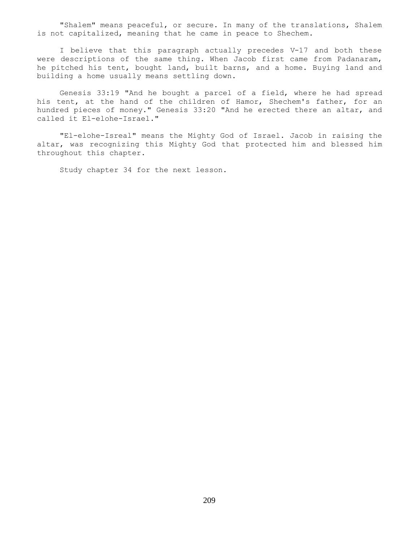"Shalem" means peaceful, or secure. In many of the translations, Shalem is not capitalized, meaning that he came in peace to Shechem.

 I believe that this paragraph actually precedes V-17 and both these were descriptions of the same thing. When Jacob first came from Padanaram, he pitched his tent, bought land, built barns, and a home. Buying land and building a home usually means settling down.

 Genesis 33:19 "And he bought a parcel of a field, where he had spread his tent, at the hand of the children of Hamor, Shechem's father, for an hundred pieces of money." Genesis 33:20 "And he erected there an altar, and called it El-elohe-Israel."

 "El-elohe-Isreal" means the Mighty God of Israel. Jacob in raising the altar, was recognizing this Mighty God that protected him and blessed him throughout this chapter.

Study chapter 34 for the next lesson.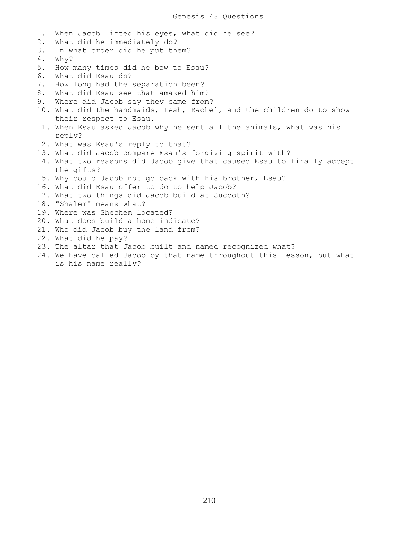1. When Jacob lifted his eyes, what did he see? 2. What did he immediately do? 3. In what order did he put them? 4. Why? 5. How many times did he bow to Esau? 6. What did Esau do? 7. How long had the separation been? 8. What did Esau see that amazed him? 9. Where did Jacob say they came from? 10. What did the handmaids, Leah, Rachel, and the children do to show their respect to Esau. 11. When Esau asked Jacob why he sent all the animals, what was his reply? 12. What was Esau's reply to that? 13. What did Jacob compare Esau's forgiving spirit with? 14. What two reasons did Jacob give that caused Esau to finally accept the gifts? 15. Why could Jacob not go back with his brother, Esau? 16. What did Esau offer to do to help Jacob? 17. What two things did Jacob build at Succoth? 18. "Shalem" means what? 19. Where was Shechem located? 20. What does build a home indicate? 21. Who did Jacob buy the land from? 22. What did he pay? 23. The altar that Jacob built and named recognized what? 24. We have called Jacob by that name throughout this lesson, but what is his name really?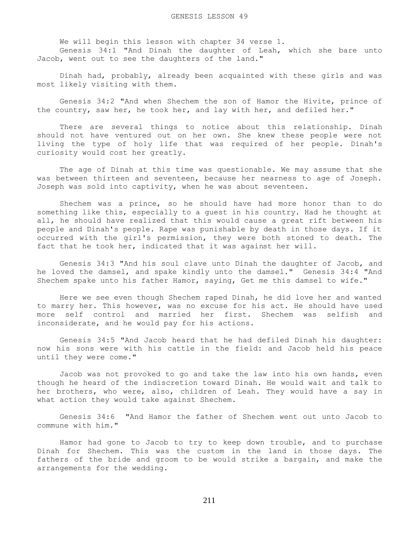We will begin this lesson with chapter 34 verse 1.

 Genesis 34:1 "And Dinah the daughter of Leah, which she bare unto Jacob, went out to see the daughters of the land."

 Dinah had, probably, already been acquainted with these girls and was most likely visiting with them.

 Genesis 34:2 "And when Shechem the son of Hamor the Hivite, prince of the country, saw her, he took her, and lay with her, and defiled her."

 There are several things to notice about this relationship. Dinah should not have ventured out on her own. She knew these people were not living the type of holy life that was required of her people. Dinah's curiosity would cost her greatly.

 The age of Dinah at this time was questionable. We may assume that she was between thirteen and seventeen, because her nearness to age of Joseph. Joseph was sold into captivity, when he was about seventeen.

 Shechem was a prince, so he should have had more honor than to do something like this, especially to a guest in his country. Had he thought at all, he should have realized that this would cause a great rift between his people and Dinah's people. Rape was punishable by death in those days. If it occurred with the girl's permission, they were both stoned to death. The fact that he took her, indicated that it was against her will.

 Genesis 34:3 "And his soul clave unto Dinah the daughter of Jacob, and he loved the damsel, and spake kindly unto the damsel." Genesis 34:4 "And Shechem spake unto his father Hamor, saying, Get me this damsel to wife."

 Here we see even though Shechem raped Dinah, he did love her and wanted to marry her. This however, was no excuse for his act. He should have used more self control and married her first. Shechem was selfish and inconsiderate, and he would pay for his actions.

 Genesis 34:5 "And Jacob heard that he had defiled Dinah his daughter: now his sons were with his cattle in the field: and Jacob held his peace until they were come."

 Jacob was not provoked to go and take the law into his own hands, even though he heard of the indiscretion toward Dinah. He would wait and talk to her brothers, who were, also, children of Leah. They would have a say in what action they would take against Shechem.

 Genesis 34:6 "And Hamor the father of Shechem went out unto Jacob to commune with him."

 Hamor had gone to Jacob to try to keep down trouble, and to purchase Dinah for Shechem. This was the custom in the land in those days. The fathers of the bride and groom to be would strike a bargain, and make the arrangements for the wedding.

211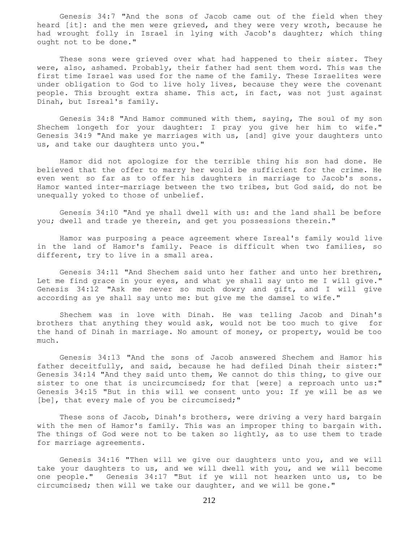Genesis 34:7 "And the sons of Jacob came out of the field when they heard [it]: and the men were grieved, and they were very wroth, because he had wrought folly in Israel in lying with Jacob's daughter; which thing ought not to be done."

 These sons were grieved over what had happened to their sister. They were, also, ashamed. Probably, their father had sent them word. This was the first time Israel was used for the name of the family. These Israelites were under obligation to God to live holy lives, because they were the covenant people. This brought extra shame. This act, in fact, was not just against Dinah, but Isreal's family.

 Genesis 34:8 "And Hamor communed with them, saying, The soul of my son Shechem longeth for your daughter: I pray you give her him to wife." Genesis 34:9 "And make ye marriages with us, [and] give your daughters unto us, and take our daughters unto you."

 Hamor did not apologize for the terrible thing his son had done. He believed that the offer to marry her would be sufficient for the crime. He even went so far as to offer his daughters in marriage to Jacob's sons. Hamor wanted inter-marriage between the two tribes, but God said, do not be unequally yoked to those of unbelief.

 Genesis 34:10 "And ye shall dwell with us: and the land shall be before you; dwell and trade ye therein, and get you possessions therein."

 Hamor was purposing a peace agreement where Isreal's family would live in the land of Hamor's family. Peace is difficult when two families, so different, try to live in a small area.

 Genesis 34:11 "And Shechem said unto her father and unto her brethren, Let me find grace in your eyes, and what ye shall say unto me I will give." Genesis 34:12 "Ask me never so much dowry and gift, and I will give according as ye shall say unto me: but give me the damsel to wife."

 Shechem was in love with Dinah. He was telling Jacob and Dinah's brothers that anything they would ask, would not be too much to give for the hand of Dinah in marriage. No amount of money, or property, would be too much.

 Genesis 34:13 "And the sons of Jacob answered Shechem and Hamor his father deceitfully, and said, because he had defiled Dinah their sister:" Genesis 34:14 "And they said unto them, We cannot do this thing, to give our sister to one that is uncircumcised; for that [were] a reproach unto us:" Genesis 34:15 "But in this will we consent unto you: If ye will be as we [be], that every male of you be circumcised;"

 These sons of Jacob, Dinah's brothers, were driving a very hard bargain with the men of Hamor's family. This was an improper thing to bargain with. The things of God were not to be taken so lightly, as to use them to trade for marriage agreements.

 Genesis 34:16 "Then will we give our daughters unto you, and we will take your daughters to us, and we will dwell with you, and we will become one people." Genesis 34:17 "But if ye will not hearken unto us, to be circumcised; then will we take our daughter, and we will be gone."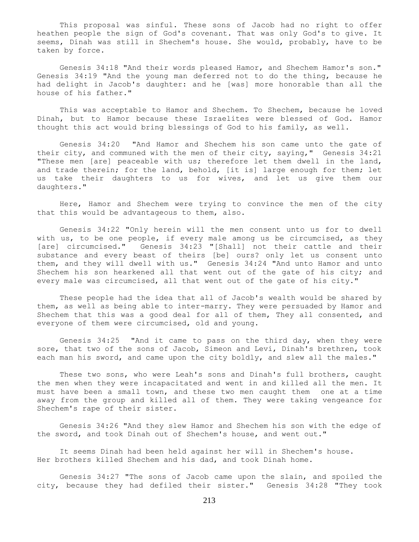This proposal was sinful. These sons of Jacob had no right to offer heathen people the sign of God's covenant. That was only God's to give. It seems, Dinah was still in Shechem's house. She would, probably, have to be taken by force.

 Genesis 34:18 "And their words pleased Hamor, and Shechem Hamor's son." Genesis 34:19 "And the young man deferred not to do the thing, because he had delight in Jacob's daughter: and he [was] more honorable than all the house of his father."

 This was acceptable to Hamor and Shechem. To Shechem, because he loved Dinah, but to Hamor because these Israelites were blessed of God. Hamor thought this act would bring blessings of God to his family, as well.

 Genesis 34:20 "And Hamor and Shechem his son came unto the gate of their city, and communed with the men of their city, saying," Genesis 34:21 "These men [are] peaceable with us; therefore let them dwell in the land, and trade therein; for the land, behold, [it is] large enough for them; let us take their daughters to us for wives, and let us give them our daughters."

 Here, Hamor and Shechem were trying to convince the men of the city that this would be advantageous to them, also.

 Genesis 34:22 "Only herein will the men consent unto us for to dwell with us, to be one people, if every male among us be circumcised, as they [are] circumcised." Genesis 34:23 "[Shall] not their cattle and their substance and every beast of theirs [be] ours? only let us consent unto them, and they will dwell with us." Genesis 34:24 "And unto Hamor and unto Shechem his son hearkened all that went out of the gate of his city; and every male was circumcised, all that went out of the gate of his city."

 These people had the idea that all of Jacob's wealth would be shared by them, as well as being able to inter-marry. They were persuaded by Hamor and Shechem that this was a good deal for all of them, They all consented, and everyone of them were circumcised, old and young.

 Genesis 34:25 "And it came to pass on the third day, when they were sore, that two of the sons of Jacob, Simeon and Levi, Dinah's brethren, took each man his sword, and came upon the city boldly, and slew all the males."

 These two sons, who were Leah's sons and Dinah's full brothers, caught the men when they were incapacitated and went in and killed all the men. It must have been a small town, and these two men caught them one at a time away from the group and killed all of them. They were taking vengeance for Shechem's rape of their sister.

 Genesis 34:26 "And they slew Hamor and Shechem his son with the edge of the sword, and took Dinah out of Shechem's house, and went out."

 It seems Dinah had been held against her will in Shechem's house. Her brothers killed Shechem and his dad, and took Dinah home.

 Genesis 34:27 "The sons of Jacob came upon the slain, and spoiled the city, because they had defiled their sister." Genesis 34:28 "They took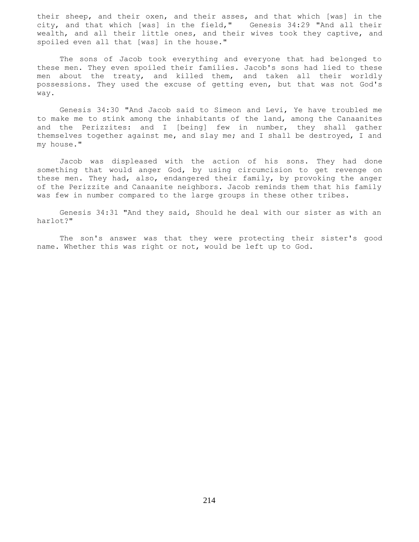their sheep, and their oxen, and their asses, and that which [was] in the city, and that which [was] in the field," Genesis 34:29 "And all their wealth, and all their little ones, and their wives took they captive, and spoiled even all that [was] in the house."

 The sons of Jacob took everything and everyone that had belonged to these men. They even spoiled their families. Jacob's sons had lied to these men about the treaty, and killed them, and taken all their worldly possessions. They used the excuse of getting even, but that was not God's way.

 Genesis 34:30 "And Jacob said to Simeon and Levi, Ye have troubled me to make me to stink among the inhabitants of the land, among the Canaanites and the Perizzites: and I [being] few in number, they shall gather themselves together against me, and slay me; and I shall be destroyed, I and my house."

 Jacob was displeased with the action of his sons. They had done something that would anger God, by using circumcision to get revenge on these men. They had, also, endangered their family, by provoking the anger of the Perizzite and Canaanite neighbors. Jacob reminds them that his family was few in number compared to the large groups in these other tribes.

 Genesis 34:31 "And they said, Should he deal with our sister as with an harlot?"

 The son's answer was that they were protecting their sister's good name. Whether this was right or not, would be left up to God.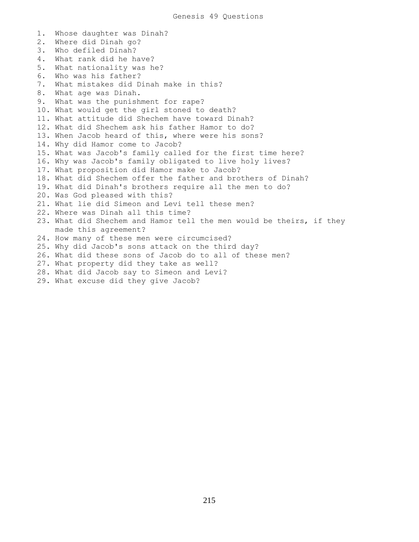1. Whose daughter was Dinah? 2. Where did Dinah go? 3. Who defiled Dinah? 4. What rank did he have? 5. What nationality was he? 6. Who was his father? 7. What mistakes did Dinah make in this? 8. What age was Dinah. 9. What was the punishment for rape? 10. What would get the girl stoned to death? 11. What attitude did Shechem have toward Dinah? 12. What did Shechem ask his father Hamor to do? 13. When Jacob heard of this, where were his sons? 14. Why did Hamor come to Jacob? 15. What was Jacob's family called for the first time here? 16. Why was Jacob's family obligated to live holy lives? 17. What proposition did Hamor make to Jacob? 18. What did Shechem offer the father and brothers of Dinah? 19. What did Dinah's brothers require all the men to do? 20. Was God pleased with this? 21. What lie did Simeon and Levi tell these men? 22. Where was Dinah all this time? 23. What did Shechem and Hamor tell the men would be theirs, if they made this agreement? 24. How many of these men were circumcised? 25. Why did Jacob's sons attack on the third day? 26. What did these sons of Jacob do to all of these men? 27. What property did they take as well? 28. What did Jacob say to Simeon and Levi? 29. What excuse did they give Jacob?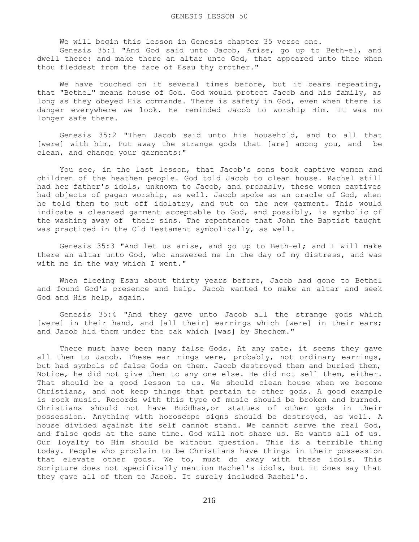We will begin this lesson in Genesis chapter 35 verse one.

 Genesis 35:1 "And God said unto Jacob, Arise, go up to Beth-el, and dwell there: and make there an altar unto God, that appeared unto thee when thou fleddest from the face of Esau thy brother."

We have touched on it several times before, but it bears repeating, that "Bethel" means house of God. God would protect Jacob and his family, as long as they obeyed His commands. There is safety in God, even when there is danger everywhere we look. He reminded Jacob to worship Him. It was no longer safe there.

 Genesis 35:2 "Then Jacob said unto his household, and to all that [were] with him, Put away the strange gods that [are] among you, and be clean, and change your garments:"

 You see, in the last lesson, that Jacob's sons took captive women and children of the heathen people. God told Jacob to clean house. Rachel still had her father's idols, unknown to Jacob, and probably, these women captives had objects of pagan worship, as well. Jacob spoke as an oracle of God, when he told them to put off idolatry, and put on the new garment. This would indicate a cleansed garment acceptable to God, and possibly, is symbolic of the washing away of their sins. The repentance that John the Baptist taught was practiced in the Old Testament symbolically, as well.

 Genesis 35:3 "And let us arise, and go up to Beth-el; and I will make there an altar unto God, who answered me in the day of my distress, and was with me in the way which I went."

 When fleeing Esau about thirty years before, Jacob had gone to Bethel and found God's presence and help. Jacob wanted to make an altar and seek God and His help, again.

 Genesis 35:4 "And they gave unto Jacob all the strange gods which [were] in their hand, and [all their] earrings which [were] in their ears; and Jacob hid them under the oak which [was] by Shechem."

There must have been many false Gods. At any rate, it seems they gave all them to Jacob. These ear rings were, probably, not ordinary earrings, but had symbols of false Gods on them. Jacob destroyed them and buried them, Notice, he did not give them to any one else. He did not sell them, either. That should be a good lesson to us. We should clean house when we become Christians, and not keep things that pertain to other gods. A good example is rock music. Records with this type of music should be broken and burned. Christians should not have Buddhas,or statues of other gods in their possession. Anything with horoscope signs should be destroyed, as well. A house divided against its self cannot stand. We cannot serve the real God, and false gods at the same time. God will not share us. He wants all of us. Our loyalty to Him should be without question. This is a terrible thing today. People who proclaim to be Christians have things in their possession that elevate other gods. We to, must do away with these idols. This Scripture does not specifically mention Rachel's idols, but it does say that they gave all of them to Jacob. It surely included Rachel's.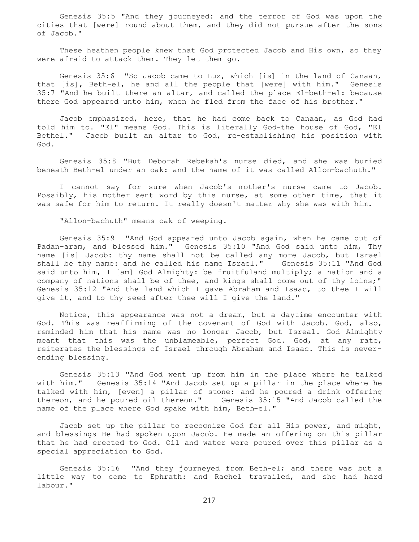Genesis 35:5 "And they journeyed: and the terror of God was upon the cities that [were] round about them, and they did not pursue after the sons of Jacob."

 These heathen people knew that God protected Jacob and His own, so they were afraid to attack them. They let them go.

 Genesis 35:6 "So Jacob came to Luz, which [is] in the land of Canaan, that [is], Beth-el, he and all the people that [were] with him." Genesis 35:7 "And he built there an altar, and called the place El-beth-el: because there God appeared unto him, when he fled from the face of his brother."

 Jacob emphasized, here, that he had come back to Canaan, as God had told him to. "El" means God. This is literally God-the house of God, "El Bethel." Jacob built an altar to God, re-establishing his position with God.

 Genesis 35:8 "But Deborah Rebekah's nurse died, and she was buried beneath Beth-el under an oak: and the name of it was called Allon-bachuth."

 I cannot say for sure when Jacob's mother's nurse came to Jacob. Possibly, his mother sent word by this nurse, at some other time, that it was safe for him to return. It really doesn't matter why she was with him.

"Allon-bachuth" means oak of weeping.

 Genesis 35:9 "And God appeared unto Jacob again, when he came out of Padan-aram, and blessed him." Genesis 35:10 "And God said unto him, Thy name [is] Jacob: thy name shall not be called any more Jacob, but Israel shall be thy name: and he called his name Israel." Genesis 35:11 "And God said unto him, I [am] God Almighty: be fruitfuland multiply; a nation and a company of nations shall be of thee, and kings shall come out of thy loins;" Genesis 35:12 "And the land which I gave Abraham and Isaac, to thee I will give it, and to thy seed after thee will I give the land."

 Notice, this appearance was not a dream, but a daytime encounter with God. This was reaffirming of the covenant of God with Jacob. God, also, reminded him that his name was no longer Jacob, but Isreal. God Almighty meant that this was the unblameable, perfect God. God, at any rate, reiterates the blessings of Israel through Abraham and Isaac. This is neverending blessing.

 Genesis 35:13 "And God went up from him in the place where he talked with him." Genesis 35:14 "And Jacob set up a pillar in the place where he talked with him, [even] a pillar of stone: and he poured a drink offering thereon, and he poured oil thereon." Genesis 35:15 "And Jacob called the name of the place where God spake with him, Beth-el."

 Jacob set up the pillar to recognize God for all His power, and might, and blessings He had spoken upon Jacob. He made an offering on this pillar that he had erected to God. Oil and water were poured over this pillar as a special appreciation to God.

 Genesis 35:16 "And they journeyed from Beth-el; and there was but a little way to come to Ephrath: and Rachel travailed, and she had hard labour."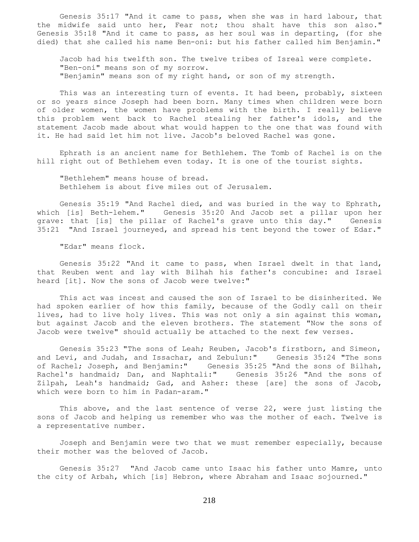Genesis 35:17 "And it came to pass, when she was in hard labour, that the midwife said unto her, Fear not; thou shalt have this son also." Genesis 35:18 "And it came to pass, as her soul was in departing, (for she died) that she called his name Ben-oni: but his father called him Benjamin."

 Jacob had his twelfth son. The twelve tribes of Isreal were complete. "Ben-oni" means son of my sorrow. "Benjamin" means son of my right hand, or son of my strength.

This was an interesting turn of events. It had been, probably, sixteen or so years since Joseph had been born. Many times when children were born of older women, the women have problems with the birth. I really believe this problem went back to Rachel stealing her father's idols, and the statement Jacob made about what would happen to the one that was found with it. He had said let him not live. Jacob's beloved Rachel was gone.

 Ephrath is an ancient name for Bethlehem. The Tomb of Rachel is on the hill right out of Bethlehem even today. It is one of the tourist sights.

 "Bethlehem" means house of bread. Bethlehem is about five miles out of Jerusalem.

 Genesis 35:19 "And Rachel died, and was buried in the way to Ephrath, which [is] Beth-lehem." Genesis 35:20 And Jacob set a pillar upon her grave: that [is] the pillar of Rachel's grave unto this day." Genesis 35:21 "And Israel journeyed, and spread his tent beyond the tower of Edar."

"Edar" means flock.

 Genesis 35:22 "And it came to pass, when Israel dwelt in that land, that Reuben went and lay with Bilhah his father's concubine: and Israel heard [it]. Now the sons of Jacob were twelve:"

 This act was incest and caused the son of Israel to be disinherited. We had spoken earlier of how this family, because of the Godly call on their lives, had to live holy lives. This was not only a sin against this woman, but against Jacob and the eleven brothers. The statement "Now the sons of Jacob were twelve" should actually be attached to the next few verses.

 Genesis 35:23 "The sons of Leah; Reuben, Jacob's firstborn, and Simeon, and Levi, and Judah, and Issachar, and Zebulun:" Genesis 35:24 "The sons of Rachel; Joseph, and Benjamin:" Genesis 35:25 "And the sons of Bilhah, Rachel's handmaid; Dan, and Naphtali:" Genesis 35:26 "And the sons of Zilpah, Leah's handmaid; Gad, and Asher: these [are] the sons of Jacob, which were born to him in Padan-aram."

This above, and the last sentence of verse 22, were just listing the sons of Jacob and helping us remember who was the mother of each. Twelve is a representative number.

 Joseph and Benjamin were two that we must remember especially, because their mother was the beloved of Jacob.

 Genesis 35:27 "And Jacob came unto Isaac his father unto Mamre, unto the city of Arbah, which [is] Hebron, where Abraham and Isaac sojourned."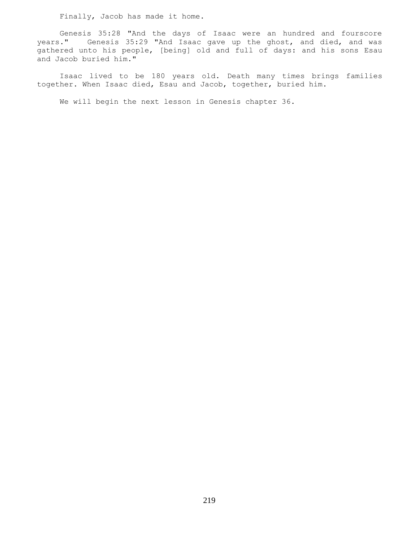Finally, Jacob has made it home.

 Genesis 35:28 "And the days of Isaac were an hundred and fourscore years." Genesis 35:29 "And Isaac gave up the ghost, and died, and was gathered unto his people, [being] old and full of days: and his sons Esau and Jacob buried him."

 Isaac lived to be 180 years old. Death many times brings families together. When Isaac died, Esau and Jacob, together, buried him.

We will begin the next lesson in Genesis chapter 36.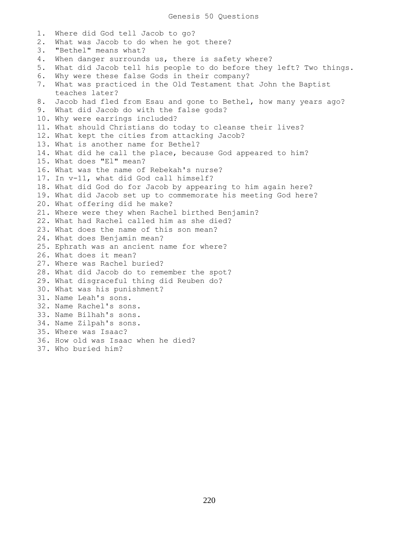1. Where did God tell Jacob to go? 2. What was Jacob to do when he got there? 3. "Bethel" means what? 4. When danger surrounds us, there is safety where? 5. What did Jacob tell his people to do before they left? Two things. 6. Why were these false Gods in their company? 7. What was practiced in the Old Testament that John the Baptist teaches later? 8. Jacob had fled from Esau and gone to Bethel, how many years ago? 9. What did Jacob do with the false gods? 10. Why were earrings included? 11. What should Christians do today to cleanse their lives? 12. What kept the cities from attacking Jacob? 13. What is another name for Bethel? 14. What did he call the place, because God appeared to him? 15. What does "El" mean? 16. What was the name of Rebekah's nurse? 17. In v-11, what did God call himself? 18. What did God do for Jacob by appearing to him again here? 19. What did Jacob set up to commemorate his meeting God here? 20. What offering did he make? 21. Where were they when Rachel birthed Benjamin? 22. What had Rachel called him as she died? 23. What does the name of this son mean? 24. What does Benjamin mean? 25. Ephrath was an ancient name for where? 26. What does it mean? 27. Where was Rachel buried? 28. What did Jacob do to remember the spot? 29. What disgraceful thing did Reuben do? 30. What was his punishment? 31. Name Leah's sons. 32. Name Rachel's sons. 33. Name Bilhah's sons. 34. Name Zilpah's sons. 35. Where was Isaac? 36. How old was Isaac when he died? 37. Who buried him?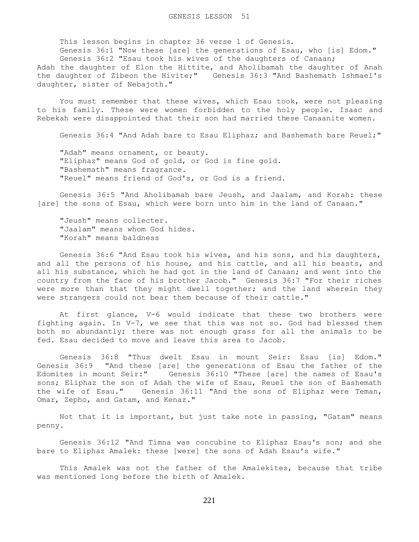This lesson begins in chapter 36 verse 1 of Genesis.

 Genesis 36:1 "Now these [are] the generations of Esau, who [is] Edom." Genesis 36:2 "Esau took his wives of the daughters of Canaan;

Adah the daughter of Elon the Hittite, and Aholibamah the daughter of Anah the daughter of Zibeon the Hivite;" Genesis 36:3 "And Bashemath Ishmael's daughter, sister of Nebajoth."

 You must remember that these wives, which Esau took, were not pleasing to his family. These were women forbidden to the holy people. Isaac and Rebekah were disappointed that their son had married these Canaanite women.

Genesis 36:4 "And Adah bare to Esau Eliphaz; and Bashemath bare Reuel;"

 "Adah" means ornament, or beauty. "Eliphaz" means God of gold, or God is fine gold. "Bashemath" means fragrance. "Reuel" means friend of God's, or God is a friend.

 Genesis 36:5 "And Aholibamah bare Jeush, and Jaalam, and Korah: these [are] the sons of Esau, which were born unto him in the land of Canaan."

 "Jeush" means collecter. "Jaalam" means whom God hides. "Korah" means baldness

 Genesis 36:6 "And Esau took his wives, and his sons, and his daughters, and all the persons of his house, and his cattle, and all his beasts, and all his substance, which he had got in the land of Canaan; and went into the country from the face of his brother Jacob." Genesis 36:7 "For their riches were more than that they might dwell together; and the land wherein they were strangers could not bear them because of their cattle."

 At first glance, V-6 would indicate that these two brothers were fighting again. In V-7, we see that this was not so. God had blessed them both so abundantly; there was not enough grass for all the animals to be fed. Esau decided to move and leave this area to Jacob.

 Genesis 36:8 "Thus dwelt Esau in mount Seir: Esau [is] Edom." Genesis 36:9 "And these [are] the generations of Esau the father of the Edomites in mount Seir:" Genesis 36:10 "These [are] the names of Esau's sons; Eliphaz the son of Adah the wife of Esau, Reuel the son of Bashemath the wife of Esau." Genesis 36:11 "And the sons of Eliphaz were Teman, Omar, Zepho, and Gatam, and Kenaz."

 Not that it is important, but just take note in passing, "Gatam" means penny.

 Genesis 36:12 "And Timna was concubine to Eliphaz Esau's son; and she bare to Eliphaz Amalek: these [were] the sons of Adah Esau's wife."

 This Amalek was not the father of the Amalekites, because that tribe was mentioned long before the birth of Amalek.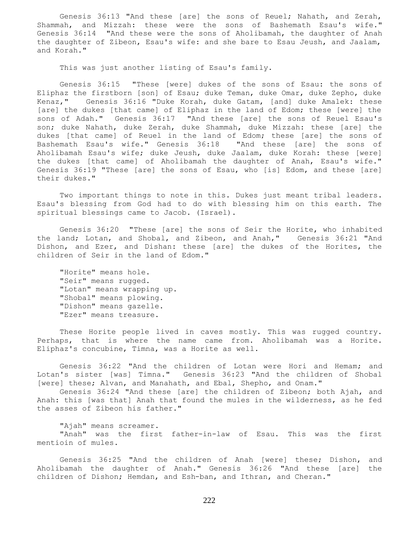Genesis 36:13 "And these [are] the sons of Reuel; Nahath, and Zerah, Shammah, and Mizzah: these were the sons of Bashemath Esau's wife." Genesis 36:14 "And these were the sons of Aholibamah, the daughter of Anah the daughter of Zibeon, Esau's wife: and she bare to Esau Jeush, and Jaalam, and Korah."

This was just another listing of Esau's family.

 Genesis 36:15 "These [were] dukes of the sons of Esau: the sons of Eliphaz the firstborn [son] of Esau; duke Teman, duke Omar, duke Zepho, duke Kenaz," Genesis 36:16 "Duke Korah, duke Gatam, [and] duke Amalek: these [are] the dukes [that came] of Eliphaz in the land of Edom; these [were] the sons of Adah." Genesis 36:17 "And these [are] the sons of Reuel Esau's son; duke Nahath, duke Zerah, duke Shammah, duke Mizzah: these [are] the dukes [that came] of Reuel in the land of Edom; these [are] the sons of Bashemath Esau's wife." Genesis 36:18 "And these [are] the sons of Aholibamah Esau's wife; duke Jeush, duke Jaalam, duke Korah: these [were] the dukes [that came] of Aholibamah the daughter of Anah, Esau's wife." Genesis 36:19 "These [are] the sons of Esau, who [is] Edom, and these [are] their dukes."

 Two important things to note in this. Dukes just meant tribal leaders. Esau's blessing from God had to do with blessing him on this earth. The spiritual blessings came to Jacob. (Israel).

 Genesis 36:20 "These [are] the sons of Seir the Horite, who inhabited the land; Lotan, and Shobal, and Zibeon, and Anah," Genesis 36:21 "And Dishon, and Ezer, and Dishan: these [are] the dukes of the Horites, the children of Seir in the land of Edom."

 "Horite" means hole. "Seir" means rugged. "Lotan" means wrapping up. "Shobal" means plowing. "Dishon" means gazelle. "Ezer" means treasure.

 These Horite people lived in caves mostly. This was rugged country. Perhaps, that is where the name came from. Aholibamah was a Horite. Eliphaz's concubine, Timna, was a Horite as well.

 Genesis 36:22 "And the children of Lotan were Hori and Hemam; and Lotan's sister [was] Timna." Genesis 36:23 "And the children of Shobal [were] these; Alvan, and Manahath, and Ebal, Shepho, and Onam."

 Genesis 36:24 "And these [are] the children of Zibeon; both Ajah, and Anah: this [was that] Anah that found the mules in the wilderness, as he fed the asses of Zibeon his father."

"Ajah" means screamer.

 "Anah" was the first father-in-law of Esau. This was the first mentioin of mules.

 Genesis 36:25 "And the children of Anah [were] these; Dishon, and Aholibamah the daughter of Anah." Genesis 36:26 "And these [are] the children of Dishon; Hemdan, and Esh-ban, and Ithran, and Cheran."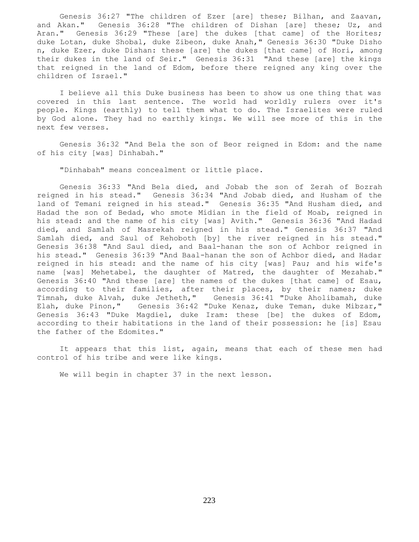Genesis 36:27 "The children of Ezer [are] these; Bilhan, and Zaavan, and Akan." Genesis 36:28 "The children of Dishan [are] these; Uz, and Aran." Genesis 36:29 "These [are] the dukes [that came] of the Horites; duke Lotan, duke Shobal, duke Zibeon, duke Anah," Genesis 36:30 "Duke Disho n, duke Ezer, duke Dishan: these [are] the dukes [that came] of Hori, among their dukes in the land of Seir." Genesis 36:31 "And these [are] the kings that reigned in the land of Edom, before there reigned any king over the children of Israel."

 I believe all this Duke business has been to show us one thing that was covered in this last sentence. The world had worldly rulers over it's people. Kings (earthly) to tell them what to do. The Israelites were ruled by God alone. They had no earthly kings. We will see more of this in the next few verses.

 Genesis 36:32 "And Bela the son of Beor reigned in Edom: and the name of his city [was] Dinhabah."

"Dinhabah" means concealment or little place.

 Genesis 36:33 "And Bela died, and Jobab the son of Zerah of Bozrah reigned in his stead." Genesis 36:34 "And Jobab died, and Husham of the land of Temani reigned in his stead." Genesis 36:35 "And Husham died, and Hadad the son of Bedad, who smote Midian in the field of Moab, reigned in his stead: and the name of his city [was] Avith." Genesis 36:36 "And Hadad died, and Samlah of Masrekah reigned in his stead." Genesis 36:37 "And Samlah died, and Saul of Rehoboth [by] the river reigned in his stead." Genesis 36:38 "And Saul died, and Baal-hanan the son of Achbor reigned in his stead." Genesis 36:39 "And Baal-hanan the son of Achbor died, and Hadar reigned in his stead: and the name of his city [was] Pau; and his wife's name [was] Mehetabel, the daughter of Matred, the daughter of Mezahab." Genesis 36:40 "And these [are] the names of the dukes [that came] of Esau, according to their families, after their places, by their names; duke Timnah, duke Alvah, duke Jetheth," Genesis 36:41 "Duke Aholibamah, duke Elah, duke Pinon," Genesis 36:42 "Duke Kenaz, duke Teman, duke Mibzar," Genesis 36:43 "Duke Magdiel, duke Iram: these [be] the dukes of Edom, according to their habitations in the land of their possession: he [is] Esau the father of the Edomites."

 It appears that this list, again, means that each of these men had control of his tribe and were like kings.

We will begin in chapter 37 in the next lesson.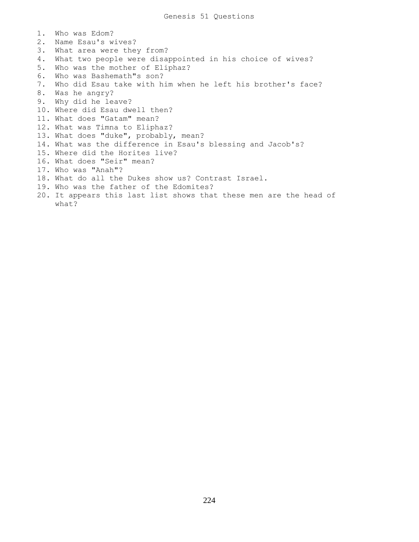1. Who was Edom? 2. Name Esau's wives? 3. What area were they from? 4. What two people were disappointed in his choice of wives? 5. Who was the mother of Eliphaz? 6. Who was Bashemath"s son? 7. Who did Esau take with him when he left his brother's face? 8. Was he angry? 9. Why did he leave? 10. Where did Esau dwell then? 11. What does "Gatam" mean? 12. What was Timna to Eliphaz? 13. What does "duke", probably, mean? 14. What was the difference in Esau's blessing and Jacob's? 15. Where did the Horites live? 16. What does "Seir" mean? 17. Who was "Anah"? 18. What do all the Dukes show us? Contrast Israel. 19. Who was the father of the Edomites? 20. It appears this last list shows that these men are the head of what?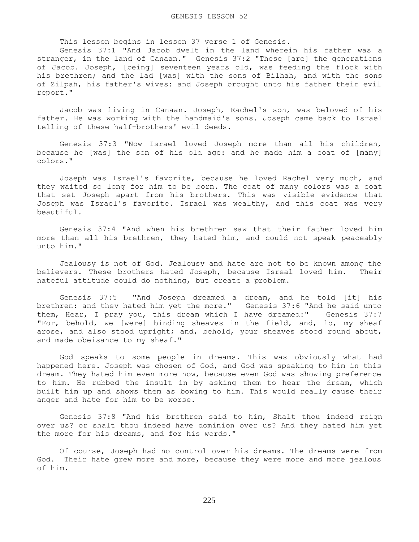This lesson begins in lesson 37 verse 1 of Genesis.

 Genesis 37:1 "And Jacob dwelt in the land wherein his father was a stranger, in the land of Canaan." Genesis 37:2 "These [are] the generations of Jacob. Joseph, [being] seventeen years old, was feeding the flock with his brethren; and the lad [was] with the sons of Bilhah, and with the sons of Zilpah, his father's wives: and Joseph brought unto his father their evil report."

 Jacob was living in Canaan. Joseph, Rachel's son, was beloved of his father. He was working with the handmaid's sons. Joseph came back to Israel telling of these half-brothers' evil deeds.

 Genesis 37:3 "Now Israel loved Joseph more than all his children, because he [was] the son of his old age: and he made him a coat of [many] colors."

 Joseph was Israel's favorite, because he loved Rachel very much, and they waited so long for him to be born. The coat of many colors was a coat that set Joseph apart from his brothers. This was visible evidence that Joseph was Israel's favorite. Israel was wealthy, and this coat was very beautiful.

 Genesis 37:4 "And when his brethren saw that their father loved him more than all his brethren, they hated him, and could not speak peaceably unto him."

 Jealousy is not of God. Jealousy and hate are not to be known among the believers. These brothers hated Joseph, because Isreal loved him. Their hateful attitude could do nothing, but create a problem.

 Genesis 37:5 "And Joseph dreamed a dream, and he told [it] his brethren: and they hated him yet the more." Genesis 37:6 "And he said unto them, Hear, I pray you, this dream which I have dreamed:" Genesis 37:7 "For, behold, we [were] binding sheaves in the field, and, lo, my sheaf arose, and also stood upright; and, behold, your sheaves stood round about, and made obeisance to my sheaf."

 God speaks to some people in dreams. This was obviously what had happened here. Joseph was chosen of God, and God was speaking to him in this dream. They hated him even more now, because even God was showing preference to him. He rubbed the insult in by asking them to hear the dream, which built him up and shows them as bowing to him. This would really cause their anger and hate for him to be worse.

 Genesis 37:8 "And his brethren said to him, Shalt thou indeed reign over us? or shalt thou indeed have dominion over us? And they hated him yet the more for his dreams, and for his words."

 Of course, Joseph had no control over his dreams. The dreams were from God. Their hate grew more and more, because they were more and more jealous of him.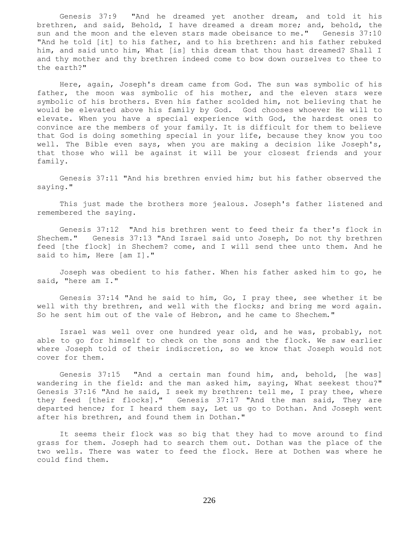Genesis 37:9 "And he dreamed yet another dream, and told it his brethren, and said, Behold, I have dreamed a dream more; and, behold, the sun and the moon and the eleven stars made obeisance to me." Genesis 37:10 "And he told [it] to his father, and to his brethren: and his father rebuked him, and said unto him, What [is] this dream that thou hast dreamed? Shall I and thy mother and thy brethren indeed come to bow down ourselves to thee to the earth?"

 Here, again, Joseph's dream came from God. The sun was symbolic of his father, the moon was symbolic of his mother, and the eleven stars were symbolic of his brothers. Even his father scolded him, not believing that he would be elevated above his family by God. God chooses whoever He will to elevate. When you have a special experience with God, the hardest ones to convince are the members of your family. It is difficult for them to believe that God is doing something special in your life, because they know you too well. The Bible even says, when you are making a decision like Joseph's, that those who will be against it will be your closest friends and your family.

 Genesis 37:11 "And his brethren envied him; but his father observed the saying."

 This just made the brothers more jealous. Joseph's father listened and remembered the saying.

 Genesis 37:12 "And his brethren went to feed their fa ther's flock in Shechem." Genesis 37:13 "And Israel said unto Joseph, Do not thy brethren feed [the flock] in Shechem? come, and I will send thee unto them. And he said to him, Here [am I]."

 Joseph was obedient to his father. When his father asked him to go, he said, "here am I."

 Genesis 37:14 "And he said to him, Go, I pray thee, see whether it be well with thy brethren, and well with the flocks; and bring me word again. So he sent him out of the vale of Hebron, and he came to Shechem."

 Israel was well over one hundred year old, and he was, probably, not able to go for himself to check on the sons and the flock. We saw earlier where Joseph told of their indiscretion, so we know that Joseph would not cover for them.

 Genesis 37:15 "And a certain man found him, and, behold, [he was] wandering in the field: and the man asked him, saying, What seekest thou?" Genesis 37:16 "And he said, I seek my brethren: tell me, I pray thee, where they feed [their flocks]." Genesis 37:17 "And the man said, They are departed hence; for I heard them say, Let us go to Dothan. And Joseph went after his brethren, and found them in Dothan."

 It seems their flock was so big that they had to move around to find grass for them. Joseph had to search them out. Dothan was the place of the two wells. There was water to feed the flock. Here at Dothen was where he could find them.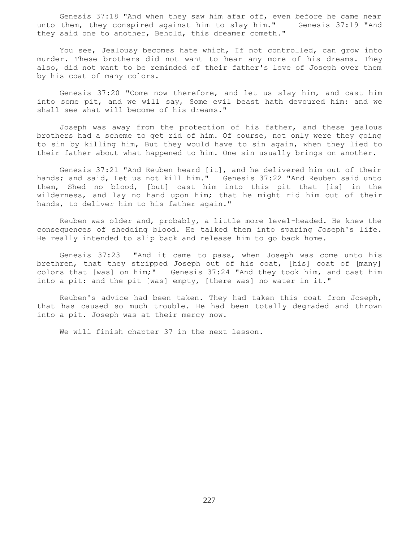Genesis 37:18 "And when they saw him afar off, even before he came near unto them, they conspired against him to slay him." Genesis 37:19 "And they said one to another, Behold, this dreamer cometh."

 You see, Jealousy becomes hate which, If not controlled, can grow into murder. These brothers did not want to hear any more of his dreams. They also, did not want to be reminded of their father's love of Joseph over them by his coat of many colors.

 Genesis 37:20 "Come now therefore, and let us slay him, and cast him into some pit, and we will say, Some evil beast hath devoured him: and we shall see what will become of his dreams."

 Joseph was away from the protection of his father, and these jealous brothers had a scheme to get rid of him. Of course, not only were they going to sin by killing him, But they would have to sin again, when they lied to their father about what happened to him. One sin usually brings on another.

 Genesis 37:21 "And Reuben heard [it], and he delivered him out of their hands; and said, Let us not kill him." Genesis 37:22 "And Reuben said unto them, Shed no blood, [but] cast him into this pit that [is] in the wilderness, and lay no hand upon him; that he might rid him out of their hands, to deliver him to his father again."

 Reuben was older and, probably, a little more level-headed. He knew the consequences of shedding blood. He talked them into sparing Joseph's life. He really intended to slip back and release him to go back home.

 Genesis 37:23 "And it came to pass, when Joseph was come unto his brethren, that they stripped Joseph out of his coat, [his] coat of [many] colors that [was] on him;" Genesis 37:24 "And they took him, and cast him into a pit: and the pit [was] empty, [there was] no water in it."

 Reuben's advice had been taken. They had taken this coat from Joseph, that has caused so much trouble. He had been totally degraded and thrown into a pit. Joseph was at their mercy now.

We will finish chapter 37 in the next lesson.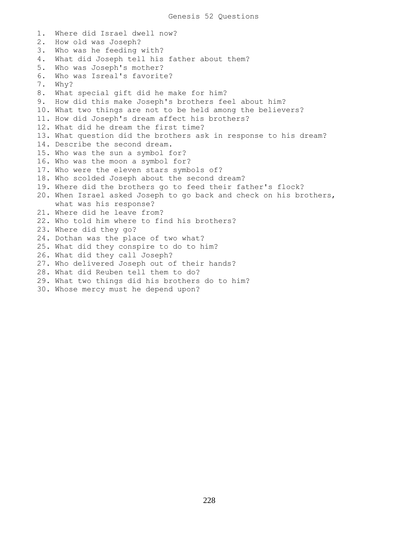1. Where did Israel dwell now? 2. How old was Joseph? 3. Who was he feeding with? 4. What did Joseph tell his father about them? 5. Who was Joseph's mother? 6. Who was Isreal's favorite? 7. Why? 8. What special gift did he make for him? 9. How did this make Joseph's brothers feel about him? 10. What two things are not to be held among the believers? 11. How did Joseph's dream affect his brothers? 12. What did he dream the first time? 13. What question did the brothers ask in response to his dream? 14. Describe the second dream. 15. Who was the sun a symbol for? 16. Who was the moon a symbol for? 17. Who were the eleven stars symbols of? 18. Who scolded Joseph about the second dream? 19. Where did the brothers go to feed their father's flock? 20. When Israel asked Joseph to go back and check on his brothers, what was his response? 21. Where did he leave from? 22. Who told him where to find his brothers? 23. Where did they go? 24. Dothan was the place of two what? 25. What did they conspire to do to him? 26. What did they call Joseph? 27. Who delivered Joseph out of their hands? 28. What did Reuben tell them to do? 29. What two things did his brothers do to him? 30. Whose mercy must he depend upon?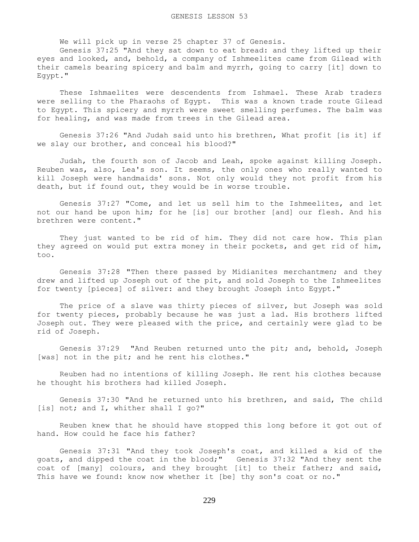We will pick up in verse 25 chapter 37 of Genesis.

 Genesis 37:25 "And they sat down to eat bread: and they lifted up their eyes and looked, and, behold, a company of Ishmeelites came from Gilead with their camels bearing spicery and balm and myrrh, going to carry [it] down to Egypt."

 These Ishmaelites were descendents from Ishmael. These Arab traders were selling to the Pharaohs of Egypt. This was a known trade route Gilead to Egypt. This spicery and myrrh were sweet smelling perfumes. The balm was for healing, and was made from trees in the Gilead area.

 Genesis 37:26 "And Judah said unto his brethren, What profit [is it] if we slay our brother, and conceal his blood?"

 Judah, the fourth son of Jacob and Leah, spoke against killing Joseph. Reuben was, also, Lea's son. It seems, the only ones who really wanted to kill Joseph were handmaids' sons. Not only would they not profit from his death, but if found out, they would be in worse trouble.

 Genesis 37:27 "Come, and let us sell him to the Ishmeelites, and let not our hand be upon him; for he [is] our brother [and] our flesh. And his brethren were content."

They just wanted to be rid of him. They did not care how. This plan they agreed on would put extra money in their pockets, and get rid of him, too.

 Genesis 37:28 "Then there passed by Midianites merchantmen; and they drew and lifted up Joseph out of the pit, and sold Joseph to the Ishmeelites for twenty [pieces] of silver: and they brought Joseph into Egypt."

The price of a slave was thirty pieces of silver, but Joseph was sold for twenty pieces, probably because he was just a lad. His brothers lifted Joseph out. They were pleased with the price, and certainly were glad to be rid of Joseph.

 Genesis 37:29 "And Reuben returned unto the pit; and, behold, Joseph [was] not in the pit; and he rent his clothes."

 Reuben had no intentions of killing Joseph. He rent his clothes because he thought his brothers had killed Joseph.

 Genesis 37:30 "And he returned unto his brethren, and said, The child [is] not; and I, whither shall I go?"

 Reuben knew that he should have stopped this long before it got out of hand. How could he face his father?

 Genesis 37:31 "And they took Joseph's coat, and killed a kid of the goats, and dipped the coat in the blood;" Genesis 37:32 "And they sent the coat of [many] colours, and they brought [it] to their father; and said, This have we found: know now whether it [be] thy son's coat or no."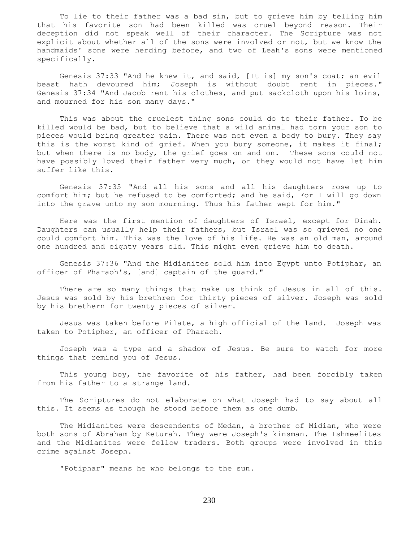To lie to their father was a bad sin, but to grieve him by telling him that his favorite son had been killed was cruel beyond reason. Their deception did not speak well of their character. The Scripture was not explicit about whether all of the sons were involved or not, but we know the handmaids' sons were herding before, and two of Leah's sons were mentioned specifically.

 Genesis 37:33 "And he knew it, and said, [It is] my son's coat; an evil beast hath devoured him; Joseph is without doubt rent in pieces." Genesis 37:34 "And Jacob rent his clothes, and put sackcloth upon his loins, and mourned for his son many days."

 This was about the cruelest thing sons could do to their father. To be killed would be bad, but to believe that a wild animal had torn your son to pieces would bring greater pain. There was not even a body to bury. They say this is the worst kind of grief. When you bury someone, it makes it final; but when there is no body, the grief goes on and on. These sons could not have possibly loved their father very much, or they would not have let him suffer like this.

 Genesis 37:35 "And all his sons and all his daughters rose up to comfort him; but he refused to be comforted; and he said, For I will go down into the grave unto my son mourning. Thus his father wept for him."

 Here was the first mention of daughters of Israel, except for Dinah. Daughters can usually help their fathers, but Israel was so grieved no one could comfort him. This was the love of his life. He was an old man, around one hundred and eighty years old. This might even grieve him to death.

 Genesis 37:36 "And the Midianites sold him into Egypt unto Potiphar, an officer of Pharaoh's, [and] captain of the guard."

 There are so many things that make us think of Jesus in all of this. Jesus was sold by his brethren for thirty pieces of silver. Joseph was sold by his brethern for twenty pieces of silver.

 Jesus was taken before Pilate, a high official of the land. Joseph was taken to Potipher, an officer of Pharaoh.

 Joseph was a type and a shadow of Jesus. Be sure to watch for more things that remind you of Jesus.

 This young boy, the favorite of his father, had been forcibly taken from his father to a strange land.

 The Scriptures do not elaborate on what Joseph had to say about all this. It seems as though he stood before them as one dumb.

 The Midianites were descendents of Medan, a brother of Midian, who were both sons of Abraham by Keturah. They were Joseph's kinsman. The Ishmeelites and the Midianites were fellow traders. Both groups were involved in this crime against Joseph.

"Potiphar" means he who belongs to the sun.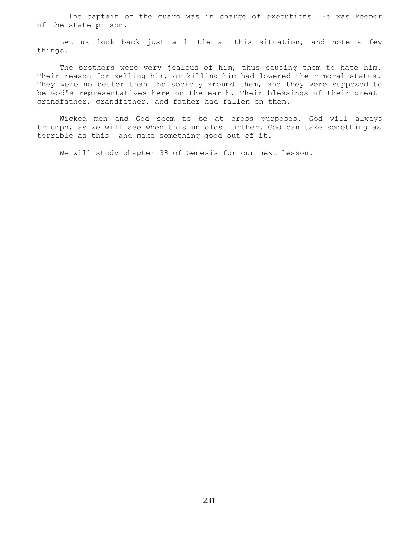The captain of the guard was in charge of executions. He was keeper of the state prison.

 Let us look back just a little at this situation, and note a few things.

The brothers were very jealous of him, thus causing them to hate him. Their reason for selling him, or killing him had lowered their moral status. They were no better than the society around them, and they were supposed to be God's representatives here on the earth. Their blessings of their greatgrandfather, grandfather, and father had fallen on them.

 Wicked men and God seem to be at cross purposes. God will always triumph, as we will see when this unfolds further. God can take something as terrible as this and make something good out of it.

We will study chapter 38 of Genesis for our next lesson.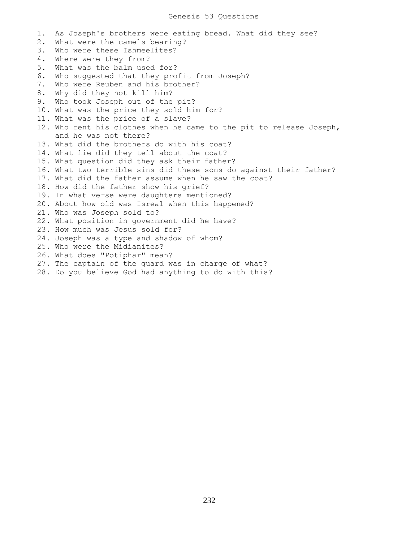1. As Joseph's brothers were eating bread. What did they see? 2. What were the camels bearing? 3. Who were these Ishmeelites? 4. Where were they from? 5. What was the balm used for? 6. Who suggested that they profit from Joseph? 7. Who were Reuben and his brother? 8. Why did they not kill him? 9. Who took Joseph out of the pit? 10. What was the price they sold him for? 11. What was the price of a slave? 12. Who rent his clothes when he came to the pit to release Joseph, and he was not there? 13. What did the brothers do with his coat? 14. What lie did they tell about the coat? 15. What question did they ask their father? 16. What two terrible sins did these sons do against their father? 17. What did the father assume when he saw the coat? 18. How did the father show his grief? 19. In what verse were daughters mentioned? 20. About how old was Isreal when this happened? 21. Who was Joseph sold to? 22. What position in government did he have? 23. How much was Jesus sold for? 24. Joseph was a type and shadow of whom? 25. Who were the Midianites? 26. What does "Potiphar" mean? 27. The captain of the guard was in charge of what? 28. Do you believe God had anything to do with this?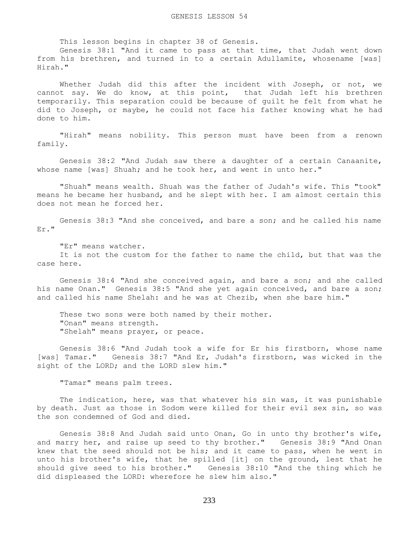This lesson begins in chapter 38 of Genesis.

 Genesis 38:1 "And it came to pass at that time, that Judah went down from his brethren, and turned in to a certain Adullamite, whosename [was] Hirah."

 Whether Judah did this after the incident with Joseph, or not, we cannot say. We do know, at this point, that Judah left his brethren temporarily. This separation could be because of guilt he felt from what he did to Joseph, or maybe, he could not face his father knowing what he had done to him.

 "Hirah" means nobility. This person must have been from a renown family.

 Genesis 38:2 "And Judah saw there a daughter of a certain Canaanite, whose name [was] Shuah; and he took her, and went in unto her."

 "Shuah" means wealth. Shuah was the father of Judah's wife. This "took" means he became her husband, and he slept with her. I am almost certain this does not mean he forced her.

 Genesis 38:3 "And she conceived, and bare a son; and he called his name Er."

"Er" means watcher.

 It is not the custom for the father to name the child, but that was the case here.

 Genesis 38:4 "And she conceived again, and bare a son; and she called his name Onan." Genesis 38:5 "And she yet again conceived, and bare a son; and called his name Shelah: and he was at Chezib, when she bare him."

These two sons were both named by their mother. "Onan" means strength. "Shelah" means prayer, or peace.

 Genesis 38:6 "And Judah took a wife for Er his firstborn, whose name [was] Tamar." Genesis 38:7 "And Er, Judah's firstborn, was wicked in the sight of the LORD; and the LORD slew him."

"Tamar" means palm trees.

 The indication, here, was that whatever his sin was, it was punishable by death. Just as those in Sodom were killed for their evil sex sin, so was the son condemned of God and died.

 Genesis 38:8 And Judah said unto Onan, Go in unto thy brother's wife, and marry her, and raise up seed to thy brother." Genesis 38:9 "And Onan knew that the seed should not be his; and it came to pass, when he went in unto his brother's wife, that he spilled [it] on the ground, lest that he should give seed to his brother." Genesis 38:10 "And the thing which he did displeased the LORD: wherefore he slew him also."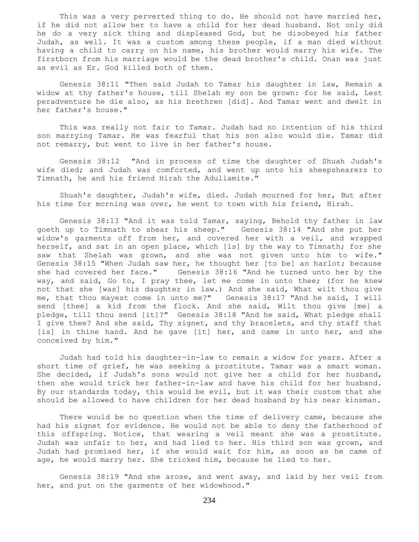This was a very perverted thing to do. He should not have married her, if he did not allow her to have a child for her dead husband. Not only did he do a very sick thing and displeased God, but he disobeyed his father Judah, as well. It was a custom among these people, if a man died without having a child to carry on his name, his brother would marry his wife. The firstborn from his marriage would be the dead brother's child. Onan was just as evil as Er. God killed both of them.

 Genesis 38:11 "Then said Judah to Tamar his daughter in law, Remain a widow at thy father's house, till Shelah my son be grown: for he said, Lest peradventure he die also, as his brethren [did]. And Tamar went and dwelt in her father's house."

 This was really not fair to Tamar. Judah had no intention of his third son marrying Tamar. He was fearful that his son also would die. Tamar did not remarry, but went to live in her father's house.

 Genesis 38:12 "And in process of time the daughter of Shuah Judah's wife died; and Judah was comforted, and went up unto his sheepshearers to Timnath, he and his friend Hirah the Adullamite."

 Shuah's daughter, Judah's wife, died. Judah mourned for her, But after his time for morning was over, he went to town with his friend, Hirah.

 Genesis 38:13 "And it was told Tamar, saying, Behold thy father in law goeth up to Timnath to shear his sheep." Genesis 38:14 "And she put her widow's garments off from her, and covered her with a veil, and wrapped herself, and sat in an open place, which [is] by the way to Timnath; for she saw that Shelah was grown, and she was not given unto him to wife." Genesis 38:15 "When Judah saw her, he thought her [to be] an harlot; because she had covered her face." Genesis 38:16 "And he turned unto her by the way, and said, Go to, I pray thee, let me come in unto thee; (for he knew not that she [was] his daughter in law.) And she said, What wilt thou give me, that thou mayest come in unto me?" Genesis 38:17 "And he said, I will send [thee] a kid from the flock. And she said, Wilt thou give [me] a pledge, till thou send [it]?" Genesis 38:18 "And he said, What pledge shall I give thee? And she said, Thy signet, and thy bracelets, and thy staff that [is] in thine hand. And he gave [it] her, and came in unto her, and she conceived by him."

 Judah had told his daughter-in-law to remain a widow for years. After a short time of grief, he was seeking a prostitute. Tamar was a smart woman. She decided, if Judah's sons would not give her a child for her husband, then she would trick her father-in-law and have his child for her husband. By our standards today, this would be evil, but it was their custom that she should be allowed to have children for her dead husband by his near kinsman.

 There would be no question when the time of delivery came, because she had his signet for evidence. He would not be able to deny the fatherhood of this offspring. Notice, that wearing a veil meant she was a prostitute. Judah was unfair to her, and had lied to her. His third son was grown, and Judah had promised her, if she would wait for him, as soon as he came of age, he would marry her. She tricked him, because he lied to her.

 Genesis 38:19 "And she arose, and went away, and laid by her veil from her, and put on the garments of her widowhood."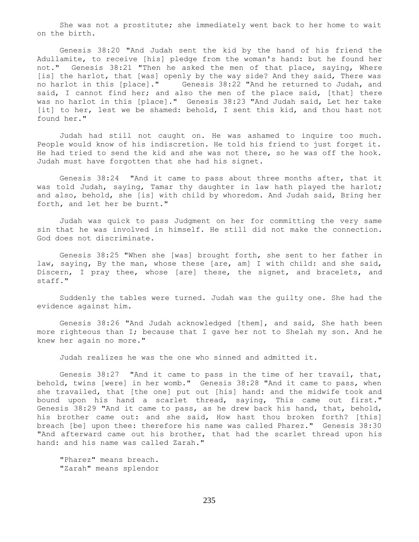She was not a prostitute; she immediately went back to her home to wait on the birth.

 Genesis 38:20 "And Judah sent the kid by the hand of his friend the Adullamite, to receive [his] pledge from the woman's hand: but he found her not." Genesis 38:21 "Then he asked the men of that place, saying, Where [is] the harlot, that [was] openly by the way side? And they said, There was no harlot in this [place]." Genesis 38:22 "And he returned to Judah, and said, I cannot find her; and also the men of the place said, [that] there was no harlot in this [place]." Genesis 38:23 "And Judah said, Let her take [it] to her, lest we be shamed: behold, I sent this kid, and thou hast not found her."

 Judah had still not caught on. He was ashamed to inquire too much. People would know of his indiscretion. He told his friend to just forget it. He had tried to send the kid and she was not there, so he was off the hook. Judah must have forgotten that she had his signet.

 Genesis 38:24 "And it came to pass about three months after, that it was told Judah, saying, Tamar thy daughter in law hath played the harlot; and also, behold, she [is] with child by whoredom. And Judah said, Bring her forth, and let her be burnt."

 Judah was quick to pass Judgment on her for committing the very same sin that he was involved in himself. He still did not make the connection. God does not discriminate.

 Genesis 38:25 "When she [was] brought forth, she sent to her father in law, saying, By the man, whose these [are, am] I with child: and she said, Discern, I pray thee, whose [are] these, the signet, and bracelets, and staff."

 Suddenly the tables were turned. Judah was the guilty one. She had the evidence against him.

 Genesis 38:26 "And Judah acknowledged [them], and said, She hath been more righteous than I; because that I gave her not to Shelah my son. And he knew her again no more."

Judah realizes he was the one who sinned and admitted it.

 Genesis 38:27 "And it came to pass in the time of her travail, that, behold, twins [were] in her womb." Genesis 38:28 "And it came to pass, when she travailed, that [the one] put out [his] hand: and the midwife took and bound upon his hand a scarlet thread, saying, This came out first." Genesis 38:29 "And it came to pass, as he drew back his hand, that, behold, his brother came out: and she said, How hast thou broken forth? [this] breach [be] upon thee: therefore his name was called Pharez." Genesis 38:30 "And afterward came out his brother, that had the scarlet thread upon his hand: and his name was called Zarah."

 "Pharez" means breach. "Zarah" means splendor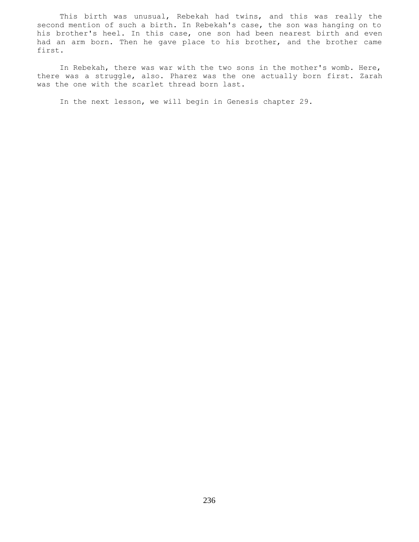This birth was unusual, Rebekah had twins, and this was really the second mention of such a birth. In Rebekah's case, the son was hanging on to his brother's heel. In this case, one son had been nearest birth and even had an arm born. Then he gave place to his brother, and the brother came first.

 In Rebekah, there was war with the two sons in the mother's womb. Here, there was a struggle, also. Pharez was the one actually born first. Zarah was the one with the scarlet thread born last.

In the next lesson, we will begin in Genesis chapter 29.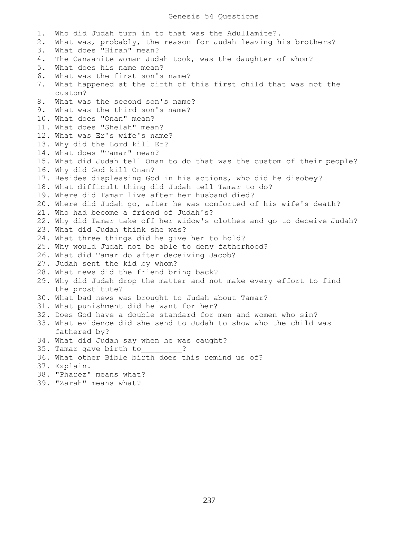## Genesis 54 Questions

1. Who did Judah turn in to that was the Adullamite?. 2. What was, probably, the reason for Judah leaving his brothers? 3. What does "Hirah" mean? 4. The Canaanite woman Judah took, was the daughter of whom? 5. What does his name mean? 6. What was the first son's name? 7. What happened at the birth of this first child that was not the custom? 8. What was the second son's name? 9. What was the third son's name? 10. What does "Onan" mean? 11. What does "Shelah" mean? 12. What was Er's wife's name? 13. Why did the Lord kill Er? 14. What does "Tamar" mean? 15. What did Judah tell Onan to do that was the custom of their people? 16. Why did God kill Onan? 17. Besides displeasing God in his actions, who did he disobey? 18. What difficult thing did Judah tell Tamar to do? 19. Where did Tamar live after her husband died? 20. Where did Judah go, after he was comforted of his wife's death? 21. Who had become a friend of Judah's? 22. Why did Tamar take off her widow's clothes and go to deceive Judah? 23. What did Judah think she was? 24. What three things did he give her to hold? 25. Why would Judah not be able to deny fatherhood? 26. What did Tamar do after deceiving Jacob? 27. Judah sent the kid by whom? 28. What news did the friend bring back? 29. Why did Judah drop the matter and not make every effort to find the prostitute? 30. What bad news was brought to Judah about Tamar? 31. What punishment did he want for her? 32. Does God have a double standard for men and women who sin? 33. What evidence did she send to Judah to show who the child was fathered by? 34. What did Judah say when he was caught? 35. Tamar gave birth to  $\cdot$  ? 36. What other Bible birth does this remind us of? 37. Explain. 38. "Pharez" means what? 39. "Zarah" means what?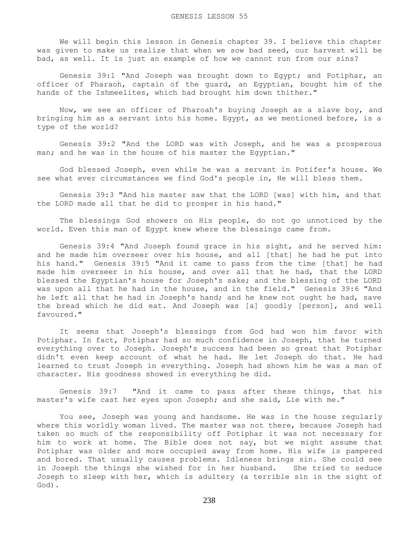We will begin this lesson in Genesis chapter 39. I believe this chapter was given to make us realize that when we sow bad seed, our harvest will be bad, as well. It is just an example of how we cannot run from our sins?

 Genesis 39:1 "And Joseph was brought down to Egypt; and Potiphar, an officer of Pharaoh, captain of the guard, an Egyptian, bought him of the hands of the Ishmeelites, which had brought him down thither."

 Now, we see an officer of Pharoah's buying Joseph as a slave boy, and bringing him as a servant into his home. Egypt, as we mentioned before, is a type of the world?

 Genesis 39:2 "And the LORD was with Joseph, and he was a prosperous man; and he was in the house of his master the Egyptian."

 God blessed Joseph, even while he was a servant in Potifer's house. We see what ever circumstances we find God's people in, He will bless them.

 Genesis 39:3 "And his master saw that the LORD [was] with him, and that the LORD made all that he did to prosper in his hand."

 The blessings God showers on His people, do not go unnoticed by the world. Even this man of Egypt knew where the blessings came from.

 Genesis 39:4 "And Joseph found grace in his sight, and he served him: and he made him overseer over his house, and all [that] he had he put into his hand." Genesis 39:5 "And it came to pass from the time [that] he had made him overseer in his house, and over all that he had, that the LORD blessed the Egyptian's house for Joseph's sake; and the blessing of the LORD was upon all that he had in the house, and in the field." Genesis 39:6 "And he left all that he had in Joseph's hand; and he knew not ought he had, save the bread which he did eat. And Joseph was [a] goodly [person], and well favoured."

 It seems that Joseph's blessings from God had won him favor with Potiphar. In fact, Potiphar had so much confidence in Joseph, that he turned everything over to Joseph. Joseph's success had been so great that Potiphar didn't even keep account of what he had. He let Joseph do that. He had learned to trust Joseph in everything. Joseph had shown him he was a man of character. His goodness showed in everything he did.

 Genesis 39:7 "And it came to pass after these things, that his master's wife cast her eyes upon Joseph; and she said, Lie with me."

 You see, Joseph was young and handsome. He was in the house regularly where this worldly woman lived. The master was not there, because Joseph had taken so much of the responsibility off Potiphar it was not necessary for him to work at home. The Bible does not say, but we might assume that Potiphar was older and more occupied away from home. His wife is pampered and bored. That usually causes problems. Idleness brings sin. She could see in Joseph the things she wished for in her husband. She tried to seduce Joseph to sleep with her, which is adultery (a terrible sin in the sight of God).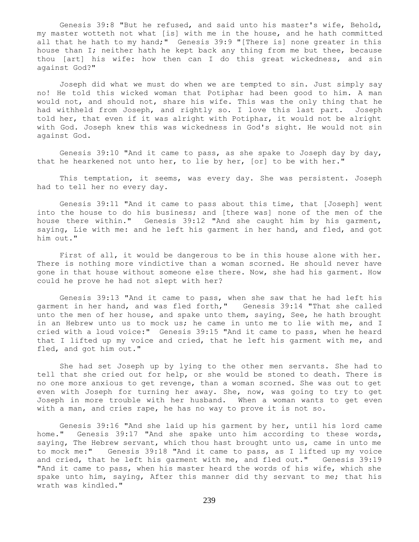Genesis 39:8 "But he refused, and said unto his master's wife, Behold, my master wotteth not what [is] with me in the house, and he hath committed all that he hath to my hand;" Genesis 39:9 "[There is] none greater in this house than I; neither hath he kept back any thing from me but thee, because thou [art] his wife: how then can I do this great wickedness, and sin against God?"

 Joseph did what we must do when we are tempted to sin. Just simply say no! He told this wicked woman that Potiphar had been good to him. A man would not, and should not, share his wife. This was the only thing that he had withheld from Joseph, and rightly so. I love this last part. Joseph told her, that even if it was alright with Potiphar, it would not be alright with God. Joseph knew this was wickedness in God's sight. He would not sin against God.

 Genesis 39:10 "And it came to pass, as she spake to Joseph day by day, that he hearkened not unto her, to lie by her, [or] to be with her."

 This temptation, it seems, was every day. She was persistent. Joseph had to tell her no every day.

 Genesis 39:11 "And it came to pass about this time, that [Joseph] went into the house to do his business; and [there was] none of the men of the house there within." Genesis 39:12 "And she caught him by his garment, saying, Lie with me: and he left his garment in her hand, and fled, and got him out."

 First of all, it would be dangerous to be in this house alone with her. There is nothing more vindictive than a woman scorned. He should never have gone in that house without someone else there. Now, she had his garment. How could he prove he had not slept with her?

 Genesis 39:13 "And it came to pass, when she saw that he had left his garment in her hand, and was fled forth," Genesis 39:14 "That she called unto the men of her house, and spake unto them, saying, See, he hath brought in an Hebrew unto us to mock us; he came in unto me to lie with me, and I cried with a loud voice:" Genesis 39:15 "And it came to pass, when he heard that I lifted up my voice and cried, that he left his garment with me, and fled, and got him out."

 She had set Joseph up by lying to the other men servants. She had to tell that she cried out for help, or she would be stoned to death. There is no one more anxious to get revenge, than a woman scorned. She was out to get even with Joseph for turning her away. She, now, was going to try to get Joseph in more trouble with her husband. When a woman wants to get even with a man, and cries rape, he has no way to prove it is not so.

 Genesis 39:16 "And she laid up his garment by her, until his lord came home." Genesis 39:17 "And she spake unto him according to these words, saying, The Hebrew servant, which thou hast brought unto us, came in unto me to mock me:" Genesis 39:18 "And it came to pass, as I lifted up my voice and cried, that he left his garment with me, and fled out." Genesis 39:19 "And it came to pass, when his master heard the words of his wife, which she spake unto him, saying, After this manner did thy servant to me; that his wrath was kindled."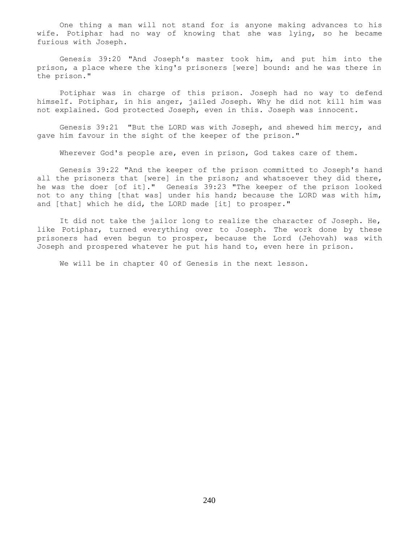One thing a man will not stand for is anyone making advances to his wife. Potiphar had no way of knowing that she was lying, so he became furious with Joseph.

 Genesis 39:20 "And Joseph's master took him, and put him into the prison, a place where the king's prisoners [were] bound: and he was there in the prison."

 Potiphar was in charge of this prison. Joseph had no way to defend himself. Potiphar, in his anger, jailed Joseph. Why he did not kill him was not explained. God protected Joseph, even in this. Joseph was innocent.

 Genesis 39:21 "But the LORD was with Joseph, and shewed him mercy, and gave him favour in the sight of the keeper of the prison."

Wherever God's people are, even in prison, God takes care of them.

 Genesis 39:22 "And the keeper of the prison committed to Joseph's hand all the prisoners that [were] in the prison; and whatsoever they did there, he was the doer [of it]." Genesis 39:23 "The keeper of the prison looked not to any thing [that was] under his hand; because the LORD was with him, and [that] which he did, the LORD made [it] to prosper."

 It did not take the jailor long to realize the character of Joseph. He, like Potiphar, turned everything over to Joseph. The work done by these prisoners had even begun to prosper, because the Lord (Jehovah) was with Joseph and prospered whatever he put his hand to, even here in prison.

We will be in chapter 40 of Genesis in the next lesson.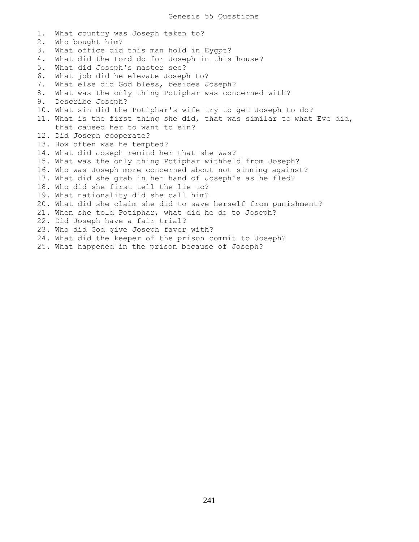1. What country was Joseph taken to? 2. Who bought him? 3. What office did this man hold in Eygpt? 4. What did the Lord do for Joseph in this house? 5. What did Joseph's master see? 6. What job did he elevate Joseph to? 7. What else did God bless, besides Joseph? 8. What was the only thing Potiphar was concerned with? 9. Describe Joseph? 10. What sin did the Potiphar's wife try to get Joseph to do? 11. What is the first thing she did, that was similar to what Eve did, that caused her to want to sin? 12. Did Joseph cooperate? 13. How often was he tempted? 14. What did Joseph remind her that she was? 15. What was the only thing Potiphar withheld from Joseph? 16. Who was Joseph more concerned about not sinning against? 17. What did she grab in her hand of Joseph's as he fled? 18. Who did she first tell the lie to? 19. What nationality did she call him? 20. What did she claim she did to save herself from punishment? 21. When she told Potiphar, what did he do to Joseph? 22. Did Joseph have a fair trial? 23. Who did God give Joseph favor with? 24. What did the keeper of the prison commit to Joseph? 25. What happened in the prison because of Joseph?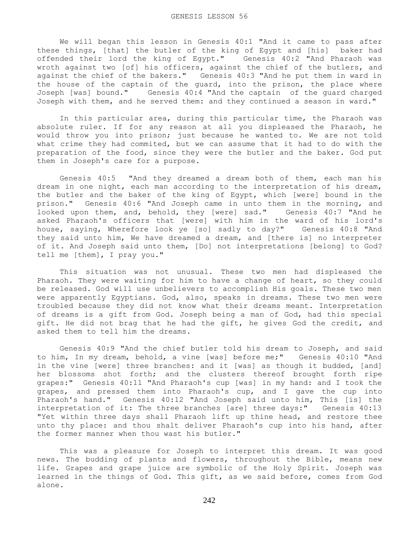We will began this lesson in Genesis 40:1 "And it came to pass after these things, [that] the butler of the king of Egypt and [his] baker had offended their lord the king of Egypt." Genesis 40:2 "And Pharaoh was wroth against two [of] his officers, against the chief of the butlers, and against the chief of the bakers." Genesis 40:3 "And he put them in ward in the house of the captain of the guard, into the prison, the place where Joseph [was] bound." Genesis 40:4 "And the captain of the guard charged Joseph with them, and he served them: and they continued a season in ward."

 In this particular area, during this particular time, the Pharaoh was absolute ruler. If for any reason at all you displeased the Pharaoh, he would throw you into prison; just because he wanted to. We are not told what crime they had commited, but we can assume that it had to do with the preparation of the food, since they were the butler and the baker. God put them in Joseph's care for a purpose.

 Genesis 40:5 "And they dreamed a dream both of them, each man his dream in one night, each man according to the interpretation of his dream, the butler and the baker of the king of Egypt, which [were] bound in the prison." Genesis 40:6 "And Joseph came in unto them in the morning, and looked upon them, and, behold, they [were] sad." Genesis 40:7 "And he asked Pharaoh's officers that [were] with him in the ward of his lord's house, saying, Wherefore look ye [so] sadly to day?" Genesis 40:8 "And they said unto him, We have dreamed a dream, and [there is] no interpreter of it. And Joseph said unto them, [Do] not interpretations [belong] to God? tell me [them], I pray you."

 This situation was not unusual. These two men had displeased the Pharaoh. They were waiting for him to have a change of heart, so they could be released. God will use unbelievers to accomplish His goals. These two men were apparently Egyptians. God, also, speaks in dreams. These two men were troubled because they did not know what their dreams meant. Interpretation of dreams is a gift from God. Joseph being a man of God, had this special gift. He did not brag that he had the gift, he gives God the credit, and asked them to tell him the dreams.

 Genesis 40:9 "And the chief butler told his dream to Joseph, and said to him, In my dream, behold, a vine [was] before me;" Genesis 40:10 "And in the vine [were] three branches: and it [was] as though it budded, [and] her blossoms shot forth; and the clusters thereof brought forth ripe grapes:" Genesis 40:11 "And Pharaoh's cup [was] in my hand: and I took the grapes, and pressed them into Pharaoh's cup, and I gave the cup into Pharaoh's hand." Genesis 40:12 "And Joseph said unto him, This [is] the interpretation of it: The three branches [are] three days:" Genesis 40:13 "Yet within three days shall Pharaoh lift up thine head, and restore thee unto thy place: and thou shalt deliver Pharaoh's cup into his hand, after the former manner when thou wast his butler."

 This was a pleasure for Joseph to interpret this dream. It was good news. The budding of plants and flowers, throughout the Bible, means new life. Grapes and grape juice are symbolic of the Holy Spirit. Joseph was learned in the things of God. This gift, as we said before, comes from God alone.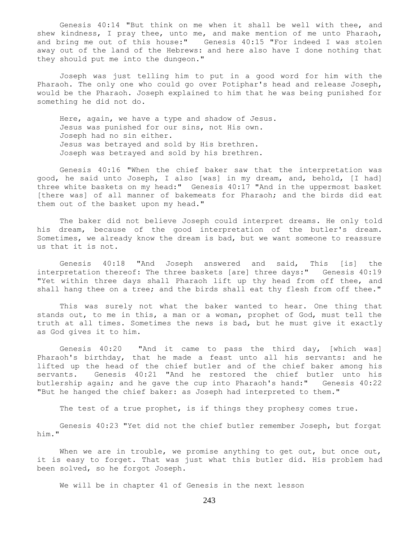Genesis 40:14 "But think on me when it shall be well with thee, and shew kindness, I pray thee, unto me, and make mention of me unto Pharaoh, and bring me out of this house:" Genesis 40:15 "For indeed I was stolen away out of the land of the Hebrews: and here also have I done nothing that they should put me into the dungeon."

 Joseph was just telling him to put in a good word for him with the Pharaoh. The only one who could go over Potiphar's head and release Joseph, would be the Pharaoh. Joseph explained to him that he was being punished for something he did not do.

 Here, again, we have a type and shadow of Jesus. Jesus was punished for our sins, not His own. Joseph had no sin either. Jesus was betrayed and sold by His brethren. Joseph was betrayed and sold by his brethren.

 Genesis 40:16 "When the chief baker saw that the interpretation was good, he said unto Joseph, I also [was] in my dream, and, behold, [I had] three white baskets on my head:" Genesis 40:17 "And in the uppermost basket [there was] of all manner of bakemeats for Pharaoh; and the birds did eat them out of the basket upon my head."

 The baker did not believe Joseph could interpret dreams. He only told his dream, because of the good interpretation of the butler's dream. Sometimes, we already know the dream is bad, but we want someone to reassure us that it is not.

 Genesis 40:18 "And Joseph answered and said, This [is] the interpretation thereof: The three baskets [are] three days:" Genesis 40:19 "Yet within three days shall Pharaoh lift up thy head from off thee, and shall hang thee on a tree; and the birds shall eat thy flesh from off thee."

 This was surely not what the baker wanted to hear. One thing that stands out, to me in this, a man or a woman, prophet of God, must tell the truth at all times. Sometimes the news is bad, but he must give it exactly as God gives it to him.

 Genesis 40:20 "And it came to pass the third day, [which was] Pharaoh's birthday, that he made a feast unto all his servants: and he lifted up the head of the chief butler and of the chief baker among his servants. Genesis 40:21 "And he restored the chief butler unto his butlership again; and he gave the cup into Pharaoh's hand:" Genesis 40:22 "But he hanged the chief baker: as Joseph had interpreted to them."

The test of a true prophet, is if things they prophesy comes true.

 Genesis 40:23 "Yet did not the chief butler remember Joseph, but forgat him."

When we are in trouble, we promise anything to get out, but once out, it is easy to forget. That was just what this butler did. His problem had been solved, so he forgot Joseph.

We will be in chapter 41 of Genesis in the next lesson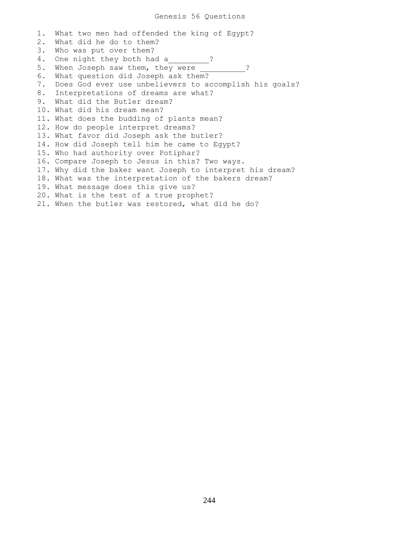## Genesis 56 Questions

1. What two men had offended the king of Egypt? 2. What did he do to them? 3. Who was put over them? 4. One night they both had a 2 5. When Joseph saw them, they were  $\cdot$  ? 6. What question did Joseph ask them? 7. Does God ever use unbelievers to accomplish his goals? 8. Interpretations of dreams are what? 9. What did the Butler dream? 10. What did his dream mean? 11. What does the budding of plants mean? 12. How do people interpret dreams? 13. What favor did Joseph ask the butler? 14. How did Joseph tell him he came to Egypt? 15. Who had authority over Potiphar? 16. Compare Joseph to Jesus in this? Two ways. 17. Why did the baker want Joseph to interpret his dream? 18. What was the interpretation of the bakers dream? 19. What message does this give us? 20. What is the test of a true prophet? 21. When the butler was restored, what did he do?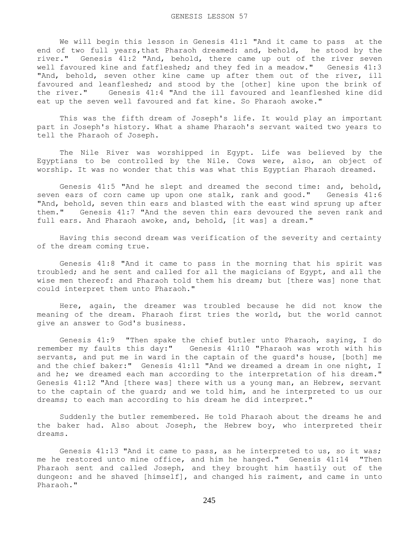We will begin this lesson in Genesis 41:1 "And it came to pass at the end of two full years, that Pharaoh dreamed: and, behold, he stood by the river." Genesis 41:2 "And, behold, there came up out of the river seven well favoured kine and fatfleshed; and they fed in a meadow." Genesis 41:3 "And, behold, seven other kine came up after them out of the river, ill favoured and leanfleshed; and stood by the [other] kine upon the brink of the river." Genesis 41:4 "And the ill favoured and leanfleshed kine did eat up the seven well favoured and fat kine. So Pharaoh awoke."

 This was the fifth dream of Joseph's life. It would play an important part in Joseph's history. What a shame Pharaoh's servant waited two years to tell the Pharaoh of Joseph.

 The Nile River was worshipped in Egypt. Life was believed by the Egyptians to be controlled by the Nile. Cows were, also, an object of worship. It was no wonder that this was what this Egyptian Pharaoh dreamed.

 Genesis 41:5 "And he slept and dreamed the second time: and, behold, seven ears of corn came up upon one stalk, rank and good." Genesis 41:6 "And, behold, seven thin ears and blasted with the east wind sprung up after them." Genesis 41:7 "And the seven thin ears devoured the seven rank and full ears. And Pharaoh awoke, and, behold, [it was] a dream."

 Having this second dream was verification of the severity and certainty of the dream coming true.

 Genesis 41:8 "And it came to pass in the morning that his spirit was troubled; and he sent and called for all the magicians of Egypt, and all the wise men thereof: and Pharaoh told them his dream; but [there was] none that could interpret them unto Pharaoh."

 Here, again, the dreamer was troubled because he did not know the meaning of the dream. Pharaoh first tries the world, but the world cannot give an answer to God's business.

 Genesis 41:9 "Then spake the chief butler unto Pharaoh, saying, I do remember my faults this day:" Genesis 41:10 "Pharaoh was wroth with his servants, and put me in ward in the captain of the guard's house, [both] me and the chief baker:" Genesis 41:11 "And we dreamed a dream in one night, I and he; we dreamed each man according to the interpretation of his dream." Genesis 41:12 "And [there was] there with us a young man, an Hebrew, servant to the captain of the guard; and we told him, and he interpreted to us our dreams; to each man according to his dream he did interpret."

 Suddenly the butler remembered. He told Pharaoh about the dreams he and the baker had. Also about Joseph, the Hebrew boy, who interpreted their dreams.

 Genesis 41:13 "And it came to pass, as he interpreted to us, so it was; me he restored unto mine office, and him he hanged." Genesis 41:14 "Then Pharaoh sent and called Joseph, and they brought him hastily out of the dungeon: and he shaved [himself], and changed his raiment, and came in unto Pharaoh."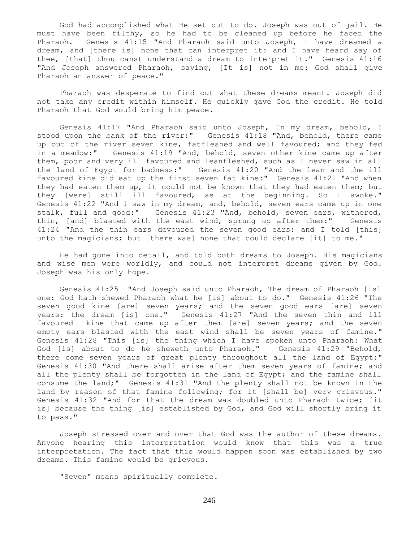God had accomplished what He set out to do. Joseph was out of jail. He must have been filthy, so he had to be cleaned up before he faced the Pharaoh. Genesis 41:15 "And Pharaoh said unto Joseph, I have dreamed a dream, and [there is] none that can interpret it: and I have heard say of thee, [that] thou canst understand a dream to interpret it." Genesis 41:16 "And Joseph answered Pharaoh, saying, [It is] not in me: God shall give Pharaoh an answer of peace."

 Pharaoh was desperate to find out what these dreams meant. Joseph did not take any credit within himself. He quickly gave God the credit. He told Pharaoh that God would bring him peace.

 Genesis 41:17 "And Pharaoh said unto Joseph, In my dream, behold, I stood upon the bank of the river:" Genesis 41:18 "And, behold, there came up out of the river seven kine, fatfleshed and well favoured; and they fed in a meadow:" Genesis 41:19 "And, behold, seven other kine came up after them, poor and very ill favoured and leanfleshed, such as I never saw in all the land of Egypt for badness:" Genesis 41:20 "And the lean and the ill favoured kine did eat up the first seven fat kine:" Genesis 41:21 "And when they had eaten them up, it could not be known that they had eaten them; but they [were] still ill favoured, as at the beginning. So I awoke." Genesis 41:22 "And I saw in my dream, and, behold, seven ears came up in one stalk, full and good:" Genesis 41:23 "And, behold, seven ears, withered, thin, [and] blasted with the east wind, sprung up after them:" Genesis 41:24 "And the thin ears devoured the seven good ears: and I told [this] unto the magicians; but [there was] none that could declare [it] to me."

 He had gone into detail, and told both dreams to Joseph. His magicians and wise men were worldly, and could not interpret dreams given by God. Joseph was his only hope.

 Genesis 41:25 "And Joseph said unto Pharaoh, The dream of Pharaoh [is] one: God hath shewed Pharaoh what he [is] about to do." Genesis 41:26 "The seven good kine [are] seven years; and the seven good ears [are] seven years: the dream [is] one." Genesis 41:27 "And the seven thin and ill favoured kine that came up after them [are] seven years; and the seven empty ears blasted with the east wind shall be seven years of famine." Genesis 41:28 "This [is] the thing which I have spoken unto Pharaoh: What God [is] about to do he sheweth unto Pharaoh." Genesis 41:29 "Behold, there come seven years of great plenty throughout all the land of Egypt:" Genesis 41:30 "And there shall arise after them seven years of famine; and all the plenty shall be forgotten in the land of Egypt; and the famine shall consume the land;" Genesis 41:31 "And the plenty shall not be known in the land by reason of that famine following; for it [shall be] very grievous." Genesis 41:32 "And for that the dream was doubled unto Pharaoh twice; [it is] because the thing [is] established by God, and God will shortly bring it to pass."

 Joseph stressed over and over that God was the author of these dreams. Anyone hearing this interpretation would know that this was a true interpretation. The fact that this would happen soon was established by two dreams. This famine would be grievous.

"Seven" means spiritually complete.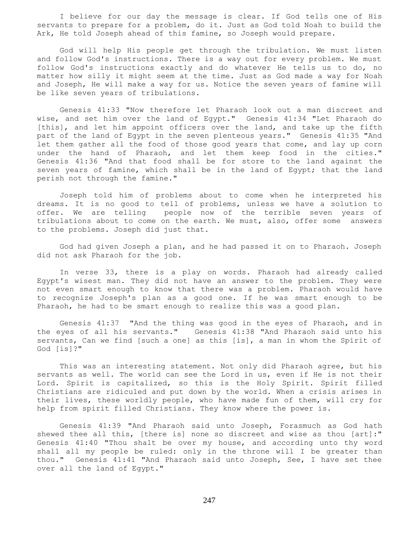I believe for our day the message is clear. If God tells one of His servants to prepare for a problem, do it. Just as God told Noah to build the Ark, He told Joseph ahead of this famine, so Joseph would prepare.

 God will help His people get through the tribulation. We must listen and follow God's instructions. There is a way out for every problem. We must follow God's instructions exactly and do whatever He tells us to do, no matter how silly it might seem at the time. Just as God made a way for Noah and Joseph, He will make a way for us. Notice the seven years of famine will be like seven years of tribulations.

 Genesis 41:33 "Now therefore let Pharaoh look out a man discreet and wise, and set him over the land of Egypt." Genesis 41:34 "Let Pharaoh do [this], and let him appoint officers over the land, and take up the fifth part of the land of Egypt in the seven plenteous years." Genesis 41:35 "And let them gather all the food of those good years that come, and lay up corn under the hand of Pharaoh, and let them keep food in the cities." Genesis 41:36 "And that food shall be for store to the land against the seven years of famine, which shall be in the land of Egypt; that the land perish not through the famine."

 Joseph told him of problems about to come when he interpreted his dreams. It is no good to tell of problems, unless we have a solution to offer. We are telling people now of the terrible seven years of tribulations about to come on the earth. We must, also, offer some answers to the problems. Joseph did just that.

 God had given Joseph a plan, and he had passed it on to Pharaoh. Joseph did not ask Pharaoh for the job.

 In verse 33, there is a play on words. Pharaoh had already called Egypt's wisest man. They did not have an answer to the problem. They were not even smart enough to know that there was a problem. Pharaoh would have to recognize Joseph's plan as a good one. If he was smart enough to be Pharaoh, he had to be smart enough to realize this was a good plan.

 Genesis 41:37 "And the thing was good in the eyes of Pharaoh, and in the eyes of all his servants." Genesis 41:38 "And Pharaoh said unto his servants, Can we find [such a one] as this [is], a man in whom the Spirit of God [is]?"

 This was an interesting statement. Not only did Pharaoh agree, but his servants as well. The world can see the Lord in us, even if He is not their Lord. Spirit is capitalized, so this is the Holy Spirit. Spirit filled Christians are ridiculed and put down by the world. When a crisis arises in their lives, these worldly people, who have made fun of them, will cry for help from spirit filled Christians. They know where the power is.

 Genesis 41:39 "And Pharaoh said unto Joseph, Forasmuch as God hath shewed thee all this, [there is] none so discreet and wise as thou [art]:" Genesis 41:40 "Thou shalt be over my house, and according unto thy word shall all my people be ruled: only in the throne will I be greater than thou." Genesis 41:41 "And Pharaoh said unto Joseph, See, I have set thee over all the land of Egypt."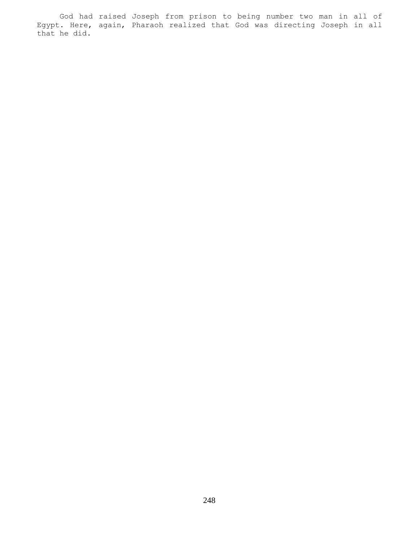God had raised Joseph from prison to being number two man in all of Egypt. Here, again, Pharaoh realized that God was directing Joseph in all that he did.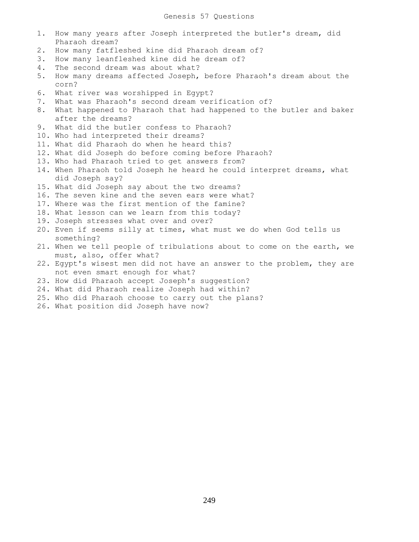- 1. How many years after Joseph interpreted the butler's dream, did Pharaoh dream?
- 2. How many fatfleshed kine did Pharaoh dream of?
- 3. How many leanfleshed kine did he dream of?
- 4. The second dream was about what?
- 5. How many dreams affected Joseph, before Pharaoh's dream about the corn?
- 6. What river was worshipped in Egypt?
- 7. What was Pharaoh's second dream verification of?
- 8. What happened to Pharaoh that had happened to the butler and baker after the dreams?
- 9. What did the butler confess to Pharaoh?
- 10. Who had interpreted their dreams?
- 11. What did Pharaoh do when he heard this?
- 12. What did Joseph do before coming before Pharaoh?
- 13. Who had Pharaoh tried to get answers from?
- 14. When Pharaoh told Joseph he heard he could interpret dreams, what did Joseph say?
- 15. What did Joseph say about the two dreams?
- 16. The seven kine and the seven ears were what?
- 17. Where was the first mention of the famine?
- 18. What lesson can we learn from this today?
- 19. Joseph stresses what over and over?
- 20. Even if seems silly at times, what must we do when God tells us something?
- 21. When we tell people of tribulations about to come on the earth, we must, also, offer what?
- 22. Egypt's wisest men did not have an answer to the problem, they are not even smart enough for what?
- 23. How did Pharaoh accept Joseph's suggestion?
- 24. What did Pharaoh realize Joseph had within?
- 25. Who did Pharaoh choose to carry out the plans?
- 26. What position did Joseph have now?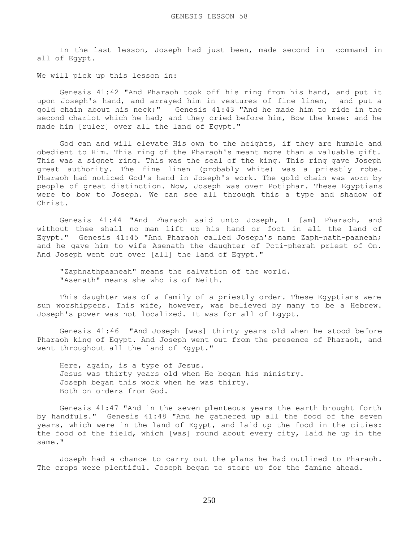In the last lesson, Joseph had just been, made second in command in all of Egypt.

We will pick up this lesson in:

 Genesis 41:42 "And Pharaoh took off his ring from his hand, and put it upon Joseph's hand, and arrayed him in vestures of fine linen, and put a gold chain about his neck;" Genesis 41:43 "And he made him to ride in the second chariot which he had; and they cried before him, Bow the knee: and he made him [ruler] over all the land of Egypt."

 God can and will elevate His own to the heights, if they are humble and obedient to Him. This ring of the Pharaoh's meant more than a valuable gift. This was a signet ring. This was the seal of the king. This ring gave Joseph great authority. The fine linen (probably white) was a priestly robe. Pharaoh had noticed God's hand in Joseph's work. The gold chain was worn by people of great distinction. Now, Joseph was over Potiphar. These Egyptians were to bow to Joseph. We can see all through this a type and shadow of Christ.

 Genesis 41:44 "And Pharaoh said unto Joseph, I [am] Pharaoh, and without thee shall no man lift up his hand or foot in all the land of Egypt." Genesis 41:45 "And Pharaoh called Joseph's name Zaph-nath-paaneah; and he gave him to wife Asenath the daughter of Poti-pherah priest of On. And Joseph went out over [all] the land of Egypt."

 "Zaphnathpaaneah" means the salvation of the world. "Asenath" means she who is of Neith.

 This daughter was of a family of a priestly order. These Egyptians were sun worshippers. This wife, however, was believed by many to be a Hebrew. Joseph's power was not localized. It was for all of Egypt.

 Genesis 41:46 "And Joseph [was] thirty years old when he stood before Pharaoh king of Egypt. And Joseph went out from the presence of Pharaoh, and went throughout all the land of Egypt."

 Here, again, is a type of Jesus. Jesus was thirty years old when He began his ministry. Joseph began this work when he was thirty. Both on orders from God.

 Genesis 41:47 "And in the seven plenteous years the earth brought forth by handfuls." Genesis 41:48 "And he gathered up all the food of the seven years, which were in the land of Egypt, and laid up the food in the cities: the food of the field, which [was] round about every city, laid he up in the same."

 Joseph had a chance to carry out the plans he had outlined to Pharaoh. The crops were plentiful. Joseph began to store up for the famine ahead.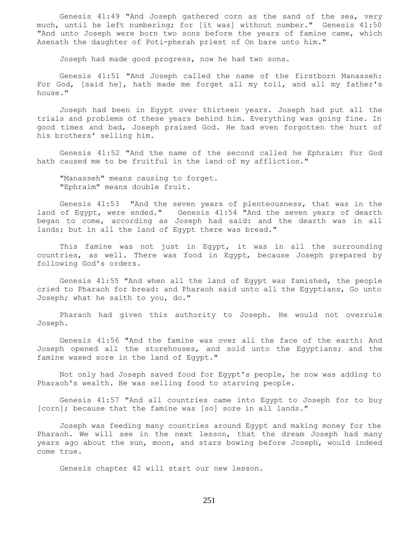Genesis 41:49 "And Joseph gathered corn as the sand of the sea, very much, until he left numbering; for [it was] without number." Genesis 41:50 "And unto Joseph were born two sons before the years of famine came, which Asenath the daughter of Poti-pherah priest of On bare unto him."

Joseph had made good progress, now he had two sons.

 Genesis 41:51 "And Joseph called the name of the firstborn Manasseh: For God, [said he], hath made me forget all my toil, and all my father's house."

 Joseph had been in Egypt over thirteen years. Joseph had put all the trials and problems of these years behind him. Everything was going fine. In good times and bad, Joseph praised God. He had even forgotten the hurt of his brothers' selling him.

 Genesis 41:52 "And the name of the second called he Ephraim: For God hath caused me to be fruitful in the land of my affliction."

 "Manasseh" means causing to forget. "Ephraim" means double fruit.

 Genesis 41:53 "And the seven years of plenteousness, that was in the land of Egypt, were ended." Genesis 41:54 "And the seven years of dearth began to come, according as Joseph had said: and the dearth was in all lands; but in all the land of Egypt there was bread."

 This famine was not just in Egypt, it was in all the surrounding countries, as well. There was food in Egypt, because Joseph prepared by following God's orders.

 Genesis 41:55 "And when all the land of Egypt was famished, the people cried to Pharaoh for bread: and Pharaoh said unto all the Egyptians, Go unto Joseph; what he saith to you, do."

 Pharaoh had given this authority to Joseph. He would not overrule Joseph.

 Genesis 41:56 "And the famine was over all the face of the earth: And Joseph opened all the storehouses, and sold unto the Egyptians; and the famine waxed sore in the land of Egypt."

 Not only had Joseph saved food for Egypt's people, he now was adding to Pharaoh's wealth. He was selling food to starving people.

 Genesis 41:57 "And all countries came into Egypt to Joseph for to buy [corn]; because that the famine was [so] sore in all lands."

 Joseph was feeding many countries around Egypt and making money for the Pharaoh. We will see in the next lesson, that the dream Joseph had many years ago about the sun, moon, and stars bowing before Joseph, would indeed come true.

Genesis chapter 42 will start our new lesson.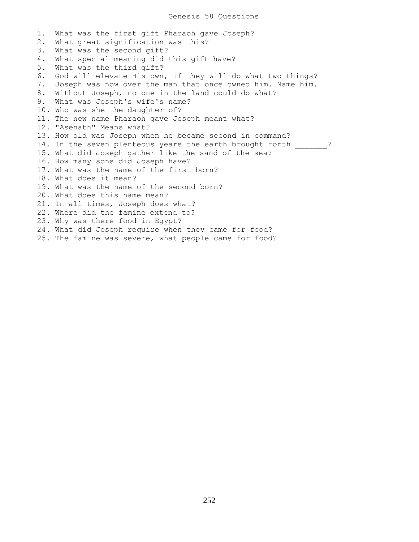1. What was the first gift Pharaoh gave Joseph? 2. What great signification was this? 3. What was the second gift? 4. What special meaning did this gift have? 5. What was the third gift? 6. God will elevate His own, if they will do what two things? 7. Joseph was now over the man that once owned him. Name him. 8. Without Joseph, no one in the land could do what? 9. What was Joseph's wife's name? 10. Who was she the daughter of? 11. The new name Pharaoh gave Joseph meant what? 12. "Asenath" Means what? 13. How old was Joseph when he became second in command? 14. In the seven plenteous years the earth brought forth  $\cdots$ ? 15. What did Joseph gather like the sand of the sea? 16. How many sons did Joseph have? 17. What was the name of the first born? 18. What does it mean? 19. What was the name of the second born? 20. What does this name mean? 21. In all times, Joseph does what? 22. Where did the famine extend to? 23. Why was there food in Egypt? 24. What did Joseph require when they came for food? 25. The famine was severe, what people came for food?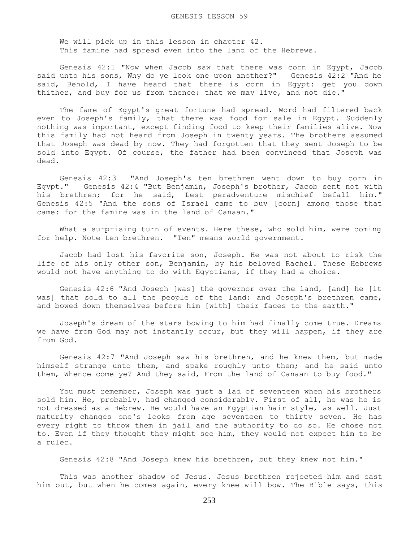We will pick up in this lesson in chapter 42. This famine had spread even into the land of the Hebrews.

 Genesis 42:1 "Now when Jacob saw that there was corn in Egypt, Jacob said unto his sons, Why do ye look one upon another?" Genesis 42:2 "And he said, Behold, I have heard that there is corn in Egypt: get you down thither, and buy for us from thence; that we may live, and not die."

 The fame of Egypt's great fortune had spread. Word had filtered back even to Joseph's family, that there was food for sale in Egypt. Suddenly nothing was important, except finding food to keep their families alive. Now this family had not heard from Joseph in twenty years. The brothers assumed that Joseph was dead by now. They had forgotten that they sent Joseph to be sold into Egypt. Of course, the father had been convinced that Joseph was dead.

 Genesis 42:3 "And Joseph's ten brethren went down to buy corn in Egypt." Genesis 42:4 "But Benjamin, Joseph's brother, Jacob sent not with his brethren; for he said, Lest peradventure mischief befall him." Genesis 42:5 "And the sons of Israel came to buy [corn] among those that came: for the famine was in the land of Canaan."

 What a surprising turn of events. Here these, who sold him, were coming for help. Note ten brethren. "Ten" means world government.

 Jacob had lost his favorite son, Joseph. He was not about to risk the life of his only other son, Benjamin, by his beloved Rachel. These Hebrews would not have anything to do with Egyptians, if they had a choice.

 Genesis 42:6 "And Joseph [was] the governor over the land, [and] he [it was] that sold to all the people of the land: and Joseph's brethren came, and bowed down themselves before him [with] their faces to the earth."

 Joseph's dream of the stars bowing to him had finally come true. Dreams we have from God may not instantly occur, but they will happen, if they are from God.

 Genesis 42:7 "And Joseph saw his brethren, and he knew them, but made himself strange unto them, and spake roughly unto them; and he said unto them, Whence come ye? And they said, From the land of Canaan to buy food."

 You must remember, Joseph was just a lad of seventeen when his brothers sold him. He, probably, had changed considerably. First of all, he was he is not dressed as a Hebrew. He would have an Egyptian hair style, as well. Just maturity changes one's looks from age seventeen to thirty seven. He has every right to throw them in jail and the authority to do so. He chose not to. Even if they thought they might see him, they would not expect him to be a ruler.

Genesis 42:8 "And Joseph knew his brethren, but they knew not him."

 This was another shadow of Jesus. Jesus brethren rejected him and cast him out, but when he comes again, every knee will bow. The Bible says, this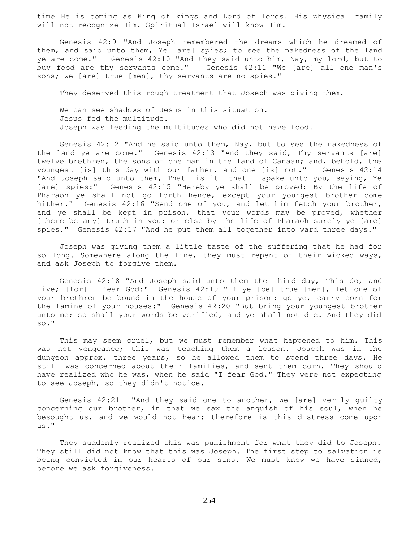time He is coming as King of kings and Lord of lords. His physical family will not recognize Him. Spiritual Israel will know Him.

 Genesis 42:9 "And Joseph remembered the dreams which he dreamed of them, and said unto them, Ye [are] spies; to see the nakedness of the land ye are come." Genesis 42:10 "And they said unto him, Nay, my lord, but to buy food are thy servants come." Genesis 42:11 "We [are] all one man's sons; we [are] true [men], thy servants are no spies."

They deserved this rough treatment that Joseph was giving them.

 We can see shadows of Jesus in this situation. Jesus fed the multitude. Joseph was feeding the multitudes who did not have food.

 Genesis 42:12 "And he said unto them, Nay, but to see the nakedness of the land ye are come." Genesis 42:13 "And they said, Thy servants [are] twelve brethren, the sons of one man in the land of Canaan; and, behold, the youngest [is] this day with our father, and one [is] not." Genesis 42:14 "And Joseph said unto them, That [is it] that I spake unto you, saying, Ye [are] spies:" Genesis 42:15 "Hereby ye shall be proved: By the life of Pharaoh ye shall not go forth hence, except your youngest brother come hither." Genesis 42:16 "Send one of you, and let him fetch your brother, and ye shall be kept in prison, that your words may be proved, whether [there be any] truth in you: or else by the life of Pharaoh surely ye [are] spies." Genesis 42:17 "And he put them all together into ward three days."

 Joseph was giving them a little taste of the suffering that he had for so long. Somewhere along the line, they must repent of their wicked ways, and ask Joseph to forgive them.

 Genesis 42:18 "And Joseph said unto them the third day, This do, and live; [for] I fear God:" Genesis 42:19 "If ye [be] true [men], let one of your brethren be bound in the house of your prison: go ye, carry corn for the famine of your houses:" Genesis 42:20 "But bring your youngest brother unto me; so shall your words be verified, and ye shall not die. And they did so."

 This may seem cruel, but we must remember what happened to him. This was not vengeance; this was teaching them a lesson. Joseph was in the dungeon approx. three years, so he allowed them to spend three days. He still was concerned about their families, and sent them corn. They should have realized who he was, when he said "I fear God." They were not expecting to see Joseph, so they didn't notice.

 Genesis 42:21 "And they said one to another, We [are] verily guilty concerning our brother, in that we saw the anguish of his soul, when he besought us, and we would not hear; therefore is this distress come upon us."

 They suddenly realized this was punishment for what they did to Joseph. They still did not know that this was Joseph. The first step to salvation is being convicted in our hearts of our sins. We must know we have sinned, before we ask forgiveness.

254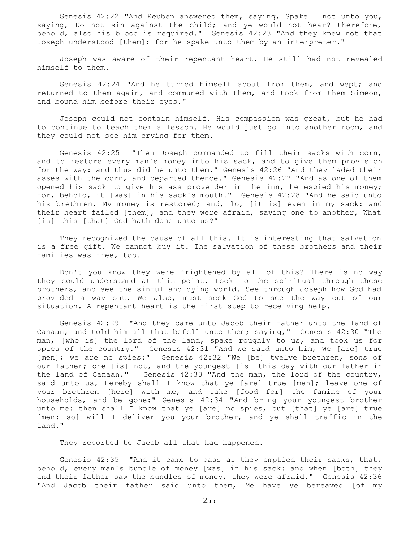Genesis 42:22 "And Reuben answered them, saying, Spake I not unto you, saying, Do not sin against the child; and ye would not hear? therefore, behold, also his blood is required." Genesis 42:23 "And they knew not that Joseph understood [them]; for he spake unto them by an interpreter."

 Joseph was aware of their repentant heart. He still had not revealed himself to them.

 Genesis 42:24 "And he turned himself about from them, and wept; and returned to them again, and communed with them, and took from them Simeon, and bound him before their eyes."

 Joseph could not contain himself. His compassion was great, but he had to continue to teach them a lesson. He would just go into another room, and they could not see him crying for them.

 Genesis 42:25 "Then Joseph commanded to fill their sacks with corn, and to restore every man's money into his sack, and to give them provision for the way: and thus did he unto them." Genesis 42:26 "And they laded their asses with the corn, and departed thence." Genesis 42:27 "And as one of them opened his sack to give his ass provender in the inn, he espied his money; for, behold, it [was] in his sack's mouth." Genesis 42:28 "And he said unto his brethren, My money is restored; and, lo, [it is] even in my sack: and their heart failed [them], and they were afraid, saying one to another, What [is] this [that] God hath done unto us?"

 They recognized the cause of all this. It is interesting that salvation is a free gift. We cannot buy it. The salvation of these brothers and their families was free, too.

 Don't you know they were frightened by all of this? There is no way they could understand at this point. Look to the spiritual through these brothers, and see the sinful and dying world. See through Joseph how God had provided a way out. We also, must seek God to see the way out of our situation. A repentant heart is the first step to receiving help.

 Genesis 42:29 "And they came unto Jacob their father unto the land of Canaan, and told him all that befell unto them; saying," Genesis 42:30 "The man, [who is] the lord of the land, spake roughly to us, and took us for spies of the country." Genesis 42:31 "And we said unto him, We [are] true [men]; we are no spies:" Genesis 42:32 "We [be] twelve brethren, sons of our father; one [is] not, and the youngest [is] this day with our father in the land of Canaan." Genesis 42:33 "And the man, the lord of the country, said unto us, Hereby shall I know that ye [are] true [men]; leave one of your brethren [here] with me, and take [food for] the famine of your households, and be gone:" Genesis 42:34 "And bring your youngest brother unto me: then shall I know that ye [are] no spies, but [that] ye [are] true [men: so] will I deliver you your brother, and ye shall traffic in the land."

They reported to Jacob all that had happened.

 Genesis 42:35 "And it came to pass as they emptied their sacks, that, behold, every man's bundle of money [was] in his sack: and when [both] they and their father saw the bundles of money, they were afraid." Genesis 42:36 "And Jacob their father said unto them, Me have ye bereaved [of my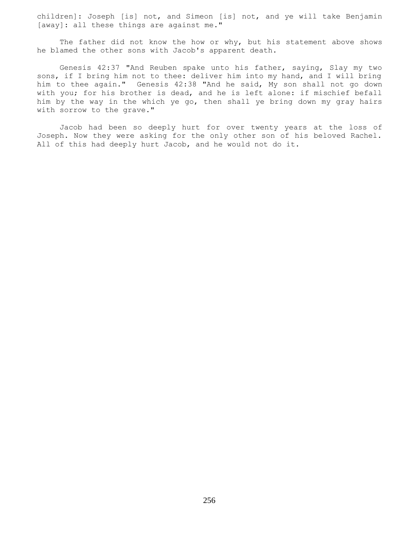children]: Joseph [is] not, and Simeon [is] not, and ye will take Benjamin [away]: all these things are against me."

 The father did not know the how or why, but his statement above shows he blamed the other sons with Jacob's apparent death.

 Genesis 42:37 "And Reuben spake unto his father, saying, Slay my two sons, if I bring him not to thee: deliver him into my hand, and I will bring him to thee again." Genesis 42:38 "And he said, My son shall not go down with you; for his brother is dead, and he is left alone: if mischief befall him by the way in the which ye go, then shall ye bring down my gray hairs with sorrow to the grave."

 Jacob had been so deeply hurt for over twenty years at the loss of Joseph. Now they were asking for the only other son of his beloved Rachel. All of this had deeply hurt Jacob, and he would not do it.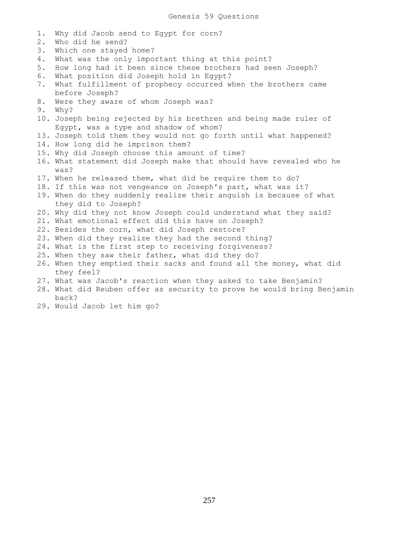1. Why did Jacob send to Egypt for corn? 2. Who did he send? 3. Which one stayed home? 4. What was the only important thing at this point? 5. How long had it been since these brothers had seen Joseph? 6. What position did Joseph hold in Egypt? 7. What fulfillment of prophecy occurred when the brothers came before Joseph? 8. Were they aware of whom Joseph was? 9. Why? 10. Joseph being rejected by his brethren and being made ruler of Egypt, was a type and shadow of whom? 13. Joseph told them they would not go forth until what happened? 14. How long did he imprison them? 15. Why did Joseph choose this amount of time? 16. What statement did Joseph make that should have revealed who he was? 17. When he released them, what did he require them to do? 18. If this was not vengeance on Joseph's part, what was it? 19. When do they suddenly realize their anguish is because of what they did to Joseph? 20. Why did they not know Joseph could understand what they said? 21. What emotional effect did this have on Joseph? 22. Besides the corn, what did Joseph restore? 23. When did they realize they had the second thing? 24. What is the first step to receiving forgiveness? 25. When they saw their father, what did they do? 26. When they emptied their sacks and found all the money, what did they feel? 27. What was Jacob's reaction when they asked to take Benjamin? 28. What did Reuben offer as security to prove he would bring Benjamin back?

29. Would Jacob let him go?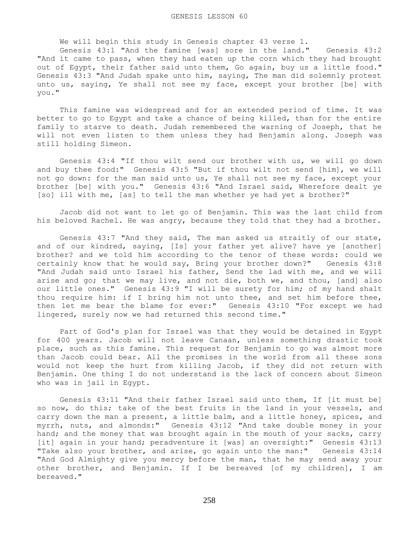We will begin this study in Genesis chapter 43 verse 1.

 Genesis 43:1 "And the famine [was] sore in the land." Genesis 43:2 "And it came to pass, when they had eaten up the corn which they had brought out of Egypt, their father said unto them, Go again, buy us a little food." Genesis 43:3 "And Judah spake unto him, saying, The man did solemnly protest unto us, saying, Ye shall not see my face, except your brother [be] with you."

 This famine was widespread and for an extended period of time. It was better to go to Egypt and take a chance of being killed, than for the entire family to starve to death. Judah remembered the warning of Joseph, that he will not even listen to them unless they had Benjamin along. Joseph was still holding Simeon.

 Genesis 43:4 "If thou wilt send our brother with us, we will go down and buy thee food:" Genesis 43:5 "But if thou wilt not send [him], we will not go down: for the man said unto us, Ye shall not see my face, except your brother [be] with you." Genesis 43:6 "And Israel said, Wherefore dealt ye [so] ill with me, [as] to tell the man whether ye had yet a brother?"

 Jacob did not want to let go of Benjamin. This was the last child from his beloved Rachel. He was angry, because they told that they had a brother.

 Genesis 43:7 "And they said, The man asked us straitly of our state, and of our kindred, saying, [Is] your father yet alive? have ye [another] brother? and we told him according to the tenor of these words: could we certainly know that he would say, Bring your brother down?" Genesis 43:8 "And Judah said unto Israel his father, Send the lad with me, and we will arise and go; that we may live, and not die, both we, and thou, [and] also our little ones." Genesis 43:9 "I will be surety for him; of my hand shalt thou require him: if I bring him not unto thee, and set him before thee, then let me bear the blame for ever:" Genesis 43:10 "For except we had lingered, surely now we had returned this second time."

 Part of God's plan for Israel was that they would be detained in Egypt for 400 years. Jacob will not leave Canaan, unless something drastic took place, such as this famine. This request for Benjamin to go was almost more than Jacob could bear. All the promises in the world from all these sons would not keep the hurt from killing Jacob, if they did not return with Benjamin. One thing I do not understand is the lack of concern about Simeon who was in jail in Egypt.

 Genesis 43:11 "And their father Israel said unto them, If [it must be] so now, do this; take of the best fruits in the land in your vessels, and carry down the man a present, a little balm, and a little honey, spices, and myrrh, nuts, and almonds:" Genesis 43:12 "And take double money in your hand; and the money that was brought again in the mouth of your sacks, carry [it] again in your hand; peradventure it [was] an oversight:" Genesis 43:13 "Take also your brother, and arise, go again unto the man:" Genesis 43:14 "And God Almighty give you mercy before the man, that he may send away your other brother, and Benjamin. If I be bereaved [of my children], I am bereaved."

258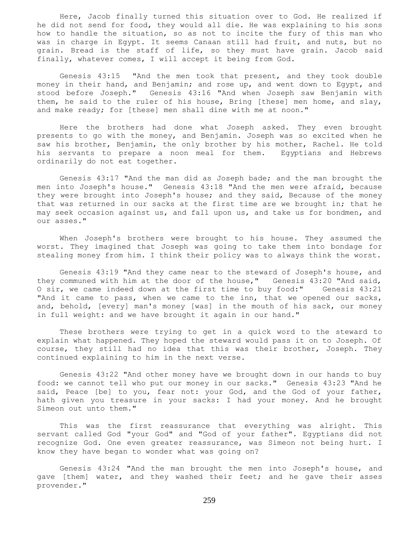Here, Jacob finally turned this situation over to God. He realized if he did not send for food, they would all die. He was explaining to his sons how to handle the situation, so as not to incite the fury of this man who was in charge in Egypt. It seems Canaan still had fruit, and nuts, but no grain. Bread is the staff of life, so they must have grain. Jacob said finally, whatever comes, I will accept it being from God.

 Genesis 43:15 "And the men took that present, and they took double money in their hand, and Benjamin; and rose up, and went down to Egypt, and stood before Joseph." Genesis 43:16 "And when Joseph saw Benjamin with them, he said to the ruler of his house, Bring [these] men home, and slay, and make ready; for [these] men shall dine with me at noon."

 Here the brothers had done what Joseph asked. They even brought presents to go with the money, and Benjamin. Joseph was so excited when he saw his brother, Benjamin, the only brother by his mother, Rachel. He told his servants to prepare a noon meal for them. Egyptians and Hebrews ordinarily do not eat together.

 Genesis 43:17 "And the man did as Joseph bade; and the man brought the men into Joseph's house." Genesis 43:18 "And the men were afraid, because they were brought into Joseph's house; and they said, Because of the money that was returned in our sacks at the first time are we brought in; that he may seek occasion against us, and fall upon us, and take us for bondmen, and our asses."

 When Joseph's brothers were brought to his house. They assumed the worst. They imagined that Joseph was going to take them into bondage for stealing money from him. I think their policy was to always think the worst.

 Genesis 43:19 "And they came near to the steward of Joseph's house, and they communed with him at the door of the house," Genesis 43:20 "And said, O sir, we came indeed down at the first time to buy food:" Genesis 43:21 "And it came to pass, when we came to the inn, that we opened our sacks, and, behold, [every] man's money [was] in the mouth of his sack, our money in full weight: and we have brought it again in our hand."

 These brothers were trying to get in a quick word to the steward to explain what happened. They hoped the steward would pass it on to Joseph. Of course, they still had no idea that this was their brother, Joseph. They continued explaining to him in the next verse.

 Genesis 43:22 "And other money have we brought down in our hands to buy food: we cannot tell who put our money in our sacks." Genesis 43:23 "And he said, Peace [be] to you, fear not: your God, and the God of your father, hath given you treasure in your sacks: I had your money. And he brought Simeon out unto them."

 This was the first reassurance that everything was alright. This servant called God "your God" and "God of your father". Egyptians did not recognize God. One even greater reassurance, was Simeon not being hurt. I know they have began to wonder what was going on?

 Genesis 43:24 "And the man brought the men into Joseph's house, and gave [them] water, and they washed their feet; and he gave their asses provender."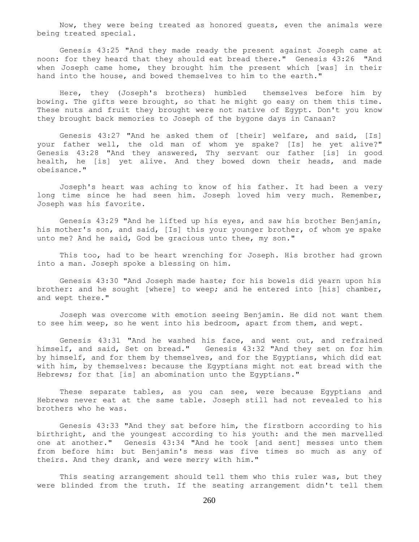Now, they were being treated as honored guests, even the animals were being treated special.

 Genesis 43:25 "And they made ready the present against Joseph came at noon: for they heard that they should eat bread there." Genesis 43:26 "And when Joseph came home, they brought him the present which [was] in their hand into the house, and bowed themselves to him to the earth."

 Here, they (Joseph's brothers) humbled themselves before him by bowing. The gifts were brought, so that he might go easy on them this time. These nuts and fruit they brought were not native of Egypt. Don't you know they brought back memories to Joseph of the bygone days in Canaan?

 Genesis 43:27 "And he asked them of [their] welfare, and said, [Is] your father well, the old man of whom ye spake? [Is] he yet alive?" Genesis 43:28 "And they answered, Thy servant our father [is] in good health, he [is] yet alive. And they bowed down their heads, and made obeisance."

 Joseph's heart was aching to know of his father. It had been a very long time since he had seen him. Joseph loved him very much. Remember, Joseph was his favorite.

 Genesis 43:29 "And he lifted up his eyes, and saw his brother Benjamin, his mother's son, and said, [Is] this your younger brother, of whom ye spake unto me? And he said, God be gracious unto thee, my son."

 This too, had to be heart wrenching for Joseph. His brother had grown into a man. Joseph spoke a blessing on him.

 Genesis 43:30 "And Joseph made haste; for his bowels did yearn upon his brother: and he sought [where] to weep; and he entered into [his] chamber, and wept there."

 Joseph was overcome with emotion seeing Benjamin. He did not want them to see him weep, so he went into his bedroom, apart from them, and wept.

 Genesis 43:31 "And he washed his face, and went out, and refrained himself, and said, Set on bread." Genesis 43:32 "And they set on for him by himself, and for them by themselves, and for the Egyptians, which did eat with him, by themselves: because the Egyptians might not eat bread with the Hebrews; for that [is] an abomination unto the Egyptians."

 These separate tables, as you can see, were because Egyptians and Hebrews never eat at the same table. Joseph still had not revealed to his brothers who he was.

 Genesis 43:33 "And they sat before him, the firstborn according to his birthright, and the youngest according to his youth: and the men marvelled one at another." Genesis 43:34 "And he took [and sent] messes unto them from before him: but Benjamin's mess was five times so much as any of theirs. And they drank, and were merry with him."

 This seating arrangement should tell them who this ruler was, but they were blinded from the truth. If the seating arrangement didn't tell them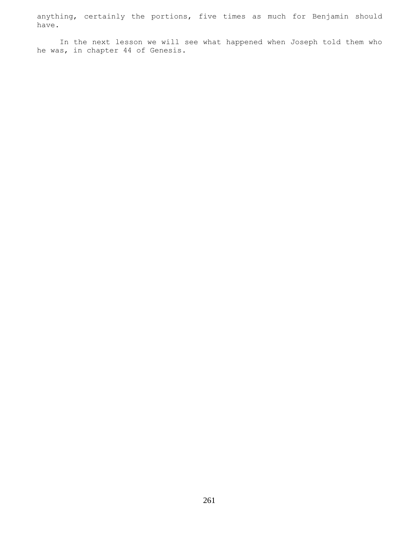anything, certainly the portions, five times as much for Benjamin should have.

 In the next lesson we will see what happened when Joseph told them who he was, in chapter 44 of Genesis.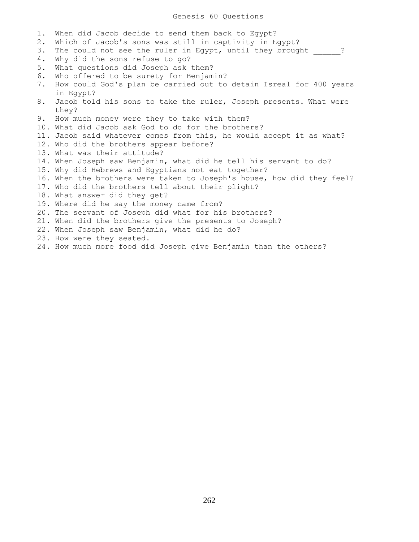1. When did Jacob decide to send them back to Egypt? 2. Which of Jacob's sons was still in captivity in Egypt? 3. The could not see the ruler in Egypt, until they brought  $\cdots$ ? 4. Why did the sons refuse to go? 5. What questions did Joseph ask them? 6. Who offered to be surety for Benjamin? 7. How could God's plan be carried out to detain Isreal for 400 years in Egypt? 8. Jacob told his sons to take the ruler, Joseph presents. What were they? 9. How much money were they to take with them? 10. What did Jacob ask God to do for the brothers? 11. Jacob said whatever comes from this, he would accept it as what? 12. Who did the brothers appear before? 13. What was their attitude? 14. When Joseph saw Benjamin, what did he tell his servant to do? 15. Why did Hebrews and Egyptians not eat together? 16. When the brothers were taken to Joseph's house, how did they feel? 17. Who did the brothers tell about their plight? 18. What answer did they get? 19. Where did he say the money came from? 20. The servant of Joseph did what for his brothers? 21. When did the brothers give the presents to Joseph? 22. When Joseph saw Benjamin, what did he do? 23. How were they seated. 24. How much more food did Joseph give Benjamin than the others?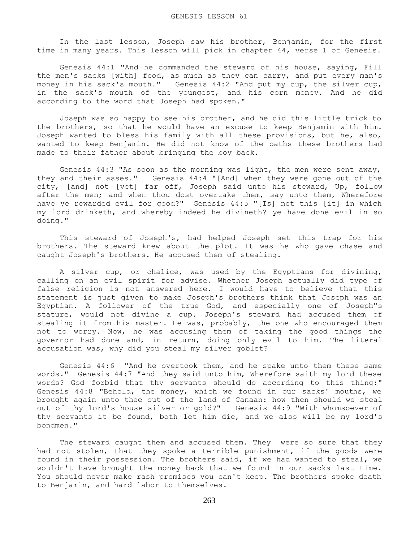In the last lesson, Joseph saw his brother, Benjamin, for the first time in many years. This lesson will pick in chapter 44, verse 1 of Genesis.

 Genesis 44:1 "And he commanded the steward of his house, saying, Fill the men's sacks [with] food, as much as they can carry, and put every man's money in his sack's mouth." Genesis 44:2 "And put my cup, the silver cup, in the sack's mouth of the youngest, and his corn money. And he did according to the word that Joseph had spoken."

 Joseph was so happy to see his brother, and he did this little trick to the brothers, so that he would have an excuse to keep Benjamin with him. Joseph wanted to bless his family with all these provisions, but he, also, wanted to keep Benjamin. He did not know of the oaths these brothers had made to their father about bringing the boy back.

 Genesis 44:3 "As soon as the morning was light, the men were sent away, they and their asses." Genesis 44:4 "[And] when they were gone out of the city, [and] not [yet] far off, Joseph said unto his steward, Up, follow after the men; and when thou dost overtake them, say unto them, Wherefore have ye rewarded evil for good?" Genesis 44:5 "[Is] not this [it] in which my lord drinketh, and whereby indeed he divineth? ye have done evil in so doing."

 This steward of Joseph's, had helped Joseph set this trap for his brothers. The steward knew about the plot. It was he who gave chase and caught Joseph's brothers. He accused them of stealing.

 A silver cup, or chalice, was used by the Egyptians for divining, calling on an evil spirit for advise. Whether Joseph actually did type of false religion is not answered here. I would have to believe that this statement is just given to make Joseph's brothers think that Joseph was an Egyptian. A follower of the true God, and especially one of Joseph"s stature, would not divine a cup. Joseph's steward had accused them of stealing it from his master. He was, probably, the one who encouraged them not to worry. Now, he was accusing them of taking the good things the governor had done and, in return, doing only evil to him. The literal accusation was, why did you steal my silver goblet?

 Genesis 44:6 "And he overtook them, and he spake unto them these same words." Genesis 44:7 "And they said unto him, Wherefore saith my lord these words? God forbid that thy servants should do according to this thing:" Genesis 44:8 "Behold, the money, which we found in our sacks' mouths, we brought again unto thee out of the land of Canaan: how then should we steal out of thy lord's house silver or gold?" Genesis 44:9 "With whomsoever of thy servants it be found, both let him die, and we also will be my lord's bondmen."

 The steward caught them and accused them. They were so sure that they had not stolen, that they spoke a terrible punishment, if the goods were found in their possession. The brothers said, if we had wanted to steal, we wouldn't have brought the money back that we found in our sacks last time. You should never make rash promises you can't keep. The brothers spoke death to Benjamin, and hard labor to themselves.

263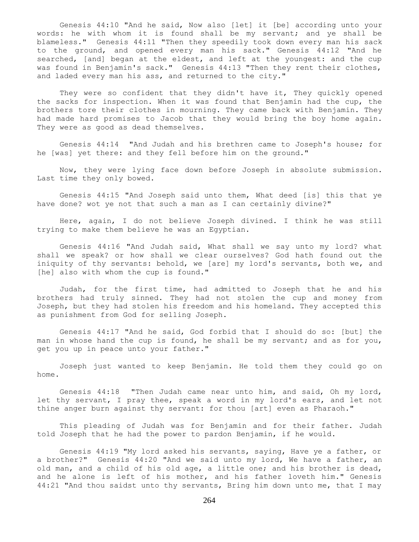Genesis 44:10 "And he said, Now also [let] it [be] according unto your words: he with whom it is found shall be my servant; and ye shall be blameless." Genesis 44:11 "Then they speedily took down every man his sack to the ground, and opened every man his sack." Genesis 44:12 "And he searched, [and] began at the eldest, and left at the youngest: and the cup was found in Benjamin's sack." Genesis 44:13 "Then they rent their clothes, and laded every man his ass, and returned to the city."

They were so confident that they didn't have it, They quickly opened the sacks for inspection. When it was found that Benjamin had the cup, the brothers tore their clothes in mourning. They came back with Benjamin. They had made hard promises to Jacob that they would bring the boy home again. They were as good as dead themselves.

 Genesis 44:14 "And Judah and his brethren came to Joseph's house; for he [was] yet there: and they fell before him on the ground."

 Now, they were lying face down before Joseph in absolute submission. Last time they only bowed.

 Genesis 44:15 "And Joseph said unto them, What deed [is] this that ye have done? wot ye not that such a man as I can certainly divine?"

 Here, again, I do not believe Joseph divined. I think he was still trying to make them believe he was an Egyptian.

 Genesis 44:16 "And Judah said, What shall we say unto my lord? what shall we speak? or how shall we clear ourselves? God hath found out the iniquity of thy servants: behold, we [are] my lord's servants, both we, and [he] also with whom the cup is found."

 Judah, for the first time, had admitted to Joseph that he and his brothers had truly sinned. They had not stolen the cup and money from Joseph, but they had stolen his freedom and his homeland. They accepted this as punishment from God for selling Joseph.

 Genesis 44:17 "And he said, God forbid that I should do so: [but] the man in whose hand the cup is found, he shall be my servant; and as for you, get you up in peace unto your father."

 Joseph just wanted to keep Benjamin. He told them they could go on home.

 Genesis 44:18 "Then Judah came near unto him, and said, Oh my lord, let thy servant, I pray thee, speak a word in my lord's ears, and let not thine anger burn against thy servant: for thou [art] even as Pharaoh."

 This pleading of Judah was for Benjamin and for their father. Judah told Joseph that he had the power to pardon Benjamin, if he would.

 Genesis 44:19 "My lord asked his servants, saying, Have ye a father, or a brother?" Genesis 44:20 "And we said unto my lord, We have a father, an old man, and a child of his old age, a little one; and his brother is dead, and he alone is left of his mother, and his father loveth him." Genesis 44:21 "And thou saidst unto thy servants, Bring him down unto me, that I may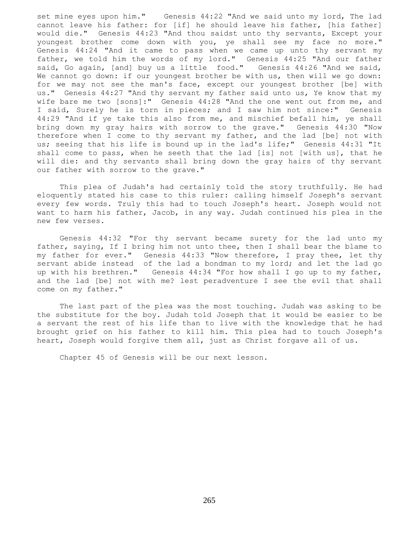set mine eyes upon him." Genesis 44:22 "And we said unto my lord, The lad cannot leave his father: for [if] he should leave his father, [his father] would die." Genesis 44:23 "And thou saidst unto thy servants, Except your youngest brother come down with you, ye shall see my face no more." Genesis 44:24 "And it came to pass when we came up unto thy servant my father, we told him the words of my lord." Genesis 44:25 "And our father said, Go again, [and] buy us a little food." Genesis 44:26 "And we said, We cannot go down: if our youngest brother be with us, then will we go down: for we may not see the man's face, except our youngest brother [be] with us." Genesis 44:27 "And thy servant my father said unto us, Ye know that my wife bare me two [sons]:" Genesis 44:28 "And the one went out from me, and I said, Surely he is torn in pieces; and I saw him not since:" Genesis 44:29 "And if ye take this also from me, and mischief befall him, ye shall bring down my gray hairs with sorrow to the grave." Genesis 44:30 "Now therefore when I come to thy servant my father, and the lad [be] not with us; seeing that his life is bound up in the lad's life;" Genesis 44:31 "It shall come to pass, when he seeth that the lad [is] not [with us], that he will die: and thy servants shall bring down the gray hairs of thy servant our father with sorrow to the grave."

 This plea of Judah's had certainly told the story truthfully. He had eloquently stated his case to this ruler: calling himself Joseph's servant every few words. Truly this had to touch Joseph's heart. Joseph would not want to harm his father, Jacob, in any way. Judah continued his plea in the new few verses.

 Genesis 44:32 "For thy servant became surety for the lad unto my father, saying, If I bring him not unto thee, then I shall bear the blame to my father for ever." Genesis 44:33 "Now therefore, I pray thee, let thy servant abide instead of the lad a bondman to my lord; and let the lad go up with his brethren." Genesis 44:34 "For how shall I go up to my father, and the lad [be] not with me? lest peradventure I see the evil that shall come on my father."

 The last part of the plea was the most touching. Judah was asking to be the substitute for the boy. Judah told Joseph that it would be easier to be a servant the rest of his life than to live with the knowledge that he had brought grief on his father to kill him. This plea had to touch Joseph's heart, Joseph would forgive them all, just as Christ forgave all of us.

Chapter 45 of Genesis will be our next lesson.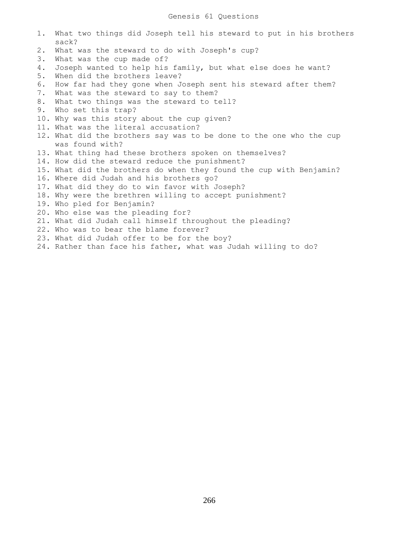- 1. What two things did Joseph tell his steward to put in his brothers sack? 2. What was the steward to do with Joseph's cup? 3. What was the cup made of? 4. Joseph wanted to help his family, but what else does he want? 5. When did the brothers leave? 6. How far had they gone when Joseph sent his steward after them? 7. What was the steward to say to them? 8. What two things was the steward to tell? 9. Who set this trap? 10. Why was this story about the cup given? 11. What was the literal accusation?
- 12. What did the brothers say was to be done to the one who the cup was found with?
- 13. What thing had these brothers spoken on themselves?
- 14. How did the steward reduce the punishment?
- 15. What did the brothers do when they found the cup with Benjamin?
- 16. Where did Judah and his brothers go?
- 17. What did they do to win favor with Joseph?
- 18. Why were the brethren willing to accept punishment?
- 19. Who pled for Benjamin?
- 20. Who else was the pleading for?
- 21. What did Judah call himself throughout the pleading?
- 22. Who was to bear the blame forever?
- 23. What did Judah offer to be for the boy?
- 24. Rather than face his father, what was Judah willing to do?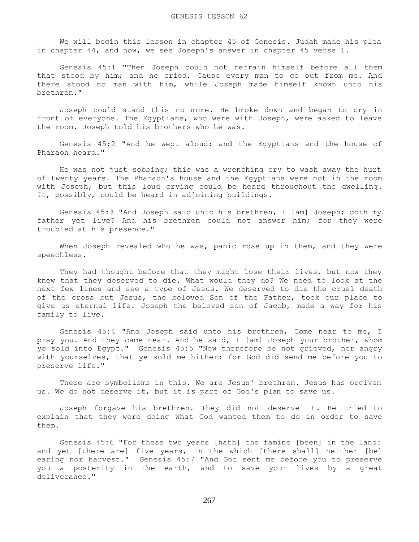We will begin this lesson in chapter 45 of Genesis. Judah made his plea in chapter 44, and now, we see Joseph's answer in chapter 45 verse 1.

 Genesis 45:1 "Then Joseph could not refrain himself before all them that stood by him; and he cried, Cause every man to go out from me. And there stood no man with him, while Joseph made himself known unto his brethren."

 Joseph could stand this no more. He broke down and began to cry in front of everyone. The Egyptians, who were with Joseph, were asked to leave the room. Joseph told his brothers who he was.

 Genesis 45:2 "And he wept aloud: and the Egyptians and the house of Pharaoh heard."

 He was not just sobbing; this was a wrenching cry to wash away the hurt of twenty years. The Pharaoh's house and the Egyptians were not in the room with Joseph, but this loud crying could be heard throughout the dwelling. It, possibly, could be heard in adjoining buildings.

 Genesis 45:3 "And Joseph said unto his brethren, I [am] Joseph; doth my father yet live? And his brethren could not answer him; for they were troubled at his presence."

When Joseph revealed who he was, panic rose up in them, and they were speechless.

 They had thought before that they might lose their lives, but now they knew that they deserved to die. What would they do? We need to look at the next few lines and see a type of Jesus. We deserved to die the cruel death of the cross but Jesus, the beloved Son of the Father, took our place to give us eternal life. Joseph the beloved son of Jacob, made a way for his family to live.

 Genesis 45:4 "And Joseph said unto his brethren, Come near to me, I pray you. And they came near. And he said, I [am] Joseph your brother, whom ye sold into Egypt." Genesis 45:5 "Now therefore be not grieved, nor angry with yourselves, that ye sold me hither: for God did send me before you to preserve life."

 There are symbolisms in this. We are Jesus' brethren. Jesus has orgiven us. We do not deserve it, but it is part of God's plan to save us.

 Joseph forgave his brethren. They did not deserve it. He tried to explain that they were doing what God wanted them to do in order to save them.

 Genesis 45:6 "For these two years [hath] the famine [been] in the land: and yet [there are] five years, in the which [there shall] neither [be] earing nor harvest." Genesis 45:7 "And God sent me before you to preserve you a posterity in the earth, and to save your lives by a great deliverance."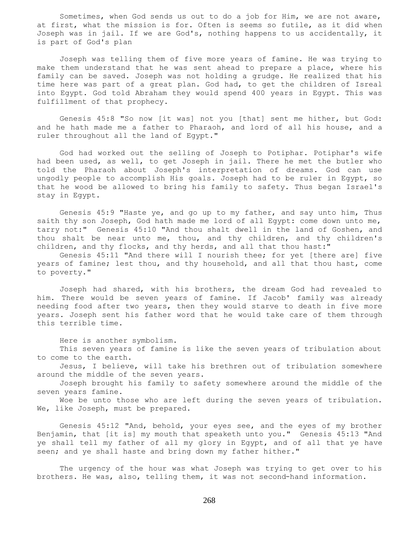Sometimes, when God sends us out to do a job for Him, we are not aware, at first, what the mission is for. Often is seems so futile, as it did when Joseph was in jail. If we are God's, nothing happens to us accidentally, it is part of God's plan

 Joseph was telling them of five more years of famine. He was trying to make them understand that he was sent ahead to prepare a place, where his family can be saved. Joseph was not holding a grudge. He realized that his time here was part of a great plan. God had, to get the children of Isreal into Egypt. God told Abraham they would spend 400 years in Egypt. This was fulfillment of that prophecy.

 Genesis 45:8 "So now [it was] not you [that] sent me hither, but God: and he hath made me a father to Pharaoh, and lord of all his house, and a ruler throughout all the land of Egypt."

 God had worked out the selling of Joseph to Potiphar. Potiphar's wife had been used, as well, to get Joseph in jail. There he met the butler who told the Pharaoh about Joseph's interpretation of dreams. God can use ungodly people to accomplish His goals. Joseph had to be ruler in Egypt, so that he wood be allowed to bring his family to safety. Thus began Israel's stay in Egypt.

 Genesis 45:9 "Haste ye, and go up to my father, and say unto him, Thus saith thy son Joseph, God hath made me lord of all Egypt: come down unto me, tarry not:" Genesis 45:10 "And thou shalt dwell in the land of Goshen, and thou shalt be near unto me, thou, and thy children, and thy children's children, and thy flocks, and thy herds, and all that thou hast:"

 Genesis 45:11 "And there will I nourish thee; for yet [there are] five years of famine; lest thou, and thy household, and all that thou hast, come to poverty."

 Joseph had shared, with his brothers, the dream God had revealed to him. There would be seven years of famine. If Jacob' family was already needing food after two years, then they would starve to death in five more years. Joseph sent his father word that he would take care of them through this terrible time.

Here is another symbolism.

 This seven years of famine is like the seven years of tribulation about to come to the earth.

 Jesus, I believe, will take his brethren out of tribulation somewhere around the middle of the seven years.

 Joseph brought his family to safety somewhere around the middle of the seven years famine.

 Woe be unto those who are left during the seven years of tribulation. We, like Joseph, must be prepared.

 Genesis 45:12 "And, behold, your eyes see, and the eyes of my brother Benjamin, that [it is] my mouth that speaketh unto you." Genesis 45:13 "And ye shall tell my father of all my glory in Egypt, and of all that ye have seen; and ye shall haste and bring down my father hither."

 The urgency of the hour was what Joseph was trying to get over to his brothers. He was, also, telling them, it was not second-hand information.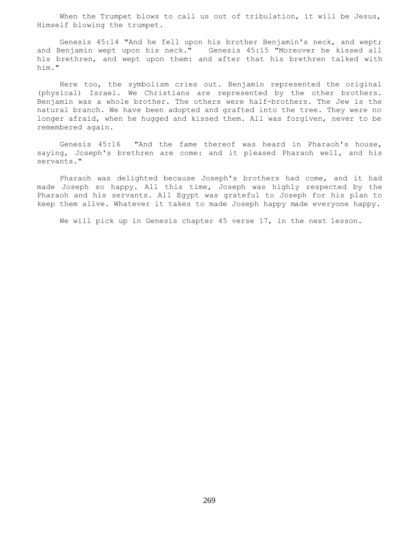When the Trumpet blows to call us out of tribulation, it will be Jesus, Himself blowing the trumpet.

 Genesis 45:14 "And he fell upon his brother Benjamin's neck, and wept; and Benjamin wept upon his neck." Genesis 45:15 "Moreover he kissed all his brethren, and wept upon them: and after that his brethren talked with him."

 Here too, the symbolism cries out. Benjamin represented the original (physical) Israel. We Christians are represented by the other brothers. Benjamin was a whole brother. The others were half-brothers. The Jew is the natural branch. We have been adopted and grafted into the tree. They were no longer afraid, when he hugged and kissed them. All was forgiven, never to be remembered again.

 Genesis 45:16 "And the fame thereof was heard in Pharaoh's house, saying, Joseph's brethren are come: and it pleased Pharaoh well, and his servants."

 Pharaoh was delighted because Joseph's brothers had come, and it had made Joseph so happy. All this time, Joseph was highly respected by the Pharaoh and his servants. All Egypt was grateful to Joseph for his plan to keep them alive. Whatever it takes to made Joseph happy made everyone happy.

We will pick up in Genesis chapter 45 verse 17, in the next lesson.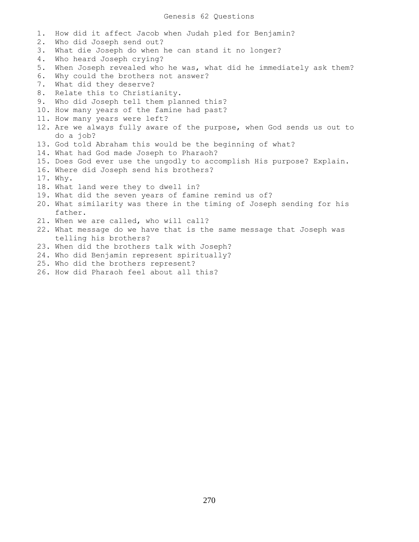## Genesis 62 Questions

1. How did it affect Jacob when Judah pled for Benjamin? 2. Who did Joseph send out? 3. What die Joseph do when he can stand it no longer? 4. Who heard Joseph crying? 5. When Joseph revealed who he was, what did he immediately ask them? 6. Why could the brothers not answer? 7. What did they deserve? 8. Relate this to Christianity. 9. Who did Joseph tell them planned this? 10. How many years of the famine had past? 11. How many years were left? 12. Are we always fully aware of the purpose, when God sends us out to do a job? 13. God told Abraham this would be the beginning of what? 14. What had God made Joseph to Pharaoh? 15. Does God ever use the ungodly to accomplish His purpose? Explain. 16. Where did Joseph send his brothers? 17. Why. 18. What land were they to dwell in? 19. What did the seven years of famine remind us of? 20. What similarity was there in the timing of Joseph sending for his father. 21. When we are called, who will call? 22. What message do we have that is the same message that Joseph was telling his brothers? 23. When did the brothers talk with Joseph? 24. Who did Benjamin represent spiritually? 25. Who did the brothers represent?

26. How did Pharaoh feel about all this?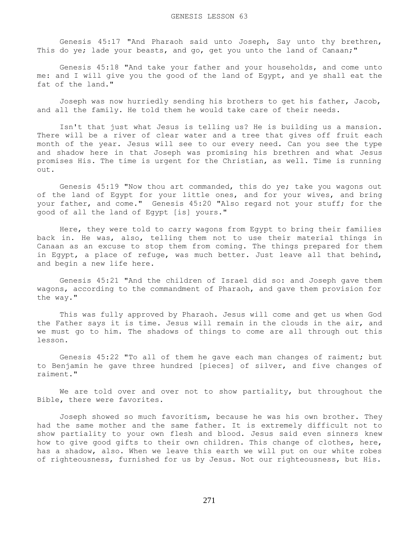Genesis 45:17 "And Pharaoh said unto Joseph, Say unto thy brethren, This do ye; lade your beasts, and go, get you unto the land of Canaan;"

 Genesis 45:18 "And take your father and your households, and come unto me: and I will give you the good of the land of Egypt, and ye shall eat the fat of the land."

 Joseph was now hurriedly sending his brothers to get his father, Jacob, and all the family. He told them he would take care of their needs.

 Isn't that just what Jesus is telling us? He is building us a mansion. There will be a river of clear water and a tree that gives off fruit each month of the year. Jesus will see to our every need. Can you see the type and shadow here in that Joseph was promising his brethren and what Jesus promises His. The time is urgent for the Christian, as well. Time is running out.

 Genesis 45:19 "Now thou art commanded, this do ye; take you wagons out of the land of Egypt for your little ones, and for your wives, and bring your father, and come." Genesis 45:20 "Also regard not your stuff; for the good of all the land of Egypt [is] yours."

 Here, they were told to carry wagons from Egypt to bring their families back in. He was, also, telling them not to use their material things in Canaan as an excuse to stop them from coming. The things prepared for them in Egypt, a place of refuge, was much better. Just leave all that behind, and begin a new life here.

 Genesis 45:21 "And the children of Israel did so: and Joseph gave them wagons, according to the commandment of Pharaoh, and gave them provision for the way."

 This was fully approved by Pharaoh. Jesus will come and get us when God the Father says it is time. Jesus will remain in the clouds in the air, and we must go to him. The shadows of things to come are all through out this lesson.

 Genesis 45:22 "To all of them he gave each man changes of raiment; but to Benjamin he gave three hundred [pieces] of silver, and five changes of raiment."

 We are told over and over not to show partiality, but throughout the Bible, there were favorites.

 Joseph showed so much favoritism, because he was his own brother. They had the same mother and the same father. It is extremely difficult not to show partiality to your own flesh and blood. Jesus said even sinners knew how to give good gifts to their own children. This change of clothes, here, has a shadow, also. When we leave this earth we will put on our white robes of righteousness, furnished for us by Jesus. Not our righteousness, but His.

271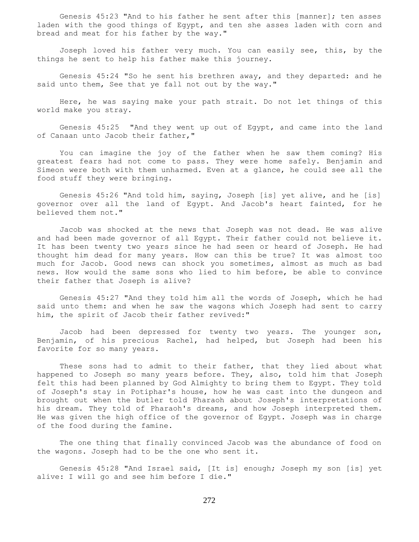Genesis 45:23 "And to his father he sent after this [manner]; ten asses laden with the good things of Egypt, and ten she asses laden with corn and bread and meat for his father by the way."

 Joseph loved his father very much. You can easily see, this, by the things he sent to help his father make this journey.

 Genesis 45:24 "So he sent his brethren away, and they departed: and he said unto them, See that ye fall not out by the way."

 Here, he was saying make your path strait. Do not let things of this world make you stray.

 Genesis 45:25 "And they went up out of Egypt, and came into the land of Canaan unto Jacob their father,"

 You can imagine the joy of the father when he saw them coming? His greatest fears had not come to pass. They were home safely. Benjamin and Simeon were both with them unharmed. Even at a glance, he could see all the food stuff they were bringing.

 Genesis 45:26 "And told him, saying, Joseph [is] yet alive, and he [is] governor over all the land of Egypt. And Jacob's heart fainted, for he believed them not."

 Jacob was shocked at the news that Joseph was not dead. He was alive and had been made governor of all Egypt. Their father could not believe it. It has been twenty two years since he had seen or heard of Joseph. He had thought him dead for many years. How can this be true? It was almost too much for Jacob. Good news can shock you sometimes, almost as much as bad news. How would the same sons who lied to him before, be able to convince their father that Joseph is alive?

 Genesis 45:27 "And they told him all the words of Joseph, which he had said unto them: and when he saw the wagons which Joseph had sent to carry him, the spirit of Jacob their father revived:"

 Jacob had been depressed for twenty two years. The younger son, Benjamin, of his precious Rachel, had helped, but Joseph had been his favorite for so many years.

 These sons had to admit to their father, that they lied about what happened to Joseph so many years before. They, also, told him that Joseph felt this had been planned by God Almighty to bring them to Egypt. They told of Joseph's stay in Potiphar's house, how he was cast into the dungeon and brought out when the butler told Pharaoh about Joseph's interpretations of his dream. They told of Pharaoh's dreams, and how Joseph interpreted them. He was given the high office of the governor of Egypt. Joseph was in charge of the food during the famine.

 The one thing that finally convinced Jacob was the abundance of food on the wagons. Joseph had to be the one who sent it.

 Genesis 45:28 "And Israel said, [It is] enough; Joseph my son [is] yet alive: I will go and see him before I die."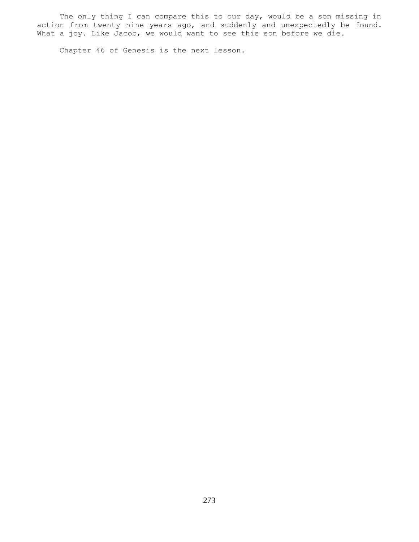The only thing I can compare this to our day, would be a son missing in action from twenty nine years ago, and suddenly and unexpectedly be found. What a joy. Like Jacob, we would want to see this son before we die.

Chapter 46 of Genesis is the next lesson.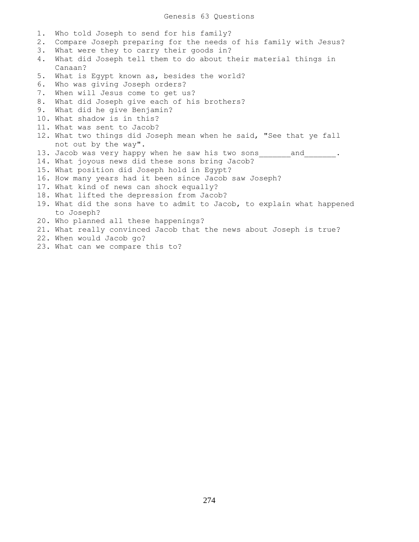Genesis 63 Questions

| Who told Joseph to send for his family?                                |
|------------------------------------------------------------------------|
| Compare Joseph preparing for the needs of his family with Jesus?       |
| What were they to carry their goods in?                                |
| What did Joseph tell them to do about their material things in         |
| Canaan?                                                                |
| What is Egypt known as, besides the world?                             |
| Who was giving Joseph orders?                                          |
| When will Jesus come to get us?                                        |
| What did Joseph give each of his brothers?                             |
| What did he give Benjamin?                                             |
| 10. What shadow is in this?                                            |
| 11. What was sent to Jacob?                                            |
| 12. What two things did Joseph mean when he said, "See that ye fall    |
| not out by the way".                                                   |
| 13. Jacob was very happy when he saw his two sons and                  |
| 14. What joyous news did these sons bring Jacob?                       |
| 15. What position did Joseph hold in Egypt?                            |
| 16. How many years had it been since Jacob saw Joseph?                 |
| 17. What kind of news can shock equally?                               |
| 18. What lifted the depression from Jacob?                             |
| 19. What did the sons have to admit to Jacob, to explain what happened |
| to Joseph?                                                             |
| 20. Who planned all these happenings?                                  |
| 21. What really convinced Jacob that the news about Joseph is true?    |
| 22. When would Jacob go?                                               |
| 23. What can we compare this to?                                       |
|                                                                        |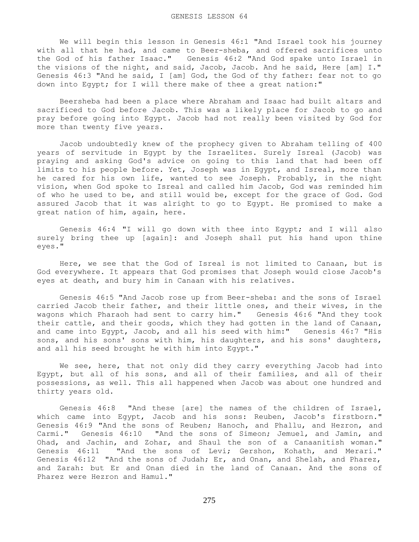We will begin this lesson in Genesis 46:1 "And Israel took his journey with all that he had, and came to Beer-sheba, and offered sacrifices unto the God of his father Isaac." Genesis 46:2 "And God spake unto Israel in the visions of the night, and said, Jacob, Jacob. And he said, Here [am] I." Genesis 46:3 "And he said, I [am] God, the God of thy father: fear not to go down into Egypt; for I will there make of thee a great nation:"

 Beersheba had been a place where Abraham and Isaac had built altars and sacrificed to God before Jacob. This was a likely place for Jacob to go and pray before going into Egypt. Jacob had not really been visited by God for more than twenty five years.

 Jacob undoubtedly knew of the prophecy given to Abraham telling of 400 years of servitude in Egypt by the Israelites. Surely Isreal (Jacob) was praying and asking God's advice on going to this land that had been off limits to his people before. Yet, Joseph was in Egypt, and Isreal, more than he cared for his own life, wanted to see Joseph. Probably, in the night vision, when God spoke to Isreal and called him Jacob, God was reminded him of who he used to be, and still would be, except for the grace of God. God assured Jacob that it was alright to go to Egypt. He promised to make a great nation of him, again, here.

 Genesis 46:4 "I will go down with thee into Egypt; and I will also surely bring thee up [again]: and Joseph shall put his hand upon thine eyes."

 Here, we see that the God of Isreal is not limited to Canaan, but is God everywhere. It appears that God promises that Joseph would close Jacob's eyes at death, and bury him in Canaan with his relatives.

 Genesis 46:5 "And Jacob rose up from Beer-sheba: and the sons of Israel carried Jacob their father, and their little ones, and their wives, in the wagons which Pharaoh had sent to carry him." Genesis 46:6 "And they took their cattle, and their goods, which they had gotten in the land of Canaan, and came into Egypt, Jacob, and all his seed with him:" Genesis 46:7 "His sons, and his sons' sons with him, his daughters, and his sons' daughters, and all his seed brought he with him into Egypt."

We see, here, that not only did they carry everything Jacob had into Egypt, but all of his sons, and all of their families, and all of their possessions, as well. This all happened when Jacob was about one hundred and thirty years old.

 Genesis 46:8 "And these [are] the names of the children of Israel, which came into Egypt, Jacob and his sons: Reuben, Jacob's firstborn." Genesis 46:9 "And the sons of Reuben; Hanoch, and Phallu, and Hezron, and Carmi." Genesis 46:10 "And the sons of Simeon; Jemuel, and Jamin, and Ohad, and Jachin, and Zohar, and Shaul the son of a Canaanitish woman." Genesis 46:11 "And the sons of Levi; Gershon, Kohath, and Merari." Genesis 46:12 "And the sons of Judah; Er, and Onan, and Shelah, and Pharez, and Zarah: but Er and Onan died in the land of Canaan. And the sons of Pharez were Hezron and Hamul."

275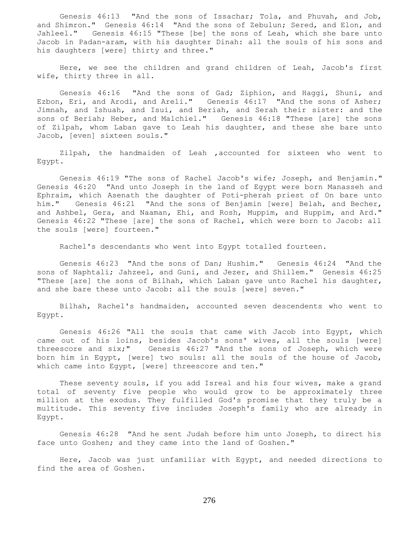Genesis 46:13 "And the sons of Issachar; Tola, and Phuvah, and Job, and Shimron." Genesis 46:14 "And the sons of Zebulun; Sered, and Elon, and Jahleel." Genesis 46:15 "These [be] the sons of Leah, which she bare unto Jacob in Padan-aram, with his daughter Dinah: all the souls of his sons and his daughters [were] thirty and three."

 Here, we see the children and grand children of Leah, Jacob's first wife, thirty three in all.

 Genesis 46:16 "And the sons of Gad; Ziphion, and Haggi, Shuni, and Ezbon, Eri, and Arodi, and Areli." Genesis 46:17 "And the sons of Asher; Jimnah, and Ishuah, and Isui, and Beriah, and Serah their sister: and the sons of Beriah; Heber, and Malchiel." Genesis 46:18 "These [are] the sons of Zilpah, whom Laban gave to Leah his daughter, and these she bare unto Jacob, [even] sixteen souls."

 Zilpah, the handmaiden of Leah ,accounted for sixteen who went to Egypt.

 Genesis 46:19 "The sons of Rachel Jacob's wife; Joseph, and Benjamin." Genesis 46:20 "And unto Joseph in the land of Egypt were born Manasseh and Ephraim, which Asenath the daughter of Poti-pherah priest of On bare unto him." Genesis 46:21 "And the sons of Benjamin [were] Belah, and Becher, and Ashbel, Gera, and Naaman, Ehi, and Rosh, Muppim, and Huppim, and Ard." Genesis 46:22 "These [are] the sons of Rachel, which were born to Jacob: all the souls [were] fourteen."

Rachel's descendants who went into Egypt totalled fourteen.

 Genesis 46:23 "And the sons of Dan; Hushim." Genesis 46:24 "And the sons of Naphtali; Jahzeel, and Guni, and Jezer, and Shillem." Genesis 46:25 "These [are] the sons of Bilhah, which Laban gave unto Rachel his daughter, and she bare these unto Jacob: all the souls [were] seven."

 Bilhah, Rachel's handmaiden, accounted seven descendents who went to Egypt.

 Genesis 46:26 "All the souls that came with Jacob into Egypt, which came out of his loins, besides Jacob's sons' wives, all the souls [were] threescore and six;" Genesis 46:27 "And the sons of Joseph, which were born him in Egypt, [were] two souls: all the souls of the house of Jacob, which came into Egypt, [were] threescore and ten."

 These seventy souls, if you add Isreal and his four wives, make a grand total of seventy five people who would grow to be approximately three million at the exodus. They fulfilled God's promise that they truly be a multitude. This seventy five includes Joseph's family who are already in Egypt.

 Genesis 46:28 "And he sent Judah before him unto Joseph, to direct his face unto Goshen; and they came into the land of Goshen."

 Here, Jacob was just unfamiliar with Egypt, and needed directions to find the area of Goshen.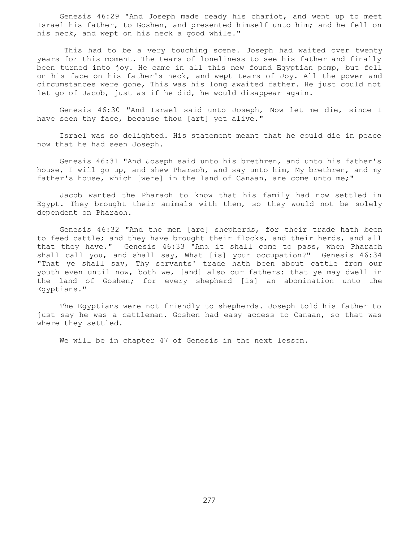Genesis 46:29 "And Joseph made ready his chariot, and went up to meet Israel his father, to Goshen, and presented himself unto him; and he fell on his neck, and wept on his neck a good while."

 This had to be a very touching scene. Joseph had waited over twenty years for this moment. The tears of loneliness to see his father and finally been turned into joy. He came in all this new found Egyptian pomp, but fell on his face on his father's neck, and wept tears of Joy. All the power and circumstances were gone, This was his long awaited father. He just could not let go of Jacob, just as if he did, he would disappear again.

 Genesis 46:30 "And Israel said unto Joseph, Now let me die, since I have seen thy face, because thou [art] yet alive."

 Israel was so delighted. His statement meant that he could die in peace now that he had seen Joseph.

 Genesis 46:31 "And Joseph said unto his brethren, and unto his father's house, I will go up, and shew Pharaoh, and say unto him, My brethren, and my father's house, which [were] in the land of Canaan, are come unto me;"

 Jacob wanted the Pharaoh to know that his family had now settled in Egypt. They brought their animals with them, so they would not be solely dependent on Pharaoh.

 Genesis 46:32 "And the men [are] shepherds, for their trade hath been to feed cattle; and they have brought their flocks, and their herds, and all that they have." Genesis 46:33 "And it shall come to pass, when Pharaoh shall call you, and shall say, What [is] your occupation?" Genesis 46:34 "That ye shall say, Thy servants' trade hath been about cattle from our youth even until now, both we, [and] also our fathers: that ye may dwell in the land of Goshen; for every shepherd [is] an abomination unto the Egyptians."

 The Egyptians were not friendly to shepherds. Joseph told his father to just say he was a cattleman. Goshen had easy access to Canaan, so that was where they settled.

We will be in chapter 47 of Genesis in the next lesson.

277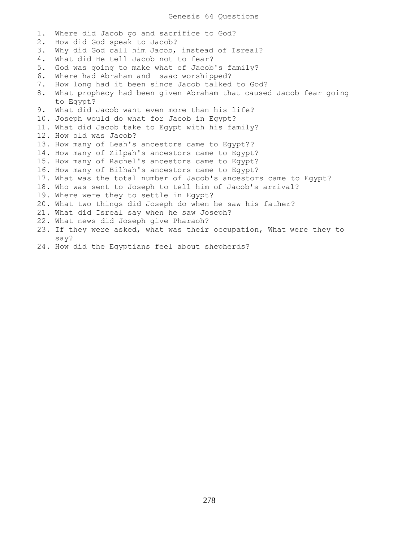Genesis 64 Questions

1. Where did Jacob go and sacrifice to God? 2. How did God speak to Jacob? 3. Why did God call him Jacob, instead of Isreal? 4. What did He tell Jacob not to fear? 5. God was going to make what of Jacob's family? 6. Where had Abraham and Isaac worshipped? 7. How long had it been since Jacob talked to God? 8. What prophecy had been given Abraham that caused Jacob fear going to Egypt? 9. What did Jacob want even more than his life? 10. Joseph would do what for Jacob in Egypt? 11. What did Jacob take to Egypt with his family? 12. How old was Jacob? 13. How many of Leah's ancestors came to Egypt?? 14. How many of Zilpah's ancestors came to Egypt? 15. How many of Rachel's ancestors came to Egypt? 16. How many of Bilhah's ancestors came to Egypt? 17. What was the total number of Jacob's ancestors came to Egypt? 18. Who was sent to Joseph to tell him of Jacob's arrival? 19. Where were they to settle in Egypt? 20. What two things did Joseph do when he saw his father? 21. What did Isreal say when he saw Joseph? 22. What news did Joseph give Pharaoh? 23. If they were asked, what was their occupation, What were they to say?

24. How did the Egyptians feel about shepherds?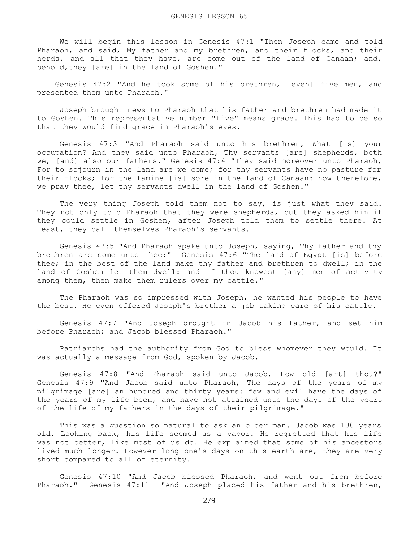We will begin this lesson in Genesis 47:1 "Then Joseph came and told Pharaoh, and said, My father and my brethren, and their flocks, and their herds, and all that they have, are come out of the land of Canaan; and, behold, they [are] in the land of Goshen."

 Genesis 47:2 "And he took some of his brethren, [even] five men, and presented them unto Pharaoh."

 Joseph brought news to Pharaoh that his father and brethren had made it to Goshen. This representative number "five" means grace. This had to be so that they would find grace in Pharaoh's eyes.

 Genesis 47:3 "And Pharaoh said unto his brethren, What [is] your occupation? And they said unto Pharaoh, Thy servants [are] shepherds, both we, [and] also our fathers." Genesis 47:4 "They said moreover unto Pharaoh, For to sojourn in the land are we come; for thy servants have no pasture for their flocks; for the famine [is] sore in the land of Canaan: now therefore, we pray thee, let thy servants dwell in the land of Goshen."

The very thing Joseph told them not to say, is just what they said. They not only told Pharaoh that they were shepherds, but they asked him if they could settle in Goshen, after Joseph told them to settle there. At least, they call themselves Pharaoh's servants.

 Genesis 47:5 "And Pharaoh spake unto Joseph, saying, Thy father and thy brethren are come unto thee:" Genesis 47:6 "The land of Egypt [is] before thee; in the best of the land make thy father and brethren to dwell; in the land of Goshen let them dwell: and if thou knowest [any] men of activity among them, then make them rulers over my cattle."

 The Pharaoh was so impressed with Joseph, he wanted his people to have the best. He even offered Joseph's brother a job taking care of his cattle.

 Genesis 47:7 "And Joseph brought in Jacob his father, and set him before Pharaoh: and Jacob blessed Pharaoh."

 Patriarchs had the authority from God to bless whomever they would. It was actually a message from God, spoken by Jacob.

 Genesis 47:8 "And Pharaoh said unto Jacob, How old [art] thou?" Genesis 47:9 "And Jacob said unto Pharaoh, The days of the years of my pilgrimage [are] an hundred and thirty years: few and evil have the days of the years of my life been, and have not attained unto the days of the years of the life of my fathers in the days of their pilgrimage."

 This was a question so natural to ask an older man. Jacob was 130 years old. Looking back, his life seemed as a vapor. He regretted that his life was not better, like most of us do. He explained that some of his ancestors lived much longer. However long one's days on this earth are, they are very short compared to all of eternity.

 Genesis 47:10 "And Jacob blessed Pharaoh, and went out from before Pharaoh." Genesis 47:11 "And Joseph placed his father and his brethren,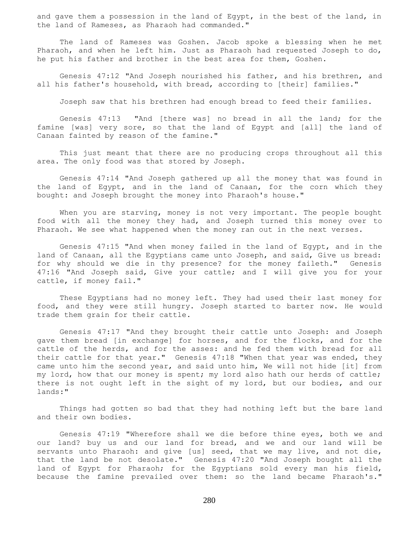and gave them a possession in the land of Egypt, in the best of the land, in the land of Rameses, as Pharaoh had commanded."

 The land of Rameses was Goshen. Jacob spoke a blessing when he met Pharaoh, and when he left him. Just as Pharaoh had requested Joseph to do, he put his father and brother in the best area for them, Goshen.

 Genesis 47:12 "And Joseph nourished his father, and his brethren, and all his father's household, with bread, according to [their] families."

Joseph saw that his brethren had enough bread to feed their families.

 Genesis 47:13 "And [there was] no bread in all the land; for the famine [was] very sore, so that the land of Egypt and [all] the land of Canaan fainted by reason of the famine."

 This just meant that there are no producing crops throughout all this area. The only food was that stored by Joseph.

 Genesis 47:14 "And Joseph gathered up all the money that was found in the land of Egypt, and in the land of Canaan, for the corn which they bought: and Joseph brought the money into Pharaoh's house."

When you are starving, money is not very important. The people bought food with all the money they had, and Joseph turned this money over to Pharaoh. We see what happened when the money ran out in the next verses.

 Genesis 47:15 "And when money failed in the land of Egypt, and in the land of Canaan, all the Egyptians came unto Joseph, and said, Give us bread: for why should we die in thy presence? for the money faileth." Genesis 47:16 "And Joseph said, Give your cattle; and I will give you for your cattle, if money fail."

 These Egyptians had no money left. They had used their last money for food, and they were still hungry. Joseph started to barter now. He would trade them grain for their cattle.

 Genesis 47:17 "And they brought their cattle unto Joseph: and Joseph gave them bread [in exchange] for horses, and for the flocks, and for the cattle of the herds, and for the asses: and he fed them with bread for all their cattle for that year." Genesis 47:18 "When that year was ended, they came unto him the second year, and said unto him, We will not hide [it] from my lord, how that our money is spent; my lord also hath our herds of cattle; there is not ought left in the sight of my lord, but our bodies, and our lands:"

 Things had gotten so bad that they had nothing left but the bare land and their own bodies.

 Genesis 47:19 "Wherefore shall we die before thine eyes, both we and our land? buy us and our land for bread, and we and our land will be servants unto Pharaoh: and give [us] seed, that we may live, and not die, that the land be not desolate." Genesis 47:20 "And Joseph bought all the land of Egypt for Pharaoh; for the Egyptians sold every man his field, because the famine prevailed over them: so the land became Pharaoh's."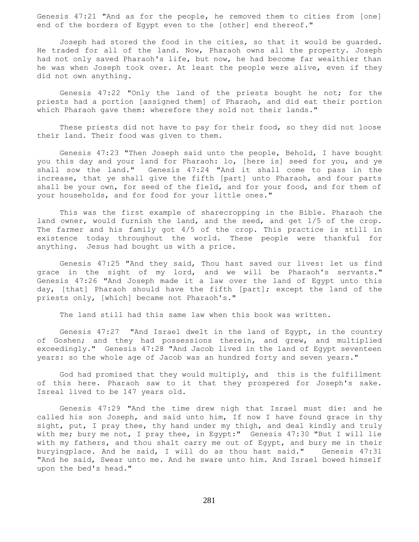Genesis 47:21 "And as for the people, he removed them to cities from [one] end of the borders of Egypt even to the [other] end thereof."

 Joseph had stored the food in the cities, so that it would be guarded. He traded for all of the land. Now, Pharaoh owns all the property. Joseph had not only saved Pharaoh's life, but now, he had become far wealthier than he was when Joseph took over. At least the people were alive, even if they did not own anything.

 Genesis 47:22 "Only the land of the priests bought he not; for the priests had a portion [assigned them] of Pharaoh, and did eat their portion which Pharaoh gave them: wherefore they sold not their lands."

 These priests did not have to pay for their food, so they did not loose their land. Their food was given to them.

 Genesis 47:23 "Then Joseph said unto the people, Behold, I have bought you this day and your land for Pharaoh: lo, [here is] seed for you, and ye shall sow the land." Genesis 47:24 "And it shall come to pass in the increase, that ye shall give the fifth [part] unto Pharaoh, and four parts shall be your own, for seed of the field, and for your food, and for them of your households, and for food for your little ones."

 This was the first example of sharecropping in the Bible. Pharaoh the land owner, would furnish the land, and the seed, and get 1/5 of the crop. The farmer and his family got 4/5 of the crop. This practice is still in existence today throughout the world. These people were thankful for anything. Jesus had bought us with a price.

 Genesis 47:25 "And they said, Thou hast saved our lives: let us find grace in the sight of my lord, and we will be Pharaoh's servants." Genesis 47:26 "And Joseph made it a law over the land of Egypt unto this day, [that] Pharaoh should have the fifth [part]; except the land of the priests only, [which] became not Pharaoh's."

The land still had this same law when this book was written.

 Genesis 47:27 "And Israel dwelt in the land of Egypt, in the country of Goshen; and they had possessions therein, and grew, and multiplied exceedingly." Genesis 47:28 "And Jacob lived in the land of Egypt seventeen years: so the whole age of Jacob was an hundred forty and seven years."

 God had promised that they would multiply, and this is the fulfillment of this here. Pharaoh saw to it that they prospered for Joseph's sake. Isreal lived to be 147 years old.

 Genesis 47:29 "And the time drew nigh that Israel must die: and he called his son Joseph, and said unto him, If now I have found grace in thy sight, put, I pray thee, thy hand under my thigh, and deal kindly and truly with me; bury me not, I pray thee, in Egypt:" Genesis 47:30 "But I will lie with my fathers, and thou shalt carry me out of Egypt, and bury me in their buryingplace. And he said, I will do as thou hast said." Genesis 47:31 "And he said, Swear unto me. And he sware unto him. And Israel bowed himself upon the bed's head."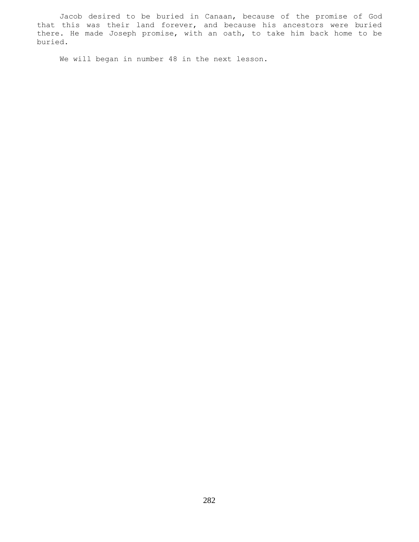Jacob desired to be buried in Canaan, because of the promise of God that this was their land forever, and because his ancestors were buried there. He made Joseph promise, with an oath, to take him back home to be buried.

We will began in number 48 in the next lesson.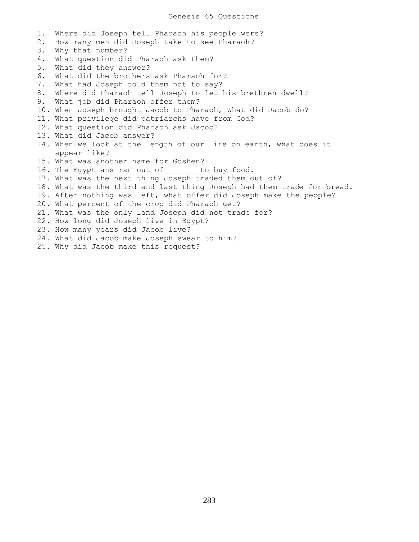1. Where did Joseph tell Pharaoh his people were? 2. How many men did Joseph take to see Pharaoh? 3. Why that number? 4. What question did Pharaoh ask them? 5. What did they answer? 6. What did the brothers ask Pharaoh for? 7. What had Joseph told them not to say? 8. Where did Pharaoh tell Joseph to let his brethren dwell? 9. What job did Pharaoh offer them? 10. When Joseph brought Jacob to Pharaoh, What did Jacob do? 11. What privilege did patriarchs have from God? 12. What question did Pharaoh ask Jacob? 13. What did Jacob answer? 14. When we look at the length of our life on earth, what does it appear like? 15. What was another name for Goshen? 16. The Egyptians ran out of to buy food. 17. What was the next thing Joseph traded them out of? 18. What was the third and last thing Joseph had them trade for bread. 19. After nothing was left, what offer did Joseph make the people? 20. What percent of the crop did Pharaoh get? 21. What was the only land Joseph did not trade for? 22. How long did Joseph live in Egypt? 23. How many years did Jacob live? 24. What did Jacob make Joseph swear to him? 25. Why did Jacob make this request?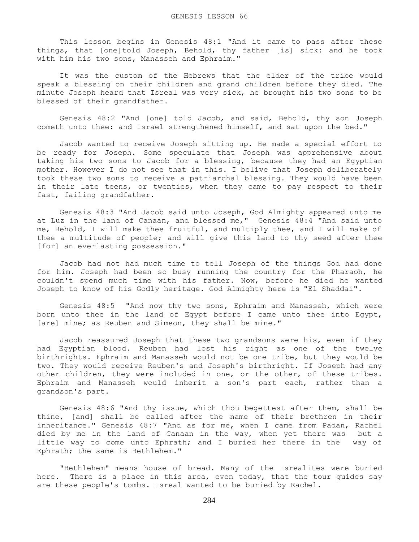This lesson begins in Genesis 48:1 "And it came to pass after these things, that [one]told Joseph, Behold, thy father [is] sick: and he took with him his two sons, Manasseh and Ephraim."

 It was the custom of the Hebrews that the elder of the tribe would speak a blessing on their children and grand children before they died. The minute Joseph heard that Isreal was very sick, he brought his two sons to be blessed of their grandfather.

 Genesis 48:2 "And [one] told Jacob, and said, Behold, thy son Joseph cometh unto thee: and Israel strengthened himself, and sat upon the bed."

 Jacob wanted to receive Joseph sitting up. He made a special effort to be ready for Joseph. Some speculate that Joseph was apprehensive about taking his two sons to Jacob for a blessing, because they had an Egyptian mother. However I do not see that in this. I belive that Joseph deliberately took these two sons to receive a patriarchal blessing. They would have been in their late teens, or twenties, when they came to pay respect to their fast, failing grandfather.

 Genesis 48:3 "And Jacob said unto Joseph, God Almighty appeared unto me at Luz in the land of Canaan, and blessed me," Genesis 48:4 "And said unto me, Behold, I will make thee fruitful, and multiply thee, and I will make of thee a multitude of people; and will give this land to thy seed after thee [for] an everlasting possession."

 Jacob had not had much time to tell Joseph of the things God had done for him. Joseph had been so busy running the country for the Pharaoh, he couldn't spend much time with his father. Now, before he died he wanted Joseph to know of his Godly heritage. God Almighty here is "El Shaddai".

 Genesis 48:5 "And now thy two sons, Ephraim and Manasseh, which were born unto thee in the land of Egypt before I came unto thee into Egypt, [are] mine; as Reuben and Simeon, they shall be mine."

 Jacob reassured Joseph that these two grandsons were his, even if they had Egyptian blood. Reuben had lost his right as one of the twelve birthrights. Ephraim and Manasseh would not be one tribe, but they would be two. They would receive Reuben's and Joseph's birthright. If Joseph had any other children, they were included in one, or the other, of these tribes. Ephraim and Manasseh would inherit a son's part each, rather than a grandson's part.

 Genesis 48:6 "And thy issue, which thou begettest after them, shall be thine, [and] shall be called after the name of their brethren in their inheritance." Genesis 48:7 "And as for me, when I came from Padan, Rachel died by me in the land of Canaan in the way, when yet there was but a little way to come unto Ephrath; and I buried her there in the way of Ephrath; the same is Bethlehem."

 "Bethlehem" means house of bread. Many of the Isrealites were buried here. There is a place in this area, even today, that the tour guides say are these people's tombs. Isreal wanted to be buried by Rachel.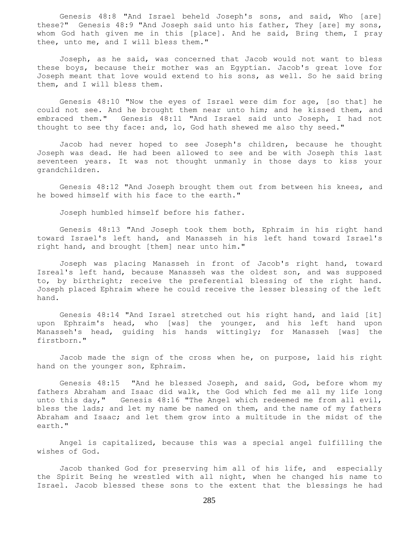Genesis 48:8 "And Israel beheld Joseph's sons, and said, Who [are] these?" Genesis 48:9 "And Joseph said unto his father, They [are] my sons, whom God hath given me in this [place]. And he said, Bring them, I pray thee, unto me, and I will bless them."

 Joseph, as he said, was concerned that Jacob would not want to bless these boys, because their mother was an Egyptian. Jacob's great love for Joseph meant that love would extend to his sons, as well. So he said bring them, and I will bless them.

 Genesis 48:10 "Now the eyes of Israel were dim for age, [so that] he could not see. And he brought them near unto him; and he kissed them, and embraced them." Genesis 48:11 "And Israel said unto Joseph, I had not thought to see thy face: and, lo, God hath shewed me also thy seed."

 Jacob had never hoped to see Joseph's children, because he thought Joseph was dead. He had been allowed to see and be with Joseph this last seventeen years. It was not thought unmanly in those days to kiss your grandchildren.

 Genesis 48:12 "And Joseph brought them out from between his knees, and he bowed himself with his face to the earth."

Joseph humbled himself before his father.

 Genesis 48:13 "And Joseph took them both, Ephraim in his right hand toward Israel's left hand, and Manasseh in his left hand toward Israel's right hand, and brought [them] near unto him."

 Joseph was placing Manasseh in front of Jacob's right hand, toward Isreal's left hand, because Manasseh was the oldest son, and was supposed to, by birthright; receive the preferential blessing of the right hand. Joseph placed Ephraim where he could receive the lesser blessing of the left hand.

 Genesis 48:14 "And Israel stretched out his right hand, and laid [it] upon Ephraim's head, who [was] the younger, and his left hand upon Manasseh's head, guiding his hands wittingly; for Manasseh [was] the firstborn."

 Jacob made the sign of the cross when he, on purpose, laid his right hand on the younger son, Ephraim.

 Genesis 48:15 "And he blessed Joseph, and said, God, before whom my fathers Abraham and Isaac did walk, the God which fed me all my life long unto this day," Genesis 48:16 "The Angel which redeemed me from all evil, bless the lads; and let my name be named on them, and the name of my fathers Abraham and Isaac; and let them grow into a multitude in the midst of the earth."

 Angel is capitalized, because this was a special angel fulfilling the wishes of God.

 Jacob thanked God for preserving him all of his life, and especially the Spirit Being he wrestled with all night, when he changed his name to Israel. Jacob blessed these sons to the extent that the blessings he had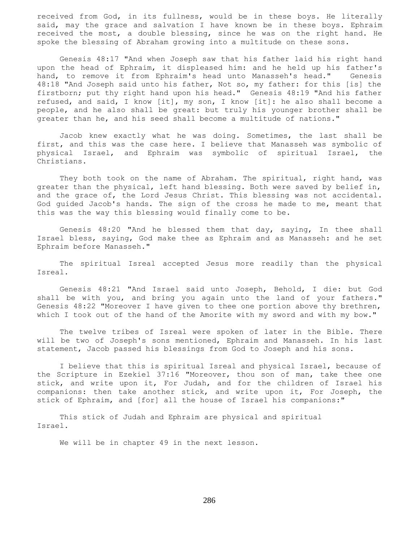received from God, in its fullness, would be in these boys. He literally said, may the grace and salvation I have known be in these boys. Ephraim received the most, a double blessing, since he was on the right hand. He spoke the blessing of Abraham growing into a multitude on these sons.

 Genesis 48:17 "And when Joseph saw that his father laid his right hand upon the head of Ephraim, it displeased him: and he held up his father's hand, to remove it from Ephraim's head unto Manasseh's head." Genesis 48:18 "And Joseph said unto his father, Not so, my father: for this [is] the firstborn; put thy right hand upon his head." Genesis 48:19 "And his father refused, and said, I know [it], my son, I know [it]: he also shall become a people, and he also shall be great: but truly his younger brother shall be greater than he, and his seed shall become a multitude of nations."

 Jacob knew exactly what he was doing. Sometimes, the last shall be first, and this was the case here. I believe that Manasseh was symbolic of physical Israel, and Ephraim was symbolic of spiritual Israel, the Christians.

They both took on the name of Abraham. The spiritual, right hand, was greater than the physical, left hand blessing. Both were saved by belief in, and the grace of, the Lord Jesus Christ. This blessing was not accidental. God guided Jacob's hands. The sign of the cross he made to me, meant that this was the way this blessing would finally come to be.

 Genesis 48:20 "And he blessed them that day, saying, In thee shall Israel bless, saying, God make thee as Ephraim and as Manasseh: and he set Ephraim before Manasseh."

 The spiritual Isreal accepted Jesus more readily than the physical Isreal.

 Genesis 48:21 "And Israel said unto Joseph, Behold, I die: but God shall be with you, and bring you again unto the land of your fathers." Genesis 48:22 "Moreover I have given to thee one portion above thy brethren, which I took out of the hand of the Amorite with my sword and with my bow."

 The twelve tribes of Isreal were spoken of later in the Bible. There will be two of Joseph's sons mentioned, Ephraim and Manasseh. In his last statement, Jacob passed his blessings from God to Joseph and his sons.

 I believe that this is spiritual Isreal and physical Israel, because of the Scripture in Ezekiel 37:16 "Moreover, thou son of man, take thee one stick, and write upon it, For Judah, and for the children of Israel his companions: then take another stick, and write upon it, For Joseph, the stick of Ephraim, and [for] all the house of Israel his companions:"

 This stick of Judah and Ephraim are physical and spiritual Israel.

We will be in chapter 49 in the next lesson.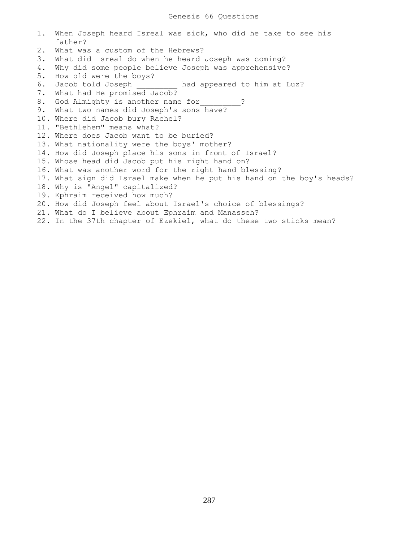|    | 1. When Joseph heard Isreal was sick, who did he take to see his       |
|----|------------------------------------------------------------------------|
|    | father?                                                                |
| 2. | What was a custom of the Hebrews?                                      |
| 3. | What did Isreal do when he heard Joseph was coming?                    |
| 4. | Why did some people believe Joseph was apprehensive?                   |
| 5. | How old were the boys?                                                 |
|    | 6. Jacob told Joseph had appeared to him at Luz?                       |
|    | 7. What had He promised Jacob?                                         |
|    | 8. God Almighty is another name for ?                                  |
|    | 9. What two names did Joseph's sons have?                              |
|    | 10. Where did Jacob bury Rachel?                                       |
|    | 11. "Bethlehem" means what?                                            |
|    | 12. Where does Jacob want to be buried?                                |
|    | 13. What nationality were the boys' mother?                            |
|    | 14. How did Joseph place his sons in front of Israel?                  |
|    | 15. Whose head did Jacob put his right hand on?                        |
|    | 16. What was another word for the right hand blessing?                 |
|    | 17. What sign did Israel make when he put his hand on the boy's heads? |
|    | 18. Why is "Angel" capitalized?                                        |
|    | 19. Ephraim received how much?                                         |
|    | 20. How did Joseph feel about Israel's choice of blessings?            |
|    | 21. What do I believe about Ephraim and Manasseh?                      |
|    | 22. In the 37th chapter of Ezekiel, what do these two sticks mean?     |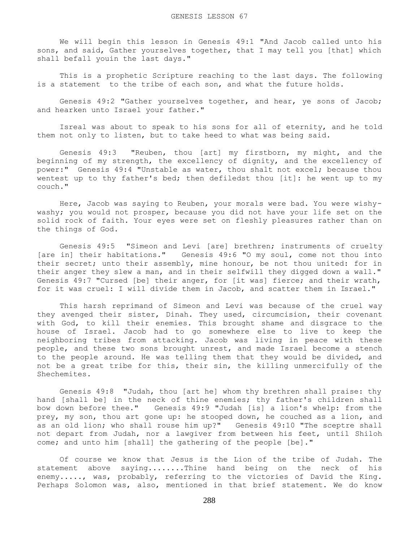We will begin this lesson in Genesis 49:1 "And Jacob called unto his sons, and said, Gather yourselves together, that I may tell you [that] which shall befall youin the last days."

 This is a prophetic Scripture reaching to the last days. The following is a statement to the tribe of each son, and what the future holds.

 Genesis 49:2 "Gather yourselves together, and hear, ye sons of Jacob; and hearken unto Israel your father."

 Isreal was about to speak to his sons for all of eternity, and he told them not only to listen, but to take heed to what was being said.

 Genesis 49:3 "Reuben, thou [art] my firstborn, my might, and the beginning of my strength, the excellency of dignity, and the excellency of power:" Genesis 49:4 "Unstable as water, thou shalt not excel; because thou wentest up to thy father's bed; then defiledst thou [it]: he went up to my couch."

 Here, Jacob was saying to Reuben, your morals were bad. You were wishywashy; you would not prosper, because you did not have your life set on the solid rock of faith. Your eyes were set on fleshly pleasures rather than on the things of God.

 Genesis 49:5 "Simeon and Levi [are] brethren; instruments of cruelty [are in] their habitations." Genesis 49:6 "O my soul, come not thou into their secret; unto their assembly, mine honour, be not thou united: for in their anger they slew a man, and in their selfwill they digged down a wall." Genesis 49:7 "Cursed [be] their anger, for [it was] fierce; and their wrath, for it was cruel: I will divide them in Jacob, and scatter them in Israel."

 This harsh reprimand of Simeon and Levi was because of the cruel way they avenged their sister, Dinah. They used, circumcision, their covenant with God, to kill their enemies. This brought shame and disgrace to the house of Israel. Jacob had to go somewhere else to live to keep the neighboring tribes from attacking. Jacob was living in peace with these people, and these two sons brought unrest, and made Israel become a stench to the people around. He was telling them that they would be divided, and not be a great tribe for this, their sin, the killing unmercifully of the Shechemites.

 Genesis 49:8 "Judah, thou [art he] whom thy brethren shall praise: thy hand [shall be] in the neck of thine enemies; thy father's children shall bow down before thee." Genesis 49:9 "Judah [is] a lion's whelp: from the prey, my son, thou art gone up: he stooped down, he couched as a lion, and as an old lion; who shall rouse him up?" Genesis 49:10 "The sceptre shall not depart from Judah, nor a lawgiver from between his feet, until Shiloh come; and unto him [shall] the gathering of the people [be]."

 Of course we know that Jesus is the Lion of the tribe of Judah. The statement above saying........Thine hand being on the neck of his enemy....., was, probably, referring to the victories of David the King. Perhaps Solomon was, also, mentioned in that brief statement. We do know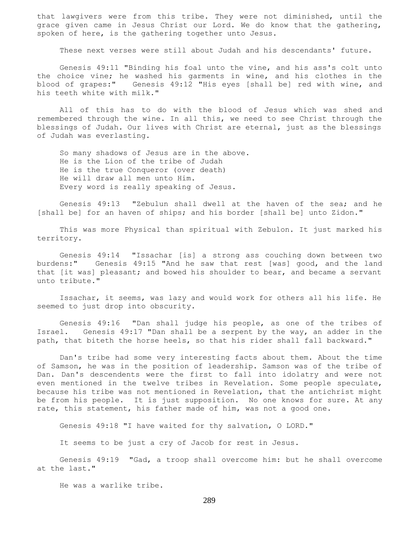that lawgivers were from this tribe. They were not diminished, until the grace given came in Jesus Christ our Lord. We do know that the gathering, spoken of here, is the gathering together unto Jesus.

These next verses were still about Judah and his descendants' future.

 Genesis 49:11 "Binding his foal unto the vine, and his ass's colt unto the choice vine; he washed his garments in wine, and his clothes in the blood of grapes:" Genesis 49:12 "His eyes [shall be] red with wine, and his teeth white with milk."

 All of this has to do with the blood of Jesus which was shed and remembered through the wine. In all this, we need to see Christ through the blessings of Judah. Our lives with Christ are eternal, just as the blessings of Judah was everlasting.

 So many shadows of Jesus are in the above. He is the Lion of the tribe of Judah He is the true Conqueror (over death) He will draw all men unto Him. Every word is really speaking of Jesus.

 Genesis 49:13 "Zebulun shall dwell at the haven of the sea; and he [shall be] for an haven of ships; and his border [shall be] unto Zidon."

 This was more Physical than spiritual with Zebulon. It just marked his territory.

 Genesis 49:14 "Issachar [is] a strong ass couching down between two burdens:" Genesis 49:15 "And he saw that rest [was] good, and the land that [it was] pleasant; and bowed his shoulder to bear, and became a servant unto tribute."

 Issachar, it seems, was lazy and would work for others all his life. He seemed to just drop into obscurity.

 Genesis 49:16 "Dan shall judge his people, as one of the tribes of Israel. Genesis 49:17 "Dan shall be a serpent by the way, an adder in the path, that biteth the horse heels, so that his rider shall fall backward."

 Dan's tribe had some very interesting facts about them. About the time of Samson, he was in the position of leadership. Samson was of the tribe of Dan. Dan's descendents were the first to fall into idolatry and were not even mentioned in the twelve tribes in Revelation. Some people speculate, because his tribe was not mentioned in Revelation, that the antichrist might be from his people. It is just supposition. No one knows for sure. At any rate, this statement, his father made of him, was not a good one.

Genesis 49:18 "I have waited for thy salvation, O LORD."

It seems to be just a cry of Jacob for rest in Jesus.

 Genesis 49:19 "Gad, a troop shall overcome him: but he shall overcome at the last."

He was a warlike tribe.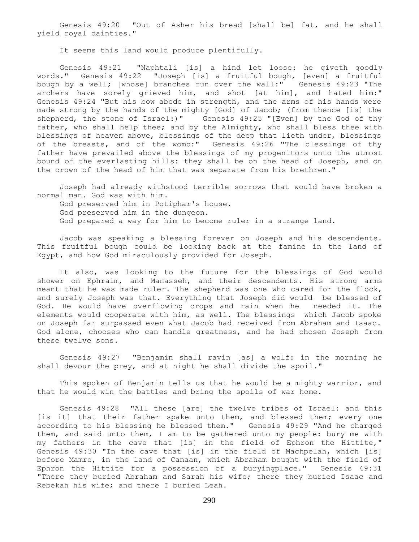Genesis 49:20 "Out of Asher his bread [shall be] fat, and he shall yield royal dainties."

It seems this land would produce plentifully.

 Genesis 49:21 "Naphtali [is] a hind let loose: he giveth goodly words." Genesis 49:22 "Joseph [is] a fruitful bough, [even] a fruitful bough by a well; [whose] branches run over the wall:" Genesis 49:23 "The archers have sorely grieved him, and shot [at him], and hated him:" Genesis 49:24 "But his bow abode in strength, and the arms of his hands were made strong by the hands of the mighty [God] of Jacob; (from thence [is] the shepherd, the stone of Israel:)" Genesis 49:25 "[Even] by the God of thy father, who shall help thee; and by the Almighty, who shall bless thee with blessings of heaven above, blessings of the deep that lieth under, blessings of the breasts, and of the womb:" Genesis 49:26 "The blessings of thy father have prevailed above the blessings of my progenitors unto the utmost bound of the everlasting hills: they shall be on the head of Joseph, and on the crown of the head of him that was separate from his brethren."

 Joseph had already withstood terrible sorrows that would have broken a normal man. God was with him.

 God preserved him in Potiphar's house. God preserved him in the dungeon. God prepared a way for him to become ruler in a strange land.

 Jacob was speaking a blessing forever on Joseph and his descendents. This fruitful bough could be looking back at the famine in the land of Egypt, and how God miraculously provided for Joseph.

 It also, was looking to the future for the blessings of God would shower on Ephraim, and Manasseh, and their descendents. His strong arms meant that he was made ruler. The shepherd was one who cared for the flock, and surely Joseph was that. Everything that Joseph did would be blessed of God. He would have overflowing crops and rain when he needed it. The elements would cooperate with him, as well. The blessings which Jacob spoke on Joseph far surpassed even what Jacob had received from Abraham and Isaac. God alone, chooses who can handle greatness, and he had chosen Joseph from these twelve sons.

 Genesis 49:27 "Benjamin shall ravin [as] a wolf: in the morning he shall devour the prey, and at night he shall divide the spoil."

 This spoken of Benjamin tells us that he would be a mighty warrior, and that he would win the battles and bring the spoils of war home.

 Genesis 49:28 "All these [are] the twelve tribes of Israel: and this [is it] that their father spake unto them, and blessed them; every one according to his blessing he blessed them." Genesis 49:29 "And he charged them, and said unto them, I am to be gathered unto my people: bury me with my fathers in the cave that [is] in the field of Ephron the Hittite," Genesis 49:30 "In the cave that [is] in the field of Machpelah, which [is] before Mamre, in the land of Canaan, which Abraham bought with the field of Ephron the Hittite for a possession of a buryingplace." Genesis 49:31 "There they buried Abraham and Sarah his wife; there they buried Isaac and Rebekah his wife; and there I buried Leah.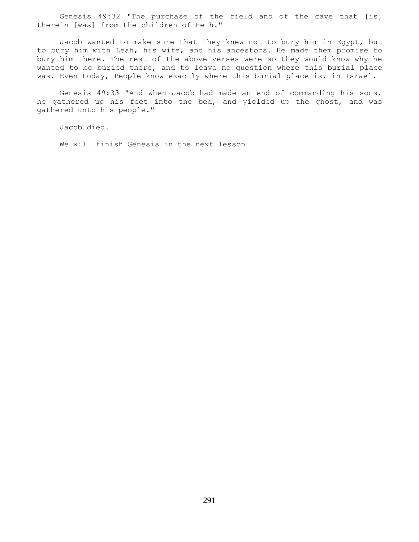Genesis 49:32 "The purchase of the field and of the cave that [is] therein [was] from the children of Heth."

 Jacob wanted to make sure that they knew not to bury him in Egypt, but to bury him with Leah, his wife, and his ancestors. He made them promise to bury him there. The rest of the above verses were so they would know why he wanted to be buried there, and to leave no question where this burial place was. Even today, People know exactly where this burial place is, in Israel.

 Genesis 49:33 "And when Jacob had made an end of commanding his sons, he gathered up his feet into the bed, and yielded up the ghost, and was gathered unto his people."

Jacob died.

We will finish Genesis in the next lesson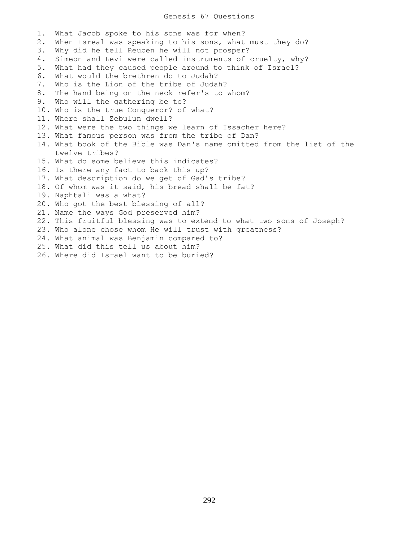## Genesis 67 Questions

1. What Jacob spoke to his sons was for when? 2. When Isreal was speaking to his sons, what must they do? 3. Why did he tell Reuben he will not prosper? 4. Simeon and Levi were called instruments of cruelty, why? 5. What had they caused people around to think of Israel? 6. What would the brethren do to Judah? 7. Who is the Lion of the tribe of Judah? 8. The hand being on the neck refer's to whom? 9. Who will the gathering be to? 10. Who is the true Conqueror? of what? 11. Where shall Zebulun dwell? 12. What were the two things we learn of Issacher here? 13. What famous person was from the tribe of Dan? 14. What book of the Bible was Dan's name omitted from the list of the twelve tribes? 15. What do some believe this indicates? 16. Is there any fact to back this up? 17. What description do we get of Gad's tribe? 18. Of whom was it said, his bread shall be fat? 19. Naphtali was a what? 20. Who got the best blessing of all? 21. Name the ways God preserved him? 22. This fruitful blessing was to extend to what two sons of Joseph? 23. Who alone chose whom He will trust with greatness? 24. What animal was Benjamin compared to? 25. What did this tell us about him? 26. Where did Israel want to be buried?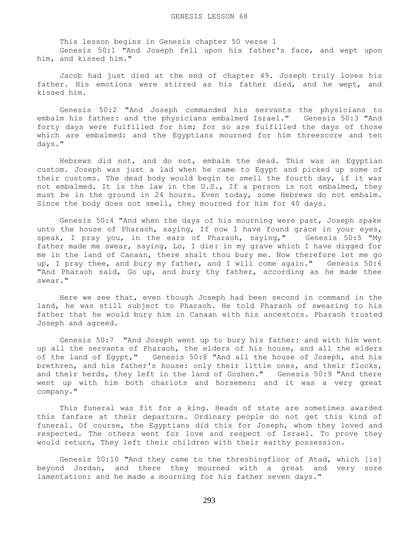This lesson begins in Genesis chapter 50 verse 1 Genesis 50:1 "And Joseph fell upon his father's face, and wept upon him, and kissed him."

 Jacob had just died at the end of chapter 49. Joseph truly loves his father. His emotions were stirred as his father died, and he wept, and kissed him.

 Genesis 50:2 "And Joseph commanded his servants the physicians to embalm his father: and the physicians embalmed Israel." Genesis 50:3 "And forty days were fulfilled for him; for so are fulfilled the days of those which are embalmed: and the Egyptians mourned for him threescore and ten days."

 Hebrews did not, and do not, embalm the dead. This was an Egyptian custom. Joseph was just a lad when he came to Egypt and picked up some of their customs. The dead body would begin to smell the fourth day, if it was not embalmed. It is the law in the U.S., If a person is not embalmed, they must be in the ground in 24 hours. Even today, some Hebrews do not embalm. Since the body does not smell, they mourned for him for 40 days.

 Genesis 50:4 "And when the days of his mourning were past, Joseph spake unto the house of Pharaoh, saying, If now I have found grace in your eyes, speak, I pray you, in the ears of Pharaoh, saying," Genesis 50:5 "My father made me swear, saying, Lo, I die: in my grave which I have digged for me in the land of Canaan, there shalt thou bury me. Now therefore let me go up, I pray thee, and bury my father, and I will come again." Genesis 50:6 "And Pharaoh said, Go up, and bury thy father, according as he made thee swear."

 Here we see that, even though Joseph had been second in command in the land, he was still subject to Pharaoh. He told Pharaoh of swearing to his father that he would bury him in Canaan with his ancestors. Pharaoh trusted Joseph and agreed.

 Genesis 50:7 "And Joseph went up to bury his father: and with him went up all the servants of Pharaoh, the elders of his house, and all the elders of the land of Egypt," Genesis 50:8 "And all the house of Joseph, and his brethren, and his father's house: only their little ones, and their flocks, and their herds, they left in the land of Goshen." Genesis 50:9 "And there went up with him both chariots and horsemen: and it was a very great company."

 This funeral was fit for a king. Heads of state are sometimes awarded this fanfare at their departure. Ordinary people do not get this kind of funeral. Of course, the Egyptians did this for Joseph, whom they loved and respected. The others went for love and respect of Israel. To prove they would return, They left their children with their earthy possession.

 Genesis 50:10 "And they came to the threshingfloor of Atad, which [is] beyond Jordan, and there they mourned with a great and very sore lamentation: and he made a mourning for his father seven days."

293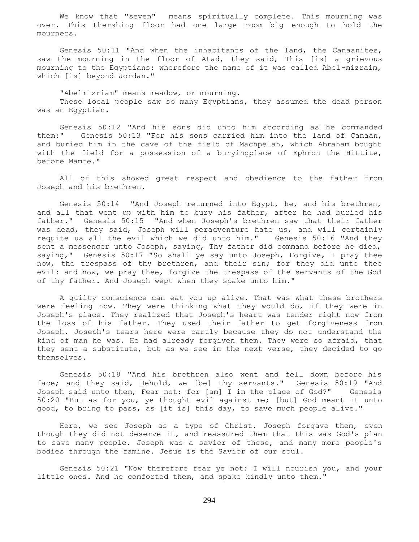We know that "seven" means spiritually complete. This mourning was over. This thershing floor had one large room big enough to hold the mourners.

 Genesis 50:11 "And when the inhabitants of the land, the Canaanites, saw the mourning in the floor of Atad, they said, This [is] a grievous mourning to the Egyptians: wherefore the name of it was called Abel-mizraim, which [is] beyond Jordan."

 "Abelmizriam" means meadow, or mourning. These local people saw so many Egyptians, they assumed the dead person was an Egyptian.

 Genesis 50:12 "And his sons did unto him according as he commanded them:" Genesis 50:13 "For his sons carried him into the land of Canaan, and buried him in the cave of the field of Machpelah, which Abraham bought with the field for a possession of a buryingplace of Ephron the Hittite, before Mamre."

 All of this showed great respect and obedience to the father from Joseph and his brethren.

 Genesis 50:14 "And Joseph returned into Egypt, he, and his brethren, and all that went up with him to bury his father, after he had buried his father." Genesis 50:15 "And when Joseph's brethren saw that their father was dead, they said, Joseph will peradventure hate us, and will certainly requite us all the evil which we did unto him." Genesis 50:16 "And they sent a messenger unto Joseph, saying, Thy father did command before he died, saying," Genesis 50:17 "So shall ye say unto Joseph, Forgive, I pray thee now, the trespass of thy brethren, and their sin; for they did unto thee evil: and now, we pray thee, forgive the trespass of the servants of the God of thy father. And Joseph wept when they spake unto him."

 A guilty conscience can eat you up alive. That was what these brothers were feeling now. They were thinking what they would do, if they were in Joseph's place. They realized that Joseph's heart was tender right now from the loss of his father. They used their father to get forgiveness from Joseph. Joseph's tears here were partly because they do not understand the kind of man he was. He had already forgiven them. They were so afraid, that they sent a substitute, but as we see in the next verse, they decided to go themselves.

 Genesis 50:18 "And his brethren also went and fell down before his face; and they said, Behold, we [be] thy servants." Genesis 50:19 "And Joseph said unto them, Fear not: for [am] I in the place of God?" Genesis 50:20 "But as for you, ye thought evil against me; [but] God meant it unto good, to bring to pass, as [it is] this day, to save much people alive."

 Here, we see Joseph as a type of Christ. Joseph forgave them, even though they did not deserve it, and reassured them that this was God's plan to save many people. Joseph was a savior of these, and many more people's bodies through the famine. Jesus is the Savior of our soul.

 Genesis 50:21 "Now therefore fear ye not: I will nourish you, and your little ones. And he comforted them, and spake kindly unto them."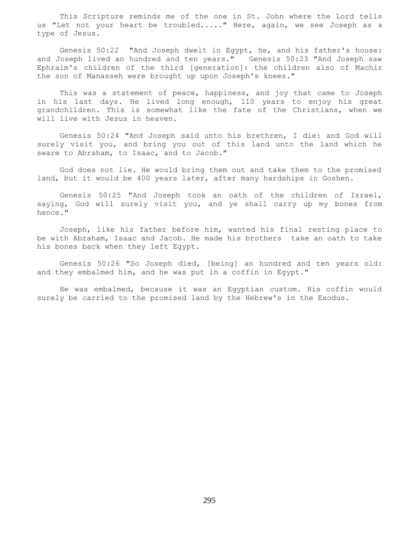This Scripture reminds me of the one in St. John where the Lord tells us "Let not your heart be troubled....." Here, again, we see Joseph as a type of Jesus.

 Genesis 50:22 "And Joseph dwelt in Egypt, he, and his father's house: and Joseph lived an hundred and ten years." Genesis 50:23 "And Joseph saw Ephraim's children of the third [generation]: the children also of Machir the son of Manasseh were brought up upon Joseph's knees."

 This was a statement of peace, happiness, and joy that came to Joseph in his last days. He lived long enough, 110 years to enjoy his great grandchildren. This is somewhat like the fate of the Christians, when we will live with Jesus in heaven.

 Genesis 50:24 "And Joseph said unto his brethren, I die: and God will surely visit you, and bring you out of this land unto the land which he sware to Abraham, to Isaac, and to Jacob."

 God does not lie. He would bring them out and take them to the promised land, but it would be 400 years later, after many hardships in Goshen.

 Genesis 50:25 "And Joseph took an oath of the children of Israel, saying, God will surely visit you, and ye shall carry up my bones from hence."

 Joseph, like his father before him, wanted his final resting place to be with Abraham, Isaac and Jacob. He made his brothers take an oath to take his bones back when they left Egypt.

 Genesis 50:26 "So Joseph died, [being] an hundred and ten years old: and they embalmed him, and he was put in a coffin in Egypt."

 He was embalmed, because it was an Egyptian custom. His coffin would surely be carried to the promised land by the Hebrew's in the Exodus.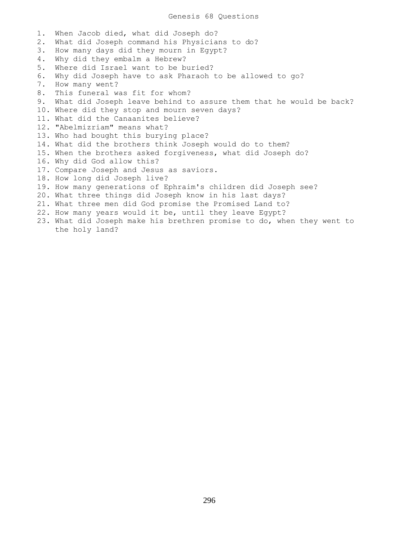1. When Jacob died, what did Joseph do? 2. What did Joseph command his Physicians to do? 3. How many days did they mourn in Egypt? 4. Why did they embalm a Hebrew? 5. Where did Israel want to be buried? 6. Why did Joseph have to ask Pharaoh to be allowed to go? 7. How many went? 8. This funeral was fit for whom? 9. What did Joseph leave behind to assure them that he would be back? 10. Where did they stop and mourn seven days? 11. What did the Canaanites believe? 12. "Abelmizriam" means what? 13. Who had bought this burying place? 14. What did the brothers think Joseph would do to them? 15. When the brothers asked forgiveness, what did Joseph do? 16. Why did God allow this? 17. Compare Joseph and Jesus as saviors. 18. How long did Joseph live? 19. How many generations of Ephraim's children did Joseph see? 20. What three things did Joseph know in his last days? 21. What three men did God promise the Promised Land to? 22. How many years would it be, until they leave Egypt? 23. What did Joseph make his brethren promise to do, when they went to

the holy land?